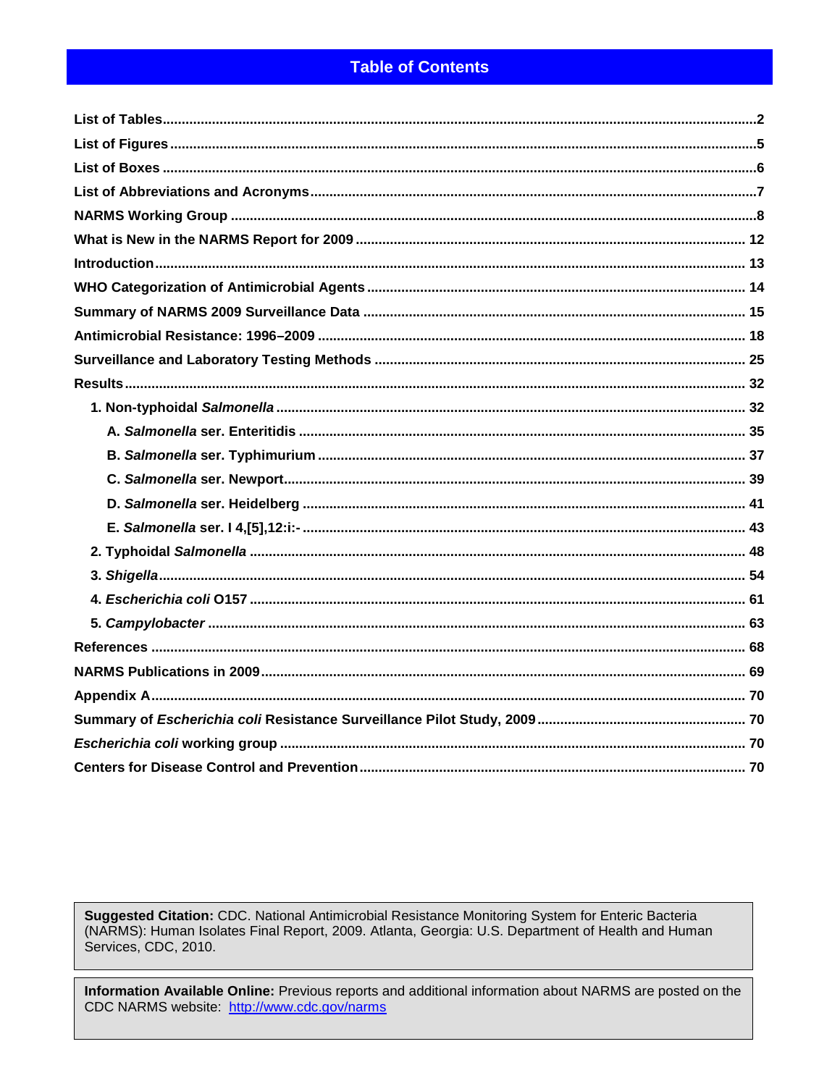# **Table of Contents**

Suggested Citation: CDC. National Antimicrobial Resistance Monitoring System for Enteric Bacteria (NARMS): Human Isolates Final Report, 2009. Atlanta, Georgia: U.S. Department of Health and Human Services, CDC, 2010.

Information Available Online: Previous reports and additional information about NARMS are posted on the CDC NARMS website: http://www.cdc.gov/narms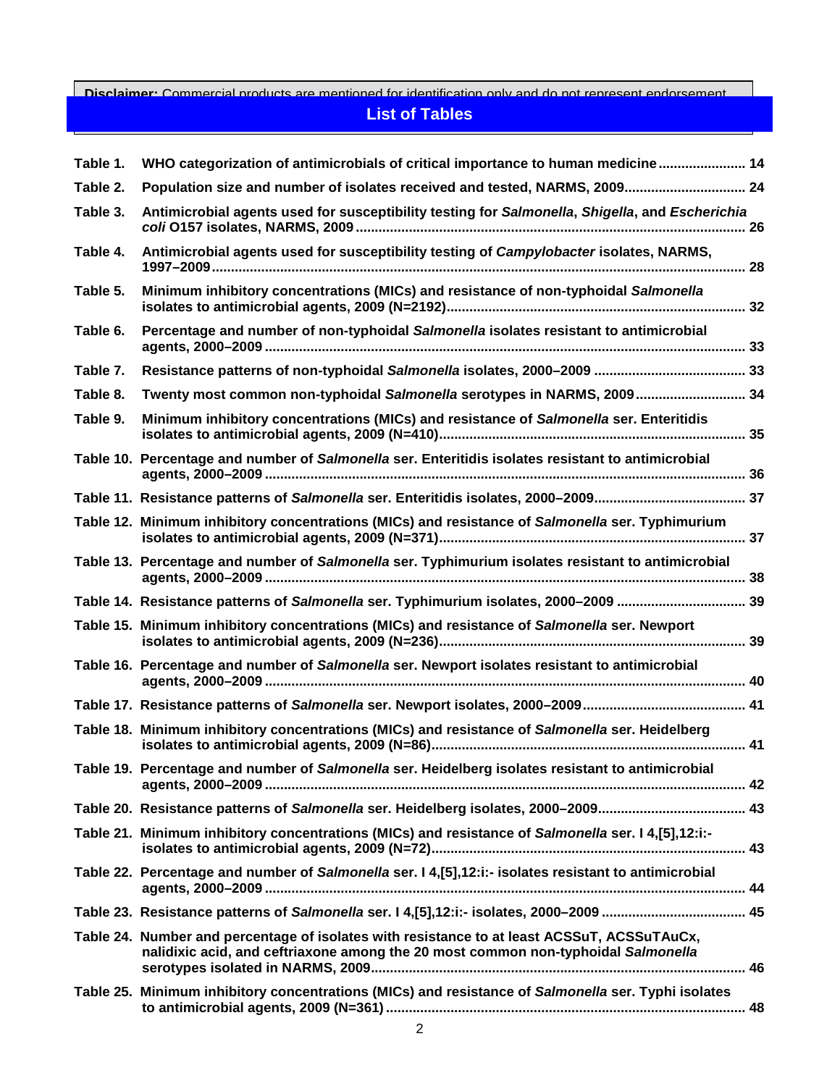### <span id="page-1-0"></span>**Disclaimer:** Commercial products are mentioned for identification only and do not represent endorsement **List of Tables**

| Table 1. | WHO categorization of antimicrobials of critical importance to human medicine 14                                                                                                 |  |
|----------|----------------------------------------------------------------------------------------------------------------------------------------------------------------------------------|--|
| Table 2. | Population size and number of isolates received and tested, NARMS, 2009 24                                                                                                       |  |
| Table 3. | Antimicrobial agents used for susceptibility testing for Salmonella, Shigella, and Escherichia                                                                                   |  |
| Table 4. | Antimicrobial agents used for susceptibility testing of Campylobacter isolates, NARMS,                                                                                           |  |
| Table 5. | Minimum inhibitory concentrations (MICs) and resistance of non-typhoidal Salmonella                                                                                              |  |
| Table 6. | Percentage and number of non-typhoidal Salmonella isolates resistant to antimicrobial                                                                                            |  |
| Table 7. |                                                                                                                                                                                  |  |
| Table 8. | Twenty most common non-typhoidal Salmonella serotypes in NARMS, 2009 34                                                                                                          |  |
| Table 9. | Minimum inhibitory concentrations (MICs) and resistance of Salmonella ser. Enteritidis                                                                                           |  |
|          | Table 10. Percentage and number of Salmonella ser. Enteritidis isolates resistant to antimicrobial                                                                               |  |
|          |                                                                                                                                                                                  |  |
|          | Table 12. Minimum inhibitory concentrations (MICs) and resistance of Salmonella ser. Typhimurium                                                                                 |  |
|          | Table 13. Percentage and number of Salmonella ser. Typhimurium isolates resistant to antimicrobial                                                                               |  |
|          |                                                                                                                                                                                  |  |
|          | Table 14. Resistance patterns of Salmonella ser. Typhimurium isolates, 2000-2009  39                                                                                             |  |
|          | Table 15. Minimum inhibitory concentrations (MICs) and resistance of Salmonella ser. Newport                                                                                     |  |
|          | Table 16. Percentage and number of Salmonella ser. Newport isolates resistant to antimicrobial                                                                                   |  |
|          |                                                                                                                                                                                  |  |
|          | Table 18. Minimum inhibitory concentrations (MICs) and resistance of Salmonella ser. Heidelberg                                                                                  |  |
|          | Table 19. Percentage and number of Salmonella ser. Heidelberg isolates resistant to antimicrobial                                                                                |  |
|          |                                                                                                                                                                                  |  |
|          | Table 21. Minimum inhibitory concentrations (MICs) and resistance of Salmonella ser. 14,[5],12:i:-                                                                               |  |
|          | Table 22. Percentage and number of Salmonella ser. I 4,[5],12:i:- isolates resistant to antimicrobial                                                                            |  |
|          |                                                                                                                                                                                  |  |
|          | Table 24. Number and percentage of isolates with resistance to at least ACSSuT, ACSSuTAuCx,<br>nalidixic acid, and ceftriaxone among the 20 most common non-typhoidal Salmonella |  |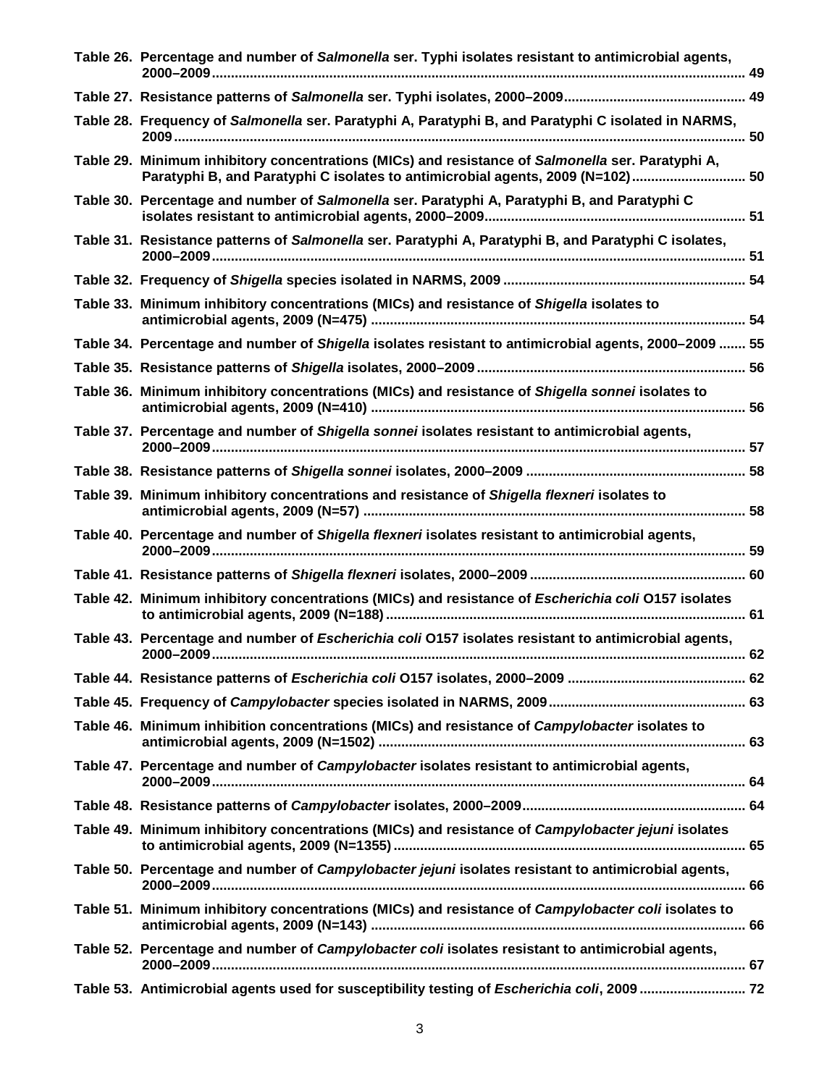| Table 26. Percentage and number of Salmonella ser. Typhi isolates resistant to antimicrobial agents,                                                                                |  |
|-------------------------------------------------------------------------------------------------------------------------------------------------------------------------------------|--|
|                                                                                                                                                                                     |  |
| Table 28. Frequency of Salmonella ser. Paratyphi A, Paratyphi B, and Paratyphi C isolated in NARMS,                                                                                 |  |
| Table 29. Minimum inhibitory concentrations (MICs) and resistance of Salmonella ser. Paratyphi A,<br>Paratyphi B, and Paratyphi C isolates to antimicrobial agents, 2009 (N=102) 50 |  |
| Table 30. Percentage and number of Salmonella ser. Paratyphi A, Paratyphi B, and Paratyphi C                                                                                        |  |
| Table 31. Resistance patterns of Salmonella ser. Paratyphi A, Paratyphi B, and Paratyphi C isolates,                                                                                |  |
|                                                                                                                                                                                     |  |
| Table 33. Minimum inhibitory concentrations (MICs) and resistance of Shigella isolates to                                                                                           |  |
| Table 34. Percentage and number of Shigella isolates resistant to antimicrobial agents, 2000-2009  55                                                                               |  |
|                                                                                                                                                                                     |  |
| Table 36. Minimum inhibitory concentrations (MICs) and resistance of Shigella sonnei isolates to                                                                                    |  |
| Table 37. Percentage and number of Shigella sonnei isolates resistant to antimicrobial agents,                                                                                      |  |
|                                                                                                                                                                                     |  |
| Table 39. Minimum inhibitory concentrations and resistance of Shigella flexneri isolates to                                                                                         |  |
| Table 40. Percentage and number of Shigella flexneri isolates resistant to antimicrobial agents,                                                                                    |  |
|                                                                                                                                                                                     |  |
| Table 42. Minimum inhibitory concentrations (MICs) and resistance of Escherichia coli 0157 isolates                                                                                 |  |
| Table 43. Percentage and number of Escherichia coli O157 isolates resistant to antimicrobial agents,                                                                                |  |
|                                                                                                                                                                                     |  |
|                                                                                                                                                                                     |  |
| Table 46. Minimum inhibition concentrations (MICs) and resistance of Campylobacter isolates to                                                                                      |  |
| Table 47. Percentage and number of Campylobacter isolates resistant to antimicrobial agents,                                                                                        |  |
|                                                                                                                                                                                     |  |
| Table 49. Minimum inhibitory concentrations (MICs) and resistance of Campylobacter jejuni isolates                                                                                  |  |
| Table 50. Percentage and number of Campylobacter jejuni isolates resistant to antimicrobial agents,                                                                                 |  |
| Table 51. Minimum inhibitory concentrations (MICs) and resistance of Campylobacter coli isolates to                                                                                 |  |
| Table 52. Percentage and number of Campylobacter coli isolates resistant to antimicrobial agents,                                                                                   |  |
| Table 53. Antimicrobial agents used for susceptibility testing of Escherichia coli, 2009  72                                                                                        |  |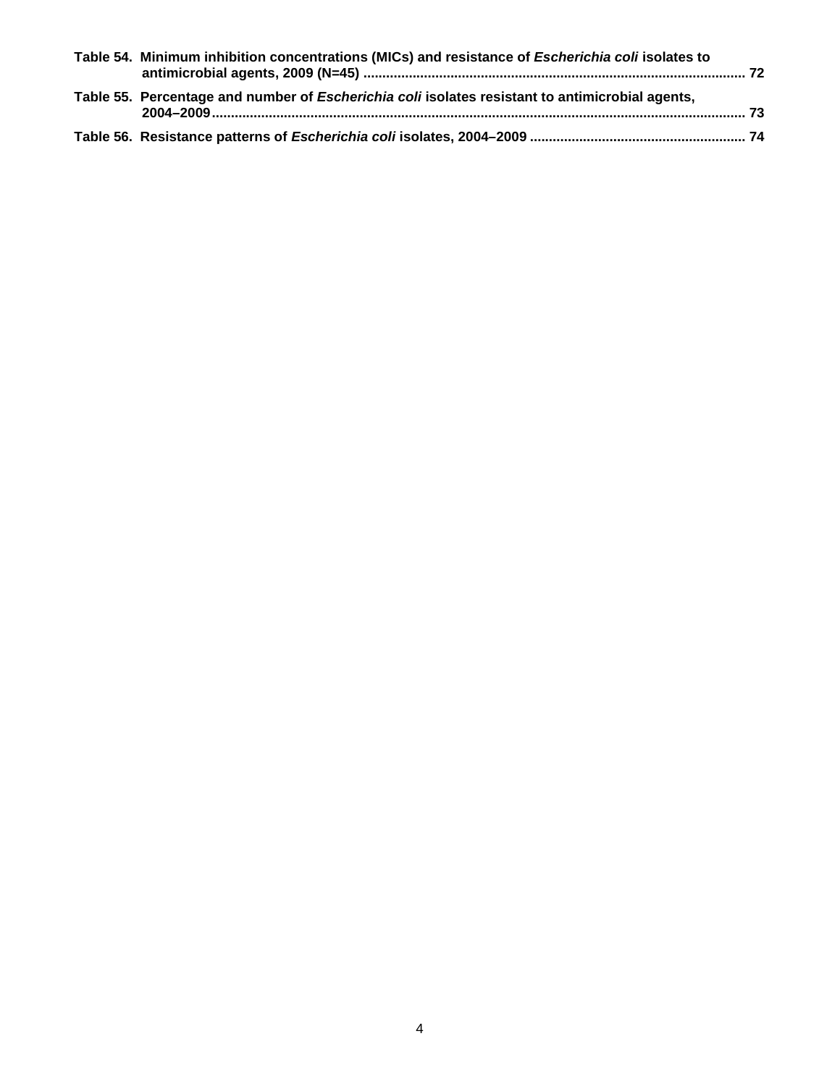| Table 54. Minimum inhibition concentrations (MICs) and resistance of Escherichia coli isolates to      |  |
|--------------------------------------------------------------------------------------------------------|--|
| Table 55. Percentage and number of <i>Escherichia coli</i> isolates resistant to antimicrobial agents, |  |
|                                                                                                        |  |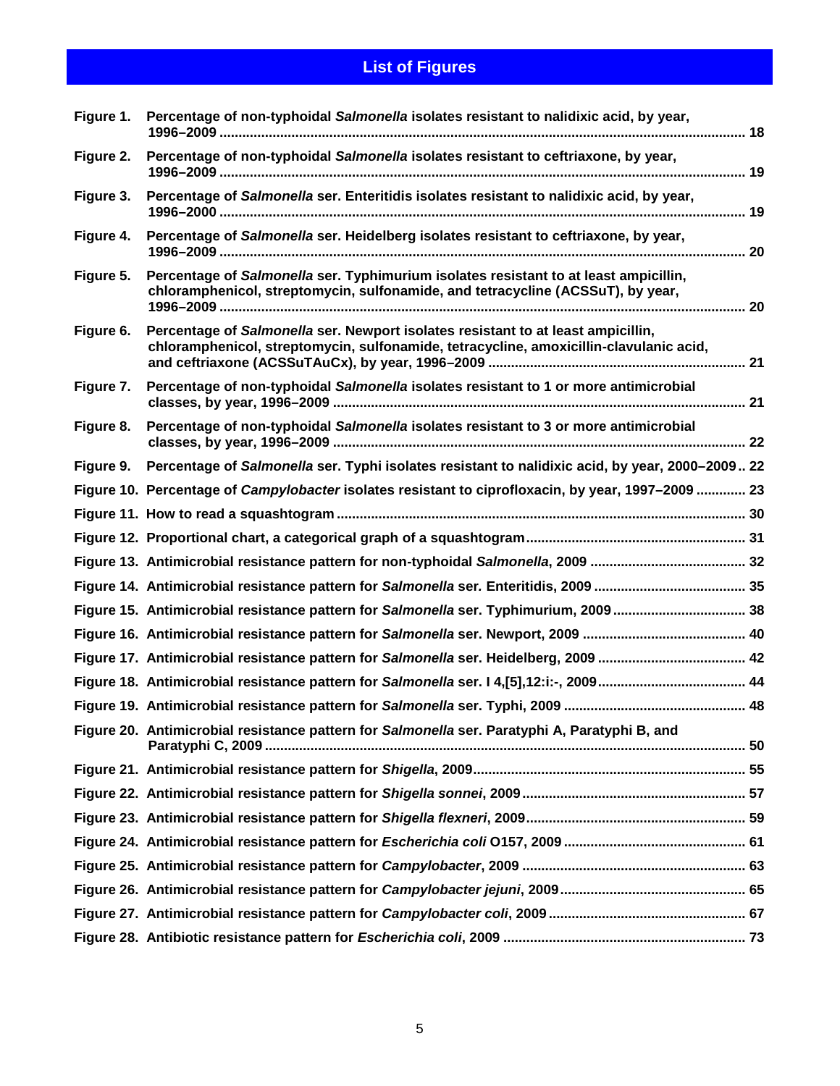# **List of Figures**

<span id="page-4-0"></span>

| Figure 1. | Percentage of non-typhoidal Salmonella isolates resistant to nalidixic acid, by year,                                                                                      |  |
|-----------|----------------------------------------------------------------------------------------------------------------------------------------------------------------------------|--|
| Figure 2. | Percentage of non-typhoidal Salmonella isolates resistant to ceftriaxone, by year,                                                                                         |  |
| Figure 3. | Percentage of Salmonella ser. Enteritidis isolates resistant to nalidixic acid, by year,                                                                                   |  |
| Figure 4. | Percentage of Salmonella ser. Heidelberg isolates resistant to ceftriaxone, by year,                                                                                       |  |
| Figure 5. | Percentage of Salmonella ser. Typhimurium isolates resistant to at least ampicillin,<br>chloramphenicol, streptomycin, sulfonamide, and tetracycline (ACSSuT), by year,    |  |
| Figure 6. | Percentage of Salmonella ser. Newport isolates resistant to at least ampicillin,<br>chloramphenicol, streptomycin, sulfonamide, tetracycline, amoxicillin-clavulanic acid, |  |
| Figure 7. | Percentage of non-typhoidal Salmonella isolates resistant to 1 or more antimicrobial                                                                                       |  |
| Figure 8. | Percentage of non-typhoidal Salmonella isolates resistant to 3 or more antimicrobial                                                                                       |  |
|           | Figure 9. Percentage of Salmonella ser. Typhi isolates resistant to nalidixic acid, by year, 2000-2009 22                                                                  |  |
|           | Figure 10. Percentage of Campylobacter isolates resistant to ciprofloxacin, by year, 1997–2009  23                                                                         |  |
|           |                                                                                                                                                                            |  |
|           |                                                                                                                                                                            |  |
|           |                                                                                                                                                                            |  |
|           |                                                                                                                                                                            |  |
|           | Figure 15. Antimicrobial resistance pattern for Salmonella ser. Typhimurium, 2009 38                                                                                       |  |
|           |                                                                                                                                                                            |  |
|           |                                                                                                                                                                            |  |
|           |                                                                                                                                                                            |  |
|           |                                                                                                                                                                            |  |
|           | Figure 20. Antimicrobial resistance pattern for Salmonella ser. Paratyphi A, Paratyphi B, and                                                                              |  |
|           |                                                                                                                                                                            |  |
|           |                                                                                                                                                                            |  |
|           |                                                                                                                                                                            |  |
|           |                                                                                                                                                                            |  |
|           |                                                                                                                                                                            |  |
|           |                                                                                                                                                                            |  |
|           |                                                                                                                                                                            |  |
|           |                                                                                                                                                                            |  |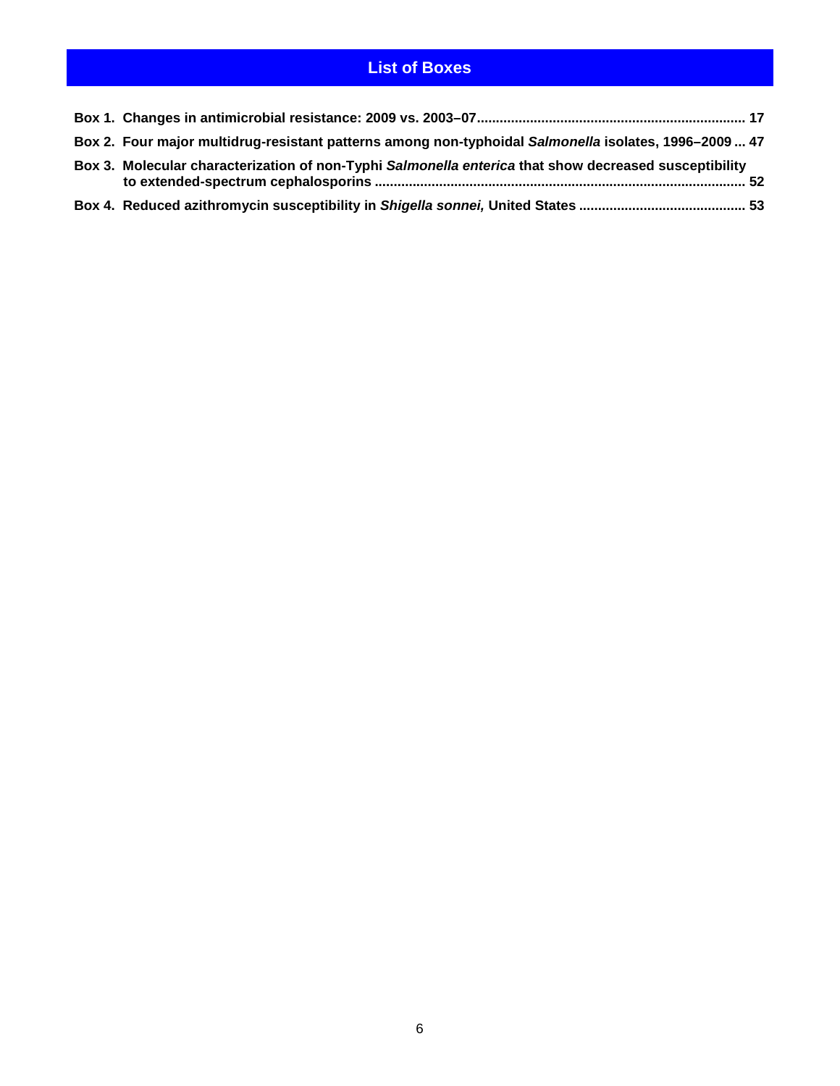# **List of Boxes**

<span id="page-5-0"></span>

| Box 2. Four major multidrug-resistant patterns among non-typhoidal Salmonella isolates, 1996-2009  47 |  |
|-------------------------------------------------------------------------------------------------------|--|
| Box 3. Molecular characterization of non-Typhi Salmonella enterica that show decreased susceptibility |  |
|                                                                                                       |  |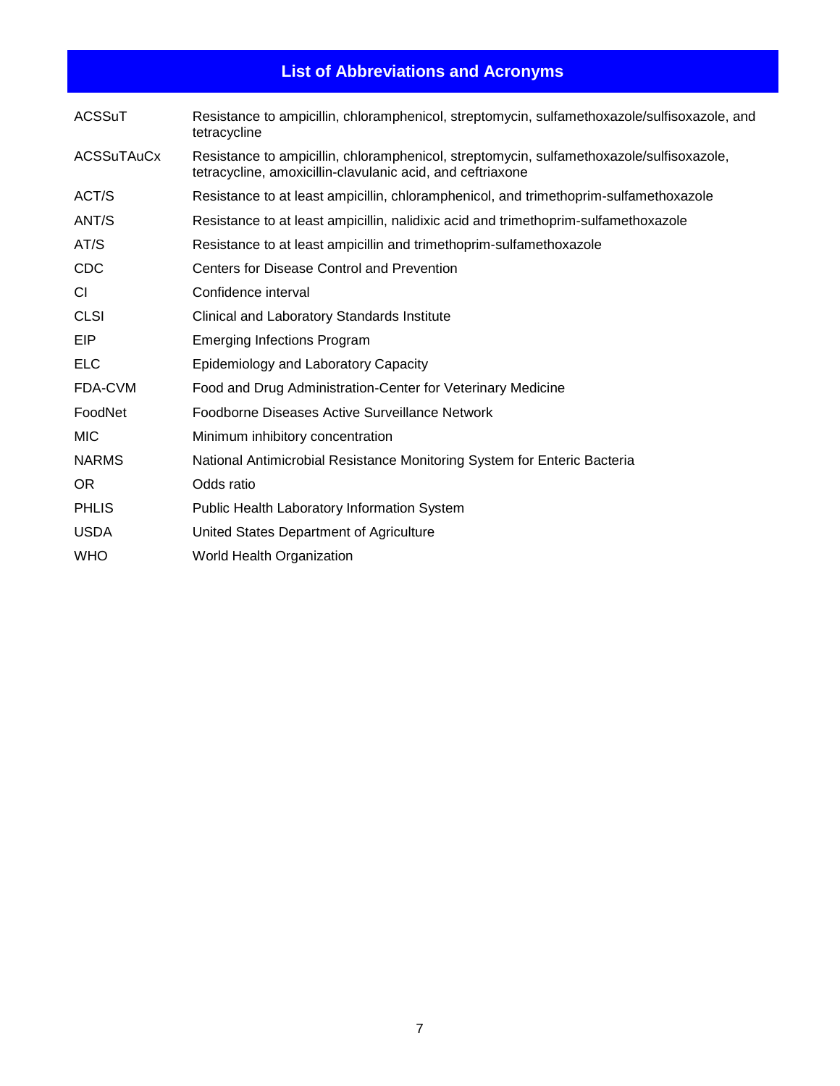# **List of Abbreviations and Acronyms**

<span id="page-6-0"></span>

| <b>ACSSuT</b> | Resistance to ampicillin, chloramphenicol, streptomycin, sulfamethoxazole/sulfisoxazole, and<br>tetracycline                                           |
|---------------|--------------------------------------------------------------------------------------------------------------------------------------------------------|
| ACSSuTAuCx    | Resistance to ampicillin, chloramphenicol, streptomycin, sulfamethoxazole/sulfisoxazole,<br>tetracycline, amoxicillin-clavulanic acid, and ceftriaxone |
| ACT/S         | Resistance to at least ampicillin, chloramphenicol, and trimethoprim-sulfamethoxazole                                                                  |
| ANT/S         | Resistance to at least ampicillin, nalidixic acid and trimethoprim-sulfamethoxazole                                                                    |
| AT/S          | Resistance to at least ampicillin and trimethoprim-sulfamethoxazole                                                                                    |
| <b>CDC</b>    | Centers for Disease Control and Prevention                                                                                                             |
| <b>CI</b>     | Confidence interval                                                                                                                                    |
| <b>CLSI</b>   | Clinical and Laboratory Standards Institute                                                                                                            |
| EIP           | <b>Emerging Infections Program</b>                                                                                                                     |
| <b>ELC</b>    | Epidemiology and Laboratory Capacity                                                                                                                   |
| FDA-CVM       | Food and Drug Administration-Center for Veterinary Medicine                                                                                            |
| FoodNet       | Foodborne Diseases Active Surveillance Network                                                                                                         |
| <b>MIC</b>    | Minimum inhibitory concentration                                                                                                                       |
| <b>NARMS</b>  | National Antimicrobial Resistance Monitoring System for Enteric Bacteria                                                                               |
| <b>OR</b>     | Odds ratio                                                                                                                                             |
| <b>PHLIS</b>  | Public Health Laboratory Information System                                                                                                            |
| <b>USDA</b>   | United States Department of Agriculture                                                                                                                |
| <b>WHO</b>    | World Health Organization                                                                                                                              |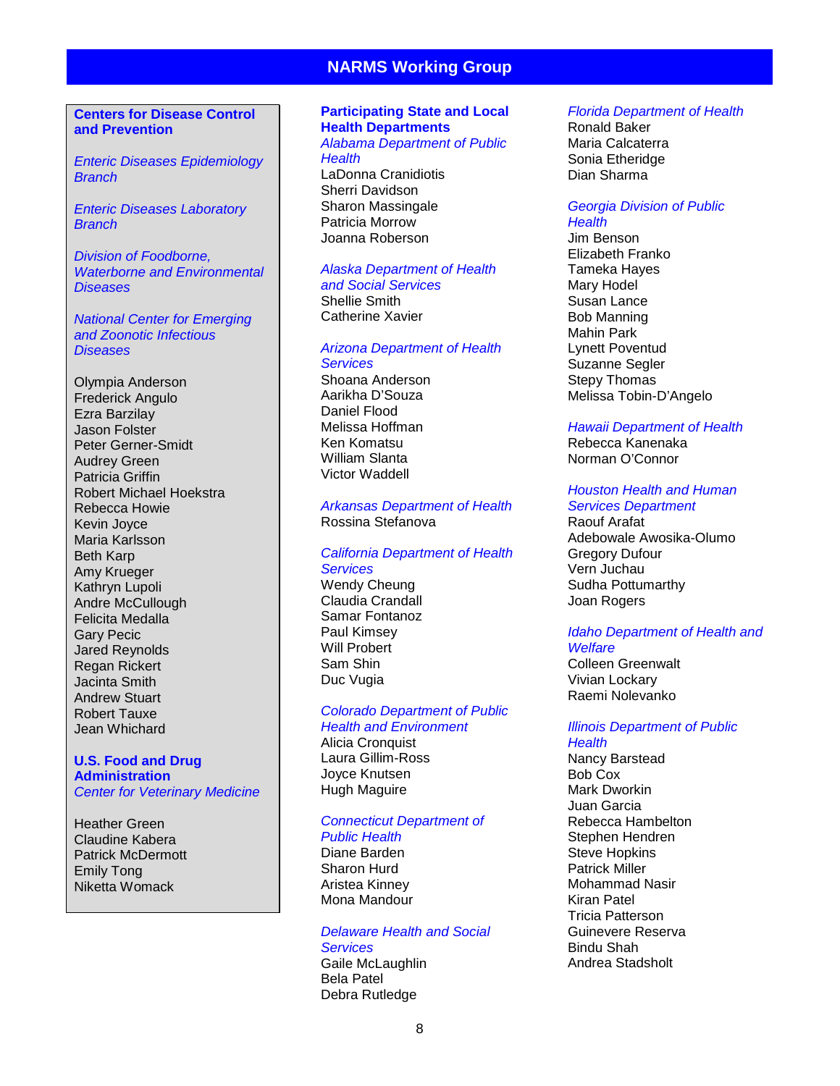#### **NARMS Working Group**

#### <span id="page-7-0"></span>**Centers for Disease Control and Prevention**

*Enteric Diseases Epidemiology Branch*

*Enteric Diseases Laboratory Branch*

*Division of Foodborne, Waterborne and Environmental Diseases*

*National Center for Emerging and Zoonotic Infectious Diseases*

Olympia Anderson Frederick Angulo Ezra Barzilay Jason Folster Peter Gerner-Smidt Audrey Green Patricia Griffin Robert Michael Hoekstra Rebecca Howie Kevin Joyce Maria Karlsson Beth Karp Amy Krueger Kathryn Lupoli Andre McCullough Felicita Medalla Gary Pecic Jared Reynolds Regan Rickert Jacinta Smith Andrew Stuart Robert Tauxe Jean Whichard

#### **U.S. Food and Drug Administration** *Center for Veterinary Medicine*

Heather Green Claudine Kabera Patrick McDermott Emily Tong Niketta Womack

#### **Participating State and Local Health Departments**

*Alabama Department of Public Health* LaDonna Cranidiotis Sherri Davidson

Sharon Massingale Patricia Morrow Joanna Roberson

#### *Alaska Department of Health and Social Services*

Shellie Smith Catherine Xavier

#### *Arizona Department of Health Services*

Shoana Anderson Aarikha D'Souza Daniel Flood Melissa Hoffman Ken Komatsu William Slanta Victor Waddell

#### *Arkansas Department of Health* Rossina Stefanova

#### *California Department of Health Services* Wendy Cheung

Claudia Crandall Samar Fontanoz Paul Kimsey Will Probert Sam Shin Duc Vugia

#### *Colorado Department of Public Health and Environment*

Alicia Cronquist Laura Gillim-Ross Joyce Knutsen Hugh Maguire

#### *Connecticut Department of Public Health*

Diane Barden Sharon Hurd Aristea Kinney Mona Mandour

#### *Delaware Health and Social Services* Gaile McLaughlin Bela Patel Debra Rutledge

#### *Florida Department of Health*

Ronald Baker Maria Calcaterra Sonia Etheridge Dian Sharma

#### *Georgia Division of Public Health*

Jim Benson Elizabeth Franko Tameka Hayes Mary Hodel Susan Lance Bob Manning Mahin Park Lynett Poventud Suzanne Segler Stepy Thomas Melissa Tobin-D'Angelo

#### *Hawaii Department of Health*

Rebecca Kanenaka Norman O'Connor

#### *Houston Health and Human Services Department*

Raouf Arafat Adebowale Awosika-Olumo Gregory Dufour Vern Juchau Sudha Pottumarthy Joan Rogers

#### *Idaho Department of Health and*

*Welfare* Colleen Greenwalt Vivian Lockary Raemi Nolevanko

## *Illinois Department of Public*

*Health* Nancy Barstead Bob Cox Mark Dworkin Juan Garcia Rebecca Hambelton Stephen Hendren Steve Hopkins Patrick Miller Mohammad Nasir Kiran Patel Tricia Patterson Guinevere Reserva Bindu Shah Andrea Stadsholt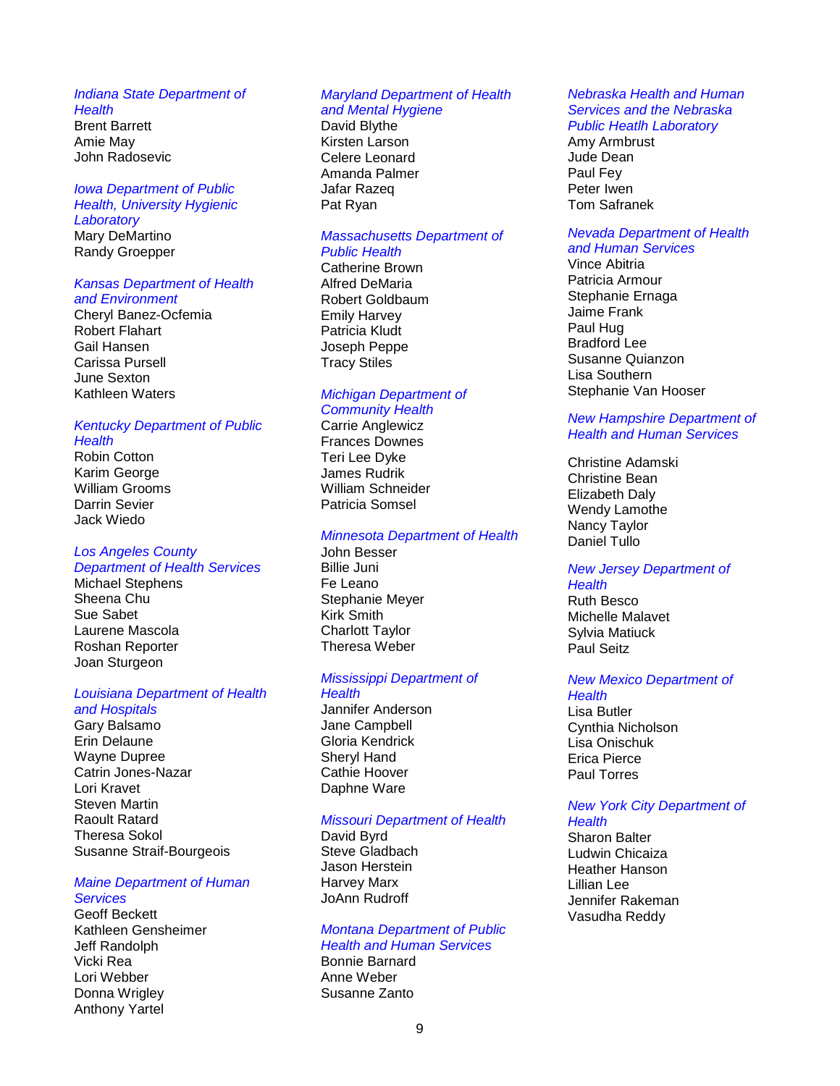#### *Indiana State Department of*

*Health* Brent Barrett Amie May John Radosevic

#### *Iowa Department of Public Health, University Hygienic Laboratory*  Mary DeMartino

Randy Groepper

#### *Kansas Department of Health and Environment*

Cheryl Banez-Ocfemia Robert Flahart Gail Hansen Carissa Pursell June Sexton Kathleen Waters

#### *Kentucky Department of Public Health*

Robin Cotton Karim George William Grooms Darrin Sevier Jack Wiedo

#### *Los Angeles County Department of Health Services*

Michael Stephens Sheena Chu Sue Sabet Laurene Mascola Roshan Reporter Joan Sturgeon

#### *Louisiana Department of Health and Hospitals*

Gary Balsamo Erin Delaune Wayne Dupree Catrin Jones-Nazar Lori Kravet Steven Martin Raoult Ratard Theresa Sokol Susanne Straif-Bourgeois

#### *Maine Department of Human Services*

Geoff Beckett Kathleen Gensheimer Jeff Randolph Vicki Rea Lori Webber Donna Wrigley Anthony Yartel

#### *Maryland Department of Health*

# *and Mental Hygiene*

David Blythe Kirsten Larson Celere Leonard Amanda Palmer Jafar Razeq Pat Ryan

#### *Massachusetts Department of Public Health*

Catherine Brown Alfred DeMaria Robert Goldbaum Emily Harvey Patricia Kludt Joseph Peppe Tracy Stiles

#### *Michigan Department of Community Health*

Carrie Anglewicz Frances Downes Teri Lee Dyke James Rudrik William Schneider Patricia Somsel

#### *Minnesota Department of Health*

John Besser Billie Juni Fe Leano Stephanie Meyer Kirk Smith Charlott Taylor Theresa Weber

#### *Mississippi Department of Health*

Jannifer Anderson Jane Campbell Gloria Kendrick Sheryl Hand Cathie Hoover Daphne Ware

#### *Missouri Department of Health*

David Byrd Steve Gladbach Jason Herstein Harvey Marx JoAnn Rudroff

#### *Montana Department of Public Health and Human Services*

Bonnie Barnard Anne Weber Susanne Zanto

#### *Nebraska Health and Human Services and the Nebraska Public Heatlh Laboratory*

Amy Armbrust Jude Dean Paul Fey Peter Iwen Tom Safranek

#### *Nevada Department of Health and Human Services*

Vince Abitria Patricia Armour Stephanie Ernaga Jaime Frank Paul Hug Bradford Lee Susanne Quianzon Lisa Southern Stephanie Van Hooser

#### *New Hampshire Department of Health and Human Services*

Christine Adamski Christine Bean Elizabeth Daly Wendy Lamothe Nancy Taylor Daniel Tullo

#### *New Jersey Department of Health* Ruth Besco Michelle Malavet Sylvia Matiuck Paul Seitz

#### *New Mexico Department of Health*

Lisa Butler Cynthia Nicholson Lisa Onischuk Erica Pierce Paul Torres

#### *New York City Department of Health*

Sharon Balter Ludwin Chicaiza Heather Hanson Lillian Lee Jennifer Rakeman Vasudha Reddy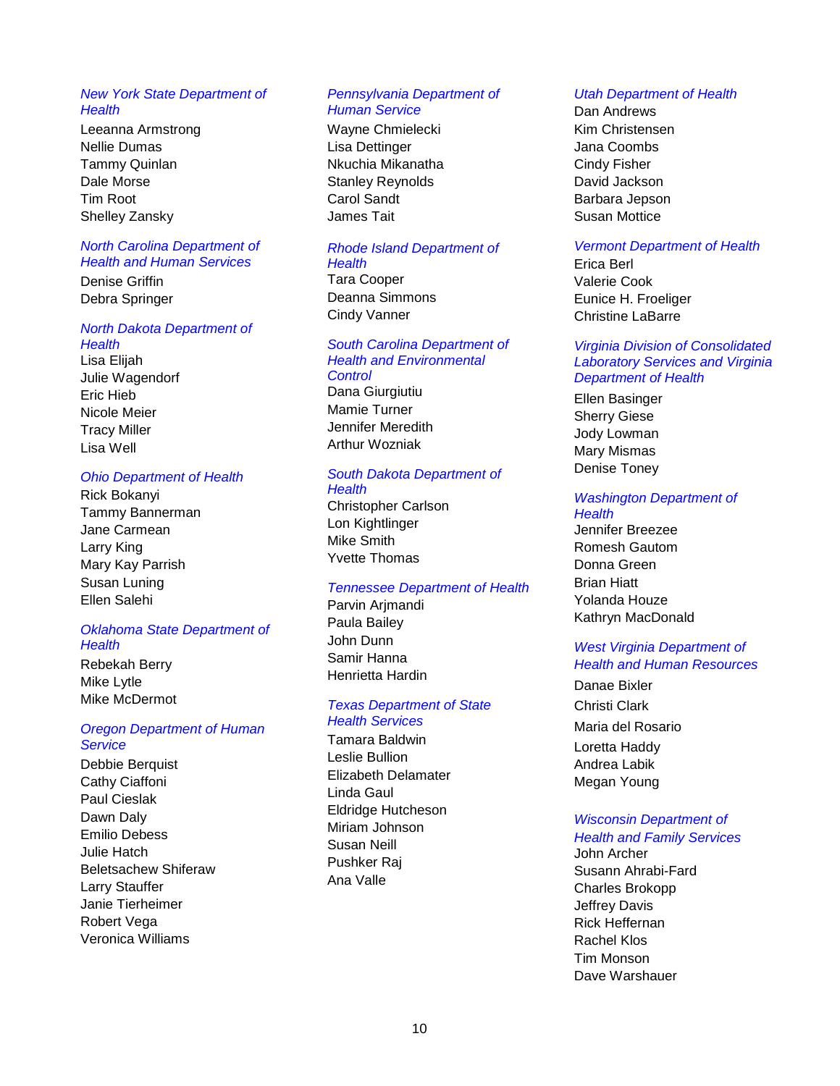#### *New York State Department of Health*

Leeanna Armstrong Nellie Dumas Tammy Quinlan Dale Morse Tim Root Shelley Zansky

#### *North Carolina Department of Health and Human Services*

Denise Griffin Debra Springer

#### *North Dakota Department of*

*Health* Lisa Elijah Julie Wagendorf Eric Hieb Nicole Meier Tracy Miller Lisa Well

#### *Ohio Department of Health*

Rick Bokanyi Tammy Bannerman Jane Carmean Larry King Mary Kay Parrish Susan Luning Ellen Salehi

#### *Oklahoma State Department of Health*

Rebekah Berry Mike Lytle Mike McDermot

#### *Oregon Department of Human Service*

Debbie Berquist Cathy Ciaffoni Paul Cieslak Dawn Daly Emilio Debess Julie Hatch Beletsachew Shiferaw Larry Stauffer Janie Tierheimer Robert Vega Veronica Williams

#### *Pennsylvania Department of Human Service*

Wayne Chmielecki Lisa Dettinger Nkuchia Mikanatha Stanley Reynolds Carol Sandt James Tait

#### *Rhode Island Department of Health*

Tara Cooper Deanna Simmons Cindy Vanner

#### *South Carolina Department of Health and Environmental Control*

Dana Giurgiutiu Mamie Turner Jennifer Meredith Arthur Wozniak

#### *South Dakota Department of Health*

Christopher Carlson Lon Kightlinger Mike Smith Yvette Thomas

#### *Tennessee Department of Health*

Parvin Arjmandi Paula Bailey John Dunn Samir Hanna Henrietta Hardin

#### *Texas Department of State Health Services*

Tamara Baldwin Leslie Bullion Elizabeth Delamater Linda Gaul Eldridge Hutcheson Miriam Johnson Susan Neill Pushker Raj Ana Valle

#### *Utah Department of Health*

Dan Andrews Kim Christensen Jana Coombs Cindy Fisher David Jackson Barbara Jepson Susan Mottice

#### *Vermont Department of Health*

Erica Berl Valerie Cook Eunice H. Froeliger Christine LaBarre

#### *Virginia Division of Consolidated Laboratory Services and Virginia Department of Health*

Ellen Basinger Sherry Giese Jody Lowman Mary Mismas Denise Toney

#### *Washington Department of Health*

Jennifer Breezee Romesh Gautom Donna Green Brian Hiatt Yolanda Houze Kathryn MacDonald

#### *West Virginia Department of Health and Human Resources*

Danae Bixler Christi Clark Maria del Rosario Loretta Haddy Andrea Labik Megan Young

#### *Wisconsin Department of Health and Family Services*

John Archer Susann Ahrabi-Fard Charles Brokopp Jeffrey Davis Rick Heffernan Rachel Klos Tim Monson Dave Warshauer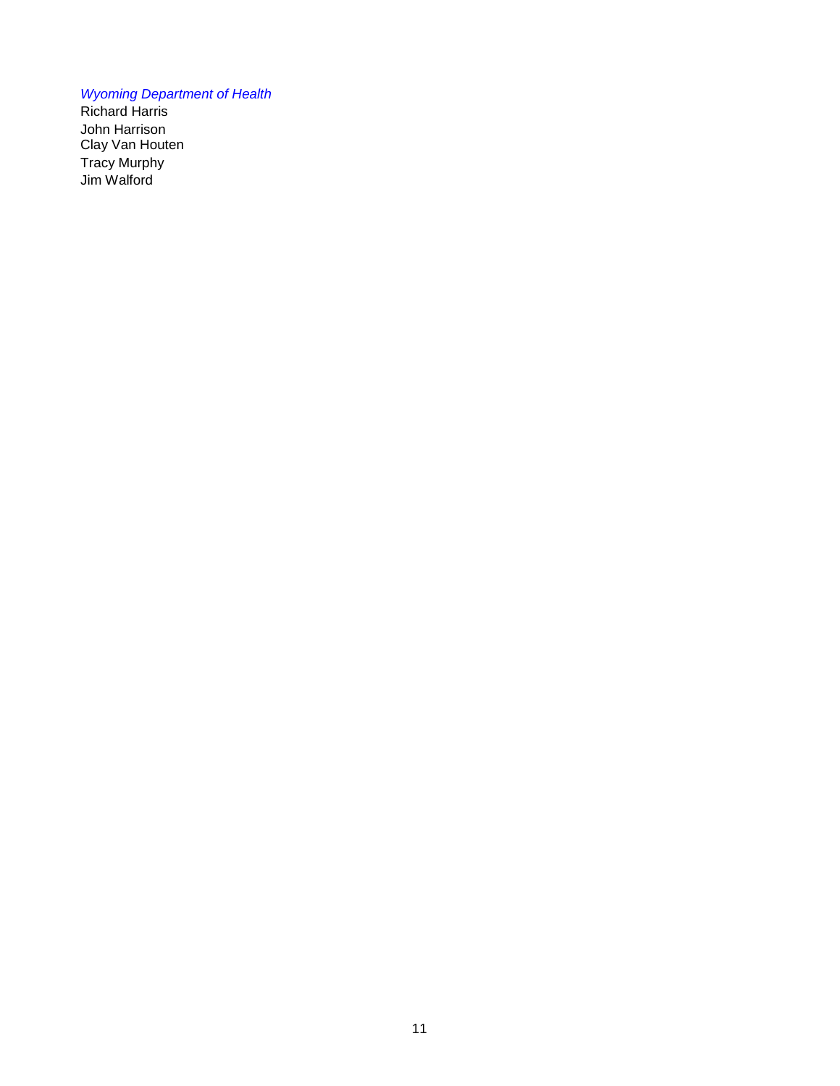#### *Wyoming Department of Health*

Richard Harris John Harrison Clay Van Houten Tracy Murphy Jim Walford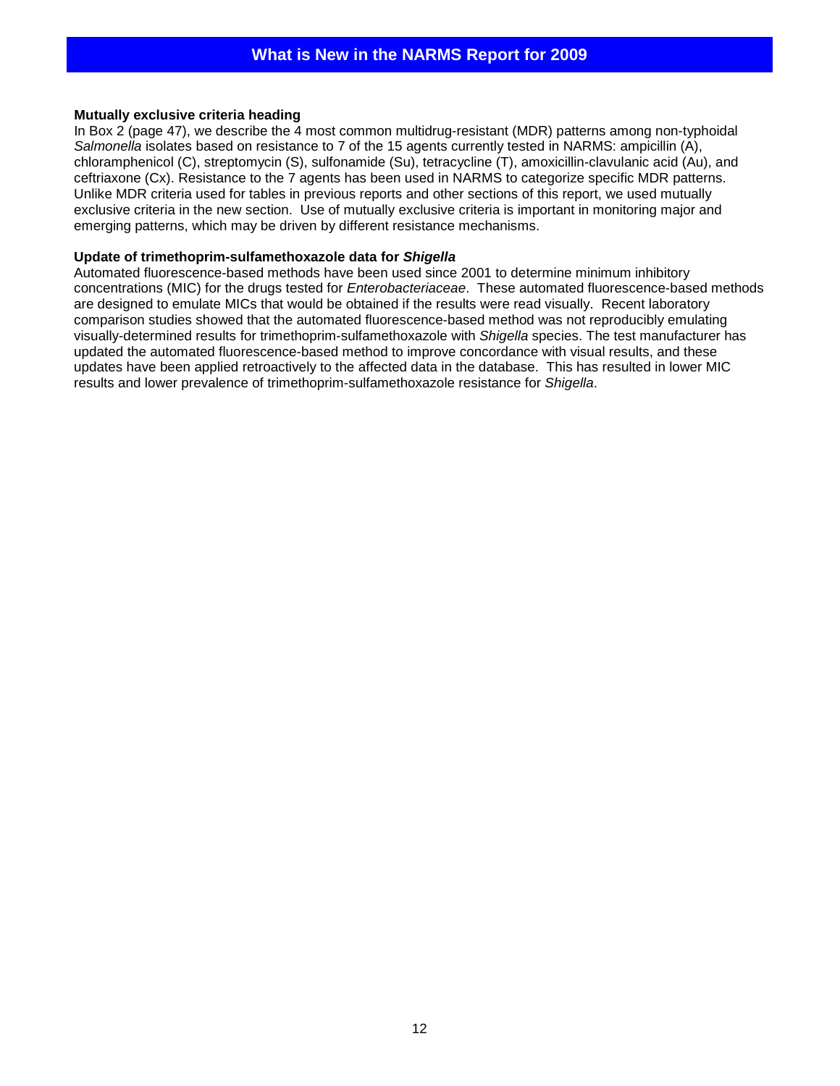#### <span id="page-11-0"></span>**Mutually exclusive criteria heading**

In Box 2 (page 47), we describe the 4 most common multidrug-resistant (MDR) patterns among non-typhoidal *Salmonella* isolates based on resistance to 7 of the 15 agents currently tested in NARMS: ampicillin (A), chloramphenicol (C), streptomycin (S), sulfonamide (Su), tetracycline (T), amoxicillin-clavulanic acid (Au), and ceftriaxone (Cx). Resistance to the 7 agents has been used in NARMS to categorize specific MDR patterns. Unlike MDR criteria used for tables in previous reports and other sections of this report, we used mutually exclusive criteria in the new section. Use of mutually exclusive criteria is important in monitoring major and emerging patterns, which may be driven by different resistance mechanisms.

#### **Update of trimethoprim-sulfamethoxazole data for** *Shigella*

Automated fluorescence-based methods have been used since 2001 to determine minimum inhibitory concentrations (MIC) for the drugs tested for *Enterobacteriaceae*. These automated fluorescence-based methods are designed to emulate MICs that would be obtained if the results were read visually. Recent laboratory comparison studies showed that the automated fluorescence-based method was not reproducibly emulating visually-determined results for trimethoprim-sulfamethoxazole with *Shigella* species. The test manufacturer has updated the automated fluorescence-based method to improve concordance with visual results, and these updates have been applied retroactively to the affected data in the database. This has resulted in lower MIC results and lower prevalence of trimethoprim-sulfamethoxazole resistance for *Shigella*.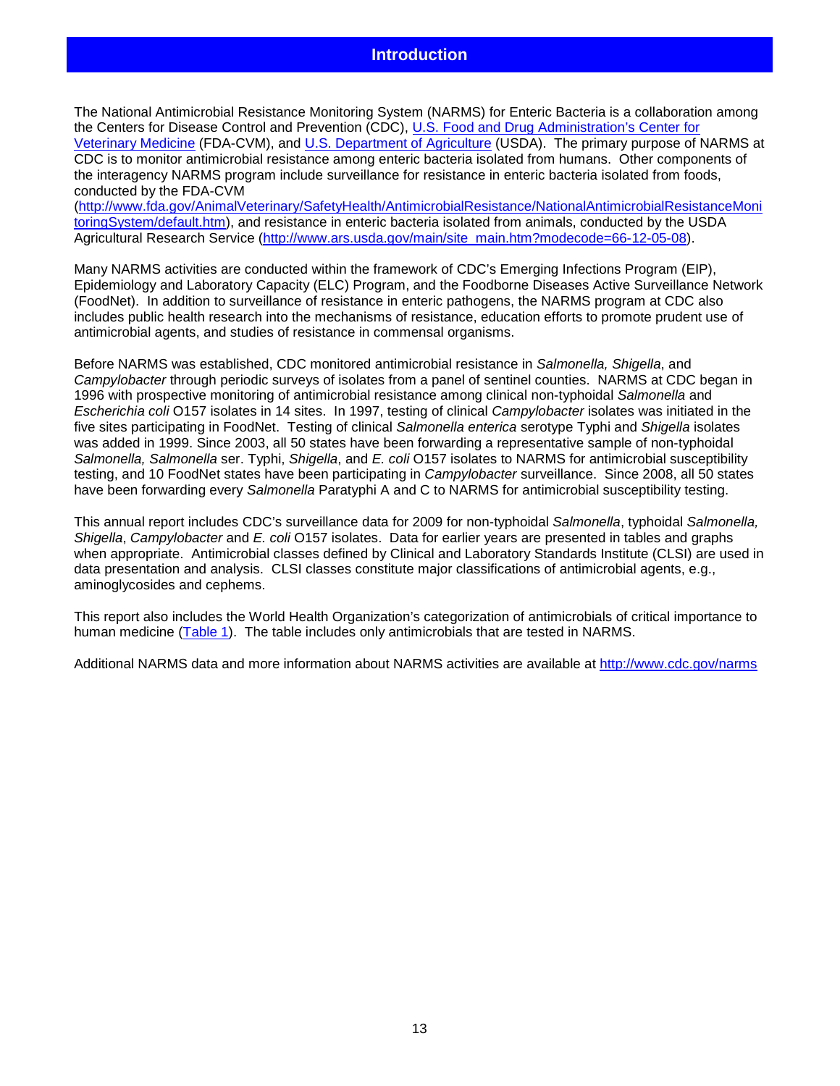<span id="page-12-0"></span>The National Antimicrobial Resistance Monitoring System (NARMS) for Enteric Bacteria is a collaboration among the Centers for Disease Control and Prevention (CDC), [U.S. Food and Drug Administration's](http://www.fda.gov/) Center for [Veterinary Medicine](http://www.fda.gov/) (FDA-CVM), and [U.S. Department of Agriculture](http://www.usda.gov/) (USDA). The primary purpose of NARMS at CDC is to monitor antimicrobial resistance among enteric bacteria isolated from humans. Other components of the interagency NARMS program include surveillance for resistance in enteric bacteria isolated from foods, conducted by the FDA-CVM

[\(http://www.fda.gov/AnimalVeterinary/SafetyHealth/AntimicrobialResistance/NationalAntimicrobialResistanceMoni](http://www.fda.gov/AnimalVeterinary/SafetyHealth/AntimicrobialResistance/NationalAntimicrobialResistanceMonitoringSystem/default.htm) [toringSystem/default.htm\)](http://www.fda.gov/AnimalVeterinary/SafetyHealth/AntimicrobialResistance/NationalAntimicrobialResistanceMonitoringSystem/default.htm), and resistance in enteric bacteria isolated from animals, conducted by the USDA Agricultural Research Service [\(http://www.ars.usda.gov/main/site\\_main.htm?modecode=66-12-05-08\)](http://www.ars.usda.gov/main/site_main.htm?modecode=66-12-05-08).

Many NARMS activities are conducted within the framework of CDC's Emerging Infections Program (EIP), Epidemiology and Laboratory Capacity (ELC) Program, and the Foodborne Diseases Active Surveillance Network (FoodNet). In addition to surveillance of resistance in enteric pathogens, the NARMS program at CDC also includes public health research into the mechanisms of resistance, education efforts to promote prudent use of antimicrobial agents, and studies of resistance in commensal organisms.

Before NARMS was established, CDC monitored antimicrobial resistance in *Salmonella, Shigella*, and *Campylobacter* through periodic surveys of isolates from a panel of sentinel counties. NARMS at CDC began in 1996 with prospective monitoring of antimicrobial resistance among clinical non-typhoidal *Salmonella* and *Escherichia coli* O157 isolates in 14 sites. In 1997, testing of clinical *Campylobacter* isolates was initiated in the five sites participating in FoodNet. Testing of clinical *Salmonella enterica* serotype Typhi and *Shigella* isolates was added in 1999. Since 2003, all 50 states have been forwarding a representative sample of non-typhoidal *Salmonella, Salmonella* ser. Typhi, *Shigella*, and *E. coli* O157 isolates to NARMS for antimicrobial susceptibility testing, and 10 FoodNet states have been participating in *Campylobacter* surveillance. Since 2008, all 50 states have been forwarding every *Salmonella* Paratyphi A and C to NARMS for antimicrobial susceptibility testing.

This annual report includes CDC's surveillance data for 2009 for non-typhoidal *Salmonella*, typhoidal *Salmonella, Shigella*, *Campylobacter* and *E. coli* O157 isolates. Data for earlier years are presented in tables and graphs when appropriate. Antimicrobial classes defined by Clinical and Laboratory Standards Institute (CLSI) are used in data presentation and analysis. CLSI classes constitute major classifications of antimicrobial agents, e.g., aminoglycosides and cephems.

This report also includes the World Health Organization's categorization of antimicrobials of critical importance to human medicine [\(Table 1\)](#page-13-1). The table includes only antimicrobials that are tested in NARMS.

Additional NARMS data and more information about NARMS activities are available at<http://www.cdc.gov/narms>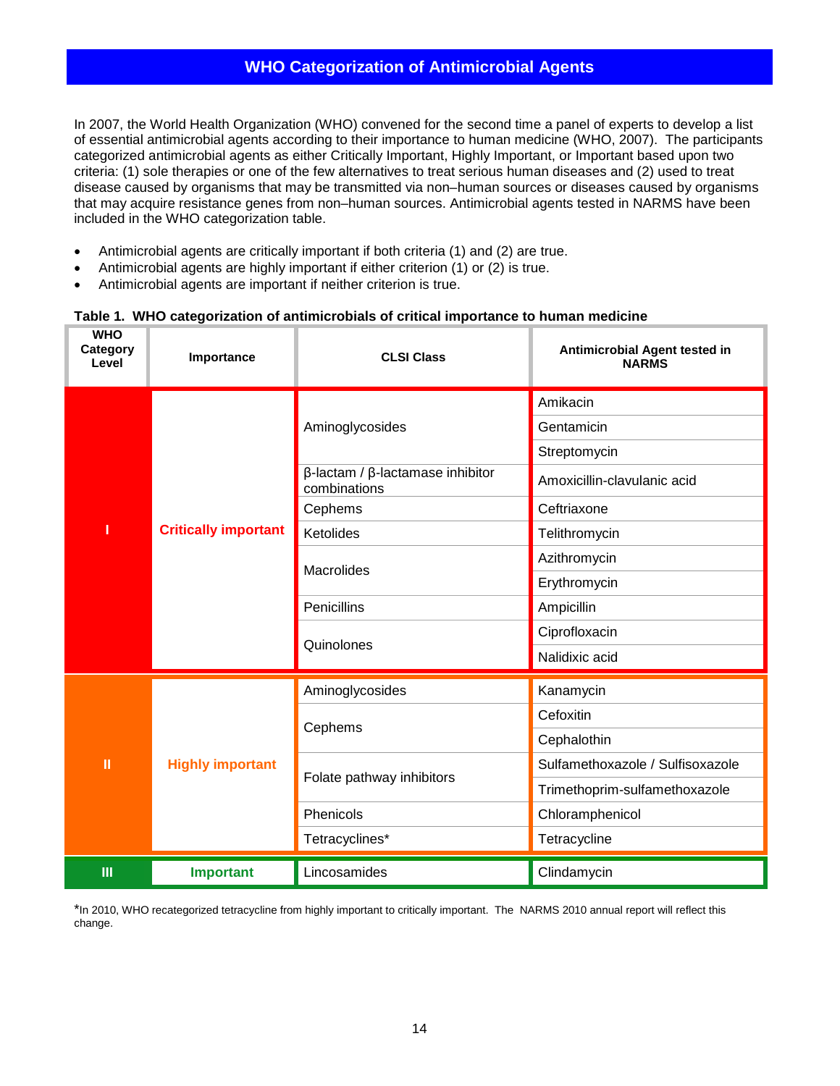### **WHO Categorization of Antimicrobial Agents**

<span id="page-13-0"></span>In 2007, the World Health Organization (WHO) convened for the second time a panel of experts to develop a list of essential antimicrobial agents according to their importance to human medicine (WHO, 2007). The participants categorized antimicrobial agents as either Critically Important, Highly Important, or Important based upon two criteria: (1) sole therapies or one of the few alternatives to treat serious human diseases and (2) used to treat disease caused by organisms that may be transmitted via non–human sources or diseases caused by organisms that may acquire resistance genes from non–human sources. Antimicrobial agents tested in NARMS have been included in the WHO categorization table.

- Antimicrobial agents are critically important if both criteria (1) and (2) are true.
- Antimicrobial agents are highly important if either criterion (1) or (2) is true.
- Antimicrobial agents are important if neither criterion is true.

#### <span id="page-13-1"></span>**Table 1. WHO categorization of antimicrobials of critical importance to human medicine**

| <b>WHO</b><br>Category<br>Level | Importance                  | <b>CLSI Class</b>                                              | Antimicrobial Agent tested in<br><b>NARMS</b> |
|---------------------------------|-----------------------------|----------------------------------------------------------------|-----------------------------------------------|
|                                 |                             |                                                                | Amikacin                                      |
|                                 |                             | Aminoglycosides                                                | Gentamicin                                    |
|                                 |                             |                                                                | Streptomycin                                  |
|                                 |                             | $\beta$ -lactam / $\beta$ -lactamase inhibitor<br>combinations | Amoxicillin-clavulanic acid                   |
|                                 |                             | Cephems                                                        | Ceftriaxone                                   |
| ı                               | <b>Critically important</b> | Ketolides                                                      | Telithromycin                                 |
|                                 |                             | Macrolides                                                     | Azithromycin                                  |
|                                 |                             |                                                                | Erythromycin                                  |
|                                 |                             | Penicillins                                                    | Ampicillin                                    |
|                                 |                             | Quinolones                                                     | Ciprofloxacin                                 |
|                                 |                             |                                                                | Nalidixic acid                                |
|                                 |                             | Aminoglycosides                                                | Kanamycin                                     |
|                                 |                             |                                                                | Cefoxitin                                     |
|                                 |                             | Cephems                                                        | Cephalothin                                   |
| Ш                               | <b>Highly important</b>     |                                                                | Sulfamethoxazole / Sulfisoxazole              |
|                                 |                             | Folate pathway inhibitors                                      | Trimethoprim-sulfamethoxazole                 |
|                                 |                             | Phenicols                                                      | Chloramphenicol                               |
|                                 |                             | Tetracyclines*                                                 | Tetracycline                                  |
| $\mathbf{m}$                    | <b>Important</b>            | Lincosamides                                                   | Clindamycin                                   |

\*In 2010, WHO recategorized tetracycline from highly important to critically important. The NARMS 2010 annual report will reflect this change.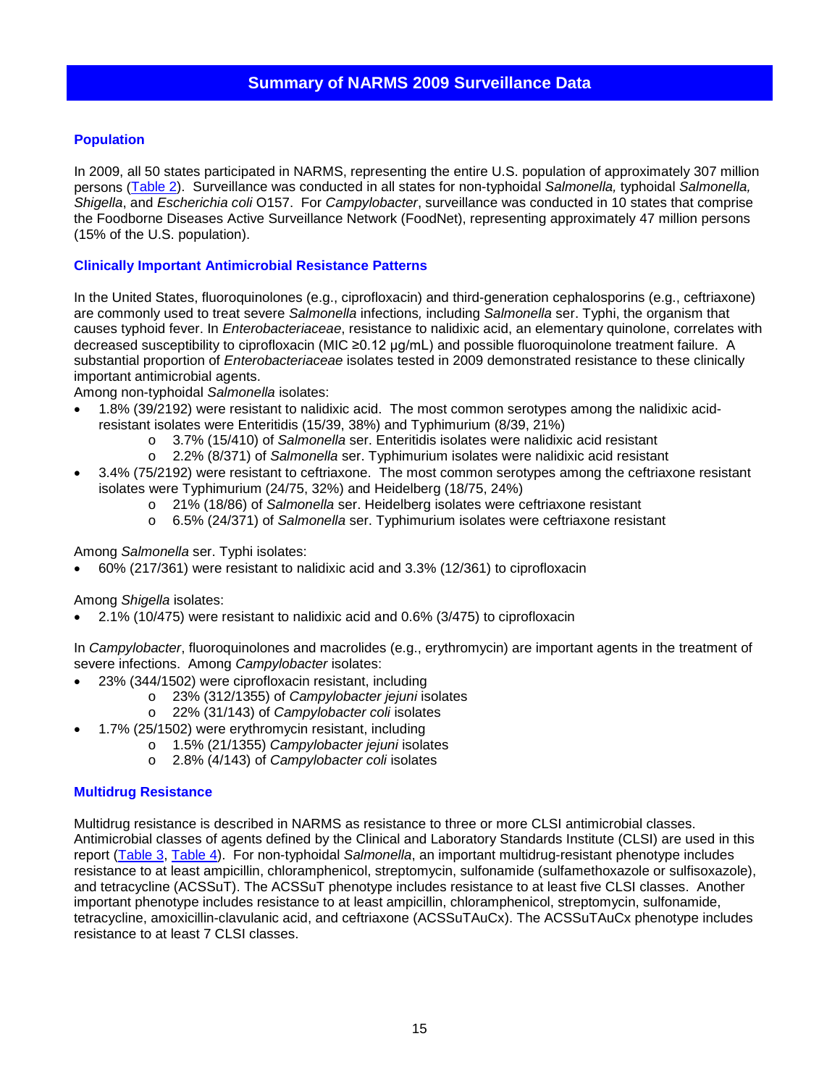#### <span id="page-14-0"></span>**Population**

In 2009, all 50 states participated in NARMS, representing the entire U.S. population of approximately 307 million persons [\(Table 2\)](#page-23-0). Surveillance was conducted in all states for non-typhoidal *Salmonella,* typhoidal *Salmonella, Shigella*, and *Escherichia coli* O157. For *Campylobacter*, surveillance was conducted in 10 states that comprise the Foodborne Diseases Active Surveillance Network (FoodNet), representing approximately 47 million persons (15% of the U.S. population).

#### **Clinically Important Antimicrobial Resistance Patterns**

In the United States, fluoroquinolones (e.g., ciprofloxacin) and third-generation cephalosporins (e.g., ceftriaxone) are commonly used to treat severe *Salmonella* infections*,* including *Salmonella* ser. Typhi, the organism that causes typhoid fever. In *Enterobacteriaceae*, resistance to nalidixic acid, an elementary quinolone, correlates with decreased susceptibility to ciprofloxacin (MIC ≥0.12 μg/mL) and possible fluoroquinolone treatment failure. A substantial proportion of *Enterobacteriaceae* isolates tested in 2009 demonstrated resistance to these clinically important antimicrobial agents.

Among non-typhoidal *Salmonella* isolates:

- 1.8% (39/2192) were resistant to nalidixic acid. The most common serotypes among the nalidixic acidresistant isolates were Enteritidis (15/39, 38%) and Typhimurium (8/39, 21%)
	- o 3.7% (15/410) of *Salmonella* ser. Enteritidis isolates were nalidixic acid resistant
	- o 2.2% (8/371) of *Salmonella* ser. Typhimurium isolates were nalidixic acid resistant
- 3.4% (75/2192) were resistant to ceftriaxone. The most common serotypes among the ceftriaxone resistant isolates were Typhimurium (24/75, 32%) and Heidelberg (18/75, 24%)
	- o 21% (18/86) of *Salmonella* ser. Heidelberg isolates were ceftriaxone resistant
	- o 6.5% (24/371) of *Salmonella* ser. Typhimurium isolates were ceftriaxone resistant

#### Among *Salmonella* ser. Typhi isolates:

• 60% (217/361) were resistant to nalidixic acid and 3.3% (12/361) to ciprofloxacin

#### Among *Shigella* isolates:

• 2.1% (10/475) were resistant to nalidixic acid and 0.6% (3/475) to ciprofloxacin

In *Campylobacter*, fluoroquinolones and macrolides (e.g., erythromycin) are important agents in the treatment of severe infections. Among *Campylobacter* isolates:

- 23% (344/1502) were ciprofloxacin resistant, including
	- o 23% (312/1355) of *Campylobacter jejuni* isolates
		- o 22% (31/143) of *Campylobacter coli* isolates
- 1.7% (25/1502) were erythromycin resistant, including
	- o 1.5% (21/1355) *Campylobacter jejuni* isolates
	- o 2.8% (4/143) of *Campylobacter coli* isolates

#### **Multidrug Resistance**

Multidrug resistance is described in NARMS as resistance to three or more CLSI antimicrobial classes. Antimicrobial classes of agents defined by the Clinical and Laboratory Standards Institute (CLSI) are used in this report [\(Table 3,](#page-24-1) [Table 4\)](#page-27-0). For non-typhoidal *Salmonella*, an important multidrug-resistant phenotype includes resistance to at least ampicillin, chloramphenicol, streptomycin, sulfonamide (sulfamethoxazole or sulfisoxazole), and tetracycline (ACSSuT). The ACSSuT phenotype includes resistance to at least five CLSI classes. Another important phenotype includes resistance to at least ampicillin, chloramphenicol, streptomycin, sulfonamide, tetracycline, amoxicillin-clavulanic acid, and ceftriaxone (ACSSuTAuCx). The ACSSuTAuCx phenotype includes resistance to at least 7 CLSI classes.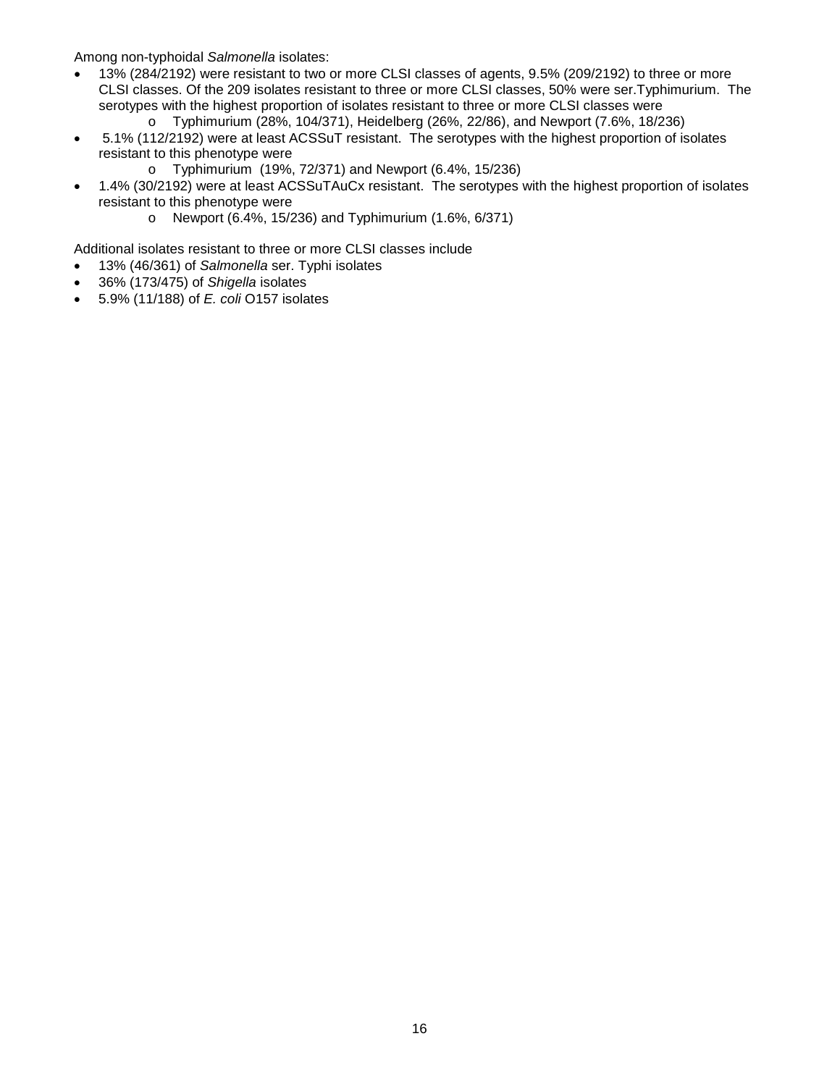Among non-typhoidal *Salmonella* isolates:

- 13% (284/2192) were resistant to two or more CLSI classes of agents, 9.5% (209/2192) to three or more CLSI classes. Of the 209 isolates resistant to three or more CLSI classes, 50% were ser.Typhimurium. The serotypes with the highest proportion of isolates resistant to three or more CLSI classes were
	- o Typhimurium (28%, 104/371), Heidelberg (26%, 22/86), and Newport (7.6%, 18/236)
- 5.1% (112/2192) were at least ACSSuT resistant. The serotypes with the highest proportion of isolates resistant to this phenotype were
	- o Typhimurium (19%, 72/371) and Newport (6.4%, 15/236)
- 1.4% (30/2192) were at least ACSSuTAuCx resistant. The serotypes with the highest proportion of isolates resistant to this phenotype were
	- o Newport (6.4%, 15/236) and Typhimurium (1.6%, 6/371)

Additional isolates resistant to three or more CLSI classes include

- 13% (46/361) of *Salmonella* ser. Typhi isolates
- 36% (173/475) of *Shigella* isolates
- 5.9% (11/188) of *E. coli* O157 isolates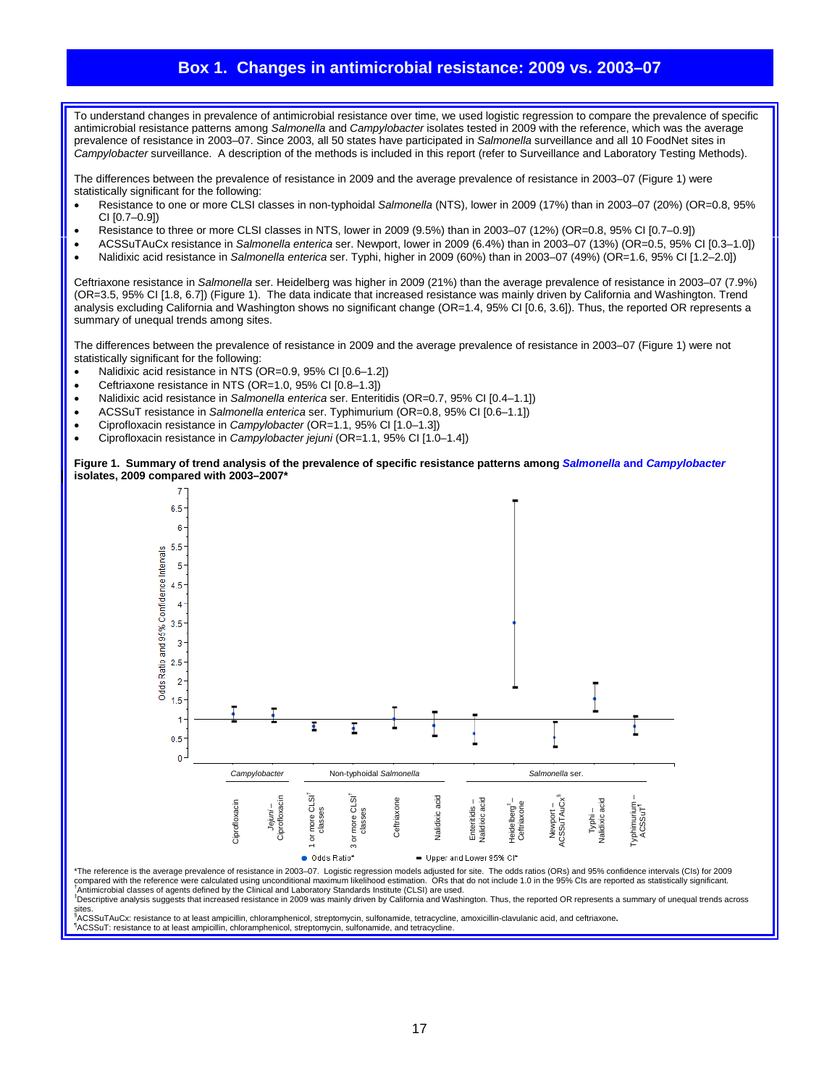#### **Box 1. Changes in antimicrobial resistance: 2009 vs. 2003–07**

<span id="page-16-0"></span>To understand changes in prevalence of antimicrobial resistance over time, we used logistic regression to compare the prevalence of specific antimicrobial resistance patterns among *Salmonella* and *Campylobacter* isolates tested in 2009 with the reference, which was the average prevalence of resistance in 2003–07. Since 2003, all 50 states have participated in *Salmonella* surveillance and all 10 FoodNet sites in *Campylobacter* surveillance. A description of the methods is included in this report (refer to Surveillance and Laboratory Testing Methods).

The differences between the prevalence of resistance in 2009 and the average prevalence of resistance in 2003–07 (Figure 1) were statistically significant for the following:

- Resistance to one or more CLSI classes in non-typhoidal *Salmonella* (NTS), lower in 2009 (17%) than in 2003–07 (20%) (OR=0.8, 95% CI [0.7–0.9])
- Resistance to three or more CLSI classes in NTS, lower in 2009 (9.5%) than in 2003–07 (12%) (OR=0.8, 95% CI [0.7–0.9])
- ACSSuTAuCx resistance in *Salmonella enterica* ser. Newport, lower in 2009 (6.4%) than in 2003–07 (13%) (OR=0.5, 95% CI [0.3–1.0])
- Nalidixic acid resistance in *Salmonella enterica* ser. Typhi, higher in 2009 (60%) than in 2003–07 (49%) (OR=1.6, 95% CI [1.2–2.0])

Ceftriaxone resistance in *Salmonella* ser. Heidelberg was higher in 2009 (21%) than the average prevalence of resistance in 2003–07 (7.9%) (OR=3.5, 95% CI [1.8, 6.7]) (Figure 1). The data indicate that increased resistance was mainly driven by California and Washington. Trend analysis excluding California and Washington shows no significant change (OR=1.4, 95% CI [0.6, 3.6]). Thus, the reported OR represents a summary of unequal trends among sites.

The differences between the prevalence of resistance in 2009 and the average prevalence of resistance in 2003–07 (Figure 1) were not statistically significant for the following:

- Nalidixic acid resistance in NTS (OR=0.9, 95% CI [0.6–1.2])
- Ceftriaxone resistance in NTS (OR=1.0, 95% CI [0.8-1.3])
- Nalidixic acid resistance in *Salmonella enterica* ser. Enteritidis (OR=0.7, 95% CI [0.4–1.1])
- ACSSuT resistance in *Salmonella enterica* ser. Typhimurium (OR=0.8, 95% CI [0.6–1.1])
- Ciprofloxacin resistance in *Campylobacter* (OR=1.1, 95% CI [1.0–1.3])
- Ciprofloxacin resistance in *Campylobacter jejuni* (OR=1.1, 95% CI [1.0–1.4])

#### **Figure 1. Summary of trend analysis of the prevalence of specific resistance patterns among** *Salmonella* **and** *Campylobacter*  **isolates, 2009 compared with 2003–2007\***



\*The reference is the average prevalence of resistance in 2003–07. Logistic regression models adjusted for site. The odds ratios (ORs) and 95% confidence intervals (Cls) for 2009<br>compared with the reference were calculated <sup>†</sup> Antimicrobial classes of agents defined by the Clinical and Laboratory Standards Institute (CLSI) are used. ‡ Descriptive analysis suggests that increased resistance in 2009 was mainly driven by California and Washington. Thus, the reported OR represents a summary of unequal trends across

sites.<br><sup>§</sup>ACSSuTAuCx: resistance to at least ampicillin, chloramphenicol, streptomycin, sulfonamide, tetracycline, amoxicillin-clavulanic acid, and ceftriaxone**.**<br>¶ACSSuT- resistance to at least ampicillin, chloramphenico

ACSSuT: resistance to at least ampicillin, chloramphenicol, streptomycin, sulfonamide, and tetracycline.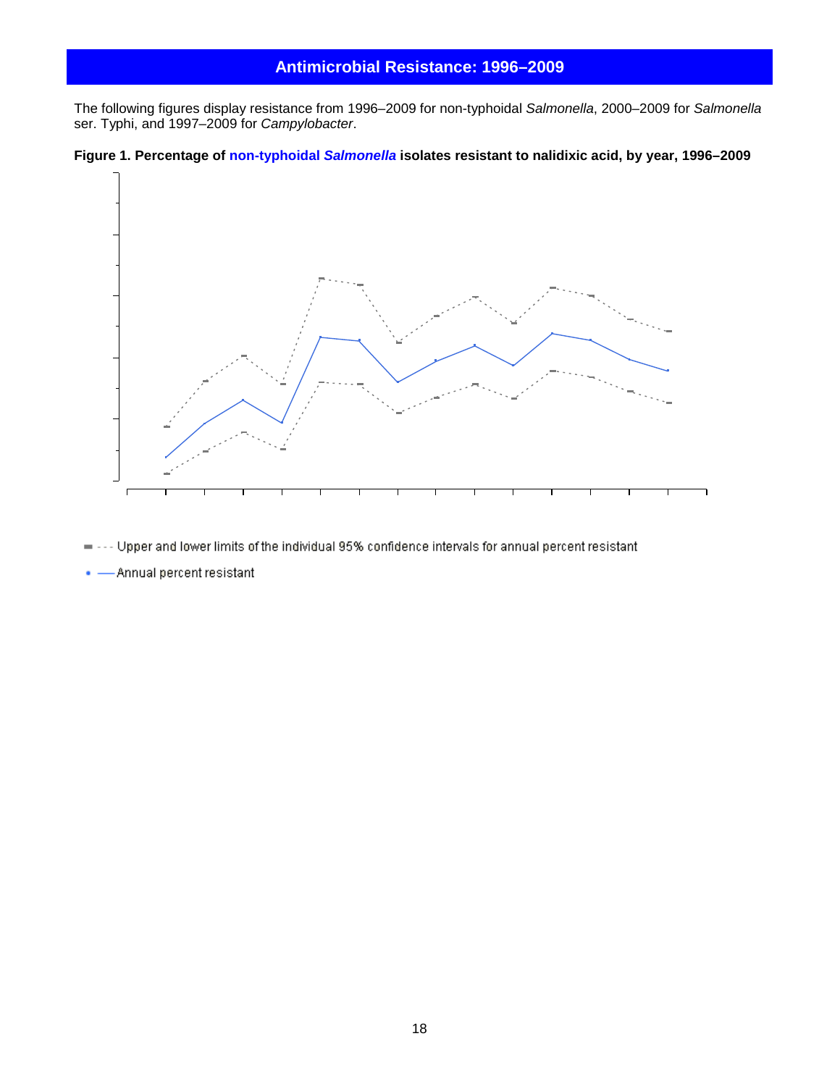#### **Antimicrobial Resistance: 1996–2009**

<span id="page-17-0"></span>The following figures display resistance from 1996–2009 for non-typhoidal *Salmonella*, 2000–2009 for *Salmonella* ser. Typhi, and 1997–2009 for *Campylobacter*.

<span id="page-17-1"></span>



- -- Upper and lower limits of the individual 95% confidence intervals for annual percent resistant  $\blacksquare$
- - Annual percent resistant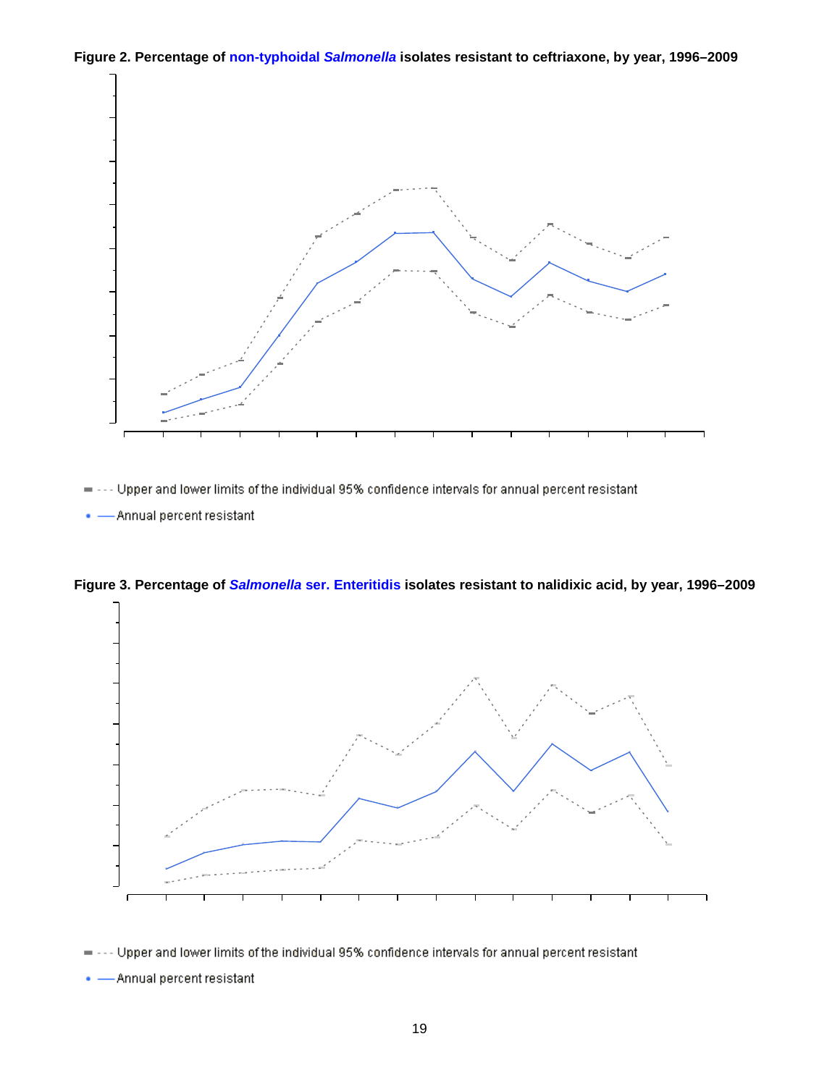<span id="page-18-0"></span>**Figure 2. Percentage of non-typhoidal** *Salmonella* **isolates resistant to ceftriaxone, by year, 1996–2009**



-- Upper and lower limits of the individual 95% confidence intervals for annual percent resistant  $\blacksquare$ 

• - Annual percent resistant



<span id="page-18-1"></span>**Figure 3. Percentage of** *Salmonella* **ser. Enteritidis isolates resistant to nalidixic acid, by year, 1996–2009**

• - Annual percent resistant

<sup>-</sup> Upper and lower limits of the individual 95% confidence intervals for annual percent resistant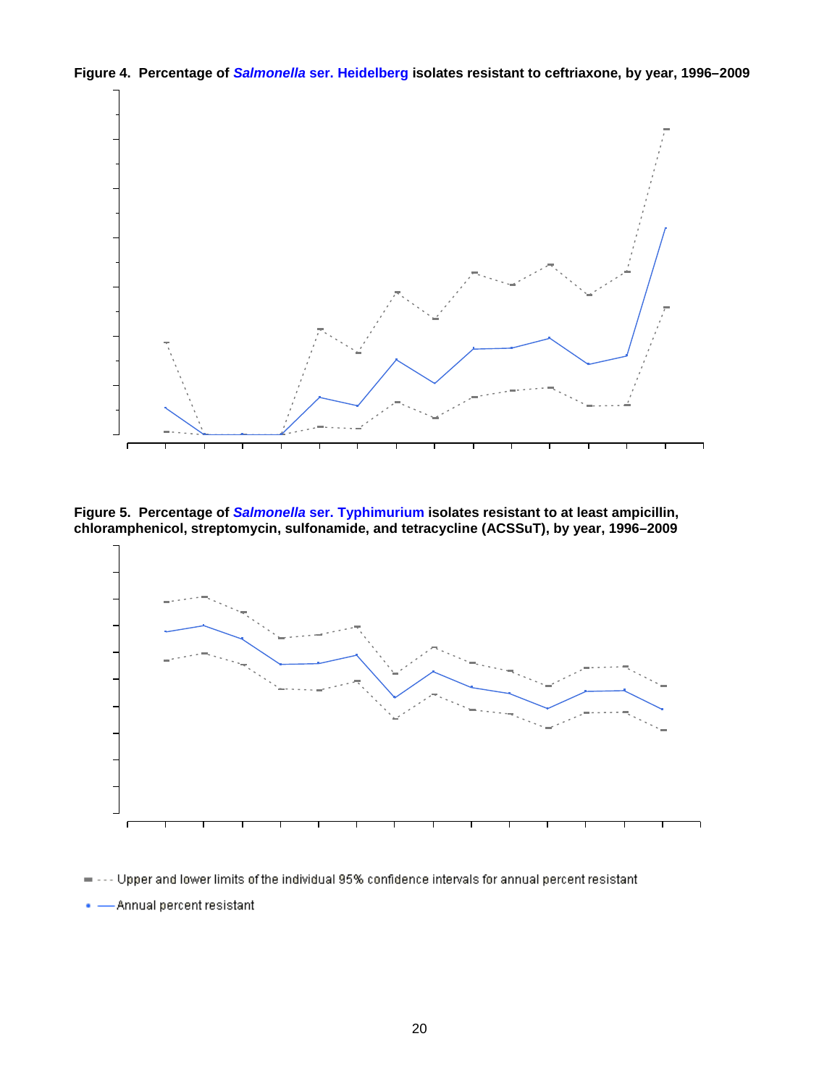<span id="page-19-0"></span>



<span id="page-19-1"></span>**Figure 5. Percentage of** *Salmonella* **ser. Typhimurium isolates resistant to at least ampicillin, chloramphenicol, streptomycin, sulfonamide, and tetracycline (ACSSuT), by year, 1996–2009**



- Upper and lower limits of the individual 95% confidence intervals for annual percent resistant.

-Annual percent resistant ο.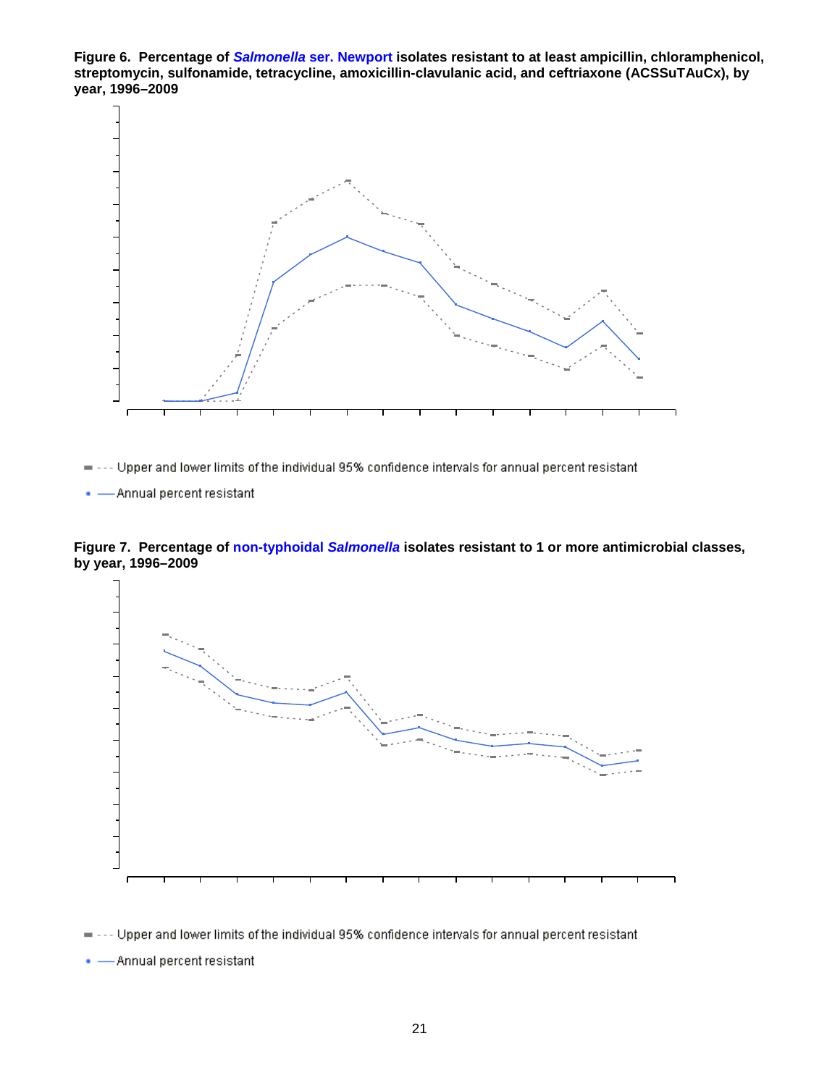<span id="page-20-0"></span>**Figure 6. Percentage of** *Salmonella* **ser. Newport isolates resistant to at least ampicillin, chloramphenicol, streptomycin, sulfonamide, tetracycline, amoxicillin-clavulanic acid, and ceftriaxone (ACSSuTAuCx), by year, 1996–2009**



= --- Upper and lower limits of the individual 95% confidence intervals for annual percent resistant

. - Annual percent resistant

<span id="page-20-1"></span>



-- Upper and lower limits of the individual 95% confidence intervals for annual percent resistant  $\equiv$ 

• - Annual percent resistant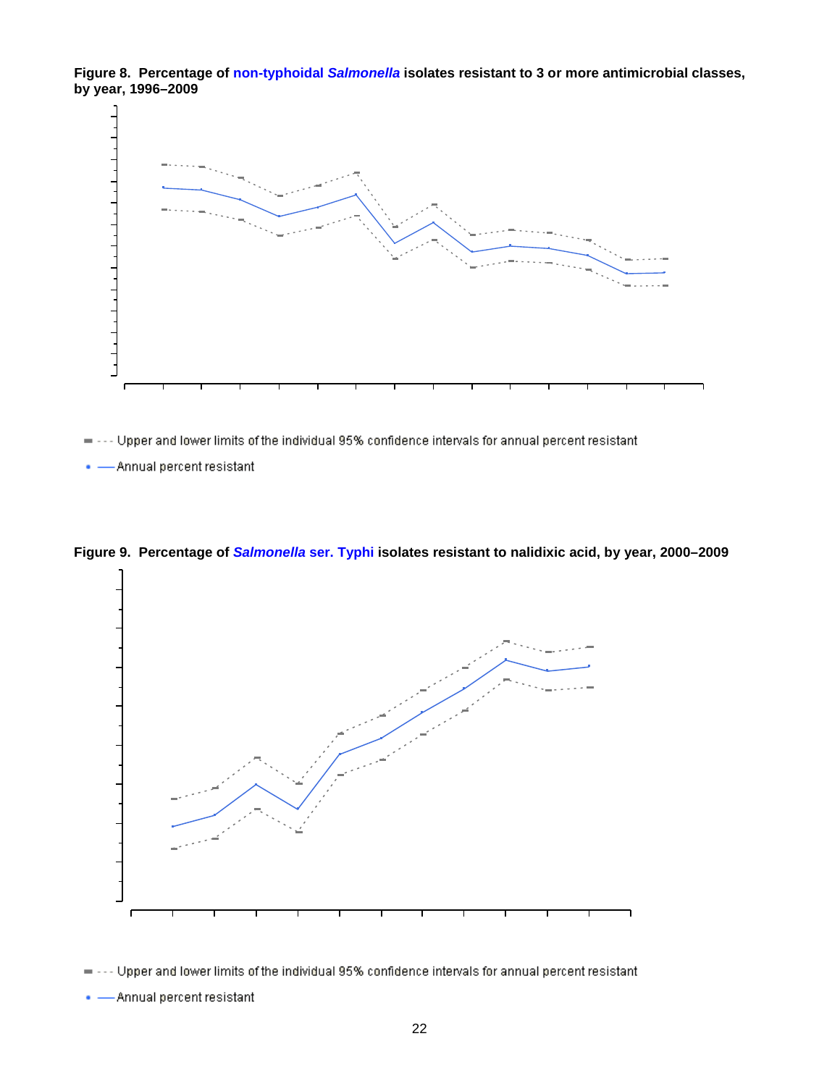<span id="page-21-0"></span>**Figure 8. Percentage of non-typhoidal** *Salmonella* **isolates resistant to 3 or more antimicrobial classes, by year, 1996–2009**



= --- Upper and lower limits of the individual 95% confidence intervals for annual percent resistant

-Annual percent resistant



<span id="page-21-1"></span>**Figure 9. Percentage of** *Salmonella* **ser. Typhi isolates resistant to nalidixic acid, by year, 2000–2009**

= --- Upper and lower limits of the individual 95% confidence intervals for annual percent resistant

. - Annual percent resistant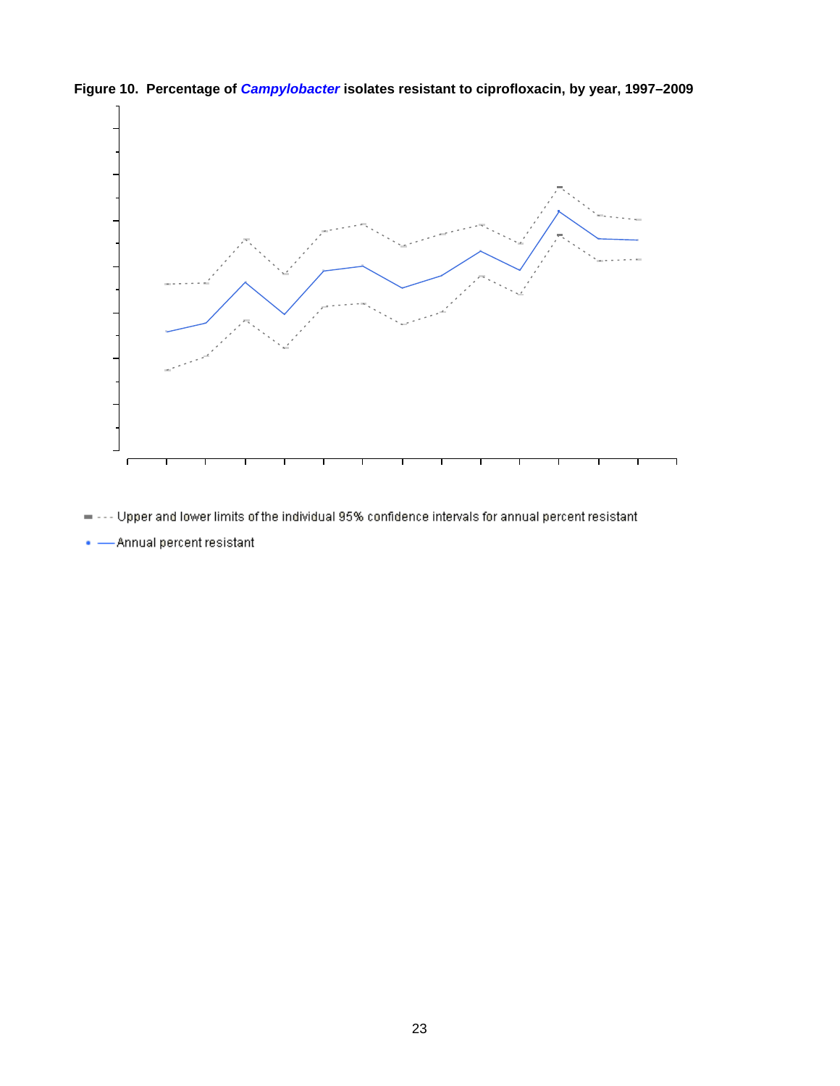

<span id="page-22-0"></span>**Figure 10. Percentage of** *Campylobacter* **isolates resistant to ciprofloxacin, by year, 1997–2009**

- = --- Upper and lower limits of the individual 95% confidence intervals for annual percent resistant
- $\bullet$  Annual percent resistant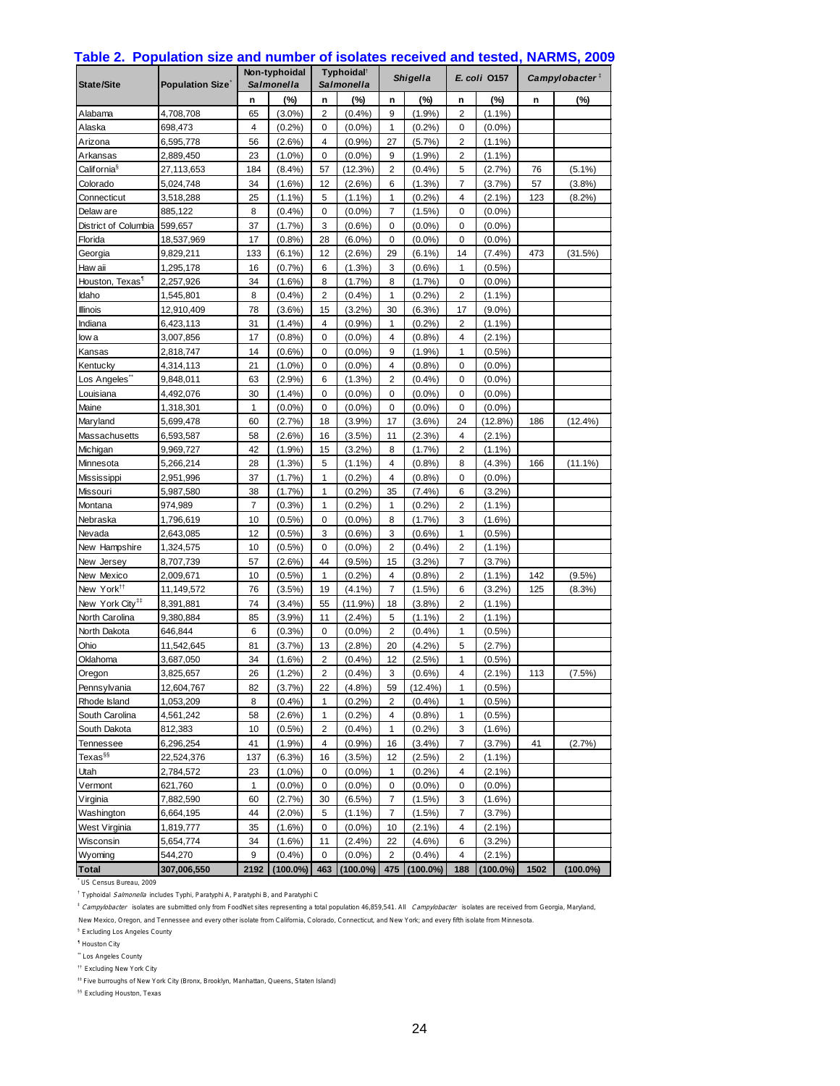| State/Site                  | <b>Population Size</b> |      | Non-typhoidal<br><b>Salmonella</b> |                | Typhoidal <sup>®</sup><br>Salmonella |                         | <b>Shigella</b> | E. coli 0157            |             | Campylobacter $\overline{a}$ |             |
|-----------------------------|------------------------|------|------------------------------------|----------------|--------------------------------------|-------------------------|-----------------|-------------------------|-------------|------------------------------|-------------|
|                             |                        | n    | (%)                                | n              | $(\%)$                               | n                       | (%)             | n                       | (%)         | n                            | $(\%)$      |
| Alabama                     | 4,708,708              | 65   | $(3.0\%)$                          | $\overline{2}$ | (0.4%                                | 9                       | (1.9%           | $\overline{\mathbf{c}}$ | $(1.1\%)$   |                              |             |
| Alaska                      | 698,473                | 4    | $(0.2\%)$                          | 0              | $(0.0\%)$                            | 1                       | (0.2%           | 0                       | $(0.0\%)$   |                              |             |
| Arizona                     | 6,595,778              | 56   | (2.6%)                             | 4              | (0.9%                                | 27                      | (5.7%)          | 2                       | $(1.1\%)$   |                              |             |
| Arkansas                    | 2,889,450              | 23   | $(1.0\%)$                          | 0              | (0.0%                                | 9                       | (1.9%           | $\overline{\mathbf{c}}$ | $(1.1\%)$   |                              |             |
| California <sup>§</sup>     | 27,113,653             | 184  | (8.4%)                             | 57             | (12.3%)                              | 2                       | (0.4% )         | 5                       | (2.7%)      | 76                           | $(5.1\%)$   |
| Colorado                    | 5,024,748              | 34   | (1.6%)                             | 12             | (2.6%)                               | 6                       | (1.3%)          | 7                       | (3.7%)      | 57                           | (3.8%)      |
| Connecticut                 | 3,518,288              | 25   | $(1.1\%)$                          | 5              | $(1.1\%)$                            | 1                       | (0.2%           | 4                       | $(2.1\%)$   | 123                          | $(8.2\%)$   |
| Delaw are                   | 885,122                | 8    | (0.4% )                            | 0              | $(0.0\%)$                            | 7                       | (1.5%)          | 0                       | $(0.0\%)$   |                              |             |
| District of Columbia        | 599,657                | 37   | (1.7%)                             | 3              | $(0.6\%)$                            | 0                       | $(0.0\%)$       | 0                       | $(0.0\%)$   |                              |             |
| Florida                     | 18,537,969             | 17   | $(0.8\%)$                          | 28             | $(6.0\%)$                            | 0                       | $(0.0\%)$       | 0                       | $(0.0\%)$   |                              |             |
| Georgia                     | 9,829,211              | 133  | $(6.1\%)$                          | 12             | (2.6%                                | 29                      | $(6.1\%)$       | 14                      | (7.4%)      | 473                          | (31.5%)     |
| Haw aii                     | 1,295,178              | 16   | (0.7%                              | 6              | (1.3%)                               | 3                       | $(0.6\%)$       | 1                       | $(0.5\%)$   |                              |             |
| Houston, Texas <sup>¶</sup> | 2,257,926              | 34   | $(1.6\%)$                          | 8              | (1.7%                                | 8                       | (1.7%)          | 0                       | $(0.0\%)$   |                              |             |
| Idaho                       | 1,545,801              | 8    | (0.4%                              | 2              | (0.4%                                | 1                       | (0.2%           | 2                       | $(1.1\%)$   |                              |             |
| <b>Illinois</b>             | 12,910,409             | 78   | $(3.6\%)$                          | 15             | (3.2%)                               | 30                      | (6.3%)          | 17                      | $(9.0\%)$   |                              |             |
| Indiana                     | 6,423,113              | 31   | $(1.4\%)$                          | 4              | (0.9%                                | 1                       | (0.2%           | 2                       | $(1.1\%)$   |                              |             |
| low a                       | 3,007,856              | 17   | (0.8%                              | 0              | $(0.0\%)$                            | 4                       | (0.8%           | 4                       | $(2.1\%)$   |                              |             |
| Kansas                      | 2,818,747              | 14   | (0.6%                              | 0              | (0.0%                                | 9                       | (1.9%           | 1                       | (0.5%       |                              |             |
| Kentucky                    | 4,314,113              | 21   | $(1.0\%)$                          | 0              | $(0.0\%)$                            | 4                       | (0.8%           | 0                       | $(0.0\%)$   |                              |             |
| Los Angeles"                | 9,848,011              | 63   | (2.9%)                             | 6              | (1.3%)                               | 2                       | (0.4% )         | 0                       | $(0.0\%)$   |                              |             |
| Louisiana                   | 4,492,076              | 30   | (1.4%)                             | 0              | (0.0%                                | 0                       | $(0.0\%)$       | 0                       | $(0.0\%)$   |                              |             |
| Maine                       | 1,318,301              | 1    | $(0.0\%)$                          | 0              | $(0.0\%)$                            | 0                       | $(0.0\%)$       | 0                       | $(0.0\%)$   |                              |             |
| Maryland                    | 5,699,478              | 60   | (2.7%)                             | 18             | (3.9%                                | 17                      | $(3.6\%)$       | 24                      | (12.8%)     | 186                          | (12.4%)     |
| Massachusetts               | 6,593,587              | 58   | $(2.6\%)$                          | 16             | (3.5%)                               | 11                      | (2.3%)          | 4                       | $(2.1\%)$   |                              |             |
| Michigan                    | 9,969,727              | 42   | (1.9%                              | 15             | (3.2%)                               | 8                       | (1.7%)          | 2                       | $(1.1\%)$   |                              |             |
| Minnesota                   | 5,266,214              | 28   | (1.3%)                             | 5              | $(1.1\%)$                            | 4                       | (0.8%           | 8                       | (4.3%)      | 166                          | $(11.1\%)$  |
| Mississippi                 | 2,951,996              | 37   | (1.7%)                             | 1              | (0.2%                                | 4                       | (0.8%           | 0                       | $(0.0\%)$   |                              |             |
| Missouri                    | 5,987,580              | 38   | (1.7%)                             | 1              | (0.2%                                | 35                      | (7.4%)          | 6                       | (3.2%)      |                              |             |
| Montana                     | 974,989                | 7    | (0.3%                              | 1              | (0.2%                                | 1                       | (0.2%           | 2                       | $(1.1\%)$   |                              |             |
| Nebraska                    | 1,796,619              | 10   | $(0.5\%)$                          | 0              | $(0.0\%)$                            | 8                       | (1.7%)          | 3                       | $(1.6\%)$   |                              |             |
| Nevada                      | 2,643,085              | 12   | $(0.5\%)$                          | 3              | (0.6%                                | 3                       | $(0.6\%)$       | $\mathbf{1}$            | $(0.5\%)$   |                              |             |
| New Hampshire               | 1,324,575              | 10   | $(0.5\%)$                          | 0              | $(0.0\%)$                            | $\overline{\mathbf{c}}$ | (0.4% )         | 2                       | $(1.1\%)$   |                              |             |
| New Jersey                  | 8,707,739              | 57   | (2.6%)                             | 44             | $(9.5\%)$                            | 15                      | (3.2%)          | 7                       | (3.7%)      |                              |             |
| New Mexico                  | 2,009,671              | 10   | (0.5%                              | $\mathbf{1}$   | (0.2%                                | 4                       | (0.8%           | $\overline{2}$          | $(1.1\%)$   | 142                          | $(9.5\%)$   |
| New York <sup>tt</sup>      | 11,149,572             | 76   | (3.5%)                             | 19             | (4.1%)                               | 7                       | $(1.5\%)$       | 6                       | (3.2%)      | 125                          | (8.3%)      |
| New York City <sup>##</sup> | 8,391,881              | 74   | (3.4%)                             | 55             | (11.9%)                              | 18                      | (3.8%)          | 2                       | $(1.1\%)$   |                              |             |
| North Carolina              | 9,380,884              | 85   | $(3.9\%)$                          | 11             | (2.4%)                               | 5                       | $(1.1\%)$       | 2                       | $(1.1\%)$   |                              |             |
| North Dakota                | 646,844                | 6    | (0.3%                              | 0              | (0.0%                                | 2                       | (0.4% )         | $\mathbf{1}$            | (0.5%       |                              |             |
| Ohio                        | 11,542,645             | 81   | (3.7%)                             | 13             | (2.8%)                               | 20                      | (4.2%)          | 5                       | (2.7%)      |                              |             |
| Oklahoma                    | 3,687,050              | 34   | (1.6%)                             | 2              | (0.4%                                | 12                      | (2.5%)          | 1                       | $(0.5\%)$   |                              |             |
| Oregon                      | 3,825,657              | 26   | $(1.2\%)$                          | $\overline{2}$ | (0.4% )                              | 3                       | $(0.6\%)$       | 4                       | $(2.1\%)$   | 113                          | (7.5%)      |
| Pennsylvania                | 12,604,767             | 82   | (3.7%)                             | 22             | (4.8%)                               | 59                      | $(12.4\%)$      | 1                       | (0.5%)      |                              |             |
| Rhode Island                | 1,053,209              | 8    | (0.4%                              | 1              | (0.2%                                | 2                       | (0.4%           | 1                       | (0.5%       |                              |             |
| South Carolina              | 4,561,242              | 58   | $(2.6\%)$                          | 1              | (0.2%                                | 4                       | (0.8%           | 1                       | $(0.5\%)$   |                              |             |
| South Dakota                | 812,383                | 10   | $(0.5\%)$                          | 2              | (0.4% )                              | 1                       | (0.2%)          | 3                       | $(1.6\%)$   |                              |             |
| Tennessee                   | 6,296,254              | 41   | (1.9%                              | 4              | (0.9%                                | 16                      | (3.4%)          | 7                       | (3.7%)      | 41                           | (2.7%)      |
| Texas <sup>§§</sup>         | 22,524,376             | 137  | (6.3%)                             | 16             | $(3.5\%)$                            | 12                      | (2.5%)          | 2                       | $(1.1\%)$   |                              |             |
| Utah                        | 2,784,572              | 23   | $(1.0\%)$                          | 0              | $(0.0\%)$                            | 1                       | $(0.2\%)$       | 4                       | $(2.1\%)$   |                              |             |
| Vermont                     | 621,760                | 1    | $(0.0\%)$                          | 0              | $(0.0\%)$                            | 0                       | $(0.0\%)$       | 0                       | $(0.0\%)$   |                              |             |
| Virginia                    | 7,882,590              | 60   | (2.7%)                             | 30             | (6.5%)                               | 7                       | (1.5%)          | 3                       | $(1.6\%)$   |                              |             |
| Washington                  | 6,664,195              | 44   | $(2.0\%)$                          | 5              | $(1.1\%)$                            | 7                       | (1.5%)          | 7                       | (3.7%)      |                              |             |
| West Virginia               | 1,819,777              | 35   | $(1.6\%)$                          | 0              | $(0.0\%)$                            | 10                      | $(2.1\%)$       | 4                       | $(2.1\%)$   |                              |             |
| Wisconsin                   | 5,654,774              | 34   | $(1.6\%)$                          | 11             | (2.4%                                | 22                      | $(4.6\%)$       | 6                       | (3.2%)      |                              |             |
| Wyoming                     | 544,270                | 9    | (0.4%                              | 0              | $(0.0\%)$                            | $\overline{\mathbf{c}}$ | (0.4%           | 4                       | $(2.1\%)$   |                              |             |
| <b>Total</b>                | 307,006,550            | 2192 | $(100.0\%)$                        | 463            | $(100.0\%)$                          | 475                     | $(100.0\%)$     | 188                     | $(100.0\%)$ | 1502                         | $(100.0\%)$ |

#### <span id="page-23-0"></span>**Table 2. Population size and number of isolates received and tested, NARMS, 2009**

\* US Census Bureau, 2009

<sup>†</sup> Typhoidal *Salmonella* includes Typhi, Paratyphi A, Paratyphi B, and Paratyphi C

<sup>1</sup> Campylobacter isolates are submitted only from FoodNet sites representing a total population 46,859,541. All Campylobacter isolates are received from Georgia, Maryland,

New Mexico, Oregon, and Tennessee and every other isolate from California, Colorado, Connecticut, and New York; and every fifth isolate from Minnesota.

§ Excluding Los Angeles County

¶ Houston City

\*\* Los Angeles County

†† Excluding New York City

 $^{11}$  Five burroughs of New York City (Bronx, Brooklyn, Manhattan, Queens, Staten Island)

§§ Excluding Houston, Texas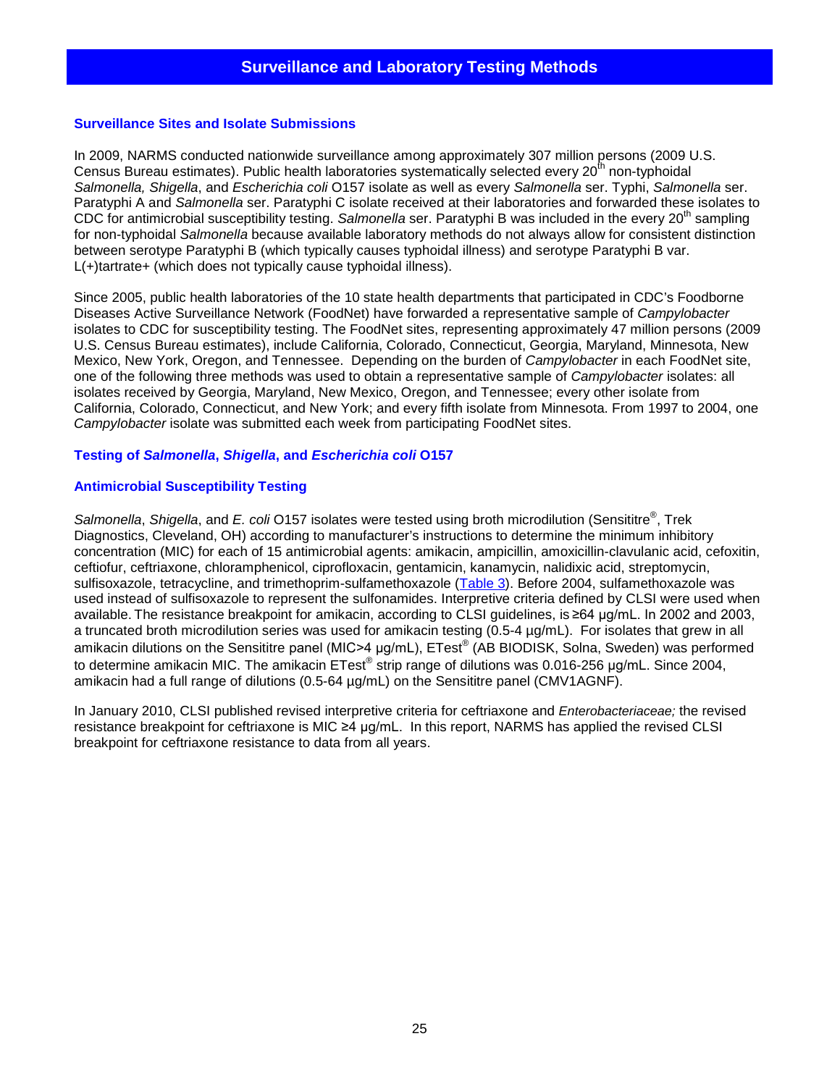#### <span id="page-24-0"></span>**Surveillance Sites and Isolate Submissions**

In 2009, NARMS conducted nationwide surveillance among approximately 307 million persons (2009 U.S. Census Bureau estimates). Public health laboratories systematically selected every 20<sup>th</sup> non-typhoidal *Salmonella, Shigella*, and *Escherichia coli* O157 isolate as well as every *Salmonella* ser. Typhi, *Salmonella* ser. Paratyphi A and *Salmonella* ser. Paratyphi C isolate received at their laboratories and forwarded these isolates to CDC for antimicrobial susceptibility testing. Salmonella ser. Paratyphi B was included in the every 20<sup>th</sup> sampling for non-typhoidal *Salmonella* because available laboratory methods do not always allow for consistent distinction between serotype Paratyphi B (which typically causes typhoidal illness) and serotype Paratyphi B var. L(+)tartrate+ (which does not typically cause typhoidal illness).

Since 2005, public health laboratories of the 10 state health departments that participated in CDC's Foodborne Diseases Active Surveillance Network (FoodNet) have forwarded a representative sample of *Campylobacter* isolates to CDC for susceptibility testing. The FoodNet sites, representing approximately 47 million persons (2009 U.S. Census Bureau estimates), include California, Colorado, Connecticut, Georgia, Maryland, Minnesota, New Mexico, New York, Oregon, and Tennessee. Depending on the burden of *Campylobacter* in each FoodNet site, one of the following three methods was used to obtain a representative sample of *Campylobacter* isolates: all isolates received by Georgia, Maryland, New Mexico, Oregon, and Tennessee; every other isolate from California, Colorado, Connecticut, and New York; and every fifth isolate from Minnesota. From 1997 to 2004, one *Campylobacter* isolate was submitted each week from participating FoodNet sites.

#### **Testing of** *Salmonella***,** *Shigella***, and** *Escherichia coli* **O157**

#### **Antimicrobial Susceptibility Testing**

*Salmonella*, *Shigella*, and *E. coli* O157 isolates were tested using broth microdilution (Sensititre®, Trek Diagnostics, Cleveland, OH) according to manufacturer's instructions to determine the minimum inhibitory concentration (MIC) for each of 15 antimicrobial agents: amikacin, ampicillin, amoxicillin-clavulanic acid, cefoxitin, ceftiofur, ceftriaxone, chloramphenicol, ciprofloxacin, gentamicin, kanamycin, nalidixic acid, streptomycin, sulfisoxazole, tetracycline, and trimethoprim-sulfamethoxazole [\(Table 3\)](#page-25-0). Before 2004, sulfamethoxazole was used instead of sulfisoxazole to represent the sulfonamides. Interpretive criteria defined by CLSI were used when available. The resistance breakpoint for amikacin, according to CLSI guidelines, is ≥64 μg/mL. In 2002 and 2003, a truncated broth microdilution series was used for amikacin testing (0.5-4 µg/mL). For isolates that grew in all amikacin dilutions on the Sensititre panel (MIC>4 μg/mL), ETest® (AB BIODISK, Solna, Sweden) was performed to determine amikacin MIC. The amikacin ETest<sup>®</sup> strip range of dilutions was 0.016-256 μg/mL. Since 2004, amikacin had a full range of dilutions (0.5-64 µg/mL) on the Sensititre panel (CMV1AGNF).

<span id="page-24-1"></span>In January 2010, CLSI published revised interpretive criteria for ceftriaxone and *Enterobacteriaceae;* the revised resistance breakpoint for ceftriaxone is MIC ≥4 μg/mL. In this report, NARMS has applied the revised CLSI breakpoint for ceftriaxone resistance to data from all years.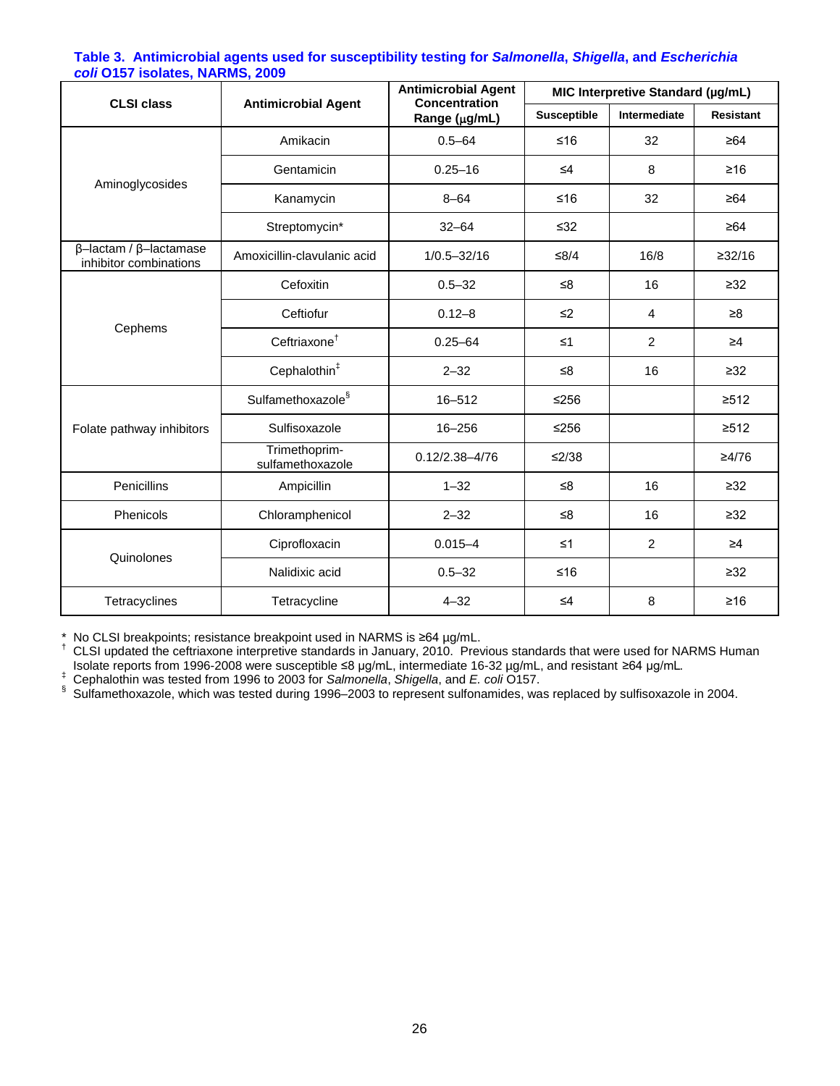| <u>John Shorms Houdes, Henrices</u> , 2009                     |                                   | <b>Antimicrobial Agent</b>            | MIC Interpretive Standard (µg/mL) |                     |                  |  |  |
|----------------------------------------------------------------|-----------------------------------|---------------------------------------|-----------------------------------|---------------------|------------------|--|--|
| <b>CLSI class</b>                                              | <b>Antimicrobial Agent</b>        | <b>Concentration</b><br>Range (µg/mL) | <b>Susceptible</b>                | <b>Intermediate</b> | <b>Resistant</b> |  |  |
|                                                                | Amikacin                          | $0.5 - 64$                            | $≤16$                             | 32                  | $\geq 64$        |  |  |
|                                                                | Gentamicin                        | $0.25 - 16$                           | $\leq 4$                          | 8                   | $\geq 16$        |  |  |
| Aminoglycosides                                                | Kanamycin                         | $8 - 64$                              | $≤16$                             | 32                  | $\geq 64$        |  |  |
|                                                                | Streptomycin*                     | $32 - 64$                             | $\leq 32$                         |                     | $\geq 64$        |  |  |
| $\beta$ -lactam / $\beta$ -lactamase<br>inhibitor combinations | Amoxicillin-clavulanic acid       | $1/0.5 - 32/16$                       | $≤8/4$                            | 16/8                | ≥32/16           |  |  |
|                                                                | Cefoxitin                         | $0.5 - 32$                            | ≤ $8$                             | 16                  | $\geq 32$        |  |  |
| Cephems                                                        | Ceftiofur                         | $0.12 - 8$                            | $\leq$ 2                          | 4                   | ≥8               |  |  |
|                                                                | Ceftriaxone <sup>+</sup>          | $0.25 - 64$                           | $\leq 1$                          | $\overline{2}$      | $\geq 4$         |  |  |
|                                                                | Cephalothin <sup>#</sup>          | $2 - 32$                              | ≤8                                | 16                  | $\geq 32$        |  |  |
|                                                                | Sulfamethoxazole <sup>§</sup>     | $16 - 512$                            | $≤256$                            |                     | $\geq 512$       |  |  |
| Folate pathway inhibitors                                      | Sulfisoxazole                     | 16-256                                | $≤256$                            |                     | $\geq 512$       |  |  |
|                                                                | Trimethoprim-<br>sulfamethoxazole | $0.12/2.38 - 4/76$                    | ≤2/38                             |                     | ≥4/76            |  |  |
| Penicillins                                                    | Ampicillin                        | $1 - 32$                              | ≤8                                | 16                  | $\geq 32$        |  |  |
| Phenicols                                                      | Chloramphenicol                   | $2 - 32$                              | ≤8                                | 16                  | $\geq 32$        |  |  |
|                                                                | Ciprofloxacin                     | $0.015 - 4$                           | $\leq 1$                          | $\overline{2}$      | $\geq 4$         |  |  |
| Quinolones                                                     | Nalidixic acid                    | $0.5 - 32$                            | $≤16$                             |                     | $\geq 32$        |  |  |
| Tetracyclines                                                  | Tetracycline                      | $4 - 32$                              | $\leq 4$                          | 8                   | $\geq 16$        |  |  |

#### <span id="page-25-0"></span>**Table 3. Antimicrobial agents used for susceptibility testing for** *Salmonella***,** *Shigella***, and** *Escherichia coli* **O157 isolates, NARMS, 2009**

\* No CLSI breakpoints; resistance breakpoint used in NARMS is ≥64 µg/mL.<br><sup>†</sup> CLSI updated the ceftriaxone interpretive standards in January, 2010. Previous standards that were used for NARMS Human Isolate reports from 1996-2008 were susceptible  $\leq 8$  µg/mL, intermediate 16-32 µg/mL, and resistant  $\geq 64$  µg/mL. Cephalothin was tested from 1996 to 2003 for *Salmonella*, *Shigella*, and *E. coli* O157.

§ Sulfamethoxazole, which was tested during 1996–2003 to represent sulfonamides, was replaced by sulfisoxazole in 2004.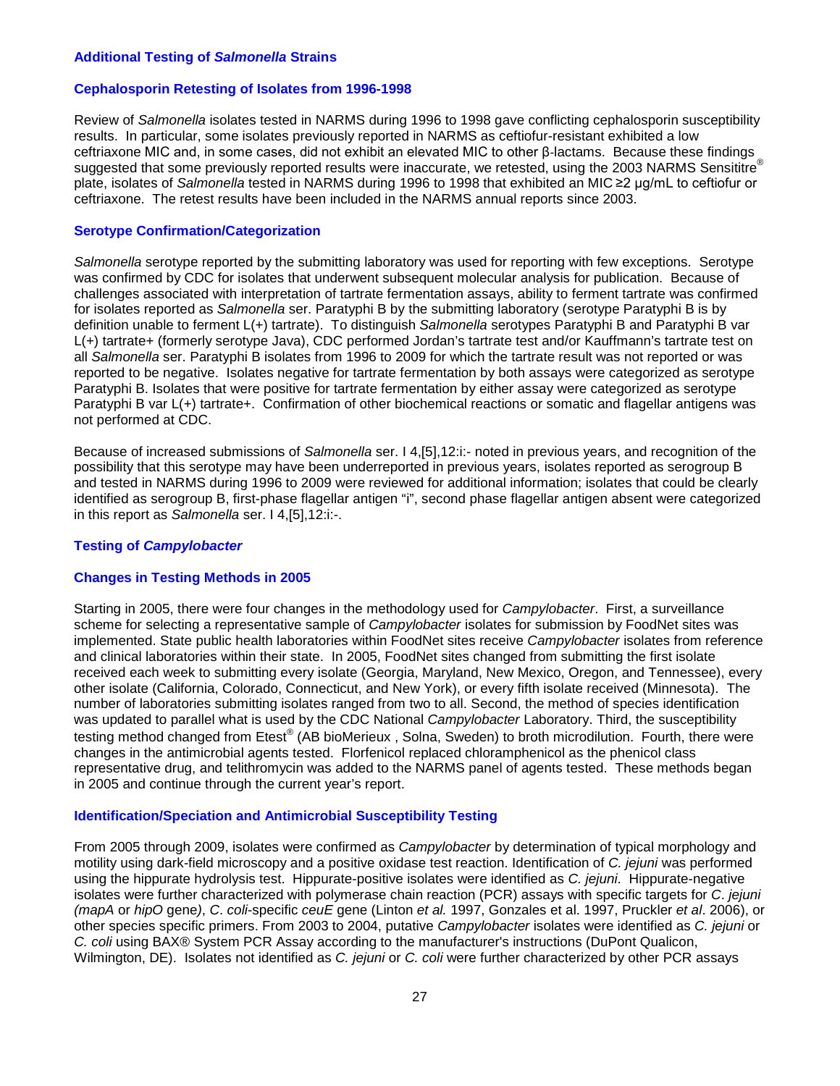#### **Additional Testing of** *Salmonella* **Strains**

#### **Cephalosporin Retesting of Isolates from 1996-1998**

Review of *Salmonella* isolates tested in NARMS during 1996 to 1998 gave conflicting cephalosporin susceptibility results. In particular, some isolates previously reported in NARMS as ceftiofur-resistant exhibited a low ceftriaxone MIC and, in some cases, did not exhibit an elevated MIC to other β-lactams. Because these findings suggested that some previously reported results were inaccurate, we retested, using the 2003 NARMS Sensititre® plate, isolates of *Salmonella* tested in NARMS during 1996 to 1998 that exhibited an MIC ≥2 μg/mL to ceftiofur or ceftriaxone. The retest results have been included in the NARMS annual reports since 2003.

#### **Serotype Confirmation/Categorization**

*Salmonella* serotype reported by the submitting laboratory was used for reporting with few exceptions. Serotype was confirmed by CDC for isolates that underwent subsequent molecular analysis for publication. Because of challenges associated with interpretation of tartrate fermentation assays, ability to ferment tartrate was confirmed for isolates reported as *Salmonella* ser. Paratyphi B by the submitting laboratory (serotype Paratyphi B is by definition unable to ferment L(+) tartrate). To distinguish *Salmonella* serotypes Paratyphi B and Paratyphi B var L(+) tartrate+ (formerly serotype Java), CDC performed Jordan's tartrate test and/or Kauffmann's tartrate test on all *Salmonella* ser. Paratyphi B isolates from 1996 to 2009 for which the tartrate result was not reported or was reported to be negative. Isolates negative for tartrate fermentation by both assays were categorized as serotype Paratyphi B. Isolates that were positive for tartrate fermentation by either assay were categorized as serotype Paratyphi B var L(+) tartrate+. Confirmation of other biochemical reactions or somatic and flagellar antigens was not performed at CDC.

Because of increased submissions of *Salmonella* ser. I 4,[5],12:i:- noted in previous years, and recognition of the possibility that this serotype may have been underreported in previous years, isolates reported as serogroup B and tested in NARMS during 1996 to 2009 were reviewed for additional information; isolates that could be clearly identified as serogroup B, first-phase flagellar antigen "i", second phase flagellar antigen absent were categorized in this report as *Salmonella* ser. I 4,[5],12:i:-.

#### **Testing of** *Campylobacter*

#### **Changes in Testing Methods in 2005**

Starting in 2005, there were four changes in the methodology used for *Campylobacter*. First, a surveillance scheme for selecting a representative sample of *Campylobacter* isolates for submission by FoodNet sites was implemented. State public health laboratories within FoodNet sites receive *Campylobacter* isolates from reference and clinical laboratories within their state. In 2005, FoodNet sites changed from submitting the first isolate received each week to submitting every isolate (Georgia, Maryland, New Mexico, Oregon, and Tennessee), every other isolate (California, Colorado, Connecticut, and New York), or every fifth isolate received (Minnesota). The number of laboratories submitting isolates ranged from two to all. Second, the method of species identification was updated to parallel what is used by the CDC National *Campylobacter* Laboratory. Third, the susceptibility testing method changed from Etest® (AB bioMerieux, Solna, Sweden) to broth microdilution. Fourth, there were changes in the antimicrobial agents tested. Florfenicol replaced chloramphenicol as the phenicol class representative drug, and telithromycin was added to the NARMS panel of agents tested. These methods began in 2005 and continue through the current year's report.

#### **Identification/Speciation and Antimicrobial Susceptibility Testing**

From 2005 through 2009, isolates were confirmed as *Campylobacter* by determination of typical morphology and motility using dark-field microscopy and a positive oxidase test reaction. Identification of *C. jejuni* was performed using the hippurate hydrolysis test. Hippurate-positive isolates were identified as *C. jejuni*. Hippurate-negative isolates were further characterized with polymerase chain reaction (PCR) assays with specific targets for *C*. *jejuni (mapA* or *hipO* gene*)*, *C*. *coli*-specific *ceuE* gene (Linton *et al.* 1997, Gonzales et al. 1997, Pruckler *et al*. 2006), or other species specific primers. From 2003 to 2004, putative *Campylobacter* isolates were identified as *C. jejuni* or *C. coli* using BAX® System PCR Assay according to the manufacturer's instructions (DuPont Qualicon, Wilmington, DE). Isolates not identified as *C. jejuni* or *C. coli* were further characterized by other PCR assays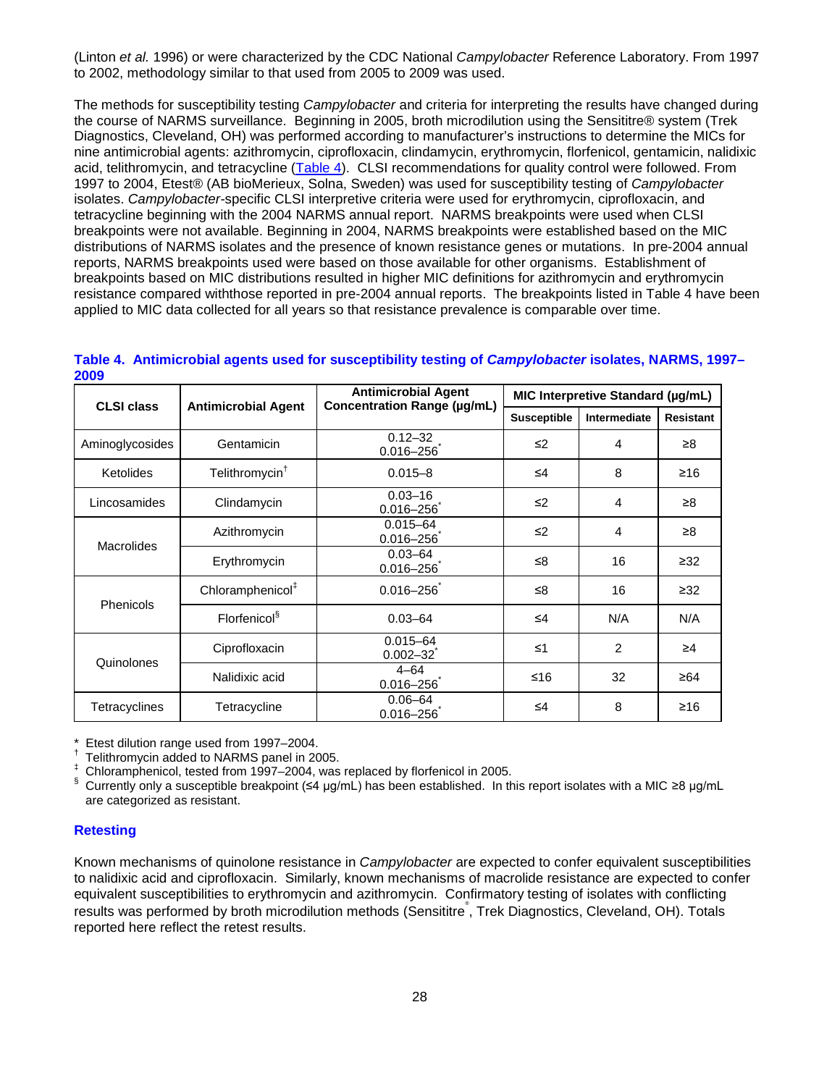(Linton *et al.* 1996) or were characterized by the CDC National *Campylobacter* Reference Laboratory. From 1997 to 2002, methodology similar to that used from 2005 to 2009 was used.

The methods for susceptibility testing *Campylobacter* and criteria for interpreting the results have changed during the course of NARMS surveillance. Beginning in 2005, broth microdilution using the Sensititre® system (Trek Diagnostics, Cleveland, OH) was performed according to manufacturer's instructions to determine the MICs for nine antimicrobial agents: azithromycin, ciprofloxacin, clindamycin, erythromycin, florfenicol, gentamicin, nalidixic acid, telithromycin, and tetracycline [\(Table 4\)](#page-27-0). CLSI recommendations for quality control were followed. From 1997 to 2004, Etest® (AB bioMerieux, Solna, Sweden) was used for susceptibility testing of *Campylobacter* isolates. *Campylobacter-*specific CLSI interpretive criteria were used for erythromycin, ciprofloxacin, and tetracycline beginning with the 2004 NARMS annual report. NARMS breakpoints were used when CLSI breakpoints were not available. Beginning in 2004, NARMS breakpoints were established based on the MIC distributions of NARMS isolates and the presence of known resistance genes or mutations. In pre-2004 annual reports, NARMS breakpoints used were based on those available for other organisms. Establishment of breakpoints based on MIC distributions resulted in higher MIC definitions for azithromycin and erythromycin resistance compared withthose reported in pre-2004 annual reports. The breakpoints listed in Table 4 have been applied to MIC data collected for all years so that resistance prevalence is comparable over time.

| 2009              |                              | <b>Antimicrobial Agent</b>         |                    | MIC Interpretive Standard (µg/mL) |           |
|-------------------|------------------------------|------------------------------------|--------------------|-----------------------------------|-----------|
| <b>CLSI class</b> | <b>Antimicrobial Agent</b>   | <b>Concentration Range (µg/mL)</b> | <b>Susceptible</b> | Intermediate<br><b>Resistant</b>  |           |
| Aminoglycosides   | Gentamicin                   | $0.12 - 32$<br>$0.016 - 256$       | $\leq$ 2           | 4                                 | $\geq 8$  |
| Ketolides         | Telithromycin <sup>†</sup>   | $0.015 - 8$                        | ≤4                 | 8                                 | ≥16       |
| Lincosamides      | Clindamycin                  | $0.03 - 16$<br>$0.016 - 256$       | $\leq 2$           | 4                                 | ≥8        |
| <b>Macrolides</b> | Azithromycin                 | $0.015 - 64$<br>$0.016 - 256$      | $\leq$             | 4                                 | $\geq 8$  |
|                   | Erythromycin                 | $0.03 - 64$<br>$0.016 - 256$       | ≤8                 | 16                                | $\geq 32$ |
| <b>Phenicols</b>  | Chloramphenicol <sup>#</sup> | $0.016 - 256$                      | ≤8                 | 16                                | $\geq 32$ |
|                   | Florfenicol <sup>§</sup>     | $0.03 - 64$                        | $\leq 4$           | N/A                               | N/A       |
| Quinolones        | Ciprofloxacin                | $0.015 - 64$<br>$0.002 - 32$       | $\leq 1$           | 2                                 | $\geq 4$  |
|                   | Nalidixic acid               | $4 - 64$<br>$0.016 - 256$          | $≤16$              | 32                                | ≥64       |
| Tetracyclines     | Tetracycline                 | $0.06 - 64$<br>$0.016 - 256$       | $\leq 4$           | 8                                 | ≥16       |

<span id="page-27-0"></span>

|      | Table 4. Antimicrobial agents used for susceptibility testing of Campylobacter isolates, NARMS, 1997- |  |
|------|-------------------------------------------------------------------------------------------------------|--|
| 2009 |                                                                                                       |  |

\* Etest dilution range used from 1997–2004.

† Telithromycin added to NARMS panel in 2005.

Chloramphenicol, tested from 1997–2004, was replaced by florfenicol in 2005.

Currently only a susceptible breakpoint (≤4 µg/mL) has been established. In this report isolates with a MIC ≥8 µg/mL are categorized as resistant.

#### **Retesting**

Known mechanisms of quinolone resistance in *Campylobacter* are expected to confer equivalent susceptibilities to nalidixic acid and ciprofloxacin. Similarly, known mechanisms of macrolide resistance are expected to confer equivalent susceptibilities to erythromycin and azithromycin. Confirmatory testing of isolates with conflicting results was performed by broth microdilution methods (Sensititre<sup>®</sup>, Trek Diagnostics, Cleveland, OH). Totals reported here reflect the retest results.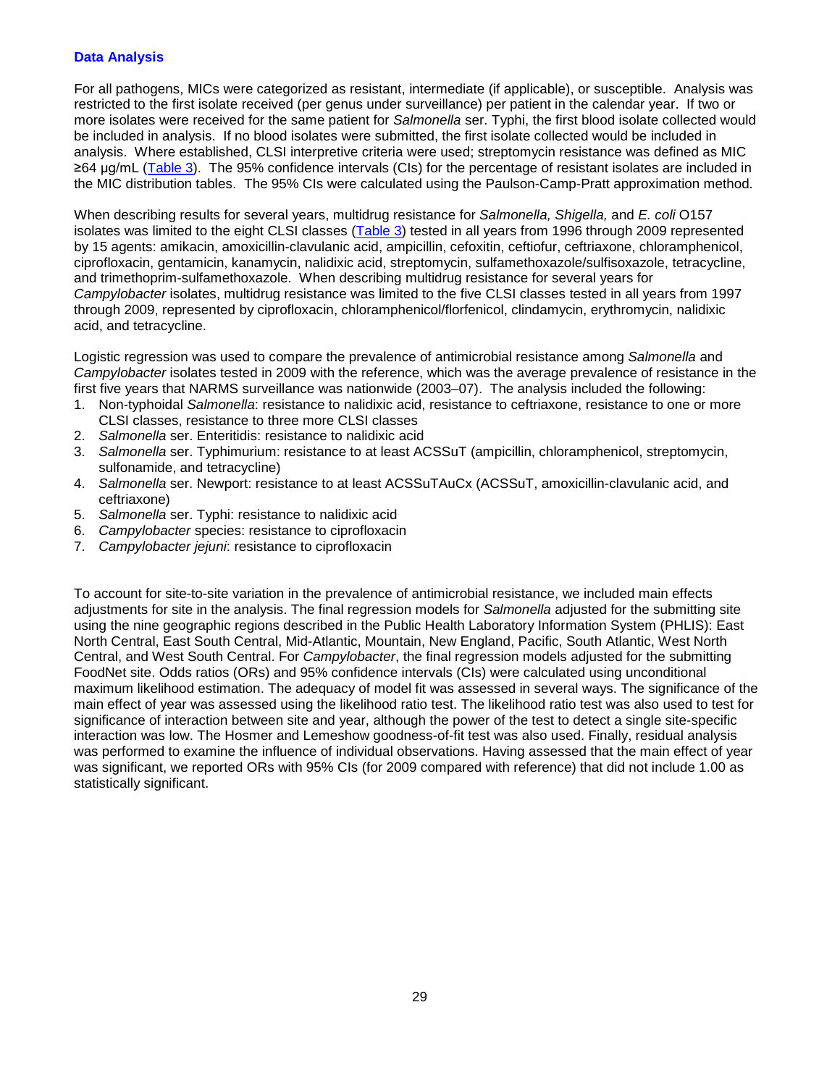#### **Data Analysis**

For all pathogens, MICs were categorized as resistant, intermediate (if applicable), or susceptible. Analysis was restricted to the first isolate received (per genus under surveillance) per patient in the calendar year. If two or more isolates were received for the same patient for *Salmonella* ser. Typhi, the first blood isolate collected would be included in analysis. If no blood isolates were submitted, the first isolate collected would be included in analysis. Where established, CLSI interpretive criteria were used; streptomycin resistance was defined as MIC ≥64 μg/mL [\(Table 3\)](#page-24-1). The 95% confidence intervals (CIs) for the percentage of resistant isolates are included in the MIC distribution tables. The 95% CIs were calculated using the Paulson-Camp-Pratt approximation method.

When describing results for several years, multidrug resistance for *Salmonella, Shigella,* and *E. coli* O157 isolates was limited to the eight CLSI classes [\(Table 3\)](#page-24-1) tested in all years from 1996 through 2009 represented by 15 agents: amikacin, amoxicillin-clavulanic acid, ampicillin, cefoxitin, ceftiofur, ceftriaxone, chloramphenicol, ciprofloxacin, gentamicin, kanamycin, nalidixic acid, streptomycin, sulfamethoxazole/sulfisoxazole, tetracycline, and trimethoprim-sulfamethoxazole. When describing multidrug resistance for several years for *Campylobacter* isolates, multidrug resistance was limited to the five CLSI classes tested in all years from 1997 through 2009, represented by ciprofloxacin, chloramphenicol/florfenicol, clindamycin, erythromycin, nalidixic acid, and tetracycline.

Logistic regression was used to compare the prevalence of antimicrobial resistance among *Salmonella* and *Campylobacter* isolates tested in 2009 with the reference, which was the average prevalence of resistance in the first five years that NARMS surveillance was nationwide (2003–07). The analysis included the following:

- 1. Non-typhoidal *Salmonella*: resistance to nalidixic acid, resistance to ceftriaxone, resistance to one or more CLSI classes, resistance to three more CLSI classes
- 2. *Salmonella* ser. Enteritidis: resistance to nalidixic acid
- 3. *Salmonella* ser. Typhimurium: resistance to at least ACSSuT (ampicillin, chloramphenicol, streptomycin, sulfonamide, and tetracycline)
- 4. *Salmonella* ser. Newport: resistance to at least ACSSuTAuCx (ACSSuT, amoxicillin-clavulanic acid, and ceftriaxone)
- 5. *Salmonella* ser. Typhi: resistance to nalidixic acid
- 6. *Campylobacter* species: resistance to ciprofloxacin
- 7. *Campylobacter jejuni*: resistance to ciprofloxacin

To account for site-to-site variation in the prevalence of antimicrobial resistance, we included main effects adjustments for site in the analysis. The final regression models for *Salmonella* adjusted for the submitting site using the nine geographic regions described in the Public Health Laboratory Information System (PHLIS): East North Central, East South Central, Mid-Atlantic, Mountain, New England, Pacific, South Atlantic, West North Central, and West South Central. For *Campylobacter*, the final regression models adjusted for the submitting FoodNet site. Odds ratios (ORs) and 95% confidence intervals (CIs) were calculated using unconditional maximum likelihood estimation. The adequacy of model fit was assessed in several ways. The significance of the main effect of year was assessed using the likelihood ratio test. The likelihood ratio test was also used to test for significance of interaction between site and year, although the power of the test to detect a single site-specific interaction was low. The Hosmer and Lemeshow goodness-of-fit test was also used. Finally, residual analysis was performed to examine the influence of individual observations. Having assessed that the main effect of year was significant, we reported ORs with 95% CIs (for 2009 compared with reference) that did not include 1.00 as statistically significant.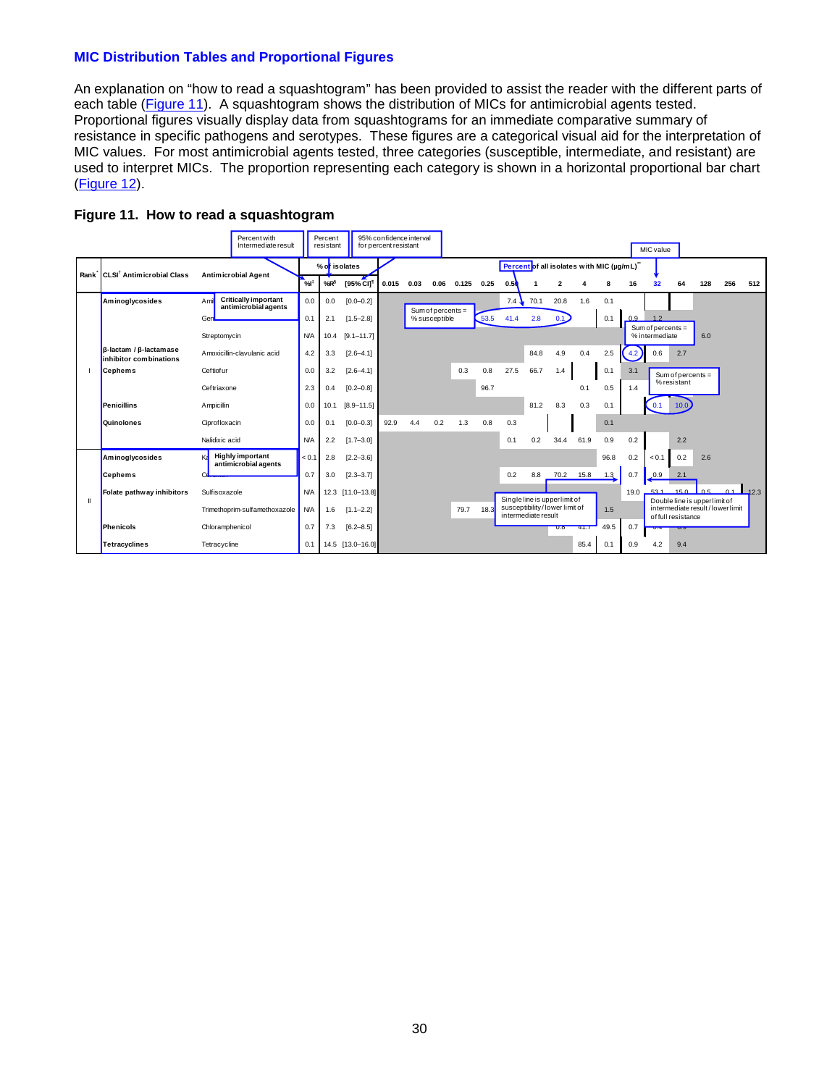#### **MIC Distribution Tables and Proportional Figures**

An explanation on "how to read a squashtogram" has been provided to assist the reader with the different parts of each table [\(Figure 11\)](#page-29-0). A squashtogram shows the distribution of MICs for antimicrobial agents tested. Proportional figures visually display data from squashtograms for an immediate comparative summary of resistance in specific pathogens and serotypes. These figures are a categorical visual aid for the interpretation of MIC values. For most antimicrobial agents tested, three categories (susceptible, intermediate, and resistant) are used to interpret MICs. The proportion representing each category is shown in a horizontal proportional bar chart [\(Figure 12\)](#page-29-1).

<span id="page-29-1"></span>

<span id="page-29-0"></span>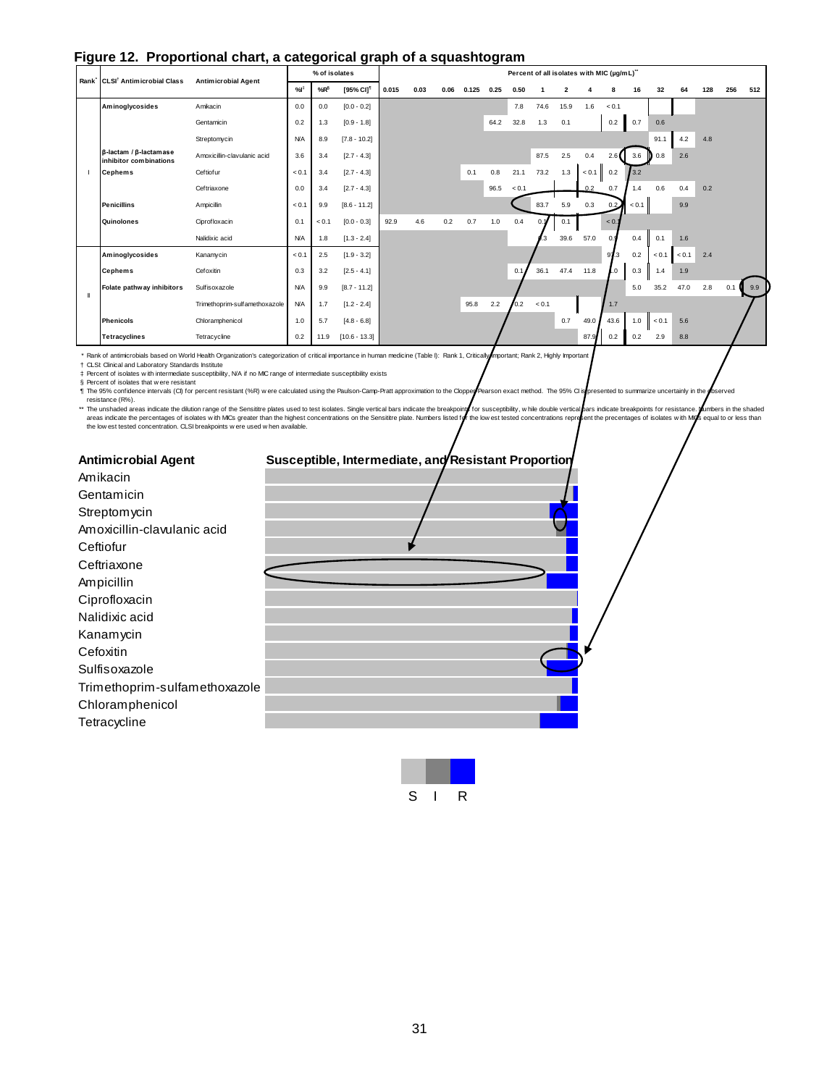<span id="page-30-0"></span>

|  | Figure 12. Proportional chart, a categorical graph of a squashtogram |  |  |  |  |  |  |
|--|----------------------------------------------------------------------|--|--|--|--|--|--|
|--|----------------------------------------------------------------------|--|--|--|--|--|--|

| - 3 |                                                                |                               |            | ≂<br>% of isolates |                       | 9. - r - - |      |      |       | J.   |       |       |      |       | Percent of all isolates with MIC (µg/mL)" |       |                  |       |     |     |                  |
|-----|----------------------------------------------------------------|-------------------------------|------------|--------------------|-----------------------|------------|------|------|-------|------|-------|-------|------|-------|-------------------------------------------|-------|------------------|-------|-----|-----|------------------|
|     | Rank CLSI <sup>†</sup> Antimicrobial Class                     | <b>Antimicrobial Agent</b>    | %          | %R <sup>§</sup>    | [95% CI] <sup>1</sup> | 0.015      | 0.03 | 0.06 | 0.125 | 0.25 | 0.50  |       |      |       |                                           | 16    | 32               | 64    | 128 | 256 | 512              |
|     | Aminoglycosides                                                | Amikacin                      | 0.0        | 0.0                | $[0.0 - 0.2]$         |            |      |      |       |      | 7.8   | 74.6  | 15.9 | 1.6   | < 0.1                                     |       |                  |       |     |     |                  |
|     |                                                                | Gentamicin                    | 0.2        | 1.3                | $[0.9 - 1.8]$         |            |      |      |       | 64.2 | 32.8  | 1.3   | 0.1  |       | 0.2                                       | 0.7   | 0.6              |       |     |     |                  |
|     |                                                                | Streptomycin                  | <b>N/A</b> | 8.9                | $[7.8 - 10.2]$        |            |      |      |       |      |       |       |      |       |                                           |       | 91.1             | 4.2   | 4.8 |     |                  |
|     | $\beta$ -lactam / $\beta$ -lactamase<br>inhibitor combinations | Amoxicillin-clavulanic acid   | 3.6        | 3.4                | $[2.7 - 4.3]$         |            |      |      |       |      |       | 87.5  | 2.5  | 0.4   | 2.6                                       | 3.6   | $\mathbf{D}$ 0.8 | 2.6   |     |     |                  |
|     | <b>Cephems</b>                                                 | Ceftiofur                     | < 0.1      | 3.4                | $[2.7 - 4.3]$         |            |      |      | 0.1   | 0.8  | 21.1  | 73.2  | 1.3  | < 0.1 | 0.2                                       | 3.2   |                  |       |     |     |                  |
|     |                                                                | Ceftriaxone                   | 0.0        | 3.4                | $[2.7 - 4.3]$         |            |      |      |       | 96.5 | < 0.1 |       |      | 02    | 0.7                                       | 1.4   | 0.6              | 0.4   | 0.2 |     |                  |
|     | <b>Penicillins</b>                                             | Ampicillin                    | < 0.1      | 9.9                | $[8.6 - 11.2]$        |            |      |      |       |      |       | 83.7  | 5.9  | 0.3   | 0.2                                       | < 0.1 |                  | 9.9   |     |     |                  |
|     | Quinolones                                                     | Ciprofloxacin                 | 0.1        | < 0.1              | $[0.0 - 0.3]$         | 92.9       | 4.6  | 0.2  | 0.7   | 1.0  | 0.4   | 0.2   | 0.1  |       | < 0.1                                     |       |                  |       |     |     |                  |
|     |                                                                | Nalidixic acid                | <b>N/A</b> | 1.8                | $[1.3 - 2.4]$         |            |      |      |       |      |       |       | 39.6 | 57.0  | 0.9                                       | 0.4   | 0.1              | 1.6   |     |     |                  |
|     | Aminoglycosides                                                | Kanamycin                     | < 0.1      | 2.5                | $[1.9 - 3.2]$         |            |      |      |       |      |       |       |      |       | 97.3                                      | 0.2   | < 0.1            | < 0.1 | 2.4 |     |                  |
|     | <b>Cephems</b>                                                 | Cefoxitin                     | 0.3        | 3.2                | $[2.5 - 4.1]$         |            |      |      |       |      | 0.1   | 36.1  | 47.4 | 11.8  | $\overline{0}$ .                          | 0.3   | 1.4              | 1.9   |     |     |                  |
|     | Folate pathway inhibitors                                      | Sulfisoxazole                 | <b>N/A</b> | 9.9                | $[8.7 - 11.2]$        |            |      |      |       |      |       |       |      |       |                                           | 5.0   | 35.2             | 47.0  | 2.8 | 0.1 | $\mathbf{q}$ 9.9 |
|     |                                                                | Trimethoprim-sulfamethoxazole | <b>N/A</b> | 1.7                | $[1.2 - 2.4]$         |            |      |      | 95.8  | 2.2  | 0.2   | < 0.1 |      |       | 1.7                                       |       |                  |       |     |     |                  |
|     | <b>Phenicols</b>                                               | Chloramphenicol               | 1.0        | 5.7                | $[4.8 - 6.8]$         |            |      |      |       |      |       |       | 0.7  | 49.0  | 43.6                                      | 1.0   | < 0.1            | 5.6   |     |     |                  |
|     | <b>Tetracyclines</b>                                           | Tetracycline                  | 0.2        | 11.9               | $[10.6 - 13.3]$       |            |      |      |       |      |       |       |      | 87.9  | 0.2                                       | 0.2   | 2.9              | 8.8   |     |     |                  |

\* Rank of antimicrobials based on World Health Organization's categorization of critical importance in human medicine (Table I): Rank 1, Critically Important; Rank 2, Highly Important

† ‡ § ¶

\*\* CLSY. Clincial and Laboratory Standards Institute Institute in MC range of intermediate susceptibility exists<br>The reservice intervals (CI) for percent resistant (%R) were calculated using the Paulson-Camp-Pratt approximati

| <b>Antimicrobial Agent</b>    | Susceptible, Intermediate, and Resistant Proportion |  |
|-------------------------------|-----------------------------------------------------|--|
| Amikacin                      |                                                     |  |
| Gentamicin                    |                                                     |  |
| Streptomycin                  |                                                     |  |
| Amoxicillin-clavulanic acid   |                                                     |  |
| Ceftiofur                     |                                                     |  |
| Ceftriaxone                   |                                                     |  |
| Ampicillin                    |                                                     |  |
| Ciprofloxacin                 |                                                     |  |
| Nalidixic acid                |                                                     |  |
| Kanamycin                     |                                                     |  |
| Cefoxitin                     |                                                     |  |
| Sulfisoxazole                 |                                                     |  |
| Trimethoprim-sulfamethoxazole |                                                     |  |
| Chloramphenicol               |                                                     |  |
| Tetracycline                  |                                                     |  |

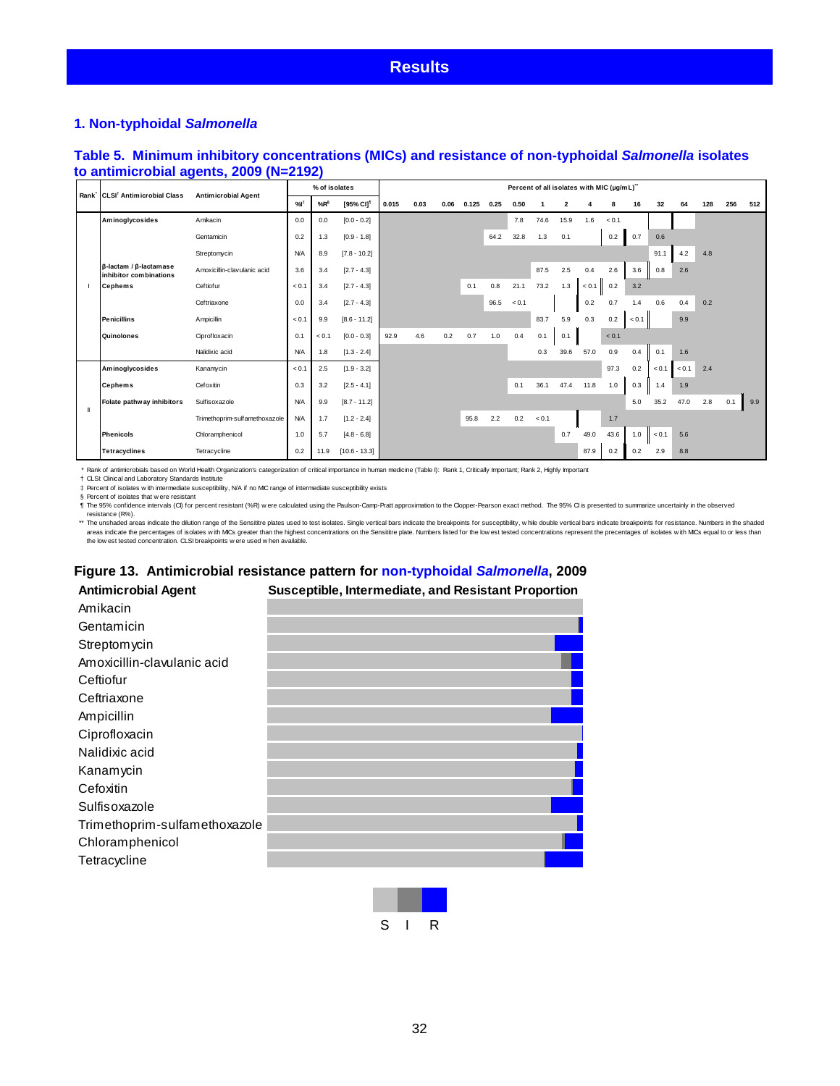#### <span id="page-31-0"></span>**Results**

#### <span id="page-31-1"></span>**1. Non-typhoidal** *Salmonella*

#### <span id="page-31-2"></span>**Table 5. Minimum inhibitory concentrations (MICs) and resistance of non-typhoidal** *Salmonella* **isolates to antimicrobial agents, 2009 (N=2192)**

|   | Rank CLSI <sup>†</sup> Antimicrobial Class                       |                               | % of isolates     |                 |                       | Percent of all isolates with MIC (µg/mL)" |      |      |       |      |       |       |      |       |       |       |       |       |     |     |     |
|---|------------------------------------------------------------------|-------------------------------|-------------------|-----------------|-----------------------|-------------------------------------------|------|------|-------|------|-------|-------|------|-------|-------|-------|-------|-------|-----|-----|-----|
|   |                                                                  | <b>Antimicrobial Agent</b>    | $\%$ <sup>‡</sup> | %R <sup>§</sup> | [95% CI] <sup>1</sup> | 0.015                                     | 0.03 | 0.06 | 0.125 | 0.25 | 0.50  |       | 2    |       | 8     | 16    | 32    | 64    | 128 | 256 | 512 |
|   | Aminoglycosides                                                  | Amikacin                      | 0.0               | 0.0             | $[0.0 - 0.2]$         |                                           |      |      |       |      | 7.8   | 74.6  | 15.9 | 1.6   | < 0.1 |       |       |       |     |     |     |
|   |                                                                  | Gentamicin                    | 0.2               | 1.3             | $[0.9 - 1.8]$         |                                           |      |      |       | 64.2 | 32.8  | 1.3   | 0.1  |       | 0.2   | 0.7   | 0.6   |       |     |     |     |
|   |                                                                  | Streptomycin                  | <b>N/A</b>        | 8.9             | $[7.8 - 10.2]$        |                                           |      |      |       |      |       |       |      |       |       |       | 91.1  | 4.2   | 4.8 |     |     |
|   | $\beta$ -lactam / $\beta$ -lactam as e<br>inhibitor combinations | Amoxicillin-clavulanic acid   | 3.6               | 3.4             | $[2.7 - 4.3]$         |                                           |      |      |       |      |       | 87.5  | 2.5  | 0.4   | 2.6   | 3.6   | 0.8   | 2.6   |     |     |     |
|   | <b>Cephems</b>                                                   | Ceftiofur                     | < 0.1             | 3.4             | $[2.7 - 4.3]$         |                                           |      |      | 0.1   | 0.8  | 21.1  | 73.2  | 1.3  | < 0.1 | 0.2   | 3.2   |       |       |     |     |     |
|   |                                                                  | Ceftriaxone                   | 0.0               | 3.4             | $[2.7 - 4.3]$         |                                           |      |      |       | 96.5 | < 0.1 |       |      | 0.2   | 0.7   | 1.4   | 0.6   | 0.4   | 0.2 |     |     |
|   | <b>Penicillins</b>                                               | Ampicillin                    | < 0.1             | 9.9             | $[8.6 - 11.2]$        |                                           |      |      |       |      |       | 83.7  | 5.9  | 0.3   | 0.2   | < 0.1 |       | 9.9   |     |     |     |
|   | Quinolones                                                       | Ciprofloxacin                 | 0.1               | < 0.1           | $[0.0 - 0.3]$         | 92.9                                      | 4.6  | 0.2  | 0.7   | 1.0  | 0.4   | 0.1   | 0.1  |       | < 0.1 |       |       |       |     |     |     |
|   |                                                                  | Nalidixic acid                | <b>N/A</b>        | 1.8             | $[1.3 - 2.4]$         |                                           |      |      |       |      |       | 0.3   | 39.6 | 57.0  | 0.9   | 0.4   | 0.1   | 1.6   |     |     |     |
|   | Aminoglycosides                                                  | Kanamycin                     | < 0.1             | 2.5             | $[1.9 - 3.2]$         |                                           |      |      |       |      |       |       |      |       | 97.3  | 0.2   | < 0.1 | < 0.1 | 2.4 |     |     |
|   | <b>Cephems</b>                                                   | Cefoxitin                     | 0.3               | 3.2             | $[2.5 - 4.1]$         |                                           |      |      |       |      | 0.1   | 36.1  | 47.4 | 11.8  | 1.0   | 0.3   | 1.4   | 1.9   |     |     |     |
| Ш | Folate pathway inhibitors                                        | Sulfisoxazole                 | <b>N/A</b>        | 9.9             | $[8.7 - 11.2]$        |                                           |      |      |       |      |       |       |      |       |       | 5.0   | 35.2  | 47.0  | 2.8 | 0.1 | 9.9 |
|   |                                                                  | Trimethoprim-sulfamethoxazole | <b>N/A</b>        | 1.7             | $[1.2 - 2.4]$         |                                           |      |      | 95.8  | 2.2  | 0.2   | < 0.1 |      |       | 1.7   |       |       |       |     |     |     |
|   | <b>Phenicols</b>                                                 | Chloramphenicol               | 1.0               | 5.7             | $[4.8 - 6.8]$         |                                           |      |      |       |      |       |       | 0.7  | 49.0  | 43.6  | 1.0   | < 0.1 | 5.6   |     |     |     |
|   | <b>Tetracyclines</b>                                             | Tetracycline                  | 0.2               | 11.9            | $[10.6 - 13.3]$       |                                           |      |      |       |      |       |       |      | 87.9  | 0.2   | 0.2   | 2.9   | 8.8   |     |     |     |

\* Rank of antimicrobials based on World Health Organization's categorization of critical importance in human medicine (Table I): Rank 1, Critically Important; Rank 2, Highly Important

† CLSI: Clinical and Laboratory Standards Institute

‡ § Percent of isolates w ith intermediate susceptibility, N/A if no MIC range of intermediate susceptibility exists Percent of isolates that w ere resistant

¶ The 95% confidence intervals (CI) for percent resistant (%R) were calculated using the Paulson-Camp-Pratt approximation to the Clopper-Pearson exact method. The 95% CI is presented to summarize uncertainly in the observe

\*\* The unshaded areas indicate the dilution range of the Sensittre plates used to test isolates. Single vertical bars indicate the breakpoints for susceptibility, while double vertical bars indicate the relayooints for res

# <span id="page-31-3"></span>**Figure 13. Antimicrobial resistance pattern for non-typhoidal** *Salmonella***, 2009**

| <b>Antimicrobial Agent</b>    | Susceptible, Intermediate, and Resistant Proportion |  |
|-------------------------------|-----------------------------------------------------|--|
| Amikacin                      |                                                     |  |
| Gentamicin                    |                                                     |  |
| Streptomycin                  |                                                     |  |
| Amoxicillin-clavulanic acid   |                                                     |  |
| Ceftiofur                     |                                                     |  |
| Ceftriaxone                   |                                                     |  |
| Ampicillin                    |                                                     |  |
| Ciprofloxacin                 |                                                     |  |
| Nalidixic acid                |                                                     |  |
| Kanamycin                     |                                                     |  |
| Cefoxitin                     |                                                     |  |
| Sulfisoxazole                 |                                                     |  |
| Trimethoprim-sulfamethoxazole |                                                     |  |
| Chloramphenicol               |                                                     |  |
| Tetracycline                  |                                                     |  |
|                               |                                                     |  |

S I R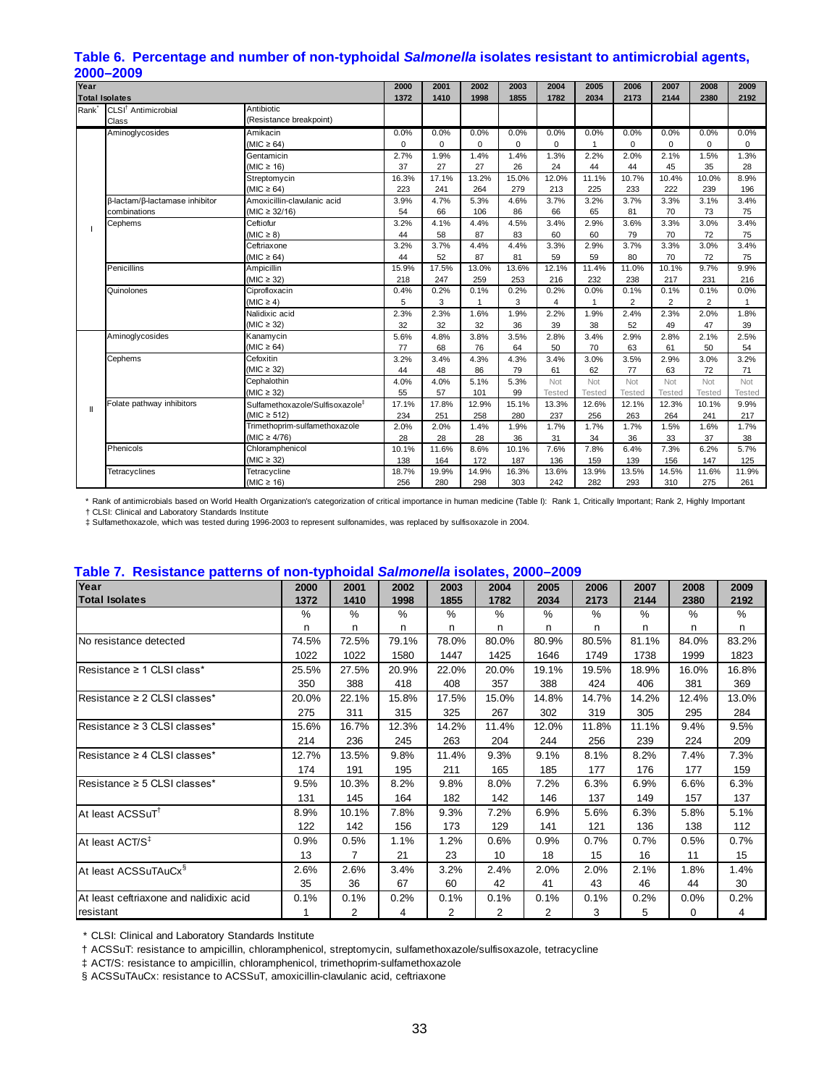| Year              | 2000–2009                       |                                             | 2000        | 2001     | 2002     | 2003  | 2004          | 2005           | 2006           | 2007           | 2008          | 2009          |
|-------------------|---------------------------------|---------------------------------------------|-------------|----------|----------|-------|---------------|----------------|----------------|----------------|---------------|---------------|
|                   | <b>Total Isolates</b>           |                                             | 1372        | 1410     | 1998     | 1855  | 1782          | 2034           | 2173           | 2144           | 2380          | 2192          |
| Rank <sup>*</sup> | CLSI <sup>†</sup> Antimicrobial | Antibiotic                                  |             |          |          |       |               |                |                |                |               |               |
|                   | Class                           | (Resistance breakpoint)                     |             |          |          |       |               |                |                |                |               |               |
|                   | Aminoglycosides                 | Amikacin                                    | 0.0%        | 0.0%     | 0.0%     | 0.0%  | 0.0%          | 0.0%           | 0.0%           | 0.0%           | 0.0%          | 0.0%          |
|                   |                                 | $(MIC \ge 64)$                              | $\mathbf 0$ | $\Omega$ | $\Omega$ | 0     | 0             | $\overline{1}$ | 0              | $\mathbf 0$    | $\Omega$      | $\Omega$      |
|                   |                                 | Gentamicin                                  | 2.7%        | 1.9%     | 1.4%     | 1.4%  | 1.3%          | 2.2%           | 2.0%           | 2.1%           | 1.5%          | 1.3%          |
|                   |                                 | (MIC $\geq$ 16)                             | 37          | 27       | 27       | 26    | 24            | 44             | 44             | 45             | 35            | 28            |
|                   |                                 | Streptomycin                                | 16.3%       | 17.1%    | 13.2%    | 15.0% | 12.0%         | 11.1%          | 10.7%          | 10.4%          | 10.0%         | 8.9%          |
|                   |                                 | $(MIC \ge 64)$                              | 223         | 241      | 264      | 279   | 213           | 225            | 233            | 222            | 239           | 196           |
|                   | β-lactam/β-lactamase inhibitor  | Amoxicillin-clavulanic acid                 | 3.9%        | 4.7%     | 5.3%     | 4.6%  | 3.7%          | 3.2%           | 3.7%           | 3.3%           | 3.1%          | 3.4%          |
|                   | combinations                    | $(MIC \ge 32/16)$                           | 54          | 66       | 106      | 86    | 66            | 65             | 81             | 70             | 73            | 75            |
|                   | Cephems                         | Ceftiofur                                   | 3.2%        | 4.1%     | 4.4%     | 4.5%  | 3.4%          | 2.9%           | 3.6%           | 3.3%           | 3.0%          | 3.4%          |
|                   |                                 | $(MIC \geq 8)$                              | 44          | 58       | 87       | 83    | 60            | 60             | 79             | 70             | 72            | 75            |
|                   |                                 | Ceftriaxone                                 | 3.2%        | 3.7%     | 4.4%     | 4.4%  | 3.3%          | 2.9%           | 3.7%           | 3.3%           | 3.0%          | 3.4%          |
|                   |                                 | (MIC $\geq 64$ )                            | 44          | 52       | 87       | 81    | 59            | 59             | 80             | 70             | 72            | 75            |
|                   | Penicillins                     | Ampicillin                                  | 15.9%       | 17.5%    | 13.0%    | 13.6% | 12.1%         | 11.4%          | 11.0%          | 10.1%          | 9.7%          | 9.9%          |
|                   |                                 | $(MIC \geq 32)$                             | 218         | 247      | 259      | 253   | 216           | 232            | 238            | 217            | 231           | 216           |
|                   | Quinolones                      | Ciprofloxacin                               | 0.4%        | 0.2%     | 0.1%     | 0.2%  | 0.2%          | 0.0%           | 0.1%           | 0.1%           | 0.1%          | 0.0%          |
|                   |                                 | $(MIC \geq 4)$                              | 5           | 3        | 1        | 3     | 4             | 1              | $\overline{2}$ | $\overline{2}$ | 2             |               |
|                   |                                 | Nalidixic acid                              | 2.3%        | 2.3%     | 1.6%     | 1.9%  | 2.2%          | 1.9%           | 2.4%           | 2.3%           | 2.0%          | 1.8%          |
|                   |                                 | $(MIC \geq 32)$                             | 32          | 32       | 32       | 36    | 39            | 38             | 52             | 49             | 47            | 39            |
|                   | Aminoglycosides                 | Kanamycin                                   | 5.6%        | 4.8%     | 3.8%     | 3.5%  | 2.8%          | 3.4%           | 2.9%           | 2.8%           | 2.1%          | 2.5%          |
|                   |                                 | $(MIC \ge 64)$                              | 77          | 68       | 76       | 64    | 50            | 70             | 63             | 61             | 50            | 54            |
|                   | Cephems                         | Cefoxitin                                   | 3.2%        | 3.4%     | 4.3%     | 4.3%  | 3.4%          | 3.0%           | 3.5%           | 2.9%           | 3.0%          | 3.2%          |
|                   |                                 | $(MIC \geq 32)$                             | 44          | 48       | 86       | 79    | 61            | 62             | 77             | 63             | 72            | 71            |
|                   |                                 | Cephalothin                                 | 4.0%        | 4.0%     | 5.1%     | 5.3%  | Not           | Not            | Not            | Not            | Not           | Not           |
|                   |                                 | $(MIC \geq 32)$                             | 55          | 57       | 101      | 99    | <b>Tested</b> | <b>Tested</b>  | <b>Tested</b>  | <b>Tested</b>  | <b>Tested</b> | <b>Tested</b> |
| $\mathbf{I}$      | Folate pathway inhibitors       | Sulfamethoxazole/Sulfisoxazole <sup>‡</sup> | 17.1%       | 17.8%    | 12.9%    | 15.1% | 13.3%         | 12.6%          | 12.1%          | 12.3%          | 10.1%         | 9.9%          |
|                   |                                 | $(MIC \ge 512)$                             | 234         | 251      | 258      | 280   | 237           | 256            | 263            | 264            | 241           | 217           |
|                   |                                 | Trimethoprim-sulfamethoxazole               | 2.0%        | 2.0%     | 1.4%     | 1.9%  | 1.7%          | 1.7%           | 1.7%           | 1.5%           | 1.6%          | 1.7%          |
|                   |                                 | (MIC $\geq 4/76$ )                          | 28          | 28       | 28       | 36    | 31            | 34             | 36             | 33             | 37            | 38            |
|                   | Phenicols                       | Chloramphenicol                             | 10.1%       | 11.6%    | 8.6%     | 10.1% | 7.6%          | 7.8%           | 6.4%           | 7.3%           | 6.2%          | 5.7%          |
|                   |                                 | $(MIC \geq 32)$                             | 138         | 164      | 172      | 187   | 136           | 159            | 139            | 156            | 147           | 125           |
|                   | Tetracyclines                   | Tetracycline                                | 18.7%       | 19.9%    | 14.9%    | 16.3% | 13.6%         | 13.9%          | 13.5%          | 14.5%          | 11.6%         | 11.9%         |
|                   |                                 | (MIC $\geq$ 16)                             | 256         | 280      | 298      | 303   | 242           | 282            | 293            | 310            | 275           | 261           |

# <span id="page-32-0"></span>**Table 6. Percentage and number of non-typhoidal** *Salmonella* **isolates resistant to antimicrobial agents,**

 \* Rank of antimicrobials based on World Health Organization's categorization of critical importance in human medicine (Table I): Rank 1, Critically Important; Rank 2, Highly Important † CLSI: Clinical and Laboratory Standards Institute

‡ Sulfamethoxazole, which was tested during 1996-2003 to represent sulfonamides, was replaced by sulfisoxazole in 2004.

#### <span id="page-32-1"></span>**Table 7. Resistance patterns of non-typhoidal** *Salmonella* **isolates, 2000–2009**

| Year                                    | 2000  | 2001           | 2002  | 2003  | 2004  | 2005           | 2006  | 2007  | 2008     | 2009  |
|-----------------------------------------|-------|----------------|-------|-------|-------|----------------|-------|-------|----------|-------|
|                                         |       |                |       |       |       |                |       |       |          |       |
| <b>Total Isolates</b>                   | 1372  | 1410           | 1998  | 1855  | 1782  | 2034           | 2173  | 2144  | 2380     | 2192  |
|                                         | %     | %              | %     | %     | $\%$  | %              | %     | %     | %        | %     |
|                                         | n     | n              | n     | n.    | n     | n              | n     | n     | n        | n     |
| No resistance detected                  | 74.5% | 72.5%          | 79.1% | 78.0% | 80.0% | 80.9%          | 80.5% | 81.1% | 84.0%    | 83.2% |
|                                         | 1022  | 1022           | 1580  | 1447  | 1425  | 1646           | 1749  | 1738  | 1999     | 1823  |
| Resistance ≥ 1 CLSI class*              | 25.5% | 27.5%          | 20.9% | 22.0% | 20.0% | 19.1%          | 19.5% | 18.9% | 16.0%    | 16.8% |
|                                         | 350   | 388            | 418   | 408   | 357   | 388            | 424   | 406   | 381      | 369   |
| Resistance $\geq 2$ CLSI classes*       | 20.0% | 22.1%          | 15.8% | 17.5% | 15.0% | 14.8%          | 14.7% | 14.2% | 12.4%    | 13.0% |
|                                         | 275   | 311            | 315   | 325   | 267   | 302            | 319   | 305   | 295      | 284   |
| Resistance $\geq$ 3 CLSI classes*       | 15.6% | 16.7%          | 12.3% | 14.2% | 11.4% | 12.0%          | 11.8% | 11.1% | 9.4%     | 9.5%  |
|                                         | 214   | 236            | 245   | 263   | 204   | 244            | 256   | 239   | 224      | 209   |
| Resistance $\geq 4$ CLSI classes*       | 12.7% | 13.5%          | 9.8%  | 11.4% | 9.3%  | 9.1%           | 8.1%  | 8.2%  | 7.4%     | 7.3%  |
|                                         | 174   | 191            | 195   | 211   | 165   | 185            | 177   | 176   | 177      | 159   |
| Resistance $\geq$ 5 CLSI classes*       | 9.5%  | 10.3%          | 8.2%  | 9.8%  | 8.0%  | 7.2%           | 6.3%  | 6.9%  | 6.6%     | 6.3%  |
|                                         | 131   | 145            | 164   | 182   | 142   | 146            | 137   | 149   | 157      | 137   |
| At least ACSSuT <sup>1</sup>            | 8.9%  | 10.1%          | 7.8%  | 9.3%  | 7.2%  | 6.9%           | 5.6%  | 6.3%  | 5.8%     | 5.1%  |
|                                         | 122   | 142            | 156   | 173   | 129   | 141            | 121   | 136   | 138      | 112   |
| At least ACT/S <sup>‡</sup>             | 0.9%  | 0.5%           | 1.1%  | 1.2%  | 0.6%  | 0.9%           | 0.7%  | 0.7%  | 0.5%     | 0.7%  |
|                                         | 13    | $\overline{7}$ | 21    | 23    | 10    | 18             | 15    | 16    | 11       | 15    |
| At least ACSSuTAuCx <sup>§</sup>        | 2.6%  | 2.6%           | 3.4%  | 3.2%  | 2.4%  | 2.0%           | 2.0%  | 2.1%  | 1.8%     | 1.4%  |
|                                         | 35    | 36             | 67    | 60    | 42    | 41             | 43    | 46    | 44       | 30    |
| At least ceftriaxone and nalidixic acid | 0.1%  | 0.1%           | 0.2%  | 0.1%  | 0.1%  | 0.1%           | 0.1%  | 0.2%  | 0.0%     | 0.2%  |
| resistant                               |       | $\overline{2}$ | 4     | 2     | 2     | $\overline{2}$ | 3     | 5     | $\Omega$ | 4     |

\* CLSI: Clinical and Laboratory Standards Institute

† ACSSuT: resistance to ampicillin, chloramphenicol, streptomycin, sulfamethoxazole/sulfisoxazole, tetracycline

‡ ACT/S: resistance to ampicillin, chloramphenicol, trimethoprim-sulfamethoxazole

§ ACSSuTAuCx: resistance to ACSSuT, amoxicillin-clavulanic acid, ceftriaxone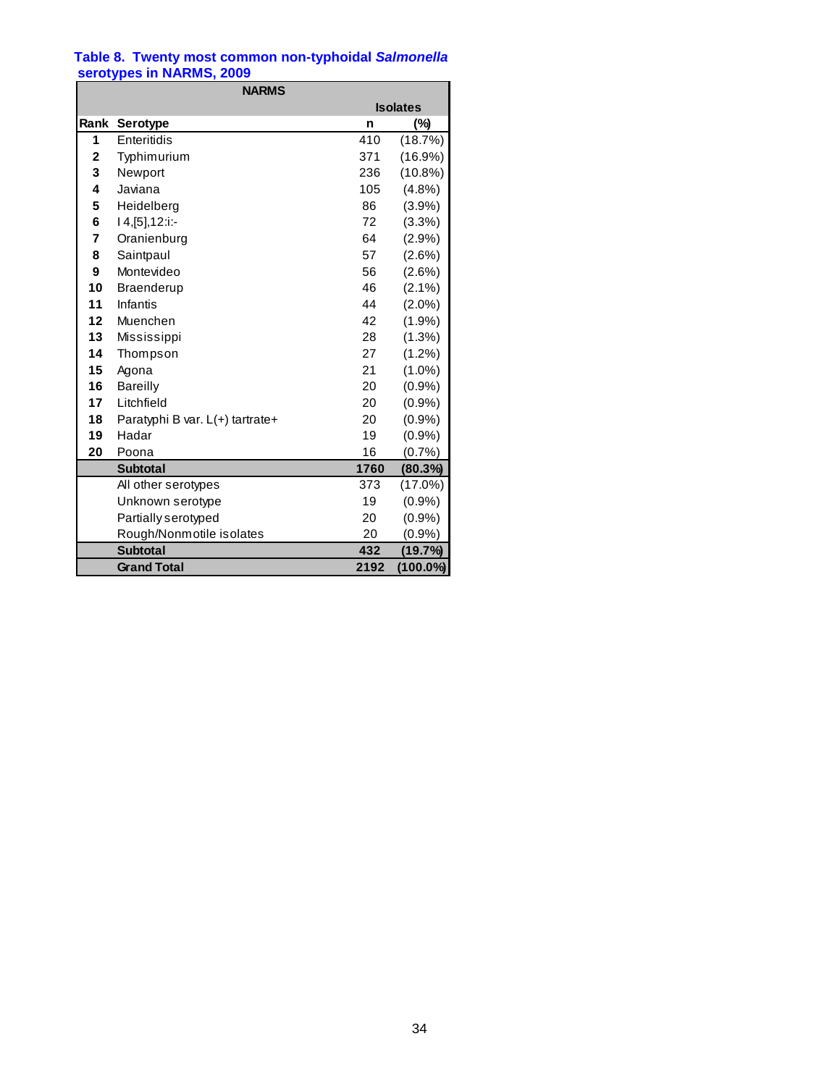#### <span id="page-33-1"></span><span id="page-33-0"></span>**Table 8. Twenty most common non-typhoidal** *Salmonella* **serotypes in NARMS, 2009**

|      | <b>NARMS</b>                    |      |                 |
|------|---------------------------------|------|-----------------|
|      |                                 |      | <b>Isolates</b> |
| Rank | Serotype                        | n    | (%)             |
| 1    | Enteritidis                     | 410  | (18.7%)         |
| 2    | Typhimurium                     | 371  | $(16.9\%)$      |
| 3    | Newport                         | 236  | $(10.8\%)$      |
| 4    | Javiana                         | 105  | (4.8%)          |
| 5    | Heidelberg                      | 86   | (3.9%)          |
| 6    | $14, [5]$ , 12:i:-              | 72   | $(3.3\%)$       |
| 7    | Oranienburg                     | 64   | (2.9%           |
| 8    | Saintpaul                       | 57   | $(2.6\%)$       |
| 9    | Montevideo                      | 56   | $(2.6\%)$       |
| 10   | <b>Braenderup</b>               | 46   | $(2.1\%)$       |
| 11   | Infantis                        | 44   | $(2.0\%)$       |
| 12   | Muenchen                        | 42   | (1.9%)          |
| 13   | Mississippi                     | 28   | $(1.3\%)$       |
| 14   | Thompson                        | 27   | $(1.2\%)$       |
| 15   | Agona                           | 21   | $(1.0\%)$       |
| 16   | <b>Bareilly</b>                 | 20   | (0.9%           |
| 17   | Litchfield                      | 20   | (0.9%           |
| 18   | Paratyphi B var. L(+) tartrate+ | 20   | (0.9%           |
| 19   | Hadar                           | 19   | (0.9%           |
| 20   | Poona                           | 16   | (0.7%           |
|      | <b>Subtotal</b>                 | 1760 | (80.3%)         |
|      | All other serotypes             | 373  | $(17.0\%)$      |
|      | Unknown serotype                | 19   | (0.9%           |
|      | Partially serotyped             | 20   | (0.9%           |
|      | Rough/Nonmotile isolates        | 20   | (0.9%           |
|      | <b>Subtotal</b>                 | 432  | (19.7%)         |
|      | <b>Grand Total</b>              | 2192 | (100.0%)        |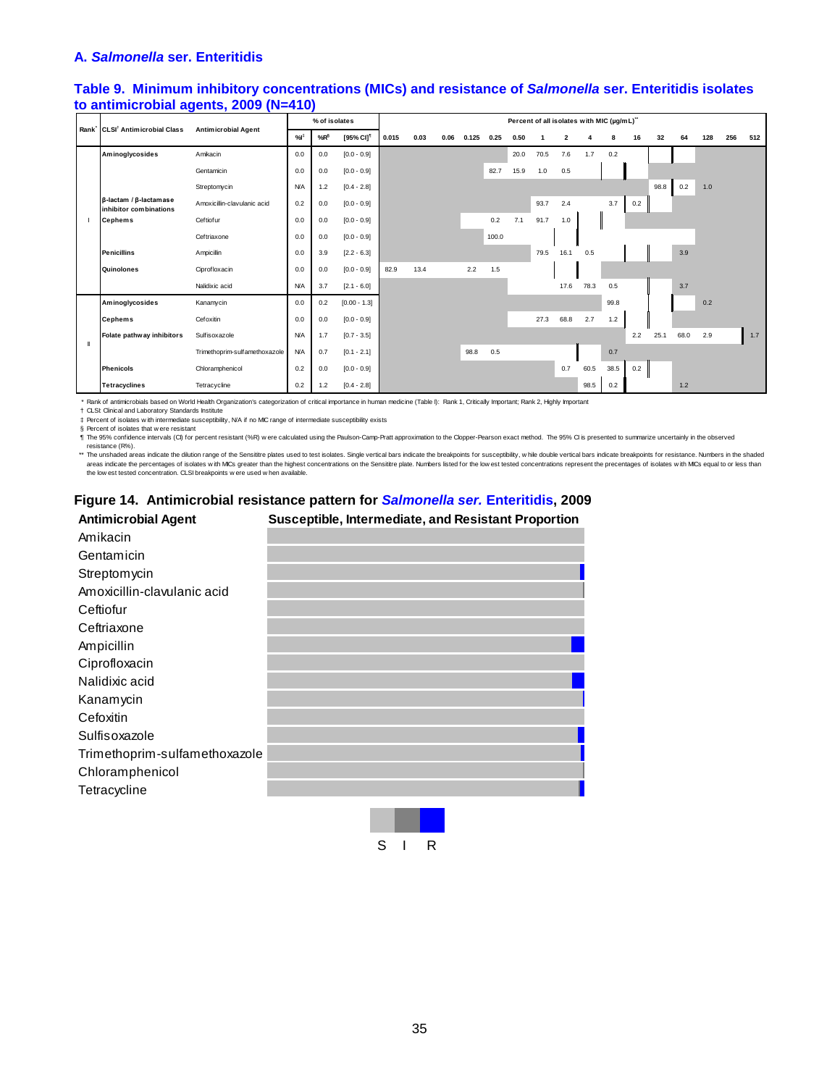#### <span id="page-34-0"></span>**A.** *Salmonella* **ser. Enteritidis**

#### <span id="page-34-1"></span>**Table 9. Minimum inhibitory concentrations (MICs) and resistance of** *Salmonella* **ser. Enteritidis isolates to antimicrobial agents, 2009 (N=410)**

|   | Rank CLSI <sup>†</sup> Antimicrobial Class                       | <b>Antimicrobial Agent</b>    |            | % of isolates |                       | Percent of all isolates with MIC (µg/mL)" |      |      |       |       |      |      |                         |      |      |     |      |       |     |     |     |
|---|------------------------------------------------------------------|-------------------------------|------------|---------------|-----------------------|-------------------------------------------|------|------|-------|-------|------|------|-------------------------|------|------|-----|------|-------|-----|-----|-----|
|   |                                                                  |                               | %          | $%R^{\S}$     | [95% CI] <sup>1</sup> | 0.015                                     | 0.03 | 0.06 | 0.125 | 0.25  | 0.50 | 1    | $\overline{\mathbf{2}}$ |      | 8    | 16  | 32   | 64    | 128 | 256 | 512 |
|   | Aminoglycosides                                                  | Amikacin                      | 0.0        | 0.0           | $[0.0 - 0.9]$         |                                           |      |      |       |       | 20.0 | 70.5 | 7.6                     | 1.7  | 0.2  |     |      |       |     |     |     |
|   |                                                                  | Gentamicin                    | 0.0        | 0.0           | $[0.0 - 0.9]$         |                                           |      |      |       | 82.7  | 15.9 | 1.0  | 0.5                     |      |      |     |      |       |     |     |     |
|   |                                                                  | Streptomycin                  | <b>N/A</b> | 1.2           | $[0.4 - 2.8]$         |                                           |      |      |       |       |      |      |                         |      |      |     | 98.8 | 0.2   | 1.0 |     |     |
|   | $\beta$ -lactam / $\beta$ -lactam as e<br>inhibitor combinations | Amoxicillin-clavulanic acid   | 0.2        | 0.0           | $[0.0 - 0.9]$         |                                           |      |      |       |       |      | 93.7 | 2.4                     |      | 3.7  | 0.2 |      |       |     |     |     |
|   | <b>Cephems</b>                                                   | Ceftiofur                     | 0.0        | 0.0           | $[0.0 - 0.9]$         |                                           |      |      |       | 0.2   | 7.1  | 91.7 | 1.0                     |      |      |     |      |       |     |     |     |
|   |                                                                  | Ceftriaxone                   | 0.0        | 0.0           | $[0.0 - 0.9]$         |                                           |      |      |       | 100.0 |      |      |                         |      |      |     |      |       |     |     |     |
|   | <b>Penicillins</b>                                               | Ampicillin                    | 0.0        | 3.9           | $[2.2 - 6.3]$         |                                           |      |      |       |       |      | 79.5 | 16.1                    | 0.5  |      |     |      | 3.9   |     |     |     |
|   | Quinolones                                                       | Ciprofloxacin                 | 0.0        | 0.0           | $[0.0 - 0.9]$         | 82.9                                      | 13.4 |      | 2.2   | 1.5   |      |      |                         |      |      |     |      |       |     |     |     |
|   |                                                                  | Nalidixic acid                | <b>N/A</b> | 3.7           | $[2.1 - 6.0]$         |                                           |      |      |       |       |      |      | 17.6                    | 78.3 | 0.5  |     |      | 3.7   |     |     |     |
|   | Aminoglycosides                                                  | Kanamycin                     | 0.0        | 0.2           | $[0.00 - 1.3]$        |                                           |      |      |       |       |      |      |                         |      | 99.8 |     |      |       | 0.2 |     |     |
|   | <b>Cephems</b>                                                   | Cefoxitin                     | 0.0        | 0.0           | $[0.0 - 0.9]$         |                                           |      |      |       |       |      | 27.3 | 68.8                    | 2.7  | 1.2  |     |      |       |     |     |     |
| Ш | Folate pathway inhibitors                                        | Sulfisoxazole                 | <b>N/A</b> | 1.7           | $[0.7 - 3.5]$         |                                           |      |      |       |       |      |      |                         |      |      | 2.2 | 25.1 | 68.0  | 2.9 |     | 1.7 |
|   |                                                                  | Trimethoprim-sulfamethoxazole | <b>N/A</b> | 0.7           | $[0.1 - 2.1]$         |                                           |      |      | 98.8  | 0.5   |      |      |                         |      | 0.7  |     |      |       |     |     |     |
|   | <b>Phenicols</b>                                                 | Chloramphenicol               | 0.2        | 0.0           | $[0.0 - 0.9]$         |                                           |      |      |       |       |      |      | 0.7                     | 60.5 | 38.5 | 0.2 |      |       |     |     |     |
|   | <b>Tetracyclines</b>                                             | Tetracycline                  | $0.2\,$    | 1.2           | $[0.4 - 2.8]$         |                                           |      |      |       |       |      |      |                         | 98.5 | 0.2  |     |      | $1.2$ |     |     |     |

\* Rank of antimicrobials based on World Health Organization's categorization of critical importance in human medicine (Table I): Rank 1, Critically Important; Rank 2, Highly Important

† ‡ § CLSI: Clinical and Laboratory Standards Institute<br>Percent of isolates w ith intermediate susceptibility, N/A if no MIC range of intermediate susceptibility exists<br>Percent of isolates that w ere resistant

¶ The 95% confidence intervals (CI) for percent resistant (%R) w ere calculated using the Paulson-Camp-Pratt approximation to the Clopper-Pearson exact method. The 95% CI is presented to summarize uncertainly in the observed resistance (R%).

\*\* The unshaded areas indicate the dilution range of the Sensittre plates used to test isolates. Single vertical bars indicate the breakpoints for susceptibility, while double vertical bars indicate the relaxonics for resi

# <span id="page-34-2"></span>**Figure 14. Antimicrobial resistance pattern for** *Salmonella ser.* **Enteritidis, 2009**

| <b>Antimicrobial Agent</b>    | Susceptible, Intermediate, and Resistant Proportion |
|-------------------------------|-----------------------------------------------------|
| Amikacin                      |                                                     |
| Gentamicin                    |                                                     |
| Streptomycin                  |                                                     |
| Amoxicillin-clavulanic acid   |                                                     |
| Ceftiofur                     |                                                     |
| Ceftriaxone                   |                                                     |
| Ampicillin                    |                                                     |
| Ciprofloxacin                 |                                                     |
| Nalidixic acid                |                                                     |
| Kanamycin                     |                                                     |
| Cefoxitin                     |                                                     |
| Sulfisoxazole                 |                                                     |
| Trimethoprim-sulfamethoxazole |                                                     |
| Chloramphenicol               |                                                     |
| Tetracycline                  |                                                     |
|                               |                                                     |

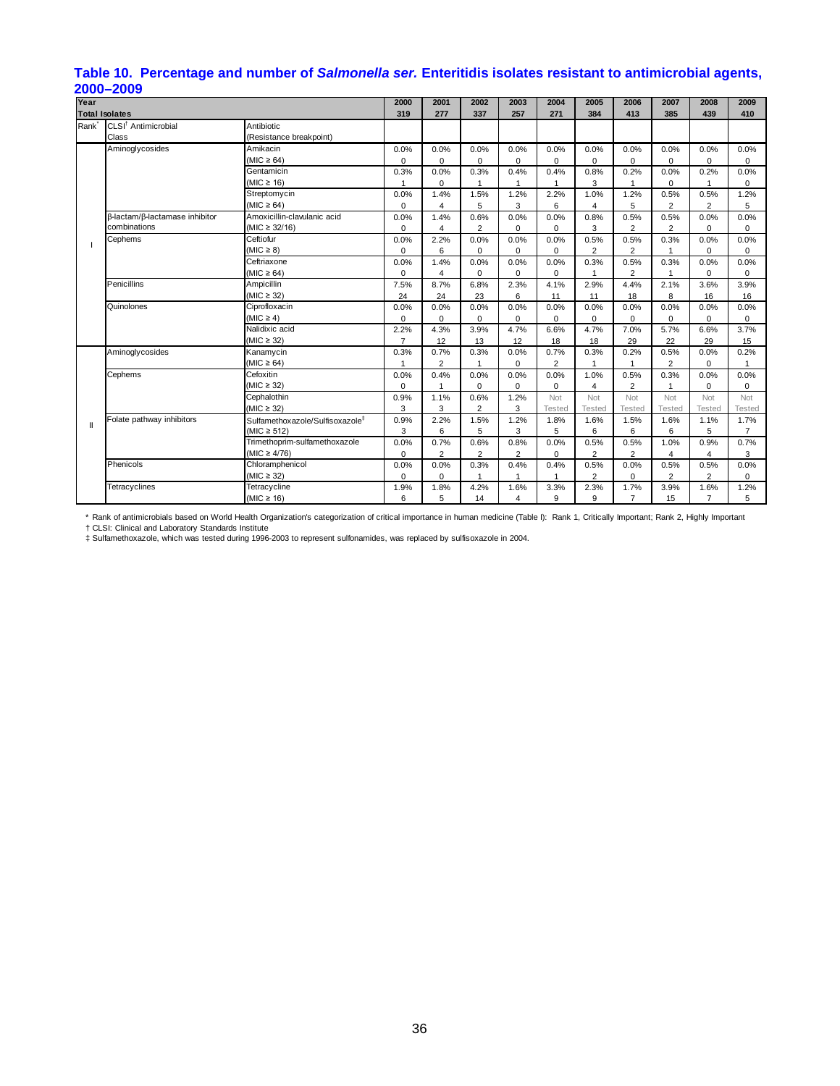#### <span id="page-35-0"></span>**Table 10. Percentage and number of** *Salmonella ser.* **Enteritidis isolates resistant to antimicrobial agents, 2000–2009**

| Year                  |                                 |                                             | 2000           | 2001           | 2002           | 2003           | 2004           | 2005           | 2006           | 2007           | 2008           | 2009           |
|-----------------------|---------------------------------|---------------------------------------------|----------------|----------------|----------------|----------------|----------------|----------------|----------------|----------------|----------------|----------------|
| <b>Total Isolates</b> |                                 |                                             | 319            | 277            | 337            | 257            | 271            | 384            | 413            | 385            | 439            | 410            |
| Rank <sup>-</sup>     | CLSI <sup>†</sup> Antimicrobial | Antibiotic                                  |                |                |                |                |                |                |                |                |                |                |
|                       | Class                           | (Resistance breakpoint)                     |                |                |                |                |                |                |                |                |                |                |
|                       | Aminoglycosides                 | Amikacin                                    | 0.0%           | 0.0%           | 0.0%           | 0.0%           | 0.0%           | 0.0%           | 0.0%           | 0.0%           | 0.0%           | 0.0%           |
|                       |                                 | $(MIC \ge 64)$                              | $\Omega$       | $\Omega$       | $\Omega$       | $\Omega$       | $\Omega$       | $\mathbf 0$    | $\Omega$       | 0              | $\Omega$       | $\Omega$       |
|                       |                                 | Gentamicin                                  | 0.3%           | 0.0%           | 0.3%           | 0.4%           | 0.4%           | 0.8%           | 0.2%           | 0.0%           | 0.2%           | 0.0%           |
|                       |                                 | $(MIC \ge 16)$                              |                | 0              | $\overline{1}$ |                | $\mathbf{1}$   | 3              | 1              | 0              | $\mathbf{1}$   | 0              |
|                       |                                 | Streptomycin                                | 0.0%           | 1.4%           | 1.5%           | 1.2%           | 2.2%           | 1.0%           | 1.2%           | 0.5%           | 0.5%           | 1.2%           |
|                       |                                 | (MIC $\geq 64$ )                            | 0              | 4              | 5              | 3              | 6              | $\overline{4}$ | 5              | $\overline{2}$ | $\overline{2}$ | 5              |
|                       | β-lactam/β-lactamase inhibitor  | Amoxicillin-clavulanic acid                 | 0.0%           | 1.4%           | 0.6%           | 0.0%           | 0.0%           | 0.8%           | 0.5%           | 0.5%           | 0.0%           | 0.0%           |
|                       | combinations                    | (MIC $\geq$ 32/16)                          | 0              | 4              | 2              | 0              | 0              | 3              | $\overline{2}$ | 2              | 0              | 0              |
|                       | Cephems                         | Ceftiofur                                   | 0.0%           | 2.2%           | 0.0%           | 0.0%           | 0.0%           | 0.5%           | 0.5%           | 0.3%           | 0.0%           | 0.0%           |
|                       |                                 | $(MIC \geq 8)$                              | $\mathbf 0$    | 6              | $\Omega$       | $\Omega$       | 0              | 2              | $\overline{2}$ | 1              | 0              | $\mathbf 0$    |
|                       |                                 | Ceftriaxone                                 | 0.0%           | 1.4%           | 0.0%           | 0.0%           | 0.0%           | 0.3%           | 0.5%           | 0.3%           | 0.0%           | 0.0%           |
|                       |                                 | $(MIC \ge 64)$                              | $\mathbf 0$    | 4              | $\mathbf 0$    | $\Omega$       | 0              | $\mathbf{1}$   | $\overline{2}$ | $\mathbf 1$    | 0              | $\mathbf 0$    |
|                       | Penicillins                     | <b>Ampicillin</b>                           | 7.5%           | 8.7%           | 6.8%           | 2.3%           | 4.1%           | 2.9%           | 4.4%           | 2.1%           | 3.6%           | 3.9%           |
|                       |                                 | $(MIC \geq 32)$                             | 24             | 24             | 23             | 6              | 11             | 11             | 18             | 8              | 16             | 16             |
|                       | Quinolones                      | Ciprofloxacin                               | 0.0%           | 0.0%           | 0.0%           | 0.0%           | 0.0%           | 0.0%           | 0.0%           | 0.0%           | 0.0%           | 0.0%           |
|                       |                                 | $(MIC \geq 4)$                              | $\mathbf 0$    | $\Omega$       | $\mathbf 0$    | 0              | $\Omega$       | $\mathbf 0$    | $\mathbf 0$    | $\mathbf 0$    | 0              | 0              |
|                       |                                 | Nalidixic acid                              | 2.2%           | 4.3%           | 3.9%           | 4.7%           | 6.6%           | 4.7%           | 7.0%           | 5.7%           | 6.6%           | 3.7%           |
|                       |                                 | $(MIC \geq 32)$                             | $\overline{7}$ | 12             | 13             | 12             | 18             | 18             | 29             | 22             | 29             | 15             |
|                       | Aminoglycosides                 | Kanamycin                                   | 0.3%           | 0.7%           | 0.3%           | 0.0%           | 0.7%           | 0.3%           | 0.2%           | 0.5%           | 0.0%           | 0.2%           |
|                       |                                 | (MIC $\geq 64$ )                            |                | $\overline{2}$ |                | $\mathbf 0$    | $\overline{2}$ | $\mathbf{1}$   | 1              | $\overline{2}$ | 0              |                |
|                       | Cephems                         | Cefoxitin                                   | 0.0%           | 0.4%           | 0.0%           | 0.0%           | 0.0%           | 1.0%           | 0.5%           | 0.3%           | 0.0%           | 0.0%           |
|                       |                                 | (MIC $\geq$ 32)                             | 0              | $\overline{1}$ | $\Omega$       | $\Omega$       | $\mathbf 0$    | $\overline{4}$ | $\overline{2}$ | 1              | $\Omega$       | $\Omega$       |
|                       |                                 | Cephalothin                                 | 0.9%           | 1.1%           | 0.6%           | 1.2%           | Not            | Not            | Not            | Not            | Not            | Not            |
|                       |                                 | (MIC $\geq$ 32)                             | 3              | 3              | $\overline{2}$ | 3              | Tested         | <b>Tested</b>  | <b>Tested</b>  | <b>Tested</b>  | <b>Tested</b>  | <b>Tested</b>  |
| $\mathsf{I}$          | Folate pathway inhibitors       | Sulfamethoxazole/Sulfisoxazole <sup>#</sup> | 0.9%           | 2.2%           | 1.5%           | 1.2%           | 1.8%           | 1.6%           | 1.5%           | 1.6%           | 1.1%           | 1.7%           |
|                       |                                 | (MIC $\geq$ 512)                            | 3              | 6              | 5              | 3              | 5              | 6              | 6              | 6              | 5              | $\overline{7}$ |
|                       |                                 | Trimethoprim-sulfamethoxazole               | 0.0%           | 0.7%           | 0.6%           | 0.8%           | 0.0%           | 0.5%           | 0.5%           | 1.0%           | 0.9%           | 0.7%           |
|                       |                                 | (MIC $\geq 4/76$ )                          | $\mathbf 0$    | $\overline{2}$ | $\overline{2}$ | 2              | 0              | $\overline{2}$ | 2              | $\overline{4}$ | $\overline{4}$ | 3              |
|                       | Phenicols                       | Chloramphenicol                             | 0.0%           | 0.0%           | 0.3%           | 0.4%           | 0.4%           | 0.5%           | 0.0%           | 0.5%           | 0.5%           | 0.0%           |
|                       |                                 | $(MIC \geq 32)$                             | $\mathbf 0$    | 0              | $\mathbf{1}$   | $\overline{1}$ | 1              | $\overline{2}$ | $\mathbf 0$    | $\overline{2}$ | $\overline{2}$ | 0              |
|                       | Tetracyclines                   | Tetracycline                                | 1.9%           | 1.8%           | 4.2%           | 1.6%           | 3.3%           | 2.3%           | 1.7%           | 3.9%           | 1.6%           | 1.2%           |
|                       |                                 | (MIC $\geq$ 16)                             | 6              | 5              | 14             | 4              | 9              | 9              | $\overline{7}$ | 15             | $\overline{7}$ | 5              |

\* Rank of antimicrobials based on World Health Organization's categorization of critical importance in human medicine (Table I): Rank 1, Critically Important; Rank 2, Highly Important

† CLSI: Clinical and Laboratory Standards Institute

‡ Sulfamethoxazole, which was tested during 1996-2003 to represent sulfonamides, was replaced by sulfisoxazole in 2004.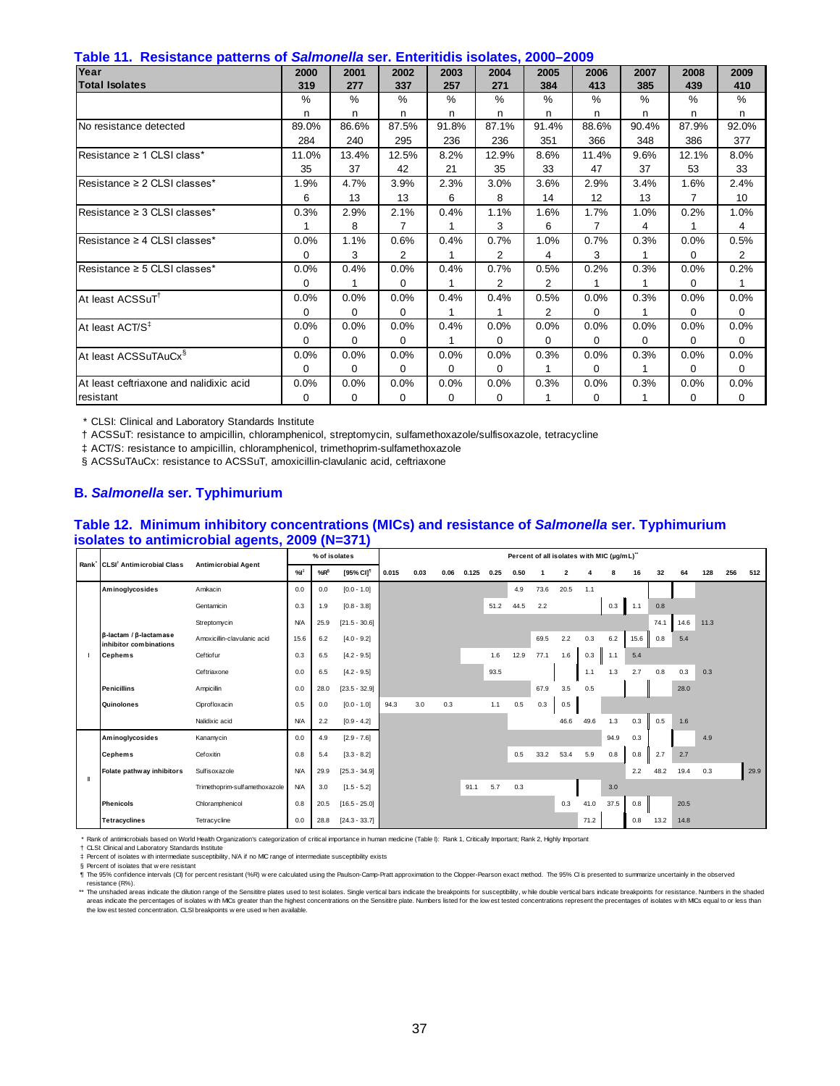| Year                                    | 2000     | 2001    | 2002     | 2003     | 2004     | 2005           | 2006     | 2007     | 2008     | 2009     |
|-----------------------------------------|----------|---------|----------|----------|----------|----------------|----------|----------|----------|----------|
| <b>Total Isolates</b>                   | 319      | 277     | 337      | 257      | 271      | 384            | 413      | 385      | 439      | 410      |
|                                         | $\%$     | %       | %        | $\%$     | %        | %              | %        | $\%$     | $\%$     | %        |
|                                         | n        | n       | n        | n        | n        | n              | n        | n        | n        | n        |
| No resistance detected                  | 89.0%    | 86.6%   | 87.5%    | 91.8%    | 87.1%    | 91.4%          | 88.6%    | 90.4%    | 87.9%    | 92.0%    |
|                                         | 284      | 240     | 295      | 236      | 236      | 351            | 366      | 348      | 386      | 377      |
| lResistance ≥ 1 CLSI class*             | 11.0%    | 13.4%   | 12.5%    | 8.2%     | 12.9%    | 8.6%           | 11.4%    | 9.6%     | 12.1%    | 8.0%     |
|                                         | 35       | 37      | 42       | 21       | 35       | 33             | 47       | 37       | 53       | 33       |
| Resistance ≥ 2 CLSI classes*            | 1.9%     | 4.7%    | 3.9%     | 2.3%     | 3.0%     | 3.6%           | 2.9%     | 3.4%     | 1.6%     | 2.4%     |
|                                         | 6        | 13      | 13       | 6        | 8        | 14             | 12       | 13       | 7        | 10       |
| Resistance ≥ 3 CLSI classes*            | 0.3%     | 2.9%    | 2.1%     | 0.4%     | 1.1%     | 1.6%           | 1.7%     | 1.0%     | 0.2%     | 1.0%     |
|                                         |          | 8       | 7        | 1        | 3        | 6              | 7        | 4        |          | 4        |
| Resistance ≥ 4 CLSI classes*            | 0.0%     | 1.1%    | 0.6%     | 0.4%     | 0.7%     | 1.0%           | 0.7%     | 0.3%     | 0.0%     | 0.5%     |
|                                         | 0        | 3       | 2        | 1        | 2        | 4              | 3        |          | $\Omega$ | 2        |
| Resistance ≥ 5 CLSI classes*            | 0.0%     | 0.4%    | 0.0%     | 0.4%     | 0.7%     | 0.5%           | 0.2%     | 0.3%     | 0.0%     | 0.2%     |
|                                         | $\Omega$ | 1       | 0        |          | 2        | 2              | 1        |          | $\Omega$ |          |
| At least ACSSuT <sup>1</sup>            | 0.0%     | 0.0%    | 0.0%     | 0.4%     | 0.4%     | 0.5%           | 0.0%     | 0.3%     | 0.0%     | 0.0%     |
|                                         | $\Omega$ | 0       | 0        | 1        | 1        | $\overline{2}$ | 0        | 1        | $\Omega$ | 0        |
| At least ACT/S <sup>‡</sup>             | 0.0%     | 0.0%    | 0.0%     | 0.4%     | 0.0%     | 0.0%           | 0.0%     | 0.0%     | 0.0%     | 0.0%     |
|                                         | 0        | 0       | $\Omega$ | 1        | 0        | 0              | $\Omega$ | $\Omega$ | 0        | $\Omega$ |
| At least ACSSuTAuCx <sup>§</sup>        | 0.0%     | 0.0%    | 0.0%     | 0.0%     | 0.0%     | 0.3%           | 0.0%     | 0.3%     | 0.0%     | 0.0%     |
|                                         | $\Omega$ | 0       | $\Omega$ | $\Omega$ | $\Omega$ | 1              | $\Omega$ | 1        | 0        | $\Omega$ |
| At least ceftriaxone and nalidixic acid | 0.0%     | $0.0\%$ | 0.0%     | 0.0%     | 0.0%     | 0.3%           | 0.0%     | 0.3%     | 0.0%     | 0.0%     |
| resistant                               | 0        | 0       | 0        | 0        | 0        |                | 0        |          | $\Omega$ | 0        |

† ACSSuT: resistance to ampicillin, chloramphenicol, streptomycin, sulfamethoxazole/sulfisoxazole, tetracycline

‡ ACT/S: resistance to ampicillin, chloramphenicol, trimethoprim-sulfamethoxazole

§ ACSSuTAuCx: resistance to ACSSuT, amoxicillin-clavulanic acid, ceftriaxone

#### **B.** *Salmonella* **ser. Typhimurium**

#### **Table 12. Minimum inhibitory concentrations (MICs) and resistance of** *Salmonella* **ser. Typhimurium isolates to antimicrobial agents, 2009 (N=371)**

|   |                                                  | - 1                           |            | % of isolates |                       |       |      |      |       |      | Percent of all isolates with MIC (µg/mL)" |      |                         |      |      |      |      |      |      |     |      |
|---|--------------------------------------------------|-------------------------------|------------|---------------|-----------------------|-------|------|------|-------|------|-------------------------------------------|------|-------------------------|------|------|------|------|------|------|-----|------|
|   | Rank CLSI <sup>†</sup> Antimicrobial Class       | <b>Antimicrobial Agent</b>    | %          | $%R^6$        | [95% CI] <sup>1</sup> | 0.015 | 0.03 | 0.06 | 0.125 | 0.25 | 0.50                                      |      | $\overline{\mathbf{2}}$ |      | 8    | 16   | 32   | 64   | 128  | 256 | 512  |
|   | Aminoglycosides                                  | Amikacin                      | 0.0        | 0.0           | $[0.0 - 1.0]$         |       |      |      |       |      | 4.9                                       | 73.6 | 20.5                    | 1.1  |      |      |      |      |      |     |      |
|   |                                                  | Gentamicin                    | 0.3        | 1.9           | $[0.8 - 3.8]$         |       |      |      |       | 51.2 | 44.5                                      | 2.2  |                         |      | 0.3  | 1.1  | 0.8  |      |      |     |      |
|   |                                                  | Streptomycin                  | <b>N/A</b> | 25.9          | $[21.5 - 30.6]$       |       |      |      |       |      |                                           |      |                         |      |      |      | 74.1 | 14.6 | 11.3 |     |      |
|   | β-lactam / β-lactamase<br>inhibitor combinations | Amoxicillin-clavulanic acid   | 15.6       | 6.2           | $[4.0 - 9.2]$         |       |      |      |       |      |                                           | 69.5 | 2.2                     | 0.3  | 6.2  | 15.6 | 0.8  | 5.4  |      |     |      |
|   | <b>Cephems</b>                                   | Ceftiofur                     | 0.3        | 6.5           | $[4.2 - 9.5]$         |       |      |      |       | 1.6  | 12.9                                      | 77.1 | 1.6                     | 0.3  | 1.1  | 5.4  |      |      |      |     |      |
|   |                                                  | Ceftriaxone                   | 0.0        | 6.5           | $[4.2 - 9.5]$         |       |      |      |       | 93.5 |                                           |      |                         | 1.1  | 1.3  | 2.7  | 0.8  | 0.3  | 0.3  |     |      |
|   | <b>Penicillins</b>                               | Ampicillin                    | 0.0        | 28.0          | $[23.5 - 32.9]$       |       |      |      |       |      |                                           | 67.9 | 3.5                     | 0.5  |      |      |      | 28.0 |      |     |      |
|   | Quinolones                                       | Ciprofloxacin                 | 0.5        | 0.0           | $[0.0 - 1.0]$         | 94.3  | 3.0  | 0.3  |       | 1.1  | 0.5                                       | 0.3  | 0.5                     |      |      |      |      |      |      |     |      |
|   |                                                  | Nalidixic acid                | <b>N/A</b> | 2.2           | $[0.9 - 4.2]$         |       |      |      |       |      |                                           |      | 46.6                    | 49.6 | 1.3  | 0.3  | 0.5  | 1.6  |      |     |      |
|   | Aminoglycosides                                  | Kanamycin                     | 0.0        | 4.9           | $[2.9 - 7.6]$         |       |      |      |       |      |                                           |      |                         |      | 94.9 | 0.3  |      |      | 4.9  |     |      |
|   | <b>Cephems</b>                                   | Cefoxitin                     | 0.8        | 5.4           | $[3.3 - 8.2]$         |       |      |      |       |      | 0.5                                       | 33.2 | 53.4                    | 5.9  | 0.8  | 0.8  | 2.7  | 2.7  |      |     |      |
| Ш | Folate pathway inhibitors                        | Sulfisoxazole                 | <b>N/A</b> | 29.9          | $[25.3 - 34.9]$       |       |      |      |       |      |                                           |      |                         |      |      | 2.2  | 48.2 | 19.4 | 0.3  |     | 29.9 |
|   |                                                  | Trimethoprim-sulfamethoxazole | <b>N/A</b> | 3.0           | $[1.5 - 5.2]$         |       |      |      | 91.1  | 5.7  | 0.3                                       |      |                         |      | 3.0  |      |      |      |      |     |      |
|   | <b>Phenicols</b>                                 | Chloramphenicol               | 0.8        | 20.5          | $[16.5 - 25.0]$       |       |      |      |       |      |                                           |      | 0.3                     | 41.0 | 37.5 | 0.8  |      | 20.5 |      |     |      |
|   | <b>Tetracyclines</b>                             | Tetracycline                  | 0.0        | 28.8          | $[24.3 - 33.7]$       |       |      |      |       |      |                                           |      |                         | 71.2 |      | 0.8  | 13.2 | 14.8 |      |     |      |

\* Rank of antimicrobials based on World Health Organization's categorization of critical importance in human medicine (Table I): Rank 1, Critically Important; Rank 2, Highly Important

† CLSI: Clinical and Laboratory Standards Institute

‡ § Percent of isolates w ith intermediate susceptibility, N/A if no MIC range of intermediate susceptibility exists Percent of isolates that w ere resistant

¶ The 95% confidence intervals (CI) for percent resistant (%R) were calculated using the Paulson-Camp-Pratt approximation to the Clopper-Pearson exact method. The 95% CI is presented to summarize uncertainly in the observe

\*\* The unshaded areas indicate the dilution range of the Sensittre plates used to test isolates. Single vertical bars indicate the breakpoints for susceptibility, while double vertical bars indicate the relaxonics for resi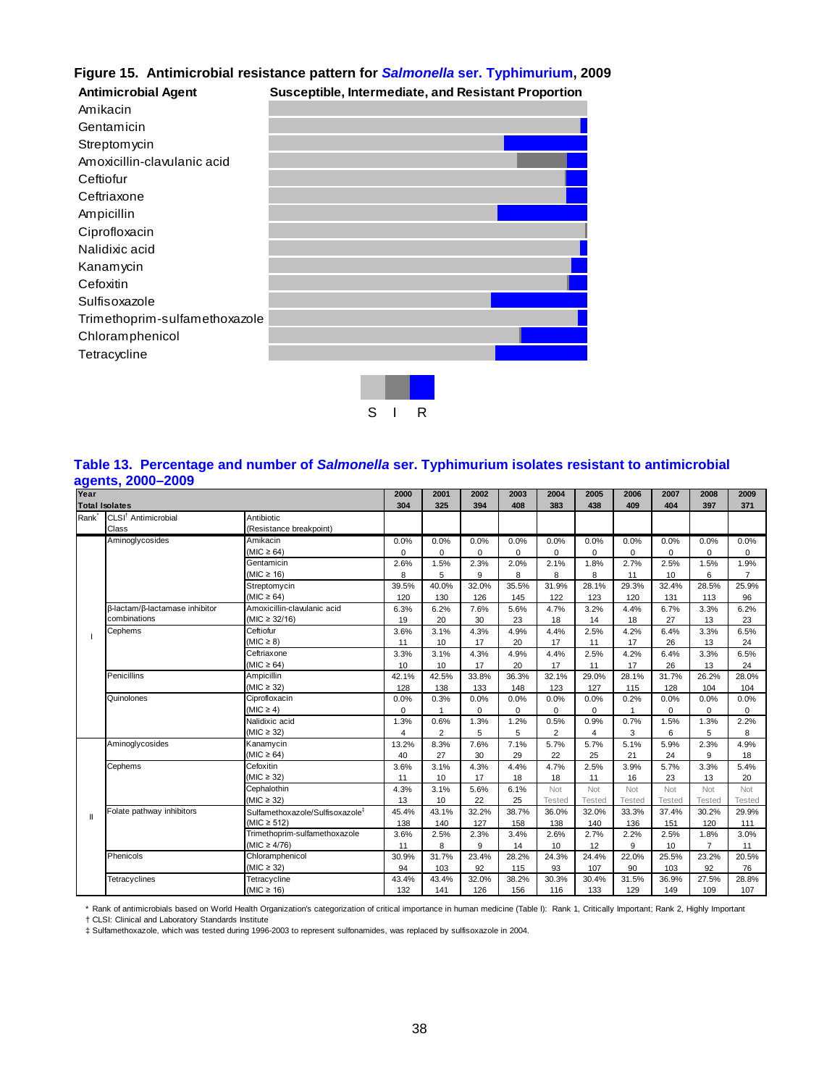# **Figure 15. Antimicrobial resistance pattern for** *Salmonella* **ser. Typhimurium, 2009**

| <b>Antimicrobial Agent</b>    | Susceptible, Intermediate, and Resistant Proportion |
|-------------------------------|-----------------------------------------------------|
| Amikacin                      |                                                     |
| Gentamicin                    |                                                     |
| Streptomycin                  |                                                     |
| Amoxicillin-clavulanic acid   |                                                     |
| Ceftiofur                     |                                                     |
| Ceftriaxone                   |                                                     |
| Ampicillin                    |                                                     |
| Ciprofloxacin                 |                                                     |
| Nalidixic acid                |                                                     |
| Kanamycin                     |                                                     |
| Cefoxitin                     |                                                     |
| Sulfisoxazole                 |                                                     |
| Trimethoprim-sulfamethoxazole |                                                     |
| Chloramphenicol               |                                                     |
| Tetracycline                  |                                                     |
|                               |                                                     |
|                               |                                                     |
|                               | S<br>R                                              |

## **Table 13. Percentage and number of** *Salmonella* **ser. Typhimurium isolates resistant to antimicrobial agents, 2000–2009**

| Year              |                                 |                                             | 2000           | 2001           | 2002     | 2003        | 2004           | 2005           | 2006          | 2007        | 2008           | 2009           |
|-------------------|---------------------------------|---------------------------------------------|----------------|----------------|----------|-------------|----------------|----------------|---------------|-------------|----------------|----------------|
|                   | <b>Total Isolates</b>           |                                             | 304            | 325            | 394      | 408         | 383            | 438            | 409           | 404         | 397            | 371            |
| Rank <sup>*</sup> | CLSI <sup>†</sup> Antimicrobial | Antibiotic                                  |                |                |          |             |                |                |               |             |                |                |
|                   | Class                           | (Resistance breakpoint)                     |                |                |          |             |                |                |               |             |                |                |
|                   | Aminoglycosides                 | Amikacin                                    | 0.0%           | 0.0%           | 0.0%     | 0.0%        | 0.0%           | 0.0%           | 0.0%          | 0.0%        | 0.0%           | 0.0%           |
|                   |                                 | $(MIC \ge 64)$                              | $\Omega$       | $\mathbf 0$    | 0        | 0           | 0              | 0              | 0             | $\mathbf 0$ | $\mathbf 0$    | 0              |
|                   |                                 | Gentamicin                                  | 2.6%           | 1.5%           | 2.3%     | 2.0%        | 2.1%           | 1.8%           | 2.7%          | 2.5%        | 1.5%           | 1.9%           |
|                   |                                 | (MIC $\geq$ 16)                             | 8              | 5              | 9        | 8           | 8              | 8              | 11            | 10          | 6              | $\overline{7}$ |
|                   |                                 | Streptomycin                                | 39.5%          | 40.0%          | 32.0%    | 35.5%       | 31.9%          | 28.1%          | 29.3%         | 32.4%       | 28.5%          | 25.9%          |
|                   |                                 | $(MIC \ge 64)$                              | 120            | 130            | 126      | 145         | 122            | 123            | 120           | 131         | 113            | 96             |
|                   | β-lactam/β-lactamase inhibitor  | Amoxicillin-clavulanic acid                 | 6.3%           | 6.2%           | 7.6%     | 5.6%        | 4.7%           | 3.2%           | 4.4%          | 6.7%        | 3.3%           | 6.2%           |
|                   | combinations                    | $(MIC \ge 32/16)$                           | 19             | 20             | 30       | 23          | 18             | 14             | 18            | 27          | 13             | 23             |
|                   | Cephems                         | Ceftiofur                                   | 3.6%           | 3.1%           | 4.3%     | 4.9%        | 4.4%           | 2.5%           | 4.2%          | 6.4%        | 3.3%           | 6.5%           |
|                   |                                 | $(MIC \geq 8)$                              | 11             | 10             | 17       | 20          | 17             | 11             | 17            | 26          | 13             | 24             |
|                   |                                 | Ceftriaxone                                 | 3.3%           | 3.1%           | 4.3%     | 4.9%        | 4.4%           | 2.5%           | 4.2%          | 6.4%        | 3.3%           | 6.5%           |
|                   |                                 | (MIC $\geq$ 64)                             | 10             | 10             | 17       | 20          | 17             | 11             | 17            | 26          | 13             | 24             |
|                   | Penicillins                     | Ampicillin                                  | 42.1%          | 42.5%          | 33.8%    | 36.3%       | 32.1%          | 29.0%          | 28.1%         | 31.7%       | 26.2%          | 28.0%          |
|                   |                                 | (MIC $\geq$ 32)                             | 128            | 138            | 133      | 148         | 123            | 127            | 115           | 128         | 104            | 104            |
|                   | Quinolones                      | Ciprofloxacin                               | 0.0%           | 0.3%           | 0.0%     | 0.0%        | 0.0%           | 0.0%           | 0.2%          | 0.0%        | 0.0%           | 0.0%           |
|                   |                                 | $(MIC \geq 4)$                              | $\mathbf 0$    | $\mathbf{1}$   | $\Omega$ | $\mathbf 0$ | 0              | 0              | $\mathbf{1}$  | 0           | 0              | $\mathbf 0$    |
|                   |                                 | Nalidixic acid                              | 1.3%           | 0.6%           | 1.3%     | 1.2%        | 0.5%           | 0.9%           | 0.7%          | 1.5%        | 1.3%           | 2.2%           |
|                   |                                 | (MIC $\geq$ 32)                             | $\overline{4}$ | $\overline{2}$ | 5        | 5           | $\overline{2}$ | $\overline{4}$ | 3             | 6           | 5              | 8              |
|                   | Aminoglycosides                 | Kanamycin                                   | 13.2%          | 8.3%           | 7.6%     | 7.1%        | 5.7%           | 5.7%           | 5.1%          | 5.9%        | 2.3%           | 4.9%           |
|                   |                                 | $(MIC \ge 64)$                              | 40             | 27             | 30       | 29          | 22             | 25             | 21            | 24          | 9              | 18             |
|                   | Cephems                         | Cefoxitin                                   | 3.6%           | 3.1%           | 4.3%     | 4.4%        | 4.7%           | 2.5%           | 3.9%          | 5.7%        | 3.3%           | 5.4%           |
|                   |                                 | $(MIC \geq 32)$                             | 11             | 10             | 17       | 18          | 18             | 11             | 16            | 23          | 13             | 20             |
|                   |                                 | Cephalothin                                 | 4.3%           | 3.1%           | 5.6%     | 6.1%        | Not            | Not            | Not           | Not         | Not            | Not            |
|                   |                                 | (MIC $\geq$ 32)                             | 13             | 10             | 22       | 25          | <b>Tested</b>  | Tested         | <b>Tested</b> | Tested      | <b>Tested</b>  | <b>Tested</b>  |
| $\mathsf{I}$      | Folate pathway inhibitors       | Sulfamethoxazole/Sulfisoxazole <sup>#</sup> | 45.4%          | 43.1%          | 32.2%    | 38.7%       | 36.0%          | 32.0%          | 33.3%         | 37.4%       | 30.2%          | 29.9%          |
|                   |                                 | (MIC $\geq$ 512)                            | 138            | 140            | 127      | 158         | 138            | 140            | 136           | 151         | 120            | 111            |
|                   |                                 | Trimethoprim-sulfamethoxazole               | 3.6%           | 2.5%           | 2.3%     | 3.4%        | 2.6%           | 2.7%           | 2.2%          | 2.5%        | 1.8%           | 3.0%           |
|                   |                                 | (MIC $\geq 4/76$ )                          | 11             | 8              | 9        | 14          | 10             | 12             | 9             | 10          | $\overline{7}$ | 11             |
|                   | Phenicols                       | Chloramphenicol                             | 30.9%          | 31.7%          | 23.4%    | 28.2%       | 24.3%          | 24.4%          | 22.0%         | 25.5%       | 23.2%          | 20.5%          |
|                   |                                 | $(MIC \geq 32)$                             | 94             | 103            | 92       | 115         | 93             | 107            | 90            | 103         | 92             | 76             |
|                   | Tetracyclines                   | Tetracycline                                | 43.4%          | 43.4%          | 32.0%    | 38.2%       | 30.3%          | 30.4%          | 31.5%         | 36.9%       | 27.5%          | 28.8%          |
|                   |                                 | (MIC $\geq$ 16)                             | 132            | 141            | 126      | 156         | 116            | 133            | 129           | 149         | 109            | 107            |

\* Rank of antimicrobials based on World Health Organization's categorization of critical importance in human medicine (Table I): Rank 1, Critically Important; Rank 2, Highly Important

† CLSI: Clinical and Laboratory Standards Institute ‡ Sulfamethoxazole, which was tested during 1996-2003 to represent sulfonamides, was replaced by sulfisoxazole in 2004.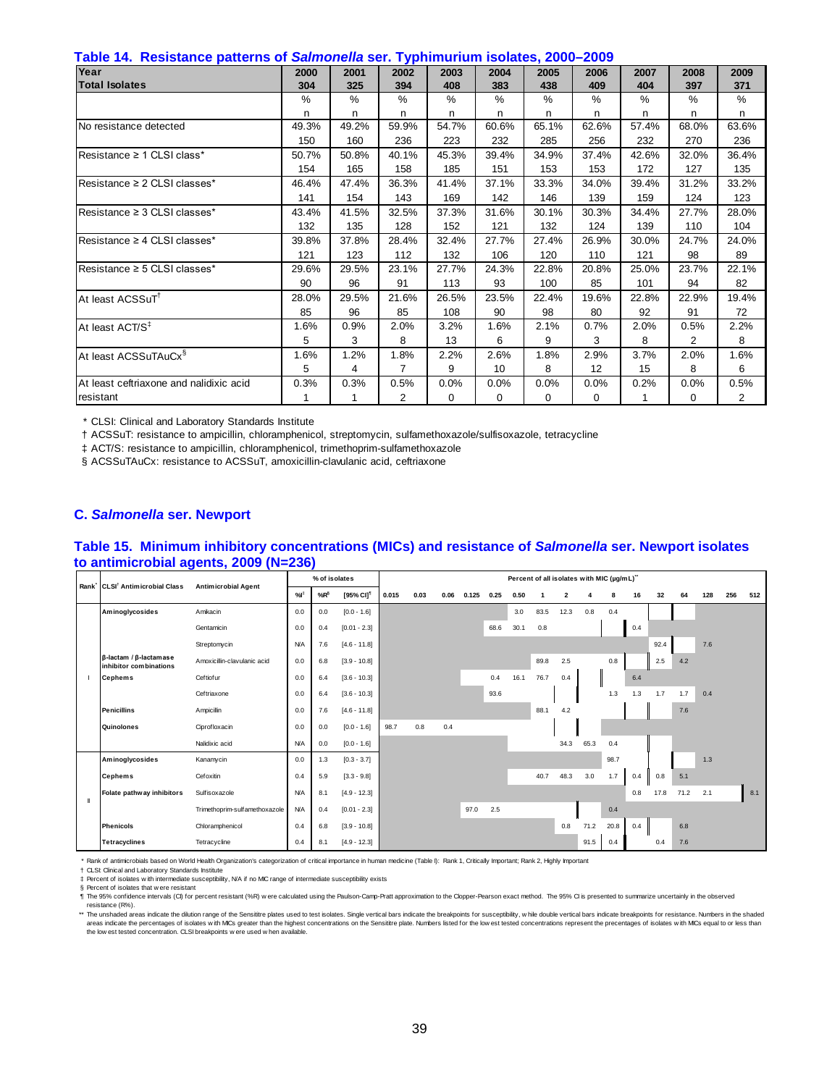| Table 14.  Resistance patterns of <i>Salmonella</i> ser. Typhimurium isolates, 2000–2009 |  |
|------------------------------------------------------------------------------------------|--|
|------------------------------------------------------------------------------------------|--|

| rasto i ili ricolomnoo pattollio oli calliforma colli i ypiilimattalli roomatooj 2000<br>Year | 2000  | 2001  | 2002           | 2003  | 2004  | 2005  | 2006              | 2007  | 2008           | 2009  |
|-----------------------------------------------------------------------------------------------|-------|-------|----------------|-------|-------|-------|-------------------|-------|----------------|-------|
| <b>Total Isolates</b>                                                                         | 304   | 325   | 394            | 408   | 383   | 438   | 409               | 404   | 397            | 371   |
|                                                                                               | $\%$  | %     | %              | $\%$  | $\%$  | $\%$  | $\%$              | $\%$  | $\%$           | $\%$  |
|                                                                                               | n     | n.    | n              | n     | n     | n     | n                 | n     | n              | n     |
| No resistance detected                                                                        | 49.3% | 49.2% | 59.9%          | 54.7% | 60.6% | 65.1% | 62.6%             | 57.4% | 68.0%          | 63.6% |
|                                                                                               | 150   | 160   | 236            | 223   | 232   | 285   | 256               | 232   | 270            | 236   |
| Resistance $\geq 1$ CLSI class*                                                               | 50.7% | 50.8% | 40.1%          | 45.3% | 39.4% | 34.9% | 37.4%             | 42.6% | 32.0%          | 36.4% |
|                                                                                               | 154   | 165   | 158            | 185   | 151   | 153   | 153               | 172   | 127            | 135   |
| Resistance $\geq 2$ CLSI classes*                                                             | 46.4% | 47.4% | 36.3%          | 41.4% | 37.1% | 33.3% | 34.0%             | 39.4% | 31.2%          | 33.2% |
|                                                                                               | 141   | 154   | 143            | 169   | 142   | 146   | 139               | 159   | 124            | 123   |
| Resistance $\geq$ 3 CLSI classes*                                                             | 43.4% | 41.5% | 32.5%          | 37.3% | 31.6% | 30.1% | 30.3%             | 34.4% | 27.7%          | 28.0% |
|                                                                                               | 132   | 135   | 128            | 152   | 121   | 132   | 124               | 139   | 110            | 104   |
| Resistance ≥ 4 CLSI classes*                                                                  | 39.8% | 37.8% | 28.4%          | 32.4% | 27.7% | 27.4% | 26.9%             | 30.0% | 24.7%          | 24.0% |
|                                                                                               | 121   | 123   | 112            | 132   | 106   | 120   | 110               | 121   | 98             | 89    |
| Resistance $\geq$ 5 CLSI classes*                                                             | 29.6% | 29.5% | 23.1%          | 27.7% | 24.3% | 22.8% | 20.8%             | 25.0% | 23.7%          | 22.1% |
|                                                                                               | 90    | 96    | 91             | 113   | 93    | 100   | 85                | 101   | 94             | 82    |
| At least ACSSuT <sup>1</sup>                                                                  | 28.0% | 29.5% | 21.6%          | 26.5% | 23.5% | 22.4% | 19.6%             | 22.8% | 22.9%          | 19.4% |
|                                                                                               | 85    | 96    | 85             | 108   | 90    | 98    | 80                | 92    | 91             | 72    |
| At least ACT/S <sup>‡</sup>                                                                   | 1.6%  | 0.9%  | 2.0%           | 3.2%  | 1.6%  | 2.1%  | 0.7%              | 2.0%  | 0.5%           | 2.2%  |
|                                                                                               | 5     | 3     | 8              | 13    | 6     | 9     | 3                 | 8     | $\overline{2}$ | 8     |
| At least ACSSuTAuCx <sup>§</sup>                                                              | 1.6%  | 1.2%  | 1.8%           | 2.2%  | 2.6%  | 1.8%  | 2.9%              | 3.7%  | 2.0%           | 1.6%  |
|                                                                                               | 5     | 4     | $\overline{7}$ | 9     | 10    | 8     | $12 \overline{ }$ | 15    | 8              | 6     |
| At least ceftriaxone and nalidixic acid                                                       | 0.3%  | 0.3%  | 0.5%           | 0.0%  | 0.0%  | 0.0%  | 0.0%              | 0.2%  | 0.0%           | 0.5%  |
| resistant                                                                                     |       | 1     | 2              | 0     | 0     | 0     | 0                 | 1     | 0              | 2     |

† ACSSuT: resistance to ampicillin, chloramphenicol, streptomycin, sulfamethoxazole/sulfisoxazole, tetracycline

‡ ACT/S: resistance to ampicillin, chloramphenicol, trimethoprim-sulfamethoxazole

§ ACSSuTAuCx: resistance to ACSSuT, amoxicillin-clavulanic acid, ceftriaxone

## **C.** *Salmonella* **ser. Newport**

#### **Table 15. Minimum inhibitory concentrations (MICs) and resistance of** *Salmonella* **ser. Newport isolates to antimicrobial agents, 2009 (N=236)**

| Rank CLSI <sup>†</sup> Antimicrobial Class                       | <b>Antimicrobial Agent</b>    |            | % of isolates   |                       |       |      |      |       |      | Percent of all isolates with MIC (µg/mL)" |      |      |      |      |     |      |         |     |     |     |
|------------------------------------------------------------------|-------------------------------|------------|-----------------|-----------------------|-------|------|------|-------|------|-------------------------------------------|------|------|------|------|-----|------|---------|-----|-----|-----|
|                                                                  |                               | %          | %R <sup>§</sup> | [95% CI] <sup>1</sup> | 0.015 | 0.03 | 0.06 | 0.125 | 0.25 | 0.50                                      |      | 2    | Δ    | 8    | 16  | 32   | 64      | 128 | 256 | 512 |
| Aminoglycosides                                                  | Amikacin                      | 0.0        | 0.0             | $[0.0 - 1.6]$         |       |      |      |       |      | 3.0                                       | 83.5 | 12.3 | 0.8  | 0.4  |     |      |         |     |     |     |
|                                                                  | Gentamicin                    | 0.0        | 0.4             | $[0.01 - 2.3]$        |       |      |      |       | 68.6 | 30.1                                      | 0.8  |      |      |      | 0.4 |      |         |     |     |     |
|                                                                  | Streptomycin                  | <b>N/A</b> | 7.6             | $[4.6 - 11.8]$        |       |      |      |       |      |                                           |      |      |      |      |     | 92.4 |         | 7.6 |     |     |
| $\beta$ -lactam / $\beta$ -lactam as e<br>inhibitor combinations | Amoxicillin-clavulanic acid   | 0.0        | 6.8             | $[3.9 - 10.8]$        |       |      |      |       |      |                                           | 89.8 | 2.5  |      | 0.8  |     | 2.5  | $4.2\,$ |     |     |     |
| <b>Cephems</b>                                                   | Ceftiofur                     | 0.0        | 6.4             | $[3.6 - 10.3]$        |       |      |      |       | 0.4  | 16.1                                      | 76.7 | 0.4  |      |      | 6.4 |      |         |     |     |     |
|                                                                  | Ceftriaxone                   | 0.0        | 6.4             | $[3.6 - 10.3]$        |       |      |      |       | 93.6 |                                           |      |      |      | 1.3  | 1.3 | 1.7  | 1.7     | 0.4 |     |     |
| <b>Penicillins</b>                                               | Ampicillin                    | 0.0        | 7.6             | $[4.6 - 11.8]$        |       |      |      |       |      |                                           | 88.1 | 4.2  |      |      |     |      | 7.6     |     |     |     |
| Quinolones                                                       | Ciprofloxacin                 | 0.0        | 0.0             | $[0.0 - 1.6]$         | 98.7  | 0.8  | 0.4  |       |      |                                           |      |      |      |      |     |      |         |     |     |     |
|                                                                  | Nalidixic acid                | <b>N/A</b> | 0.0             | $[0.0 - 1.6]$         |       |      |      |       |      |                                           |      | 34.3 | 65.3 | 0.4  |     |      |         |     |     |     |
| Aminoglycosides                                                  | Kanamycin                     | 0.0        | 1.3             | $[0.3 - 3.7]$         |       |      |      |       |      |                                           |      |      |      | 98.7 |     |      |         | 1.3 |     |     |
| <b>Cephems</b>                                                   | Cefoxitin                     | 0.4        | 5.9             | $[3.3 - 9.8]$         |       |      |      |       |      |                                           | 40.7 | 48.3 | 3.0  | 1.7  | 0.4 | 0.8  | 5.1     |     |     |     |
| Folate pathway inhibitors                                        | Sulfisoxazole                 | <b>N/A</b> | 8.1             | $[4.9 - 12.3]$        |       |      |      |       |      |                                           |      |      |      |      | 0.8 | 17.8 | 71.2    | 2.1 |     | 8.1 |
|                                                                  | Trimethoprim-sulfamethoxazole | <b>N/A</b> | 0.4             | $[0.01 - 2.3]$        |       |      |      | 97.0  | 2.5  |                                           |      |      |      | 0.4  |     |      |         |     |     |     |
| <b>Phenicols</b>                                                 | Chloramphenicol               | 0.4        | 6.8             | $[3.9 - 10.8]$        |       |      |      |       |      |                                           |      | 0.8  | 71.2 | 20.8 | 0.4 |      | 6.8     |     |     |     |
| <b>Tetracyclines</b>                                             | Tetracycline                  | 0.4        | 8.1             | $[4.9 - 12.3]$        |       |      |      |       |      |                                           |      |      | 91.5 | 0.4  |     | 0.4  | 7.6     |     |     |     |

\* Rank of antimicrobials based on World Health Organization's categorization of critical importance in human medicine (Table I): Rank 1, Critically Important; Rank 2, Highly Important<br>† CLSI: Clinical and Laboratory Standa

‡ Percent of isolates w ith intermediate susceptibility, N/A if no MIC range of intermediate susceptibility exists

§ Percent of isolates that were resistant<br>¶ The 95% confidence intervals (Cl) for percent resistant (%R) were calculated using the Paulson-Camp-Pratt approximation to the Clopper-Pearson exact method. The 95% Cl is present

\*\* The unshaded areas indicate the dilution range of the Sensititre plates used to test isolates. Single vertical bars indicate the breakpoints for susceptibility, while double vertical bars indicate breakpoints for resist areas indicate the percentages of isolates with MCs greater than the highest concentrations on the Sensitire plate. Numbers isted for the low est tested concentrations represent the precentages of isolates with MCs equal t the low est tested concentration. CLSI breakpoints w ere used w hen available.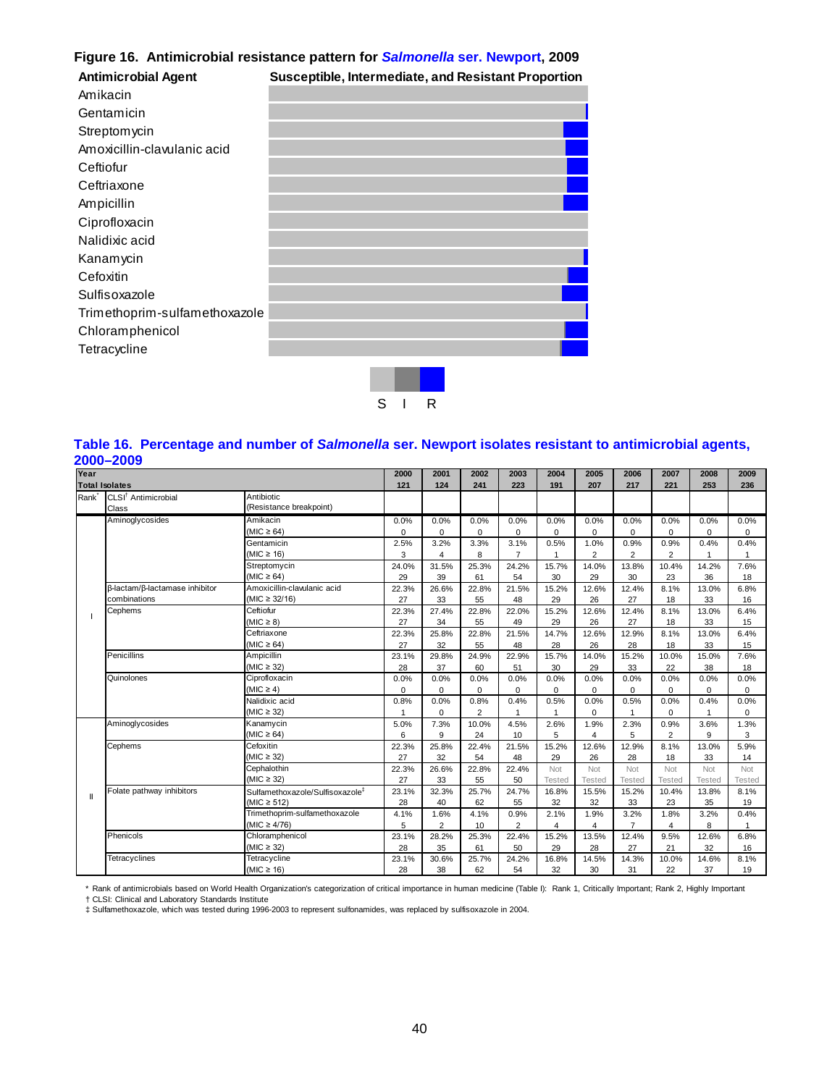# **Figure 16. Antimicrobial resistance pattern for** *Salmonella* **ser. Newport, 2009**

| <b>Antimicrobial Agent</b>    | Susceptible, Intermediate, and Resistant Proportion |
|-------------------------------|-----------------------------------------------------|
| Amikacin                      |                                                     |
| Gentamicin                    |                                                     |
| Streptomycin                  |                                                     |
| Amoxicillin-clavulanic acid   |                                                     |
| Ceftiofur                     |                                                     |
| Ceftriaxone                   |                                                     |
| Ampicillin                    |                                                     |
| Ciprofloxacin                 |                                                     |
| Nalidixic acid                |                                                     |
| Kanamycin                     |                                                     |
| Cefoxitin                     |                                                     |
| Sulfisoxazole                 |                                                     |
| Trimethoprim-sulfamethoxazole |                                                     |
| Chloramphenicol               |                                                     |
| Tetracycline                  |                                                     |
|                               |                                                     |

# S I R

## **Table 16. Percentage and number of** *Salmonella* **ser. Newport isolates resistant to antimicrobial agents, 2000–2009**

| Year              |                                 |                                             | 2000        | 2001           | 2002           | 2003           | 2004           | 2005           | 2006           | 2007           | 2008          | 2009           |
|-------------------|---------------------------------|---------------------------------------------|-------------|----------------|----------------|----------------|----------------|----------------|----------------|----------------|---------------|----------------|
|                   | <b>Total Isolates</b>           |                                             | 121         | 124            | 241            | 223            | 191            | 207            | 217            | 221            | 253           | 236            |
| Rank <sup>*</sup> | CLSI <sup>†</sup> Antimicrobial | Antibiotic                                  |             |                |                |                |                |                |                |                |               |                |
|                   | Class                           | (Resistance breakpoint)                     |             |                |                |                |                |                |                |                |               |                |
|                   | Aminoglycosides                 | Amikacin                                    | 0.0%        | 0.0%           | 0.0%           | 0.0%           | 0.0%           | 0.0%           | 0.0%           | 0.0%           | 0.0%          | 0.0%           |
|                   |                                 | (MIC $\geq$ 64)                             | $\Omega$    | $\Omega$       | $\Omega$       | $\Omega$       | 0              | $\mathbf 0$    | $\Omega$       | 0              | $\Omega$      | $\Omega$       |
|                   |                                 | Gentamicin                                  | 2.5%        | 3.2%           | 3.3%           | 3.1%           | 0.5%           | 1.0%           | 0.9%           | 0.9%           | 0.4%          | 0.4%           |
|                   |                                 | (MIC $\geq$ 16)                             | 3           | 4              | 8              | $\overline{7}$ | 1              | $\overline{2}$ | $\overline{2}$ | 2              | 1             | 1              |
|                   |                                 | Streptomycin                                |             | 31.5%          | 25.3%          | 24.2%          | 15.7%          | 14.0%          | 13.8%          | 10.4%          | 14.2%         | 7.6%           |
|                   |                                 | (MIC $\geq 64$ )                            | 29          | 39             | 61             | 54             | 30             | 29             | 30             | 23             | 36            | 18             |
|                   | β-lactam/β-lactamase inhibitor  | Amoxicillin-clavulanic acid                 | 22.3%       | 26.6%          | 22.8%          | 21.5%          | 15.2%          | 12.6%          | 12.4%          | 8.1%           | 13.0%         | 6.8%           |
|                   | combinations                    | (MIC $\geq$ 32/16)                          | 27          | 33             | 55             | 48             | 29             | 26             | 27             | 18             | 33            | 16             |
|                   | Cephems                         | Ceftiofur                                   | 22.3%       | 27.4%          | 22.8%          | 22.0%          | 15.2%          | 12.6%          | 12.4%          | 8.1%           | 13.0%         | 6.4%           |
|                   |                                 | $(MIC \geq 8)$                              | 27          | 34             | 55             | 49             | 29             | 26             | 27             | 18             | 33            | 15             |
|                   |                                 | Ceftriaxone                                 | 22.3%       | 25.8%          | 22.8%          | 21.5%          | 14.7%          | 12.6%          | 12.9%          | 8.1%           | 13.0%         | 6.4%           |
|                   |                                 | (MIC $\geq 64$ )                            | 27          | 32             | 55             | 48             | 28             | 26             | 28             | 18             | 33            | 15             |
|                   | Penicillins                     | Ampicillin                                  | 23.1%       | 29.8%          | 24.9%          | 22.9%          | 15.7%          | 14.0%          | 15.2%          | 10.0%          | 15.0%         | 7.6%           |
|                   |                                 | $(MIC \geq 32)$                             | 28          | 37             | 60             | 51             | 30             | 29             | 33             | 22             | 38            | 18             |
|                   | Quinolones                      | Ciprofloxacin                               | 0.0%        | 0.0%           | 0.0%           | 0.0%           | 0.0%           | 0.0%           | 0.0%           | 0.0%           | 0.0%          | 0.0%           |
|                   |                                 | $(MIC \geq 4)$                              | $\mathbf 0$ | $\Omega$       | $\Omega$       | $\Omega$       | $\mathbf 0$    | $\mathbf 0$    | $\mathbf 0$    | 0              | 0             | 0              |
|                   |                                 | Nalidixic acid                              | 0.8%        | 0.0%           | 0.8%           | 0.4%           | 0.5%           | 0.0%           | 0.5%           | 0.0%           | 0.4%          | 0.0%           |
|                   |                                 | $(MIC \geq 32)$                             | 1           | $\Omega$       | $\overline{2}$ | 1              | $\overline{1}$ | $\mathbf 0$    | 1              | $\mathbf 0$    | $\mathbf{1}$  | $\Omega$       |
|                   | Aminoglycosides                 | Kanamycin                                   | 5.0%        | 7.3%           | 10.0%          | 4.5%           | 2.6%           | 1.9%           | 2.3%           | 0.9%           | 3.6%          | 1.3%           |
|                   |                                 | (MIC $\geq 64$ )                            | 6           | 9              | 24             | 10             | 5              | $\overline{4}$ | 5              | $\overline{2}$ | 9             | 3              |
|                   | Cephems                         | Cefoxitin                                   | 22.3%       | 25.8%          | 22.4%          | 21.5%          | 15.2%          | 12.6%          | 12.9%          | 8.1%           | 13.0%         | 5.9%           |
|                   |                                 | $(MIC \geq 32)$                             | 27          | 32             | 54             | 48             | 29             | 26             | 28             | 18             | 33            | 14             |
|                   |                                 | Cephalothin                                 | 22.3%       | 26.6%          | 22.8%          | 22.4%          | Not            | Not            | Not            | Not            | Not           | Not            |
|                   |                                 | $(MIC \geq 32)$                             | 27          | 33             | 55             | 50             | Tested         | Tested         | <b>Tested</b>  | Tested         | <b>Tested</b> | <b>Tested</b>  |
| Ш                 | Folate pathway inhibitors       | Sulfamethoxazole/Sulfisoxazole <sup>#</sup> | 23.1%       | 32.3%          | 25.7%          | 24.7%          | 16.8%          | 15.5%          | 15.2%          | 10.4%          | 13.8%         | 8.1%           |
|                   |                                 | $(MIC \ge 512)$                             | 28          | 40             | 62             | 55             | 32             | 32             | 33             | 23             | 35            | 19             |
|                   |                                 | Trimethoprim-sulfamethoxazole               | 4.1%        | 1.6%           | 4.1%           | 0.9%           | 2.1%           | 1.9%           | 3.2%           | 1.8%           | 3.2%          | 0.4%           |
|                   |                                 | (MIC $\geq 4/76$ )                          | 5           | $\overline{2}$ | 10             | $\overline{2}$ | 4              | 4              | $\overline{7}$ | 4              | 8             | $\overline{1}$ |
|                   | Phenicols                       | Chloramphenicol                             | 23.1%       | 28.2%          | 25.3%          | 22.4%          | 15.2%          | 13.5%          | 12.4%          | 9.5%           | 12.6%         | 6.8%           |
|                   |                                 | $(MIC \geq 32)$                             | 28          | 35             | 61             | 50             | 29             | 28             | 27             | 21             | 32            | 16             |
|                   | Tetracyclines                   | Tetracycline                                | 23.1%       | 30.6%          | 25.7%          | 24.2%          | 16.8%          | 14.5%          | 14.3%          | 10.0%          | 14.6%         | 8.1%           |
|                   |                                 | (MIC $\geq$ 16)                             | 28          | 38             | 62             | 54             | 32             | 30             | 31             | 22             | 37            | 19             |

\* Rank of antimicrobials based on World Health Organization's categorization of critical importance in human medicine (Table I): Rank 1, Critically Important; Rank 2, Highly Important<br>† CLSI: Clinical and Laboratory Standa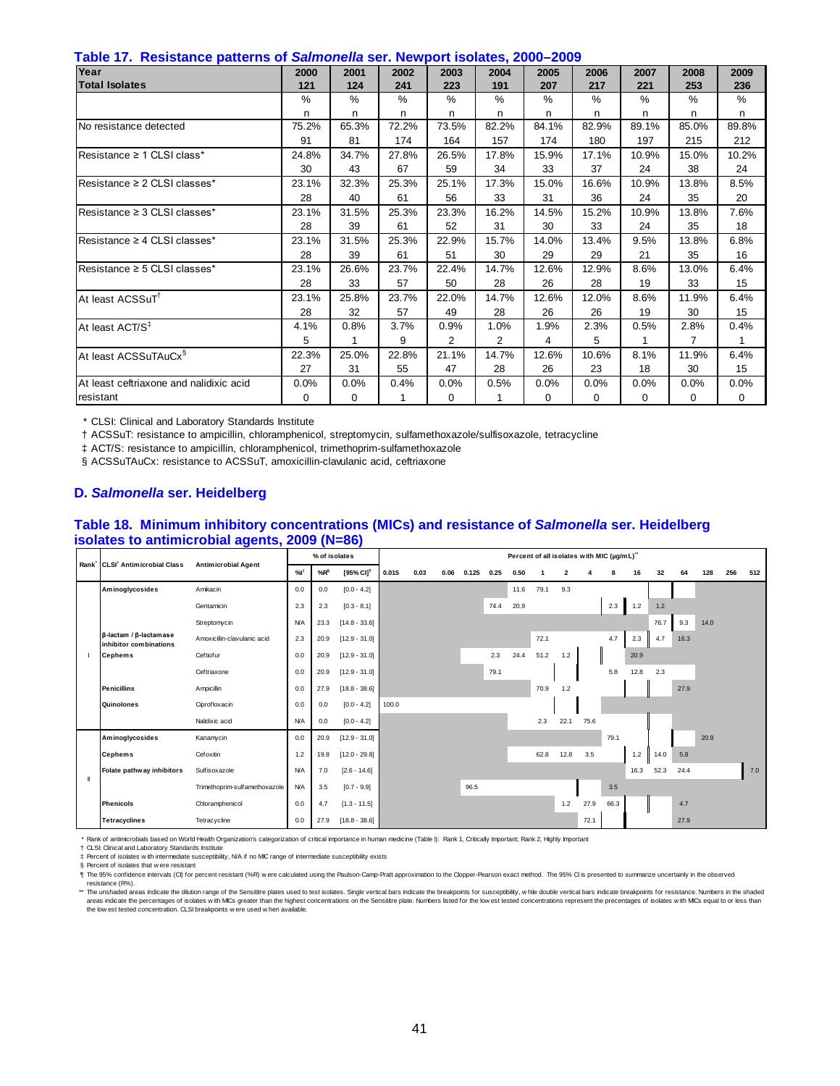|  |  |  | Table 17. Resistance patterns of Salmonella ser. Newport isolates, 2000–2009 |  |  |  |
|--|--|--|------------------------------------------------------------------------------|--|--|--|
|--|--|--|------------------------------------------------------------------------------|--|--|--|

| $\frac{1}{2}$ and $\frac{1}{2}$ is the contract of patients of summonional contribution point formation $\frac{1}{2}$ and $\frac{1}{2}$<br>Year | 2000     | 2001    | 2002  | 2003     | 2004           | 2005     | 2006  | 2007     | 2008           | 2009  |
|-------------------------------------------------------------------------------------------------------------------------------------------------|----------|---------|-------|----------|----------------|----------|-------|----------|----------------|-------|
| <b>Total Isolates</b>                                                                                                                           | 121      | 124     | 241   | 223      | 191            | 207      | 217   | 221      | 253            | 236   |
|                                                                                                                                                 | $\%$     | %       | %     | %        | %              | %        | %     | %        | $\%$           | %     |
|                                                                                                                                                 |          |         |       |          |                |          |       |          |                |       |
|                                                                                                                                                 | n        | n       | n     | n        | n              | n        | n     | n        | n              | n     |
| INo resistance detected                                                                                                                         | 75.2%    | 65.3%   | 72.2% | 73.5%    | 82.2%          | 84.1%    | 82.9% | 89.1%    | 85.0%          | 89.8% |
|                                                                                                                                                 | 91       | 81      | 174   | 164      | 157            | 174      | 180   | 197      | 215            | 212   |
| Resistance $\geq 1$ CLSI class*                                                                                                                 | 24.8%    | 34.7%   | 27.8% | 26.5%    | 17.8%          | 15.9%    | 17.1% | 10.9%    | 15.0%          | 10.2% |
|                                                                                                                                                 | 30       | 43      | 67    | 59       | 34             | 33       | 37    | 24       | 38             | 24    |
| Resistance $\geq 2$ CLSI classes*                                                                                                               | 23.1%    | 32.3%   | 25.3% | 25.1%    | 17.3%          | 15.0%    | 16.6% | 10.9%    | 13.8%          | 8.5%  |
|                                                                                                                                                 | 28       | 40      | 61    | 56       | 33             | 31       | 36    | 24       | 35             | 20    |
| $Resistance \geq 3$ CLSI classes*                                                                                                               | 23.1%    | 31.5%   | 25.3% | 23.3%    | 16.2%          | 14.5%    | 15.2% | 10.9%    | 13.8%          | 7.6%  |
|                                                                                                                                                 | 28       | 39      | 61    | 52       | 31             | 30       | 33    | 24       | 35             | 18    |
| Resistance ≥ 4 CLSI classes*                                                                                                                    | 23.1%    | 31.5%   | 25.3% | 22.9%    | 15.7%          | 14.0%    | 13.4% | 9.5%     | 13.8%          | 6.8%  |
|                                                                                                                                                 | 28       | 39      | 61    | 51       | 30             | 29       | 29    | 21       | 35             | 16    |
| Resistance ≥ 5 CLSI classes*                                                                                                                    | 23.1%    | 26.6%   | 23.7% | 22.4%    | 14.7%          | 12.6%    | 12.9% | 8.6%     | 13.0%          | 6.4%  |
|                                                                                                                                                 | 28       | 33      | 57    | 50       | 28             | 26       | 28    | 19       | 33             | 15    |
| At least ACSSuT <sup>1</sup>                                                                                                                    | 23.1%    | 25.8%   | 23.7% | 22.0%    | 14.7%          | 12.6%    | 12.0% | 8.6%     | 11.9%          | 6.4%  |
|                                                                                                                                                 | 28       | 32      | 57    | 49       | 28             | 26       | 26    | 19       | 30             | 15    |
| At least ACT/S <sup>‡</sup>                                                                                                                     | 4.1%     | 0.8%    | 3.7%  | 0.9%     | 1.0%           | 1.9%     | 2.3%  | 0.5%     | 2.8%           | 0.4%  |
|                                                                                                                                                 | 5        | 1       | 9     | 2        | $\overline{2}$ | 4        | 5     | 1        | $\overline{7}$ | 1     |
| At least ACSSuTAuCx <sup>§</sup>                                                                                                                | 22.3%    | 25.0%   | 22.8% | 21.1%    | 14.7%          | 12.6%    | 10.6% | 8.1%     | 11.9%          | 6.4%  |
|                                                                                                                                                 | 27       | 31      | 55    | 47       | 28             | 26       | 23    | 18       | 30             | 15    |
| At least ceftriaxone and nalidixic acid                                                                                                         | 0.0%     | $0.0\%$ | 0.4%  | 0.0%     | 0.5%           | 0.0%     | 0.0%  | 0.0%     | 0.0%           | 0.0%  |
| resistant                                                                                                                                       | $\Omega$ | 0       |       | $\Omega$ |                | $\Omega$ | 0     | $\Omega$ | 0              | 0     |

† ACSSuT: resistance to ampicillin, chloramphenicol, streptomycin, sulfamethoxazole/sulfisoxazole, tetracycline

‡ ACT/S: resistance to ampicillin, chloramphenicol, trimethoprim-sulfamethoxazole

§ ACSSuTAuCx: resistance to ACSSuT, amoxicillin-clavulanic acid, ceftriaxone

#### **D.** *Salmonella* **ser. Heidelberg**

#### **Table 18. Minimum inhibitory concentrations (MICs) and resistance of** *Salmonella* **ser. Heidelberg isolates to antimicrobial agents, 2009 (N=86)**

|   | Rank CLSI <sup>†</sup> Antimicrobial Class                       |                               |            | % of isolates |                       |       |      |      |       |      | Percent of all isolates with MIC (µg/mL)" |      |                         |      |      |      |      |      |      |     |     |
|---|------------------------------------------------------------------|-------------------------------|------------|---------------|-----------------------|-------|------|------|-------|------|-------------------------------------------|------|-------------------------|------|------|------|------|------|------|-----|-----|
|   |                                                                  | <b>Antimicrobial Agent</b>    | %          | $%R^{\$}$     | [95% CI] <sup>1</sup> | 0.015 | 0.03 | 0.06 | 0.125 | 0.25 | 0.50                                      |      | $\overline{\mathbf{2}}$ |      | 8    | 16   | 32   | 64   | 128  | 256 | 512 |
|   | Aminoglycosides                                                  | Amikacin                      | 0.0        | 0.0           | $[0.0 - 4.2]$         |       |      |      |       |      | 11.6                                      | 79.1 | 9.3                     |      |      |      |      |      |      |     |     |
|   |                                                                  | Gentamicin                    | 2.3        | 2.3           | $[0.3 - 8.1]$         |       |      |      |       | 74.4 | 20.9                                      |      |                         |      | 2.3  | 1.2  | 1.2  |      |      |     |     |
|   |                                                                  | Streptomycin                  | <b>N/A</b> | 23.3          | $[14.8 - 33.6]$       |       |      |      |       |      |                                           |      |                         |      |      |      | 76.7 | 9.3  | 14.0 |     |     |
|   | $\beta$ -lactam / $\beta$ -lactam as e<br>inhibitor combinations | Amoxicillin-clavulanic acid   | 2.3        | 20.9          | $[12.9 - 31.0]$       |       |      |      |       |      |                                           | 72.1 |                         |      | 4.7  | 2.3  | 4.7  | 16.3 |      |     |     |
|   | <b>Cephems</b>                                                   | Ceftiofur                     | 0.0        | 20.9          | $[12.9 - 31.0]$       |       |      |      |       | 2.3  | 24.4                                      | 51.2 | 1.2                     |      |      | 20.9 |      |      |      |     |     |
|   |                                                                  | Ceftriaxone                   | 0.0        | 20.9          | $[12.9 - 31.0]$       |       |      |      |       | 79.1 |                                           |      |                         |      | 5.8  | 12.8 | 2.3  |      |      |     |     |
|   | <b>Penicillins</b>                                               | Ampicillin                    | 0.0        | 27.9          | $[18.8 - 38.6]$       |       |      |      |       |      |                                           | 70.9 | 1.2                     |      |      |      |      | 27.9 |      |     |     |
|   | Quinolones                                                       | Ciprofloxacin                 | 0.0        | 0.0           | $[0.0 - 4.2]$         | 100.0 |      |      |       |      |                                           |      |                         |      |      |      |      |      |      |     |     |
|   |                                                                  | Nalidixic acid                | <b>N/A</b> | 0.0           | $[0.0 - 4.2]$         |       |      |      |       |      |                                           | 2.3  | 22.1                    | 75.6 |      |      |      |      |      |     |     |
|   | Aminoglycosides                                                  | Kanamycin                     | 0.0        | 20.9          | $[12.9 - 31.0]$       |       |      |      |       |      |                                           |      |                         |      | 79.1 |      |      |      | 20.9 |     |     |
|   | <b>Cephems</b>                                                   | Cefoxitin                     | $1.2$      | 19.8          | $[12.0 - 29.8]$       |       |      |      |       |      |                                           | 62.8 | 12.8                    | 3.5  |      | 1.2  | 14.0 | 5.8  |      |     |     |
| Ш | Folate pathway inhibitors                                        | Sulfisoxazole                 | <b>N/A</b> | 7.0           | $[2.6 - 14.6]$        |       |      |      |       |      |                                           |      |                         |      |      | 16.3 | 52.3 | 24.4 |      |     | 7.0 |
|   |                                                                  | Trimethoprim-sulfamethoxazole | <b>N/A</b> | 3.5           | $[0.7 - 9.9]$         |       |      |      | 96.5  |      |                                           |      |                         |      | 3.5  |      |      |      |      |     |     |
|   | <b>Phenicols</b>                                                 | Chloramphenicol               | 0.0        | 4.7           | $[1.3 - 11.5]$        |       |      |      |       |      |                                           |      | 1.2                     | 27.9 | 66.3 |      |      | 4.7  |      |     |     |
|   | <b>Tetracyclines</b>                                             | Tetracycline                  | 0.0        | 27.9          | $[18.8 - 38.6]$       |       |      |      |       |      |                                           |      |                         | 72.1 |      |      |      | 27.9 |      |     |     |

\* Rank of antimicrobials based on World Health Organization's categorization of critical importance in human medicine (Table I): Rank 1, Critically Important; Rank 2, Highly Important

† ‡ CLSI: Clinical and Laboratory Standards Institute Percent of isolates w ith intermediate susceptibility, N/A if no MIC range of intermediate susceptibility exists

§ Percent of isolates that w ere resistant

¶ The 95% confidence intervals (CI) for percent resistant (%R) were calculated using the Paulson-Camp-Pratt approximation to the Clopper-Pearson exact method. The 95% CI is presented to summarize uncertainly in the observe

\*\* The unshaded areas indicate the dilution range of the Sensititre plates used to test isolates. Single vertical bars indicate the breakpoints for susceptibility, while double vertical bars indicate the akpoints for resis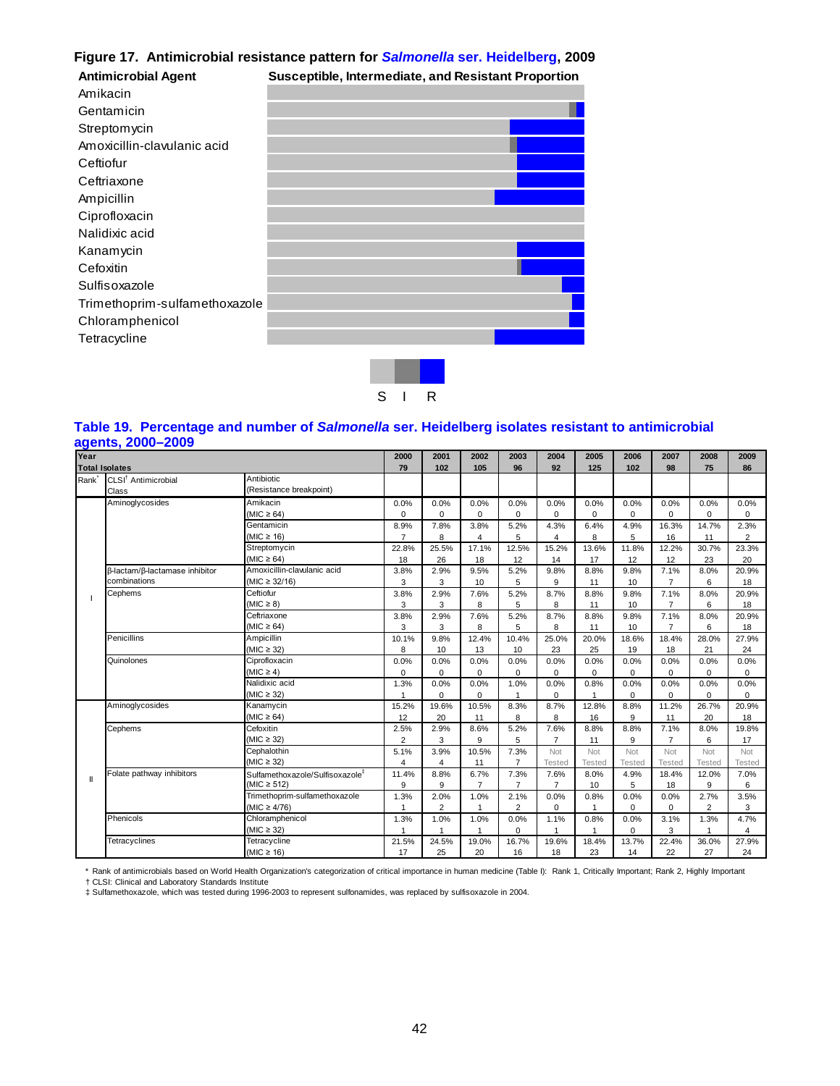# **Figure 17. Antimicrobial resistance pattern for** *Salmonella* **ser. Heidelberg, 2009**

| <b>Antimicrobial Agent</b>    | Susceptible, Intermediate, and Resistant Proportion |  |
|-------------------------------|-----------------------------------------------------|--|
| Amikacin                      |                                                     |  |
| Gentamicin                    |                                                     |  |
| Streptomycin                  |                                                     |  |
| Amoxicillin-clavulanic acid   |                                                     |  |
| Ceftiofur                     |                                                     |  |
| Ceftriaxone                   |                                                     |  |
| Ampicillin                    |                                                     |  |
| Ciprofloxacin                 |                                                     |  |
| Nalidixic acid                |                                                     |  |
| Kanamycin                     |                                                     |  |
| Cefoxitin                     |                                                     |  |
| Sulfisoxazole                 |                                                     |  |
| Trimethoprim-sulfamethoxazole |                                                     |  |
| Chloramphenicol               |                                                     |  |
| Tetracycline                  |                                                     |  |
|                               |                                                     |  |
|                               |                                                     |  |

# S I R

#### **Table 19. Percentage and number of** *Salmonella* **ser. Heidelberg isolates resistant to antimicrobial agents, 2000–2009**

| Year |                                          |                                             | 2000           | 2001           | 2002           | 2003           | 2004           | 2005           | 2006          | 2007           | 2008           | 2009           |
|------|------------------------------------------|---------------------------------------------|----------------|----------------|----------------|----------------|----------------|----------------|---------------|----------------|----------------|----------------|
|      | <b>Total Isolates</b>                    |                                             | 79             | 102            | 105            | 96             | 92             | 125            | 102           | 98             | 75             | 86             |
| Rank | CLSI <sup>†</sup> Antimicrobial<br>Class | Antibiotic<br>(Resistance breakpoint)       |                |                |                |                |                |                |               |                |                |                |
|      | Aminoglycosides                          | Amikacin                                    | 0.0%           | 0.0%           | 0.0%           | 0.0%           | 0.0%           | 0.0%           | 0.0%          | 0.0%           | 0.0%           | 0.0%           |
|      |                                          | (MIC $\geq 64$ )                            | 0              | $\Omega$       | $\Omega$       | 0              | 0              | $\mathbf 0$    | 0             | $\mathbf 0$    | 0              | $\mathbf 0$    |
|      |                                          | Gentamicin                                  | 8.9%           | 7.8%           | 3.8%           | 5.2%           | 4.3%           | 6.4%           | 4.9%          | 16.3%          | 14.7%          | 2.3%           |
|      |                                          | (MIC $\geq$ 16)                             | $\overline{7}$ | 8              | 4              | 5              | 4              | 8              | 5             | 16             | 11             | $\overline{2}$ |
|      |                                          | Streptomycin                                | 22.8%          | 25.5%          | 17.1%          | 12.5%          | 15.2%          | 13.6%          | 11.8%         | 12.2%          | 30.7%          | 23.3%          |
|      |                                          | $(MIC \ge 64)$                              | 18             | 26             | 18             | 12             | 14             | 17             | 12            | 12             | 23             | 20             |
|      | β-lactam/β-lactamase inhibitor           | Amoxicillin-clavulanic acid                 | 3.8%           | 2.9%           | 9.5%           | 5.2%           | 9.8%           | 8.8%           | 9.8%          | 7.1%           | 8.0%           | 20.9%          |
|      | combinations                             | $(MIC \ge 32/16)$                           | 3              | 3              | 10             | 5              | 9              | 11             | 10            | $\overline{7}$ | 6              | 18             |
|      | Cephems                                  | Ceftiofur                                   | 3.8%           | 2.9%           | 7.6%           | 5.2%           | 8.7%           | 8.8%           | 9.8%          | 7.1%           | 8.0%           | 20.9%          |
|      |                                          | $(MIC \geq 8)$                              | 3              | 3              | 8              | 5              | 8              | 11             | 10            | $\overline{7}$ | 6              | 18             |
|      |                                          | Ceftriaxone                                 | 3.8%           | 2.9%           | 7.6%           | 5.2%           | 8.7%           | 8.8%           | 9.8%          | 7.1%           | 8.0%           | 20.9%          |
|      |                                          | (MIC $\geq$ 64)                             | 3              | 3              | 8              | 5              | 8              | 11             | 10            | $\overline{7}$ | 6              | 18             |
|      | Penicillins                              | Ampicillin                                  | 10.1%          | 9.8%           | 12.4%          | 10.4%          | 25.0%          | 20.0%          | 18.6%         | 18.4%          | 28.0%          | 27.9%          |
|      |                                          | (MIC $\geq$ 32)                             | 8              | 10             | 13             | 10             | 23             | 25             | 19            | 18             | 21             | 24             |
|      | Quinolones                               | Ciprofloxacin                               | 0.0%           | 0.0%           | 0.0%           | 0.0%           | 0.0%           | 0.0%           | 0.0%          | 0.0%           | 0.0%           | 0.0%           |
|      |                                          | $(MIC \geq 4)$                              | $\Omega$       | $\Omega$       | $\Omega$       | $\Omega$       | 0              | 0              | 0             | $\mathbf 0$    | 0              | $\Omega$       |
|      |                                          | Nalidixic acid                              | 1.3%           | 0.0%           | 0.0%           | 1.0%           | 0.0%           | 0.8%           | 0.0%          | 0.0%           | 0.0%           | 0.0%           |
|      |                                          | $(MIC \geq 32)$                             |                | $\Omega$       | $\Omega$       |                | $\Omega$       | $\overline{1}$ | $\Omega$      | $\Omega$       | $\Omega$       | $\Omega$       |
|      | Aminoglycosides                          | Kanamycin                                   | 15.2%          | 19.6%          | 10.5%          | 8.3%           | 8.7%           | 12.8%          | 8.8%          | 11.2%          | 26.7%          | 20.9%          |
|      |                                          | $(MIC \ge 64)$                              | 12             | 20             | 11             | 8              | 8              | 16             | 9             | 11             | 20             | 18             |
|      | Cephems                                  | Cefoxitin                                   | 2.5%           | 2.9%           | 8.6%           | 5.2%           | 7.6%           | 8.8%           | 8.8%          | 7.1%           | 8.0%           | 19.8%          |
|      |                                          | (MIC $\geq$ 32)                             | $\overline{2}$ | 3              | 9              | 5              | $\overline{7}$ | 11             | 9             | $\overline{7}$ | 6              | 17             |
|      |                                          | Cephalothin                                 | 5.1%           | 3.9%           | 10.5%          | 7.3%           | Not            | Not            | Not           | Not            | Not            | Not            |
|      |                                          | $(MIC \geq 32)$                             | $\overline{4}$ | 4              | 11             | $\overline{7}$ | Tested         | <b>Tested</b>  | <b>Tested</b> | Tested         | <b>Tested</b>  | <b>Tested</b>  |
|      | Folate pathway inhibitors                | Sulfamethoxazole/Sulfisoxazole <sup>#</sup> | 11.4%          | 8.8%           | 6.7%           | 7.3%           | 7.6%           | 8.0%           | 4.9%          | 18.4%          | 12.0%          | 7.0%           |
|      |                                          | (MIC $\geq$ 512)                            | 9              | 9              | $\overline{7}$ | $\overline{7}$ | 7              | 10             | 5             | 18             | 9              | 6              |
|      |                                          | Trimethoprim-sulfamethoxazole               | 1.3%           | 2.0%           | 1.0%           | 2.1%           | 0.0%           | 0.8%           | 0.0%          | 0.0%           | 2.7%           | 3.5%           |
|      |                                          | $(MIC \geq 4/76)$                           | 1              | $\overline{2}$ |                | $\overline{2}$ | 0              | $\overline{1}$ | 0             | $\mathbf 0$    | $\overline{2}$ | 3              |
|      | Phenicols                                | Chloramphenicol                             | 1.3%           | 1.0%           | 1.0%           | 0.0%           | 1.1%           | 0.8%           | 0.0%          | 3.1%           | 1.3%           | 4.7%           |
|      |                                          | $(MIC \geq 32)$                             |                | 1              | $\overline{1}$ | $\Omega$       | 1              |                | $\Omega$      | 3              | 1              | 4              |
|      | Tetracyclines                            | Tetracycline                                | 21.5%          | 24.5%          | 19.0%          | 16.7%          | 19.6%          | 18.4%          | 13.7%         | 22.4%          | 36.0%          | 27.9%          |
|      |                                          | (MIC $\geq$ 16)                             | 17             | 25             | 20             | 16             | 18             | 23             | 14            | 22             | 27             | 24             |

\* Rank of antimicrobials based on World Health Organization's categorization of critical importance in human medicine (Table I): Rank 1, Critically Important; Rank 2, Highly Important<br>† CLSI: Clinical and Laboratory Standa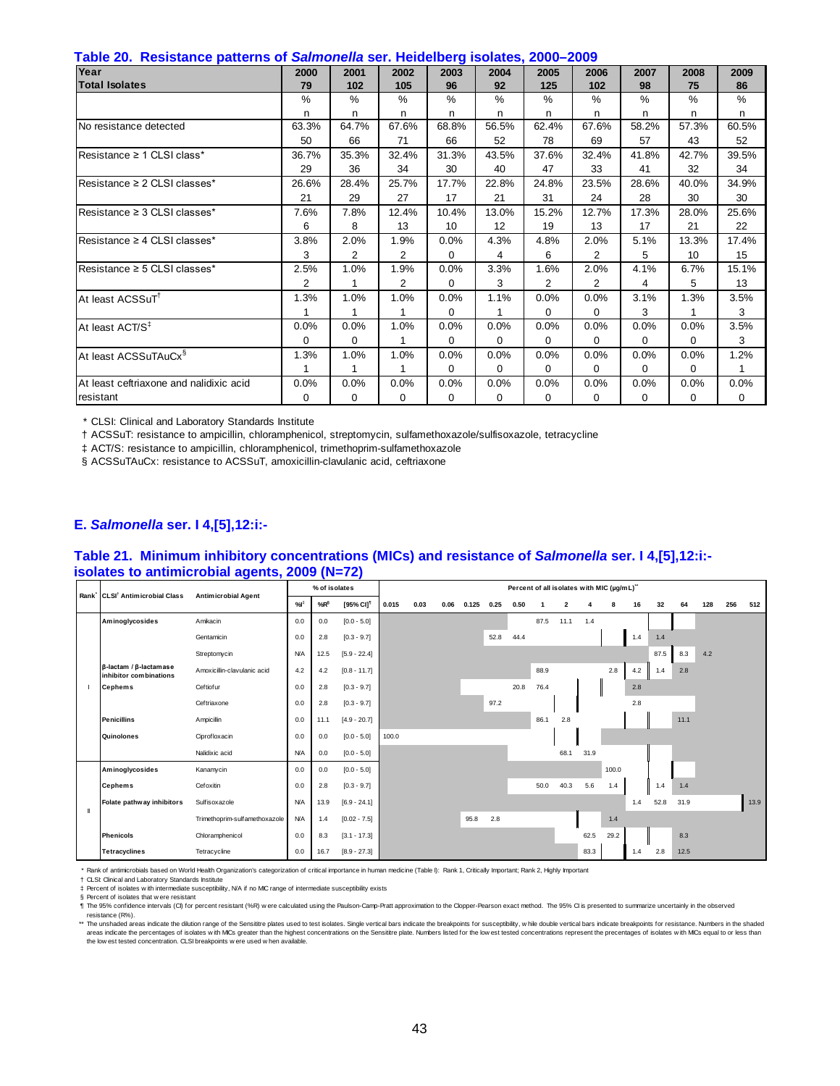| Table 20. Resistance patterns of <i>Salmonella</i> ser. Heidelberg isolates, 2000–2009 |  |  |  |  |  |
|----------------------------------------------------------------------------------------|--|--|--|--|--|
|----------------------------------------------------------------------------------------|--|--|--|--|--|

| rawie met "Recreative patiente et calificitiona con fretaensel groeiatee) meet<br>Year | 2000  | 2001           | 2002           | 2003     | 2004         | 2005           | 2006           | 2007     | 2008     | 2009  |
|----------------------------------------------------------------------------------------|-------|----------------|----------------|----------|--------------|----------------|----------------|----------|----------|-------|
|                                                                                        |       |                |                |          |              |                |                |          |          |       |
| <b>Total Isolates</b>                                                                  | 79    | 102            | 105            | 96       | 92           | 125            | 102            | 98       | 75       | 86    |
|                                                                                        | $\%$  | $\%$           | $\%$           | %        | $\%$         | $\%$           | $\%$           | $\%$     | $\%$     | $\%$  |
|                                                                                        | n     | n              | n              | n        | n            | n              | n              | n        | n        | n     |
| No resistance detected                                                                 | 63.3% | 64.7%          | 67.6%          | 68.8%    | 56.5%        | 62.4%          | 67.6%          | 58.2%    | 57.3%    | 60.5% |
|                                                                                        | 50    | 66             | 71             | 66       | 52           | 78             | 69             | 57       | 43       | 52    |
| Resistance ≥ 1 CLSI class*                                                             | 36.7% | 35.3%          | 32.4%          | 31.3%    | 43.5%        | 37.6%          | 32.4%          | 41.8%    | 42.7%    | 39.5% |
|                                                                                        | 29    | 36             | 34             | 30       | 40           | 47             | 33             | 41       | 32       | 34    |
| $Resistance \geq 2$ CLSI classes*                                                      | 26.6% | 28.4%          | 25.7%          | 17.7%    | 22.8%        | 24.8%          | 23.5%          | 28.6%    | 40.0%    | 34.9% |
|                                                                                        | 21    | 29             | 27             | 17       | 21           | 31             | 24             | 28       | 30       | 30    |
| Resistance $\geq$ 3 CLSI classes*                                                      | 7.6%  | 7.8%           | 12.4%          | 10.4%    | 13.0%        | 15.2%          | 12.7%          | 17.3%    | 28.0%    | 25.6% |
|                                                                                        | 6     | 8              | 13             | 10       | 12           | 19             | 13             | 17       | 21       | 22    |
| Resistance $\geq 4$ CLSI classes*                                                      | 3.8%  | 2.0%           | 1.9%           | 0.0%     | 4.3%         | 4.8%           | 2.0%           | 5.1%     | 13.3%    | 17.4% |
|                                                                                        | 3     | $\overline{2}$ | 2              | $\Omega$ | 4            | 6              | $\overline{2}$ | 5        | 10       | 15    |
| Resistance ≥ 5 CLSI classes*                                                           | 2.5%  | 1.0%           | 1.9%           | 0.0%     | 3.3%         | 1.6%           | 2.0%           | 4.1%     | 6.7%     | 15.1% |
|                                                                                        | 2     | 1              | $\overline{2}$ | 0        | 3            | $\overline{2}$ | $\overline{2}$ | 4        | 5        | 13    |
| At least ACSSuT <sup>1</sup>                                                           | 1.3%  | 1.0%           | 1.0%           | 0.0%     | 1.1%         | 0.0%           | 0.0%           | 3.1%     | 1.3%     | 3.5%  |
|                                                                                        |       | 1              | 1              | $\Omega$ | $\mathbf{1}$ | 0              | $\Omega$       | 3        |          | 3     |
| At least ACT/S <sup>‡</sup>                                                            | 0.0%  | 0.0%           | 1.0%           | 0.0%     | 0.0%         | 0.0%           | 0.0%           | 0.0%     | 0.0%     | 3.5%  |
|                                                                                        | 0     | 0              |                | $\Omega$ | 0            | 0              | 0              | $\Omega$ | $\Omega$ | 3     |
| At least ACSSuTAuCx <sup>§</sup>                                                       | 1.3%  | 1.0%           | 1.0%           | 0.0%     | 0.0%         | 0.0%           | 0.0%           | 0.0%     | 0.0%     | 1.2%  |
|                                                                                        |       | 1              | 1              | $\Omega$ | $\Omega$     | 0              | $\Omega$       | $\Omega$ | $\Omega$ | 1     |
| At least ceftriaxone and nalidixic acid                                                | 0.0%  | 0.0%           | 0.0%           | 0.0%     | 0.0%         | 0.0%           | 0.0%           | 0.0%     | 0.0%     | 0.0%  |
| resistant                                                                              | 0     | 0              | 0              | 0        | $\Omega$     | 0              | $\mathbf 0$    | 0        | 0        | 0     |

† ACSSuT: resistance to ampicillin, chloramphenicol, streptomycin, sulfamethoxazole/sulfisoxazole, tetracycline

‡ ACT/S: resistance to ampicillin, chloramphenicol, trimethoprim-sulfamethoxazole

§ ACSSuTAuCx: resistance to ACSSuT, amoxicillin-clavulanic acid, ceftriaxone

#### **E.** *Salmonella* **ser. I 4,[5],12:i:-**

#### **Table 21. Minimum inhibitory concentrations (MICs) and resistance of** *Salmonella* **ser. I 4,[5],12:i: isolates to antimicrobial agents, 2009 (N=72)**

|   | Rank CLSI <sup>†</sup> Antimicrobial Class                       |                               |            | % of isolates   |                       |       |      |      |       |      | Percent of all isolates with MIC (µg/mL)" |      |                         |      |       |     |      |      |     |     |      |
|---|------------------------------------------------------------------|-------------------------------|------------|-----------------|-----------------------|-------|------|------|-------|------|-------------------------------------------|------|-------------------------|------|-------|-----|------|------|-----|-----|------|
|   |                                                                  | <b>Antimicrobial Agent</b>    | %          | %R <sup>§</sup> | [95% CI] <sup>1</sup> | 0.015 | 0.03 | 0.06 | 0.125 | 0.25 | 0.50                                      |      | $\overline{\mathbf{2}}$ |      | 8     | 16  | 32   | 64   | 128 | 256 | 512  |
|   | Aminoglycosides                                                  | Amikacin                      | 0.0        | 0.0             | $[0.0 - 5.0]$         |       |      |      |       |      |                                           | 87.5 | 11.1                    | 1.4  |       |     |      |      |     |     |      |
|   |                                                                  | Gentamicin                    | 0.0        | 2.8             | $[0.3 - 9.7]$         |       |      |      |       | 52.8 | 44.4                                      |      |                         |      |       | 1.4 | 1.4  |      |     |     |      |
|   |                                                                  | Streptomycin                  | <b>N/A</b> | 12.5            | $[5.9 - 22.4]$        |       |      |      |       |      |                                           |      |                         |      |       |     | 87.5 | 8.3  | 4.2 |     |      |
|   | $\beta$ -lactam / $\beta$ -lactam as e<br>inhibitor combinations | Amoxicillin-clavulanic acid   | 4.2        | 4.2             | $[0.8 - 11.7]$        |       |      |      |       |      |                                           | 88.9 |                         |      | 2.8   | 4.2 | 1.4  | 2.8  |     |     |      |
|   | <b>Cephems</b>                                                   | Ceftiofur                     | 0.0        | 2.8             | $[0.3 - 9.7]$         |       |      |      |       |      | 20.8                                      | 76.4 |                         |      |       | 2.8 |      |      |     |     |      |
|   |                                                                  | Ceftriaxone                   | 0.0        | 2.8             | $[0.3 - 9.7]$         |       |      |      |       | 97.2 |                                           |      |                         |      |       | 2.8 |      |      |     |     |      |
|   | <b>Penicillins</b>                                               | Ampicillin                    | 0.0        | 11.1            | $[4.9 - 20.7]$        |       |      |      |       |      |                                           | 86.1 | 2.8                     |      |       |     |      | 11.1 |     |     |      |
|   | Quinolones                                                       | Ciprofloxacin                 | 0.0        | 0.0             | $[0.0 - 5.0]$         | 100.0 |      |      |       |      |                                           |      |                         |      |       |     |      |      |     |     |      |
|   |                                                                  | Nalidixic acid                | <b>N/A</b> | 0.0             | $[0.0 - 5.0]$         |       |      |      |       |      |                                           |      | 68.1                    | 31.9 |       |     |      |      |     |     |      |
|   | Aminoglycosides                                                  | Kanamycin                     | 0.0        | 0.0             | $[0.0 - 5.0]$         |       |      |      |       |      |                                           |      |                         |      | 100.0 |     |      |      |     |     |      |
|   | <b>Cephems</b>                                                   | Cefoxitin                     | 0.0        | 2.8             | $[0.3 - 9.7]$         |       |      |      |       |      |                                           | 50.0 | 40.3                    | 5.6  | 1.4   |     | 1.4  | 1.4  |     |     |      |
| Ш | Folate pathway inhibitors                                        | Sulfisoxazole                 | <b>N/A</b> | 13.9            | $[6.9 - 24.1]$        |       |      |      |       |      |                                           |      |                         |      |       | 1.4 | 52.8 | 31.9 |     |     | 13.9 |
|   |                                                                  | Trimethoprim-sulfamethoxazole | <b>N/A</b> | 1.4             | $[0.02 - 7.5]$        |       |      |      | 95.8  | 2.8  |                                           |      |                         |      | 1.4   |     |      |      |     |     |      |
|   | <b>Phenicols</b>                                                 | Chloramphenicol               | 0.0        | 8.3             | $[3.1 - 17.3]$        |       |      |      |       |      |                                           |      |                         | 62.5 | 29.2  |     |      | 8.3  |     |     |      |
|   | <b>Tetracyclines</b>                                             | Tetracycline                  | 0.0        | 16.7            | $[8.9 - 27.3]$        |       |      |      |       |      |                                           |      |                         | 83.3 |       | 1.4 | 2.8  | 12.5 |     |     |      |

\* Rank of antimicrobials based on World Health Organization's categorization of critical importance in human medicine (Table I): Rank 1, Critically Important; Rank 2, Highly Important

† ‡ CLSI: Clinical and Laboratory Standards Institute Percent of isolates w ith intermediate susceptibility, N/A if no MIC range of intermediate susceptibility exists

§ Percent of isolates that were resistant<br>¶ The 95% confidence intervals (OI) for percent resistant (%R) were calculated using the Paulson-Camp-Pratt approximation to the Clopper-Pearson exact method. The 95% CI is present resistance (R%).

\*\* The unshaded areas indicate the dilution range of the Sensittre plates used to test isolates. Single vertical bars indicate the breakpoints for susceptibility, while double vertical bars indicate the relaxoncs. Numbers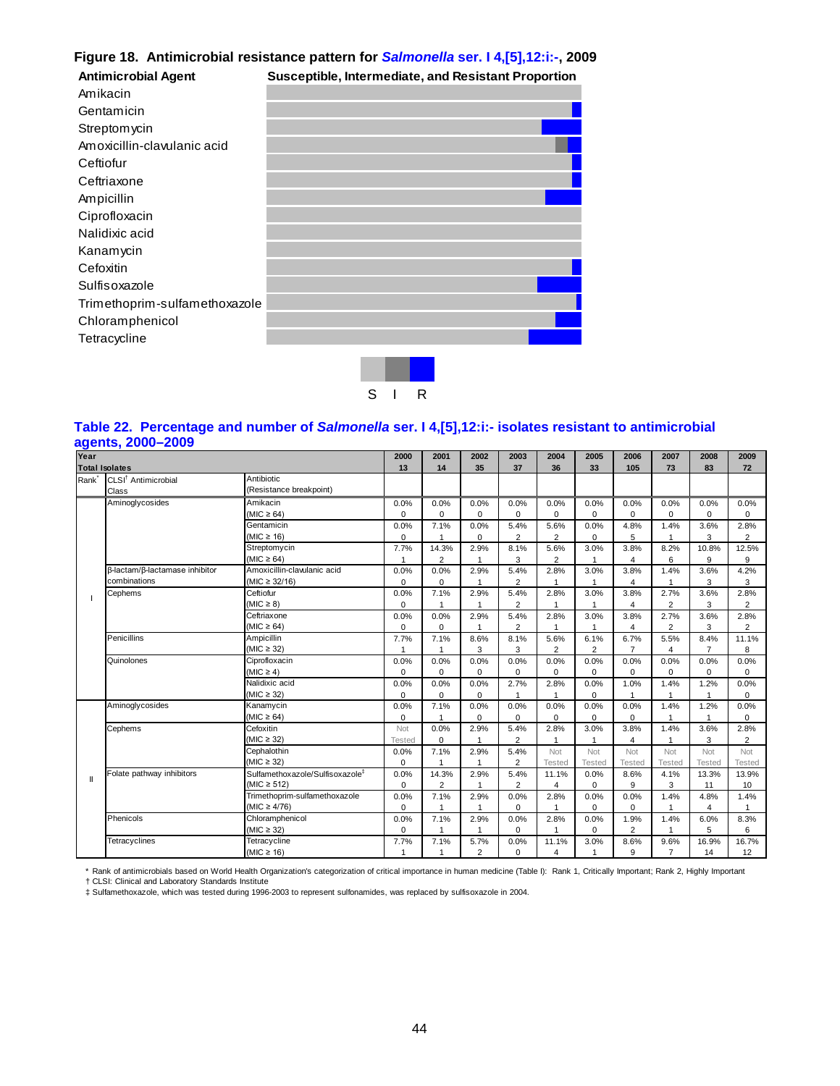# **Figure 18. Antimicrobial resistance pattern for** *Salmonella* **ser. I 4,[5],12:i:-, 2009**

| <b>Antimicrobial Agent</b>    | Susceptible, Intermediate, and Resistant Proportion |  |
|-------------------------------|-----------------------------------------------------|--|
| Amikacin                      |                                                     |  |
| Gentamicin                    |                                                     |  |
| Streptomycin                  |                                                     |  |
| Amoxicillin-clavulanic acid   |                                                     |  |
| Ceftiofur                     |                                                     |  |
| Ceftriaxone                   |                                                     |  |
| Ampicillin                    |                                                     |  |
| Ciprofloxacin                 |                                                     |  |
| Nalidixic acid                |                                                     |  |
| Kanamycin                     |                                                     |  |
| Cefoxitin                     |                                                     |  |
| Sulfisoxazole                 |                                                     |  |
| Trimethoprim-sulfamethoxazole |                                                     |  |
| Chloramphenicol               |                                                     |  |
| Tetracycline                  |                                                     |  |
|                               |                                                     |  |



## **Table 22. Percentage and number of** *Salmonella* **ser. I 4,[5],12:i:- isolates resistant to antimicrobial agents, 2000–2009**

| Year         |                                 |                                             | 2000        | 2001           | 2002           | 2003           | 2004           | 2005          | 2006           | 2007           | 2008           | 2009           |
|--------------|---------------------------------|---------------------------------------------|-------------|----------------|----------------|----------------|----------------|---------------|----------------|----------------|----------------|----------------|
|              | <b>Total Isolates</b>           |                                             | 13          | 14             | 35             | 37             | 36             | 33            | 105            | 73             | 83             | 72             |
| Rank         | CLSI <sup>†</sup> Antimicrobial | Antibiotic                                  |             |                |                |                |                |               |                |                |                |                |
|              | Class                           | (Resistance breakpoint)                     |             |                |                |                |                |               |                |                |                |                |
|              | Aminoglycosides                 | Amikacin                                    | 0.0%        | 0.0%           | 0.0%           | 0.0%           | 0.0%           | 0.0%          | 0.0%           | 0.0%           | 0.0%           | 0.0%           |
|              |                                 | $(MIC \ge 64)$                              | $\mathbf 0$ | $\Omega$       | $\Omega$       | $\Omega$       | 0              | $\mathbf 0$   | 0              | $\mathbf 0$    | $\Omega$       | $\mathbf 0$    |
|              |                                 | Gentamicin                                  | 0.0%        | 7.1%           | 0.0%           | 5.4%           | 5.6%           | 0.0%          | 4.8%           | 1.4%           | 3.6%           | 2.8%           |
|              |                                 | (MIC $\geq$ 16)                             | $\mathbf 0$ | $\mathbf{1}$   | $\mathbf 0$    | $\overline{2}$ | $\overline{2}$ | $\mathbf 0$   | 5              | 1              | 3              | $\overline{2}$ |
|              |                                 | Streptomycin                                | 7.7%        | 14.3%          | 2.9%           | 8.1%           | 5.6%           | 3.0%          | 3.8%           | 8.2%           | 10.8%          | 12.5%          |
|              |                                 | $(MIC \ge 64)$                              |             | $\overline{2}$ | 1              | 3              | $\overline{2}$ | 1             | 4              | 6              | 9              | 9              |
|              | β-lactam/β-lactamase inhibitor  | Amoxicillin-clavulanic acid                 | 0.0%        | 0.0%           | 2.9%           | 5.4%           | 2.8%           | 3.0%          | 3.8%           | 1.4%           | 3.6%           | 4.2%           |
|              | combinations                    | $(MIC \ge 32/16)$                           | $\mathbf 0$ | $\Omega$       | $\overline{1}$ | $\overline{2}$ | 1              |               | $\overline{4}$ | 1              | 3              | 3              |
|              | Cephems                         | Ceftiofur                                   | 0.0%        | 7.1%           | 2.9%           | 5.4%           | 2.8%           | 3.0%          | 3.8%           | 2.7%           | 3.6%           | 2.8%           |
|              |                                 | $(MIC \geq 8)$                              | $\mathbf 0$ |                |                | 2              |                |               | 4              | $\overline{2}$ | 3              | $\overline{2}$ |
|              |                                 | Ceftriaxone                                 | 0.0%        | 0.0%           | 2.9%           | 5.4%           | 2.8%           | 3.0%          | 3.8%           | 2.7%           | 3.6%           | 2.8%           |
|              |                                 | $(MIC \ge 64)$                              | $\mathbf 0$ | $\Omega$       |                | 2              | $\mathbf 1$    | 1             | 4              | $\overline{2}$ | 3              | 2              |
|              | Penicillins                     | Ampicillin                                  | 7.7%        | 7.1%           | 8.6%           | 8.1%           | 5.6%           | 6.1%          | 6.7%           | 5.5%           | 8.4%           | 11.1%          |
|              |                                 | $(MIC \geq 32)$                             | 1           | $\mathbf{1}$   | 3              | 3              | $\overline{2}$ | 2             | $\overline{7}$ | $\overline{4}$ | $\overline{7}$ | 8              |
|              | Quinolones                      | Ciprofloxacin                               | 0.0%        | 0.0%           | 0.0%           | 0.0%           | 0.0%           | 0.0%          | 0.0%           | 0.0%           | 0.0%           | 0.0%           |
|              |                                 | $(MIC \geq 4)$                              | $\mathbf 0$ | $\Omega$       | $\mathbf 0$    | $\Omega$       | $\Omega$       | 0             | $\mathbf 0$    | $\mathbf 0$    | $\Omega$       | $\mathbf 0$    |
|              |                                 | Nalidixic acid                              | 0.0%        | 0.0%           | 0.0%           | 2.7%           | 2.8%           | 0.0%          | 1.0%           | 1.4%           | 1.2%           | 0.0%           |
|              |                                 | (MIC $\geq$ 32)                             | $\Omega$    | $\Omega$       | $\Omega$       |                | $\mathbf{1}$   | 0             | $\overline{1}$ | $\overline{1}$ | 1              | $\mathbf 0$    |
|              | Aminoglycosides                 | Kanamycin                                   | 0.0%        | 7.1%           | 0.0%           | 0.0%           | 0.0%           | 0.0%          | 0.0%           | 1.4%           | 1.2%           | 0.0%           |
|              |                                 | $(MIC \ge 64)$                              | 0           | 1              | $\Omega$       | $\Omega$       | 0              | 0             | $\mathbf 0$    |                | 4              | $\Omega$       |
|              | Cephems                         | Cefoxitin                                   | Not         | 0.0%           | 2.9%           | 5.4%           | 2.8%           | 3.0%          | 3.8%           | 1.4%           | 3.6%           | 2.8%           |
|              |                                 | (MIC $\geq$ 32)                             | Tested      | $\mathbf 0$    |                | $\overline{2}$ |                | $\mathbf{1}$  | 4              |                | 3              | $\overline{2}$ |
|              |                                 | Cephalothin                                 | 0.0%        | 7.1%           | 2.9%           | 5.4%           | Not            | Not           | Not            | Not            | Not            | Not            |
|              |                                 | $(MIC \geq 32)$                             | $\mathbf 0$ | 1              |                | $\overline{2}$ | <b>Tested</b>  | <b>Tested</b> | <b>Tested</b>  | <b>Tested</b>  | <b>Tested</b>  | <b>Tested</b>  |
| $\mathbf{I}$ | Folate pathway inhibitors       | Sulfamethoxazole/Sulfisoxazole <sup>#</sup> | 0.0%        | 14.3%          | 2.9%           | 5.4%           | 11.1%          | 0.0%          | 8.6%           | 4.1%           | 13.3%          | 13.9%          |
|              |                                 | $(MIC \ge 512)$                             | $\mathbf 0$ | $\overline{2}$ | $\overline{1}$ | $\overline{2}$ | 4              | 0             | 9              | 3              | 11             | 10             |
|              |                                 | Trimethoprim-sulfamethoxazole               | 0.0%        | 7.1%           | 2.9%           | 0.0%           | 2.8%           | 0.0%          | 0.0%           | 1.4%           | 4.8%           | 1.4%           |
|              |                                 | (MIC $\geq 4/76$ )                          | $\mathbf 0$ | $\overline{1}$ | -1             | $\Omega$       |                | $\mathbf 0$   | 0              |                | $\overline{4}$ |                |
|              | Phenicols                       | Chloramphenicol                             | 0.0%        | 7.1%           | 2.9%           | 0.0%           | 2.8%           | 0.0%          | 1.9%           | 1.4%           | 6.0%           | 8.3%           |
|              |                                 | $(MIC \geq 32)$                             | $\Omega$    | $\mathbf{1}$   | $\overline{1}$ | $\Omega$       | 1              | $\mathbf 0$   | $\overline{2}$ | 1              | 5              | 6              |
|              | <b>Tetracyclines</b>            | Tetracycline                                | 7.7%        | 7.1%           | 5.7%           | 0.0%           | 11.1%          | 3.0%          | 8.6%           | 9.6%           | 16.9%          | 16.7%          |
|              |                                 | (MIC $\geq$ 16)                             | 1           | 1              | 2              | $\Omega$       | 4              | $\mathbf{1}$  | 9              | $\overline{7}$ | 14             | 12             |

\* Rank of antimicrobials based on World Health Organization's categorization of critical importance in human medicine (Table I): Rank 1, Critically Important; Rank 2, Highly Important

† CLSI: Clinical and Laboratory Standards Institute ‡ Sulfamethoxazole, which was tested during 1996-2003 to represent sulfonamides, was replaced by sulfisoxazole in 2004.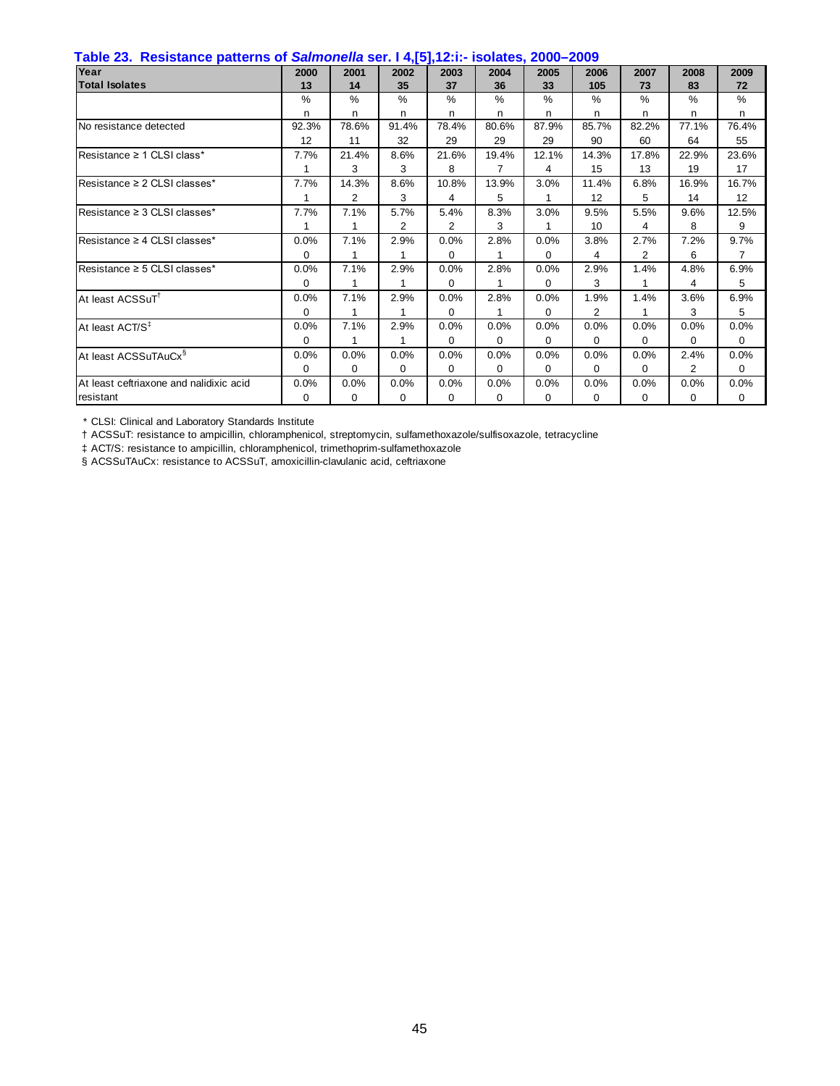| <u>ון טון דוראנדימט סטטר בערכה וואס אוימוסט וואס איז דער בוואס אוימאר דוראן וואס דעם ו</u><br>Year | 2000     | 2001           | 2002     | 2003           | 2004     | 2005          | 2006            | 2007     | 2008           | 2009     |
|----------------------------------------------------------------------------------------------------|----------|----------------|----------|----------------|----------|---------------|-----------------|----------|----------------|----------|
|                                                                                                    |          |                |          |                |          |               |                 |          |                |          |
| <b>Total Isolates</b>                                                                              | 13       | 14             | 35       | 37             | 36       | 33            | 105             | 73       | 83             | 72       |
|                                                                                                    | $\%$     | $\%$           | $\%$     | $\%$           | $\%$     | $\frac{0}{6}$ | $\%$            | $\%$     | $\%$           | $\%$     |
|                                                                                                    | n        | n.             | n        | n.             | n        | n             | n               | n        | n              | n        |
| No resistance detected                                                                             | 92.3%    | 78.6%          | 91.4%    | 78.4%          | 80.6%    | 87.9%         | 85.7%           | 82.2%    | 77.1%          | 76.4%    |
|                                                                                                    | 12       | 11             | 32       | 29             | 29       | 29            | 90              | 60       | 64             | 55       |
| Resistance $\geq 1$ CLSI class*                                                                    | 7.7%     | 21.4%          | 8.6%     | 21.6%          | 19.4%    | 12.1%         | 14.3%           | 17.8%    | 22.9%          | 23.6%    |
|                                                                                                    |          | 3              | 3        | 8              | 7        | 4             | 15              | 13       | 19             | 17       |
| Resistance $\geq 2$ CLSI classes*                                                                  | 7.7%     | 14.3%          | 8.6%     | 10.8%          | 13.9%    | 3.0%          | 11.4%           | 6.8%     | 16.9%          | 16.7%    |
|                                                                                                    |          | $\overline{2}$ | 3        | 4              | 5        |               | 12 <sup>2</sup> | 5        | 14             | 12       |
| Resistance $\geq$ 3 CLSI classes*                                                                  | 7.7%     | 7.1%           | 5.7%     | 5.4%           | 8.3%     | 3.0%          | 9.5%            | 5.5%     | 9.6%           | 12.5%    |
|                                                                                                    |          | 1              | 2        | $\overline{2}$ | 3        |               | 10 <sup>°</sup> | 4        | 8              | 9        |
| Resistance $\geq 4$ CLSI classes*                                                                  | 0.0%     | 7.1%           | 2.9%     | 0.0%           | 2.8%     | 0.0%          | 3.8%            | 2.7%     | 7.2%           | 9.7%     |
|                                                                                                    | $\Omega$ | 1              |          | $\Omega$       |          | $\Omega$      | 4               | 2        | 6              | 7        |
| Resistance $\geq$ 5 CLSI classes*                                                                  | 0.0%     | 7.1%           | 2.9%     | 0.0%           | 2.8%     | 0.0%          | 2.9%            | 1.4%     | 4.8%           | 6.9%     |
|                                                                                                    | $\Omega$ | 1              |          | $\Omega$       |          | $\Omega$      | 3               |          | 4              | 5        |
| At least ACSSuT <sup>†</sup>                                                                       | $0.0\%$  | 7.1%           | 2.9%     | 0.0%           | 2.8%     | 0.0%          | 1.9%            | 1.4%     | 3.6%           | 6.9%     |
|                                                                                                    | $\Omega$ | 1              | 1        | $\Omega$       | 1        | 0             | $\overline{2}$  | 1        | 3              | 5        |
| At least ACT/S <sup>‡</sup>                                                                        | 0.0%     | 7.1%           | 2.9%     | 0.0%           | 0.0%     | 0.0%          | 0.0%            | 0.0%     | 0.0%           | 0.0%     |
|                                                                                                    | 0        | 1              |          | $\Omega$       | 0        | 0             | $\Omega$        | 0        | 0              | $\Omega$ |
| At least ACSSuTAuCx <sup>§</sup>                                                                   | 0.0%     | 0.0%           | 0.0%     | 0.0%           | 0.0%     | 0.0%          | 0.0%            | 0.0%     | 2.4%           | 0.0%     |
|                                                                                                    | 0        | 0              | 0        | $\Omega$       | 0        | 0             | 0               | 0        | $\overline{2}$ | 0        |
| At least ceftriaxone and nalidixic acid                                                            | 0.0%     | 0.0%           | 0.0%     | 0.0%           | 0.0%     | 0.0%          | 0.0%            | 0.0%     | $0.0\%$        | 0.0%     |
| resistant                                                                                          | 0        | 0              | $\Omega$ | $\Omega$       | $\Omega$ | 0             | 0               | $\Omega$ | 0              | 0        |

† ACSSuT: resistance to ampicillin, chloramphenicol, streptomycin, sulfamethoxazole/sulfisoxazole, tetracycline

‡ ACT/S: resistance to ampicillin, chloramphenicol, trimethoprim-sulfamethoxazole

§ ACSSuTAuCx: resistance to ACSSuT, amoxicillin-clavulanic acid, ceftriaxone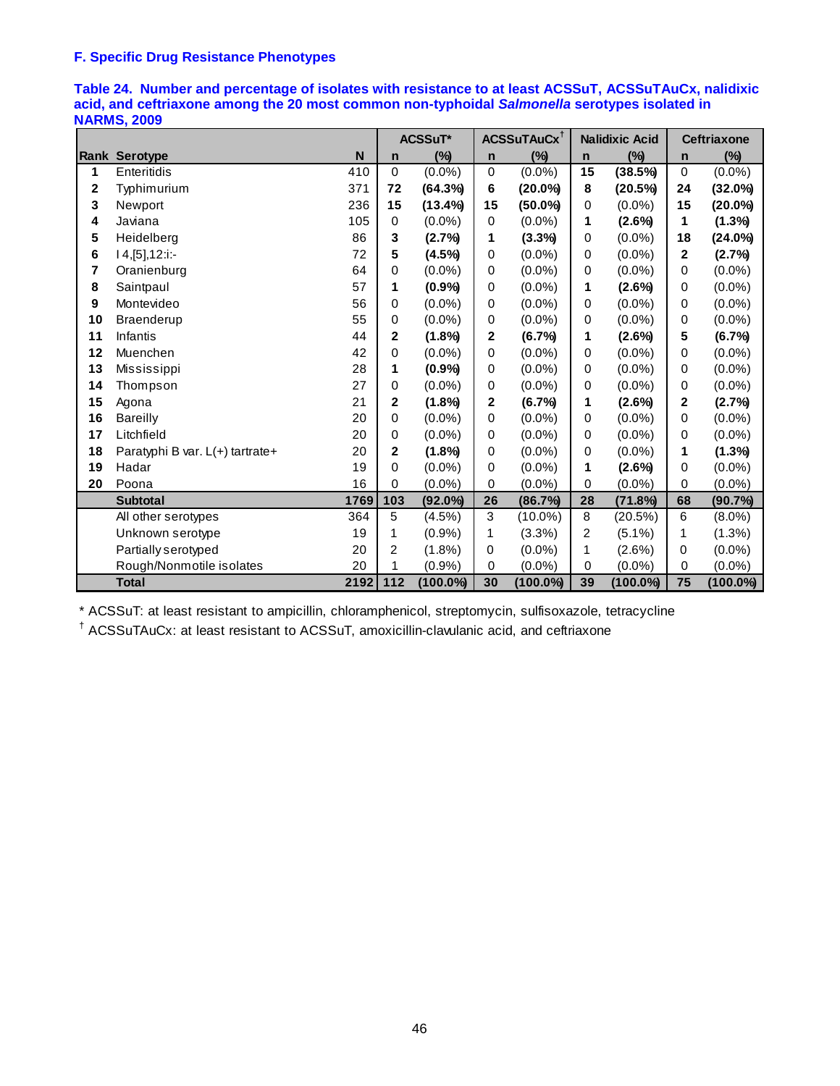# **F. Specific Drug Resistance Phenotypes**

|              |                                 |      |              | ACSSuT*     |                | ACSSuTAuCx <sup>t</sup> |                | <b>Nalidixic Acid</b> |             | <b>Ceftriaxone</b> |
|--------------|---------------------------------|------|--------------|-------------|----------------|-------------------------|----------------|-----------------------|-------------|--------------------|
|              | <b>Rank Serotype</b>            | N    | $\mathsf{n}$ | $(\%)$      | $\mathsf{n}$   | $(\%)$                  | $\mathbf n$    | $(\%)$                | $\mathbf n$ | $(\%)$             |
| 1            | Enteritidis                     | 410  | 0            | $(0.0\%)$   | $\mathbf 0$    | $(0.0\%)$               | 15             | (38.5%)               | 0           | (0.0%              |
| $\mathbf{2}$ | Typhimurium                     | 371  | 72           | (64.3%)     | 6              | $(20.0\%)$              | 8              | $(20.5\%)$            | 24          | $(32.0\%)$         |
| 3            | Newport                         | 236  | 15           | (13.4%      | 15             | $(50.0\%)$              | 0              | $(0.0\%)$             | 15          | $(20.0\%)$         |
| 4            | Javiana                         | 105  | 0            | $(0.0\%)$   | 0              | $(0.0\%)$               | 1              | $(2.6\%)$             | 1           | $(1.3\%)$          |
| 5            | Heidelberg                      | 86   | 3            | (2.7%       | 1              | (3.3%)                  | 0              | $(0.0\%)$             | 18          | $(24.0\%)$         |
| 6            | $14, [5], 12$ :i:-              | 72   | 5            | $(4.5\%)$   | 0              | $(0.0\%)$               | 0              | $(0.0\%)$             | 2           | (2.7%              |
| 7            | Oranienburg                     | 64   | 0            | $(0.0\%)$   | 0              | $(0.0\%)$               | 0              | $(0.0\%)$             | 0           | $(0.0\%)$          |
| 8            | Saintpaul                       | 57   | 1            | $(0.9\%)$   | 0              | $(0.0\%)$               | 1              | $(2.6\%)$             | 0           | (0.0%              |
| 9            | Montevideo                      | 56   | 0            | $(0.0\%)$   | 0              | $(0.0\%)$               | 0              | $(0.0\%)$             | 0           | $(0.0\%)$          |
| 10           | <b>Braenderup</b>               | 55   | 0            | (0.0%       | 0              | $(0.0\%)$               | 0              | $(0.0\%)$             | 0           | (0.0%              |
| 11           | Infantis                        | 44   | 2            | $(1.8\%)$   | $\mathbf{2}$   | (6.7%)                  | 1              | $(2.6\%)$             | 5           | (6.7%)             |
| 12           | Muenchen                        | 42   | 0            | $(0.0\%)$   | $\Omega$       | $(0.0\%)$               | 0              | $(0.0\%)$             | 0           | $(0.0\%)$          |
| 13           | Mississippi                     | 28   | 1            | (0.9%       | 0              | $(0.0\%)$               | 0              | $(0.0\%)$             | 0           | $(0.0\%)$          |
| 14           | Thompson                        | 27   | 0            | $(0.0\%)$   | 0              | $(0.0\%)$               | 0              | $(0.0\%)$             | 0           | (0.0%              |
| 15           | Agona                           | 21   | $\mathbf{2}$ | (1.8%)      | $\overline{2}$ | (6.7%)                  | 1              | (2.6%)                | 2           | (2.7%              |
| 16           | Bareilly                        | 20   | 0            | $(0.0\%)$   | 0              | $(0.0\%)$               | 0              | $(0.0\%)$             | 0           | $(0.0\%)$          |
| 17           | Litchfield                      | 20   | 0            | $(0.0\%)$   | 0              | $(0.0\%)$               | 0              | $(0.0\%)$             | 0           | $(0.0\%)$          |
| 18           | Paratyphi B var. L(+) tartrate+ | 20   | 2            | (1.8%       | 0              | $(0.0\%)$               | 0              | $(0.0\%)$             | 1           | $(1.3\%)$          |
| 19           | Hadar                           | 19   | 0            | $(0.0\%)$   | 0              | $(0.0\%)$               | 1              | $(2.6\%)$             | 0           | $(0.0\%)$          |
| 20           | Poona                           | 16   | 0            | (0.0%       | 0              | (0.0%                   | 0              | (0.0%                 | 0           | $(0.0\%)$          |
|              | <b>Subtotal</b>                 | 1769 | 103          | $(92.0\%)$  | 26             | (86.7%)                 | 28             | (71.8%)               | 68          | (90.7%)            |
|              | All other serotypes             | 364  | 5            | (4.5%)      | 3              | $(10.0\%)$              | 8              | (20.5%)               | 6           | $(8.0\%)$          |
|              | Unknown serotype                | 19   | 1            | (0.9%       | 1              | $(3.3\%)$               | $\overline{2}$ | $(5.1\%)$             | 1           | $(1.3\%)$          |
|              | Partially serotyped             | 20   | 2            | $(1.8\%)$   | 0              | $(0.0\%)$               | 1              | $(2.6\%)$             | 0           | $(0.0\%)$          |
|              | Rough/Nonmotile isolates        | 20   | 1            | $(0.9\%)$   | 0              | $(0.0\%)$               | $\mathbf 0$    | $(0.0\%)$             | 0           | $(0.0\%)$          |
|              | <b>Total</b>                    | 2192 | 112          | $(100.0\%)$ | 30             | $(100.0\%)$             | 39             | $(100.0\%)$           | 75          | $(100.0\%)$        |

**Table 24. Number and percentage of isolates with resistance to at least ACSSuT, ACSSuTAuCx, nalidixic acid, and ceftriaxone among the 20 most common non-typhoidal** *Salmonella* **serotypes isolated in NARMS, 2009** 

\* ACSSuT: at least resistant to ampicillin, chloramphenicol, streptomycin, sulfisoxazole, tetracycline

† ACSSuTAuCx: at least resistant to ACSSuT, amoxicillin-clavulanic acid, and ceftriaxone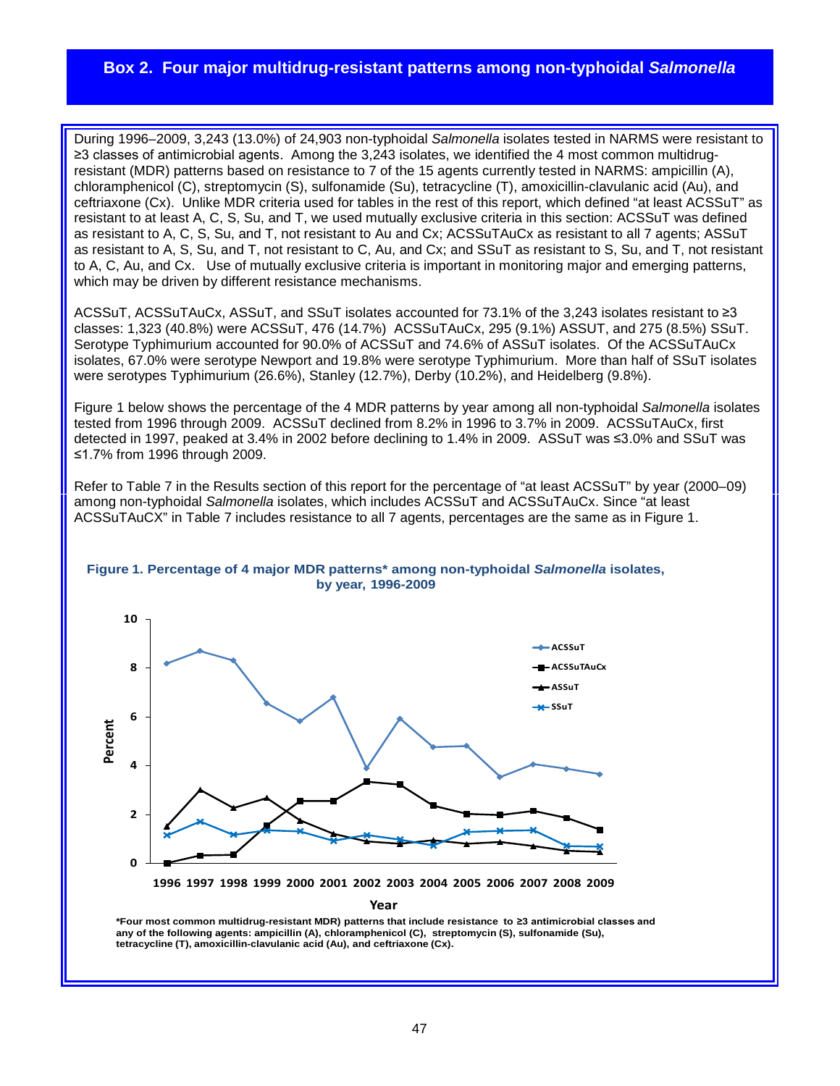# **Box 2. Four major multidrug-resistant patterns among non-typhoidal** *Salmonella*

During 1996–2009, 3,243 (13.0%) of 24,903 non-typhoidal *Salmonella* isolates tested in NARMS were resistant to ≥3 classes of antimicrobial agents. Among the 3,243 isolates, we identified the 4 most common multidrugresistant (MDR) patterns based on resistance to 7 of the 15 agents currently tested in NARMS: ampicillin (A), chloramphenicol (C), streptomycin (S), sulfonamide (Su), tetracycline (T), amoxicillin-clavulanic acid (Au), and ceftriaxone (Cx). Unlike MDR criteria used for tables in the rest of this report, which defined "at least ACSSuT" as resistant to at least A, C, S, Su, and T, we used mutually exclusive criteria in this section: ACSSuT was defined as resistant to A, C, S, Su, and T, not resistant to Au and Cx; ACSSuTAuCx as resistant to all 7 agents; ASSuT as resistant to A, S, Su, and T, not resistant to C, Au, and Cx; and SSuT as resistant to S, Su, and T, not resistant to A, C, Au, and Cx. Use of mutually exclusive criteria is important in monitoring major and emerging patterns, which may be driven by different resistance mechanisms.

ACSSuT, ACSSuTAuCx, ASSuT, and SSuT isolates accounted for 73.1% of the 3,243 isolates resistant to ≥3 classes: 1,323 (40.8%) were ACSSuT, 476 (14.7%) ACSSuTAuCx, 295 (9.1%) ASSUT, and 275 (8.5%) SSuT. Serotype Typhimurium accounted for 90.0% of ACSSuT and 74.6% of ASSuT isolates. Of the ACSSuTAuCx isolates, 67.0% were serotype Newport and 19.8% were serotype Typhimurium. More than half of SSuT isolates were serotypes Typhimurium (26.6%), Stanley (12.7%), Derby (10.2%), and Heidelberg (9.8%).

Figure 1 below shows the percentage of the 4 MDR patterns by year among all non-typhoidal *Salmonella* isolates tested from 1996 through 2009. ACSSuT declined from 8.2% in 1996 to 3.7% in 2009. ACSSuTAuCx, first detected in 1997, peaked at 3.4% in 2002 before declining to 1.4% in 2009. ASSuT was ≤3.0% and SSuT was ≤1.7% from 1996 through 2009.

Refer to Table 7 in the Results section of this report for the percentage of "at least ACSSuT" by year (2000–09) among non-typhoidal *Salmonella* isolates, which includes ACSSuT and ACSSuTAuCx. Since "at least ACSSuTAuCX" in Table 7 includes resistance to all 7 agents, percentages are the same as in Figure 1.





**Year**

**\*Four most common multidrug-resistant MDR) patterns that include resistance to ≥3 antimicrobial classes and any of the following agents: ampicillin (A), chloramphenicol (C), streptomycin (S), sulfonamide (Su), tetracycline (T), amoxicillin-clavulanic acid (Au), and ceftriaxone (Cx).**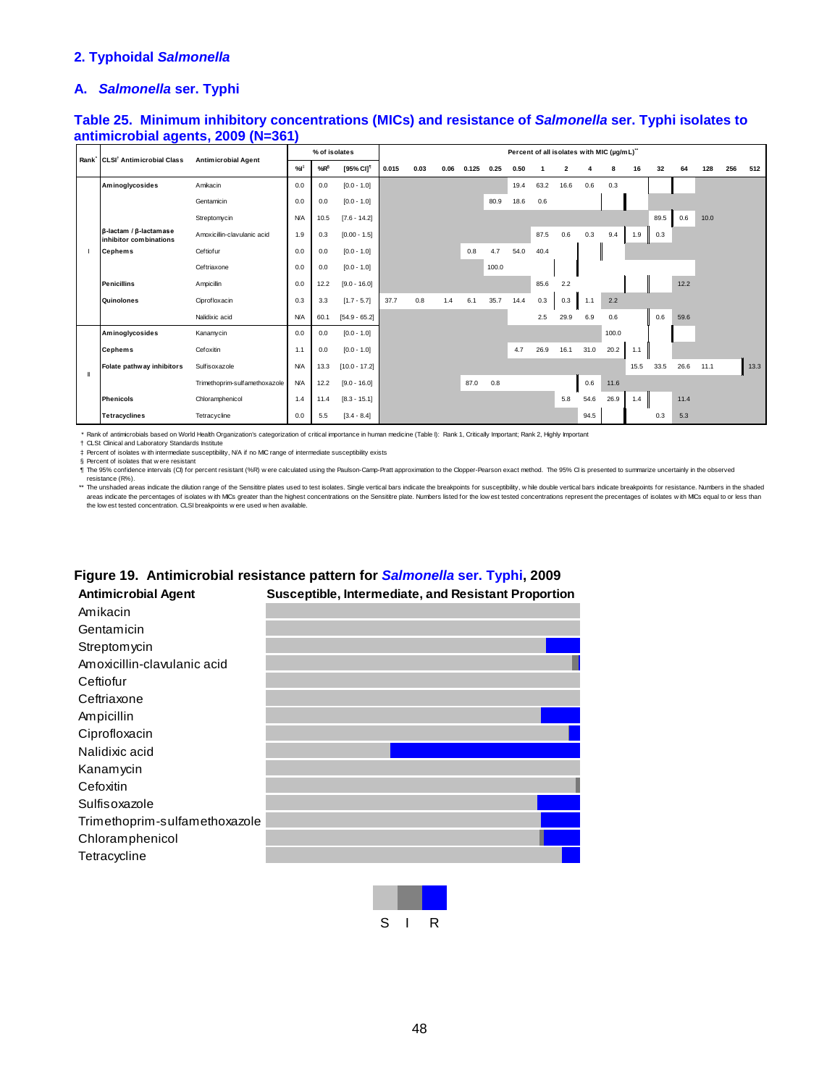# **2. Typhoidal** *Salmonella*

#### **A.** *Salmonella* **ser. Typhi**

## **Table 25. Minimum inhibitory concentrations (MICs) and resistance of** *Salmonella* **ser. Typhi isolates to antimicrobial agents, 2009 (N=361)**

|   | Rank CLSI <sup>†</sup> Antimicrobial Class                       |                               |            | % of isolates |                       |       |      |      |       |       |      | Percent of all isolates with MIC (µg/mL)" |                |      |       |      |      |      |      |     |      |
|---|------------------------------------------------------------------|-------------------------------|------------|---------------|-----------------------|-------|------|------|-------|-------|------|-------------------------------------------|----------------|------|-------|------|------|------|------|-----|------|
|   |                                                                  | <b>Antimicrobial Agent</b>    | %          | $%R^{\$}$     | [95% CI] <sup>1</sup> | 0.015 | 0.03 | 0.06 | 0.125 | 0.25  | 0.50 |                                           | $\overline{2}$ |      | 8     | 16   | 32   | 64   | 128  | 256 | 512  |
|   | Aminoglycosides                                                  | Amikacin                      | 0.0        | 0.0           | $[0.0 - 1.0]$         |       |      |      |       |       | 19.4 | 63.2                                      | 16.6           | 0.6  | 0.3   |      |      |      |      |     |      |
|   |                                                                  | Gentamicin                    | 0.0        | 0.0           | $[0.0 - 1.0]$         |       |      |      |       | 80.9  | 18.6 | 0.6                                       |                |      |       |      |      |      |      |     |      |
|   |                                                                  | Streptomycin                  | <b>N/A</b> | 10.5          | $[7.6 - 14.2]$        |       |      |      |       |       |      |                                           |                |      |       |      | 89.5 | 0.6  | 10.0 |     |      |
|   | $\beta$ -lactam / $\beta$ -lactam as e<br>inhibitor combinations | Amoxicillin-clavulanic acid   | 1.9        | 0.3           | $[0.00 - 1.5]$        |       |      |      |       |       |      | 87.5                                      | 0.6            | 0.3  | 9.4   | 1.9  | 0.3  |      |      |     |      |
|   | <b>Cephems</b>                                                   | Ceftiofur                     | 0.0        | 0.0           | $[0.0 - 1.0]$         |       |      |      | 0.8   | 4.7   | 54.0 | 40.4                                      |                |      |       |      |      |      |      |     |      |
|   |                                                                  | Ceftriaxone                   | 0.0        | 0.0           | $[0.0 - 1.0]$         |       |      |      |       | 100.0 |      |                                           |                |      |       |      |      |      |      |     |      |
|   | <b>Penicillins</b>                                               | Ampicillin                    | 0.0        | 12.2          | $[9.0 - 16.0]$        |       |      |      |       |       |      | 85.6                                      | 2.2            |      |       |      |      | 12.2 |      |     |      |
|   | Quinolones                                                       | Ciprofloxacin                 | 0.3        | 3.3           | $[1.7 - 5.7]$         | 37.7  | 0.8  | 1.4  | 6.1   | 35.7  | 14.4 | 0.3                                       | 0.3            | 1.1  | 2.2   |      |      |      |      |     |      |
|   |                                                                  | Nalidixic acid                | <b>N/A</b> | 60.1          | $[54.9 - 65.2]$       |       |      |      |       |       |      | 2.5                                       | 29.9           | 6.9  | 0.6   |      | 0.6  | 59.6 |      |     |      |
|   | Aminoglycosides                                                  | Kanamycin                     | 0.0        | 0.0           | $[0.0 - 1.0]$         |       |      |      |       |       |      |                                           |                |      | 100.0 |      |      |      |      |     |      |
|   | <b>Cephems</b>                                                   | Cefoxitin                     | 1.1        | 0.0           | $[0.0 - 1.0]$         |       |      |      |       |       | 4.7  | 26.9                                      | 16.1           | 31.0 | 20.2  | 1.1  |      |      |      |     |      |
| Ш | Folate pathway inhibitors                                        | Sulfisoxazole                 | <b>N/A</b> | 13.3          | $[10.0 - 17.2]$       |       |      |      |       |       |      |                                           |                |      |       | 15.5 | 33.5 | 26.6 | 11.1 |     | 13.3 |
|   |                                                                  | Trimethoprim-sulfamethoxazole | <b>N/A</b> | 12.2          | $[9.0 - 16.0]$        |       |      |      | 87.0  | 0.8   |      |                                           |                | 0.6  | 11.6  |      |      |      |      |     |      |
|   | <b>Phenicols</b>                                                 | Chloramphenicol               | 1.4        | 11.4          | $[8.3 - 15.1]$        |       |      |      |       |       |      |                                           | 5.8            | 54.6 | 26.9  | 1.4  |      | 11.4 |      |     |      |
|   | <b>Tetracyclines</b>                                             | Tetracycline                  | 0.0        | 5.5           | $[3.4 - 8.4]$         |       |      |      |       |       |      |                                           |                | 94.5 |       |      | 0.3  | 5.3  |      |     |      |

\* Rank of antimicrobials based on World Health Organization's categorization of critical importance in human medicine (Table I): Rank 1, Critically Important; Rank 2, Highly Important

† ‡ CLSI: Clinical and Laboratory Standards Institute Percent of isolates w ith intermediate susceptibility, N/A if no MIC range of intermediate susceptibility exists

§ Percent of isolates that w ere resistant

¶ The 95% confidence intervals (CI) for percent resistant (%R) w ere calculated using the Paulson-Camp-Pratt approximation to the Clopper-Pearson exact method. The 95% CI is presented to summarize uncertainly in the observed resistance (R%).

\*\* The unshaded areas indicate the dilution range of the Sensititre plates used to test isolates. Single vertical bars indicate the breakpoints for susceptibility, while double vertical bars indicate breakpoints for resist the low est tested concentration. CLSI breakpoints w ere used w hen available.

# Amikacin Gentamicin Streptomycin Amoxicillin-clavulanic acid **Ceftiofur Ceftriaxone** Ampicillin Ciprofloxacin Nalidixic acid Kanamycin **Cefoxitin** Sulfisoxazole Trimethoprim-sulfamethoxazole Chloramphenicol **Tetracycline Antimicrobial Agent Susceptible, Intermediate, and Resistant Proportion**

# **Figure 19. Antimicrobial resistance pattern for** *Salmonella* **ser. Typhi, 2009**

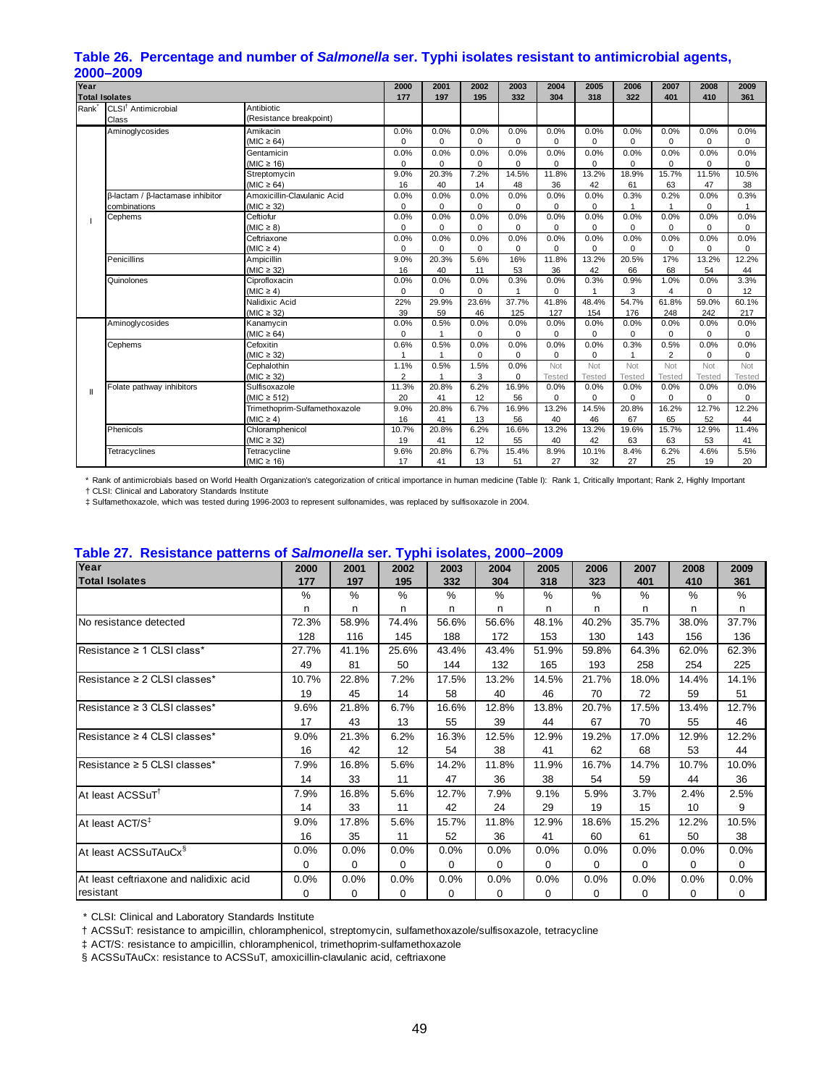|                   | LUUU—LUUJ                        |                               |                |          |          |          |               |               |                |                |               |               |
|-------------------|----------------------------------|-------------------------------|----------------|----------|----------|----------|---------------|---------------|----------------|----------------|---------------|---------------|
| Year              |                                  |                               | 2000           | 2001     | 2002     | 2003     | 2004          | 2005          | 2006           | 2007           | 2008          | 2009          |
|                   | <b>Total Isolates</b>            |                               | 177            | 197      | 195      | 332      | 304           | 318           | 322            | 401            | 410           | 361           |
| Rank <sup>*</sup> | CLSI <sup>†</sup> Antimicrobial  | Antibiotic                    |                |          |          |          |               |               |                |                |               |               |
|                   | Class                            | (Resistance breakpoint)       |                |          |          |          |               |               |                |                |               |               |
|                   | Aminoglycosides                  | Amikacin                      | 0.0%           | 0.0%     | 0.0%     | 0.0%     | 0.0%          | 0.0%          | 0.0%           | 0.0%           | 0.0%          | 0.0%          |
|                   |                                  | $(MIC \ge 64)$                | $\Omega$       | $\Omega$ | $\Omega$ | $\Omega$ | $\mathbf 0$   | 0             | $\Omega$       | $\Omega$       | $\Omega$      | 0             |
|                   |                                  | Gentamicin                    | 0.0%           | 0.0%     | 0.0%     | 0.0%     | 0.0%          | 0.0%          | 0.0%           | 0.0%           | 0.0%          | 0.0%          |
|                   |                                  | (MIC $\geq$ 16)               | $\mathbf 0$    | $\Omega$ | $\Omega$ | 0        | $\mathbf 0$   | 0             | $\Omega$       | $\Omega$       | $\Omega$      | $\Omega$      |
|                   |                                  | Streptomycin                  | 9.0%           | 20.3%    | 7.2%     | 14.5%    | 11.8%         | 13.2%         | 18.9%          | 15.7%          | 11.5%         | 10.5%         |
|                   |                                  | (MIC $\geq$ 64)               | 16             | 40       | 14       | 48       | 36            | 42            | 61             | 63             | 47            | 38            |
|                   | β-lactam / β-lactamase inhibitor | Amoxicillin-Clavulanic Acid   | 0.0%           | 0.0%     | 0.0%     | 0.0%     | 0.0%          | 0.0%          | 0.3%           | 0.2%           | 0.0%          | 0.3%          |
|                   | combinations                     | $(MIC \geq 32)$               | $\Omega$       | $\Omega$ | $\Omega$ | $\Omega$ | $\mathbf 0$   | $\Omega$      |                | 1              | $\Omega$      |               |
|                   | Cephems                          | Ceftiofur                     | 0.0%           | 0.0%     | 0.0%     | 0.0%     | 0.0%          | 0.0%          | 0.0%           | 0.0%           | 0.0%          | 0.0%          |
|                   |                                  | $(MIC \geq 8)$                | $\Omega$       | $\Omega$ | $\Omega$ | 0        | $\mathbf 0$   | 0             | $\mathbf 0$    | $\Omega$       | $\Omega$      | $\Omega$      |
|                   |                                  | Ceftriaxone                   | 0.0%           | 0.0%     | 0.0%     | 0.0%     | 0.0%          | 0.0%          | 0.0%           | 0.0%           | 0.0%          | 0.0%          |
|                   |                                  | $(MIC \geq 4)$                | $\Omega$       | $\Omega$ | $\Omega$ | 0        | $\mathbf 0$   | 0             | $\Omega$       | $\Omega$       | $\Omega$      | $\Omega$      |
|                   | Penicillins                      | Ampicillin                    | 9.0%           | 20.3%    | 5.6%     | 16%      | 11.8%         | 13.2%         | 20.5%          | 17%            | 13.2%         | 12.2%         |
|                   |                                  | $(MIC \geq 32)$               | 16             | 40       | 11       | 53       | 36            | 42            | 66             | 68             | 54            | 44            |
|                   | Quinolones                       | Ciprofloxacin                 | 0.0%           | 0.0%     | 0.0%     | 0.3%     | 0.0%          | 0.3%          | 0.9%           | 1.0%           | 0.0%          | 3.3%          |
|                   |                                  | $(MIC \geq 4)$                | 0              | $\Omega$ | $\Omega$ |          | 0             | 1             | 3              | 4              | $\Omega$      | 12            |
|                   |                                  | Nalidixic Acid                | 22%            | 29.9%    | 23.6%    | 37.7%    | 41.8%         | 48.4%         | 54.7%          | 61.8%          | 59.0%         | 60.1%         |
|                   |                                  | $(MIC \geq 32)$               | 39             | 59       | 46       | 125      | 127           | 154           | 176            | 248            | 242           | 217           |
|                   | Aminoglycosides                  | Kanamycin                     | 0.0%           | 0.5%     | 0.0%     | 0.0%     | 0.0%          | 0.0%          | 0.0%           | 0.0%           | 0.0%          | 0.0%          |
|                   |                                  | (MIC $\geq$ 64)               | $\mathbf 0$    |          | 0        | 0        | 0             | 0             | $\mathbf 0$    | 0              | $\mathbf 0$   | 0             |
|                   | Cephems                          | Cefoxitin                     | 0.6%           | 0.5%     | 0.0%     | 0.0%     | 0.0%          | 0.0%          | 0.3%           | 0.5%           | 0.0%          | 0.0%          |
|                   |                                  | (MIC $\geq$ 32)               | 1              |          | 0        | 0        | 0             | $\mathbf 0$   | $\overline{1}$ | $\overline{2}$ | $\Omega$      | 0             |
|                   |                                  | Cephalothin                   | 1.1%           | 0.5%     | 1.5%     | 0.0%     | Not           | Not           | Not            | Not            | Not           | Not           |
|                   |                                  | (MIC $\geq$ 32)               | $\overline{2}$ |          | 3        | 0        | <b>Tested</b> | <b>Tested</b> | <b>Tested</b>  | <b>Tested</b>  | <b>Tested</b> | <b>Tested</b> |
| Ш                 | Folate pathway inhibitors        | Sulfisoxazole                 | 11.3%          | 20.8%    | 6.2%     | 16.9%    | 0.0%          | 0.0%          | 0.0%           | 0.0%           | 0.0%          | 0.0%          |
|                   |                                  | (MIC $\geq$ 512)              | 20             | 41       | 12       | 56       | 0             | 0             | 0              | 0              | $\mathbf 0$   | 0             |
|                   |                                  | Trimethoprim-Sulfamethoxazole | 9.0%           | 20.8%    | 6.7%     | 16.9%    | 13.2%         | 14.5%         | 20.8%          | 16.2%          | 12.7%         | 12.2%         |
|                   |                                  | $(MIC \geq 4)$                | 16             | 41       | 13       | 56       | 40            | 46            | 67             | 65             | 52            | 44            |
|                   | Phenicols                        | Chloramphenicol               | 10.7%          | 20.8%    | 6.2%     | 16.6%    | 13.2%         | 13.2%         | 19.6%          | 15.7%          | 12.9%         | 11.4%         |
|                   |                                  | $(MIC \geq 32)$               | 19             | 41       | 12       | 55       | 40            | 42            | 63             | 63             | 53            | 41            |
|                   | Tetracyclines                    | Tetracycline                  | 9.6%           | 20.8%    | 6.7%     | 15.4%    | 8.9%          | 10.1%         | 8.4%           | 6.2%           | 4.6%          | 5.5%          |
|                   |                                  | (MIC $\geq$ 16)               | 17             | 41       | 13       | 51       | 27            | 32            | 27             | 25             | 19            | 20            |

# **Table 26. Percentage and number of** *Salmonella* **ser. Typhi isolates resistant to antimicrobial agents, 2000–2009**

 \* Rank of antimicrobials based on World Health Organization's categorization of critical importance in human medicine (Table I): Rank 1, Critically Important; Rank 2, Highly Important † CLSI: Clinical and Laboratory Standards Institute

‡ Sulfamethoxazole, which was tested during 1996-2003 to represent sulfonamides, was replaced by sulfisoxazole in 2004.

| Year                                    | 2000  | 2001     | . .<br>2002 | 2003     | 2004     | 2005  | 2006     | 2007          | 2008     | 2009  |
|-----------------------------------------|-------|----------|-------------|----------|----------|-------|----------|---------------|----------|-------|
| <b>Total Isolates</b>                   | 177   | 197      | 195         | 332      | 304      | 318   | 323      | 401           | 410      | 361   |
|                                         | $\%$  | $\%$     | $\%$        | $\%$     | %        | $\%$  | $\%$     | $\frac{0}{0}$ | $\%$     | %     |
|                                         | n     | n        | n           | n        | n        | n     | n        | n             | n        | n     |
| No resistance detected                  | 72.3% | 58.9%    | 74.4%       | 56.6%    | 56.6%    | 48.1% | 40.2%    | 35.7%         | 38.0%    | 37.7% |
|                                         | 128   | 116      | 145         | 188      | 172      | 153   | 130      | 143           | 156      | 136   |
| $Resistance \geq 1$ CLSI class*         | 27.7% | 41.1%    | 25.6%       | 43.4%    | 43.4%    | 51.9% | 59.8%    | 64.3%         | 62.0%    | 62.3% |
|                                         | 49    | 81       | 50          | 144      | 132      | 165   | 193      | 258           | 254      | 225   |
| Resistance ≥ 2 CLSI classes*            | 10.7% | 22.8%    | 7.2%        | 17.5%    | 13.2%    | 14.5% | 21.7%    | 18.0%         | 14.4%    | 14.1% |
|                                         | 19    | 45       | 14          | 58       | 40       | 46    | 70       | 72            | 59       | 51    |
| Resistance ≥ 3 CLSI classes*            | 9.6%  | 21.8%    | 6.7%        | 16.6%    | 12.8%    | 13.8% | 20.7%    | 17.5%         | 13.4%    | 12.7% |
|                                         | 17    | 43       | 13          | 55       | 39       | 44    | 67       | 70            | 55       | 46    |
| Resistance ≥ 4 CLSI classes*            | 9.0%  | 21.3%    | 6.2%        | 16.3%    | 12.5%    | 12.9% | 19.2%    | 17.0%         | 12.9%    | 12.2% |
|                                         | 16    | 42       | 12          | 54       | 38       | 41    | 62       | 68            | 53       | 44    |
| Resistance $\geq$ 5 CLSI classes*       | 7.9%  | 16.8%    | 5.6%        | 14.2%    | 11.8%    | 11.9% | 16.7%    | 14.7%         | 10.7%    | 10.0% |
|                                         | 14    | 33       | 11          | 47       | 36       | 38    | 54       | 59            | 44       | 36    |
| At least ACSSuT <sup>t</sup>            | 7.9%  | 16.8%    | 5.6%        | 12.7%    | 7.9%     | 9.1%  | 5.9%     | 3.7%          | 2.4%     | 2.5%  |
|                                         | 14    | 33       | 11          | 42       | 24       | 29    | 19       | 15            | 10       | 9     |
| At least ACT/S <sup>‡</sup>             | 9.0%  | 17.8%    | 5.6%        | 15.7%    | 11.8%    | 12.9% | 18.6%    | 15.2%         | 12.2%    | 10.5% |
|                                         | 16    | 35       | 11          | 52       | 36       | 41    | 60       | 61            | 50       | 38    |
| At least ACSSuTAuCx <sup>§</sup>        | 0.0%  | 0.0%     | 0.0%        | 0.0%     | 0.0%     | 0.0%  | 0.0%     | 0.0%          | 0.0%     | 0.0%  |
|                                         | 0     | $\Omega$ | $\Omega$    | $\Omega$ | $\Omega$ | 0     | $\Omega$ | $\Omega$      | $\Omega$ | 0     |
| At least ceftriaxone and nalidixic acid | 0.0%  | 0.0%     | 0.0%        | 0.0%     | 0.0%     | 0.0%  | 0.0%     | 0.0%          | 0.0%     | 0.0%  |
| resistant                               | 0     | 0        | 0           | 0        | 0        | 0     | 0        | 0             | $\Omega$ | 0     |

# **Table 27. Resistance patterns of** *Salmonella* **ser. Typhi isolates, 2000–2009**

\* CLSI: Clinical and Laboratory Standards Institute

† ACSSuT: resistance to ampicillin, chloramphenicol, streptomycin, sulfamethoxazole/sulfisoxazole, tetracycline

‡ ACT/S: resistance to ampicillin, chloramphenicol, trimethoprim-sulfamethoxazole

§ ACSSuTAuCx: resistance to ACSSuT, amoxicillin-clavulanic acid, ceftriaxone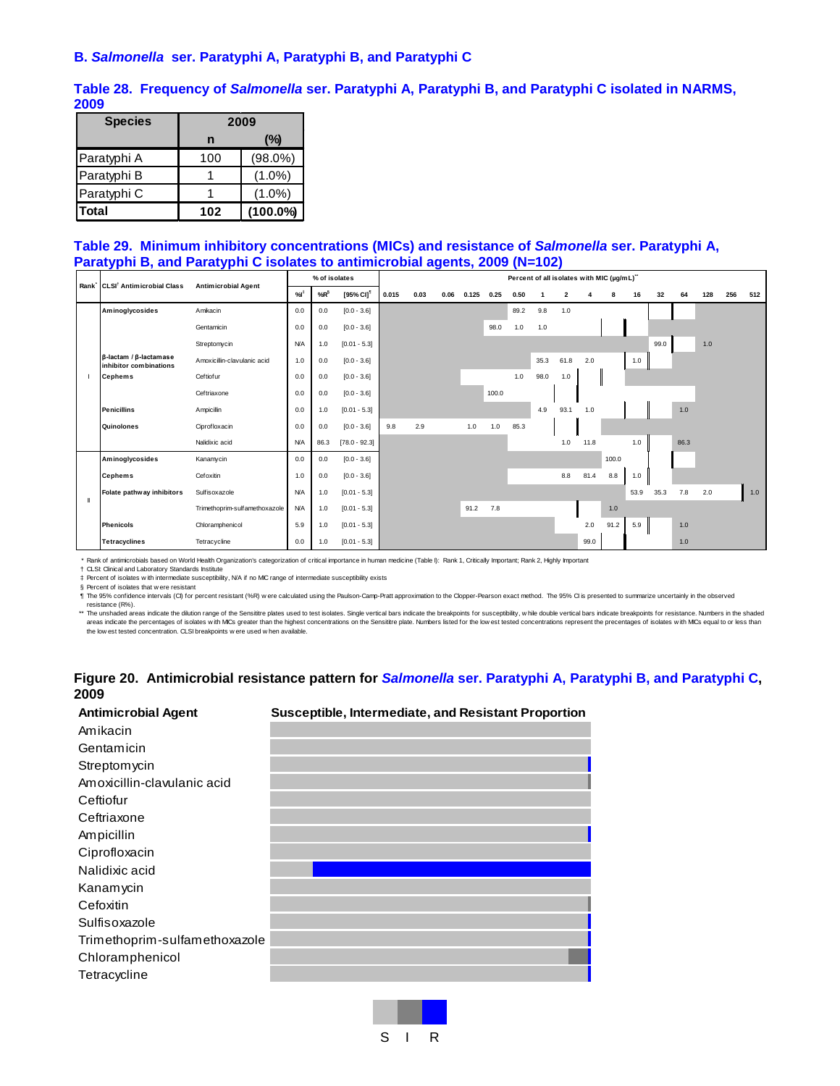#### **B.** *Salmonella* **ser. Paratyphi A, Paratyphi B, and Paratyphi C**

**Table 28. Frequency of** *Salmonella* **ser. Paratyphi A, Paratyphi B, and Paratyphi C isolated in NARMS, 2009** 

| <b>Species</b> |     | 2009        |
|----------------|-----|-------------|
|                | n   | (%)         |
| Paratyphi A    | 100 | $(98.0\%)$  |
| Paratyphi B    |     | $(1.0\%)$   |
| Paratyphi C    |     | $(1.0\%)$   |
| Total          | 102 | $(100.0\%)$ |

#### **Table 29. Minimum inhibitory concentrations (MICs) and resistance of** *Salmonella* **ser. Paratyphi A, Paratyphi B, and Paratyphi C isolates to antimicrobial agents, 2009 (N=102)**

|                | Rank <sup>*</sup> CLSI <sup>†</sup> Antimicrobial Class        | <b>Antimicrobial Agent</b>    |            | % of isolates   |                       | Percent of all isolates with MIC (µg/mL)" |      |      |       |       |      |      |                         |      |       |      |      |      |     |     |     |
|----------------|----------------------------------------------------------------|-------------------------------|------------|-----------------|-----------------------|-------------------------------------------|------|------|-------|-------|------|------|-------------------------|------|-------|------|------|------|-----|-----|-----|
|                |                                                                |                               | %          | %R <sup>§</sup> | [95% CI] <sup>1</sup> | 0.015                                     | 0.03 | 0.06 | 0.125 | 0.25  | 0.50 |      | $\overline{\mathbf{2}}$ |      | 8     | 16   | 32   | 64   | 128 | 256 | 512 |
|                | Aminoglycosides                                                | Amikacin                      | 0.0        | 0.0             | $[0.0 - 3.6]$         |                                           |      |      |       |       | 89.2 | 9.8  | 1.0                     |      |       |      |      |      |     |     |     |
|                |                                                                | Gentamicin                    | 0.0        | 0.0             | $[0.0 - 3.6]$         |                                           |      |      |       | 98.0  | 1.0  | 1.0  |                         |      |       |      |      |      |     |     |     |
|                |                                                                | Streptomycin                  | <b>N/A</b> | 1.0             | $[0.01 - 5.3]$        |                                           |      |      |       |       |      |      |                         |      |       |      | 99.0 |      | 1.0 |     |     |
|                | $\beta$ -lactam / $\beta$ -lactamase<br>inhibitor combinations | Amoxicillin-clavulanic acid   | 1.0        | 0.0             | $[0.0 - 3.6]$         |                                           |      |      |       |       |      | 35.3 | 61.8                    | 2.0  |       | 1.0  |      |      |     |     |     |
|                | <b>Cephems</b>                                                 | Ceftiofur                     | 0.0        | 0.0             | $[0.0 - 3.6]$         |                                           |      |      |       |       | 1.0  | 98.0 | 1.0                     |      |       |      |      |      |     |     |     |
|                |                                                                | Ceftriaxone                   | 0.0        | 0.0             | $[0.0 - 3.6]$         |                                           |      |      |       | 100.0 |      |      |                         |      |       |      |      |      |     |     |     |
|                | <b>Penicillins</b>                                             | Ampicillin                    | 0.0        | 1.0             | $[0.01 - 5.3]$        |                                           |      |      |       |       |      | 4.9  | 93.1                    | 1.0  |       |      |      | 1.0  |     |     |     |
|                | Quinolones                                                     | Ciprofloxacin                 | 0.0        | 0.0             | $[0.0 - 3.6]$         | 9.8                                       | 2.9  |      | 1.0   | 1.0   | 85.3 |      |                         |      |       |      |      |      |     |     |     |
|                |                                                                | Nalidixic acid                | <b>N/A</b> | 86.3            | $[78.0 - 92.3]$       |                                           |      |      |       |       |      |      | 1.0                     | 11.8 |       | 1.0  |      | 86.3 |     |     |     |
|                | Aminoglycosides                                                | Kanamycin                     | 0.0        | 0.0             | $[0.0 - 3.6]$         |                                           |      |      |       |       |      |      |                         |      | 100.0 |      |      |      |     |     |     |
|                | <b>Cephems</b>                                                 | Cefoxitin                     | 1.0        | 0.0             | $[0.0 - 3.6]$         |                                           |      |      |       |       |      |      | 8.8                     | 81.4 | 8.8   | 1.0  |      |      |     |     |     |
| $\blacksquare$ | Folate pathway inhibitors                                      | Sulfisoxazole                 | <b>N/A</b> | 1.0             | $[0.01 - 5.3]$        |                                           |      |      |       |       |      |      |                         |      |       | 53.9 | 35.3 | 7.8  | 2.0 |     | 1.0 |
|                |                                                                | Trimethoprim-sulfamethoxazole | <b>N/A</b> | 1.0             | $[0.01 - 5.3]$        |                                           |      |      | 91.2  | 7.8   |      |      |                         |      | 1.0   |      |      |      |     |     |     |
|                | <b>Phenicols</b>                                               | Chloramphenicol               | 5.9        | 1.0             | $[0.01 - 5.3]$        |                                           |      |      |       |       |      |      |                         | 2.0  | 91.2  | 5.9  |      | 1.0  |     |     |     |
|                | <b>Tetracyclines</b>                                           | Tetracycline                  | 0.0        | 1.0             | $[0.01 - 5.3]$        |                                           |      |      |       |       |      |      |                         | 99.0 |       |      |      | 1.0  |     |     |     |

\* Rank of antimicrobials based on World Health Organization's categorization of critical importance in human medicine (Table I): Rank 1, Critically Important; Rank 2, Highly Important

† CLSI: Clinical and Laboratory Standards Institute

‡ § Percent of isolates w ith intermediate susceptibility, N/A if no MIC range of intermediate susceptibility exists Percent of isolates that w ere resistant

¶ The 95% confidence intervals (CI) for percent resistant (%R) were calculated using the Paulson-Camp-Pratt approximation to the Clopper-Pearson exact method. The 95% CI is presented to summarize uncertainly in the observe

\*\* The unshaded areas indicate the dilution range of the Sensittre plates used to test isolates. Single vertical bars indicate the breakpoints for susceptibility, while double vertical bars indicate the relayooints for res

#### **Figure 20. Antimicrobial resistance pattern for** *Salmonella* **ser. Paratyphi A, Paratyphi B, and Paratyphi C, 2009**

| <b>Antimicrobial Agent</b>    | Susceptible, Intermediate, and Resistant Proportion |
|-------------------------------|-----------------------------------------------------|
| Amikacin                      |                                                     |
| Gentamicin                    |                                                     |
| Streptomycin                  |                                                     |
| Amoxicillin-clavulanic acid   |                                                     |
| Ceftiofur                     |                                                     |
| Ceftriaxone                   |                                                     |
| Ampicillin                    |                                                     |
| Ciprofloxacin                 |                                                     |
| Nalidixic acid                |                                                     |
| Kanamycin                     |                                                     |
| Cefoxitin                     |                                                     |
| Sulfisoxazole                 |                                                     |
| Trimethoprim-sulfamethoxazole |                                                     |
| Chloramphenicol               |                                                     |
| Tetracycline                  |                                                     |
|                               |                                                     |

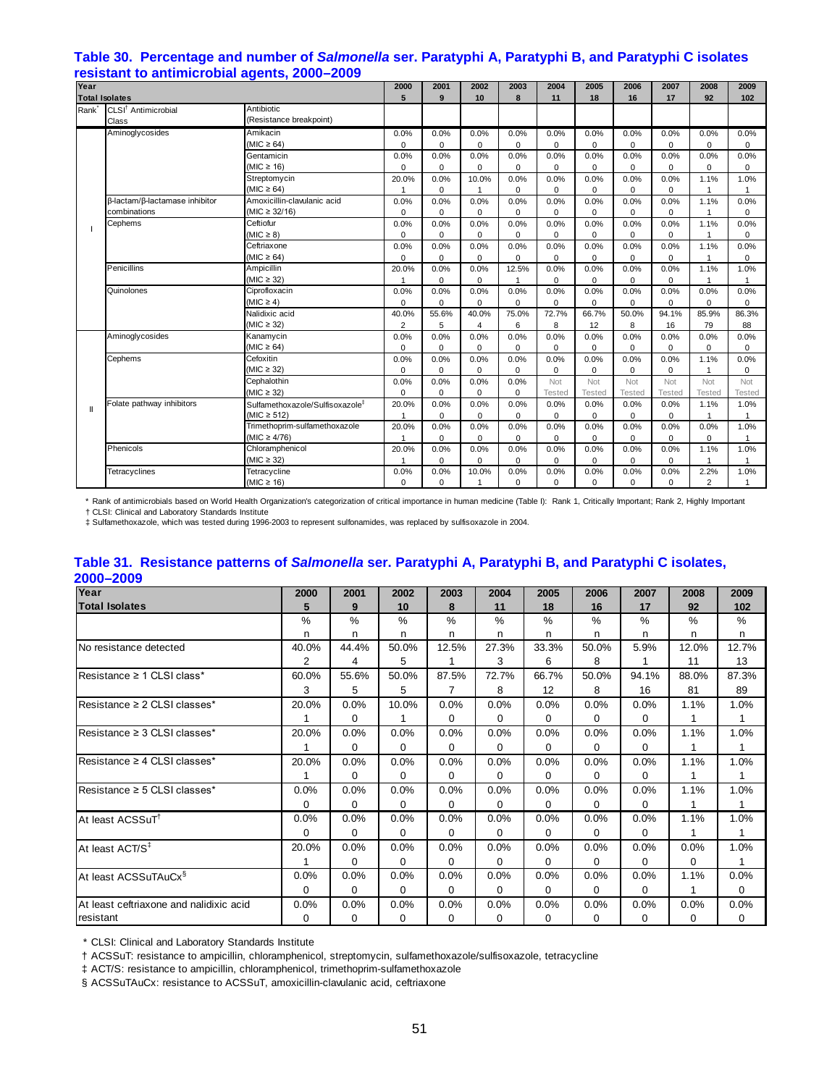## **Table 30. Percentage and number of** *Salmonella* **ser. Paratyphi A, Paratyphi B, and Paratyphi C isolates resistant to antimicrobial agents, 2000–2009**

| Year                  |                                 |                                             |                | 2001        | 2002         | 2003        | 2004        | 2005          | 2006          | 2007          | 2008           | 2009          |
|-----------------------|---------------------------------|---------------------------------------------|----------------|-------------|--------------|-------------|-------------|---------------|---------------|---------------|----------------|---------------|
| <b>Total Isolates</b> |                                 |                                             | 5              | 9           | 10           | 8           | 11          | 18            | 16            | 17            | 92             | 102           |
| Rank <sup>*</sup>     | CLSI <sup>†</sup> Antimicrobial | Antibiotic                                  |                |             |              |             |             |               |               |               |                |               |
|                       | Class                           | (Resistance breakpoint)                     |                |             |              |             |             |               |               |               |                |               |
|                       | Aminoglycosides                 | Amikacin                                    | 0.0%           | 0.0%        | 0.0%         | 0.0%        | 0.0%        | 0.0%          | 0.0%          | 0.0%          | 0.0%           | 0.0%          |
|                       |                                 | $(MIC \ge 64)$                              | $\Omega$       | $\Omega$    | $\Omega$     | 0           | $\mathbf 0$ | $\mathbf 0$   | $\Omega$      | $\Omega$      | $\Omega$       | 0             |
|                       |                                 | Gentamicin                                  | 0.0%           | 0.0%        | 0.0%         | 0.0%        | 0.0%        | 0.0%          | 0.0%          | 0.0%          | 0.0%           | 0.0%          |
|                       |                                 | (MIC $\geq$ 16)                             | $\Omega$       | 0           | $\Omega$     | 0           | $\mathbf 0$ | $\mathbf 0$   | $\mathbf 0$   | 0             | $\Omega$       | $\Omega$      |
|                       |                                 | Streptomycin                                | 20.0%          | 0.0%        | 10.0%        | 0.0%        | 0.0%        | 0.0%          | 0.0%          | 0.0%          | 1.1%           | 1.0%          |
|                       |                                 | $(MIC \ge 64)$                              | 1              | 0           | 1            | 0           | $\mathbf 0$ | $\mathbf 0$   | $\mathbf 0$   | 0             | $\overline{1}$ | $\mathbf{1}$  |
|                       | β-lactam/β-lactamase inhibitor  | Amoxicillin-clavulanic acid                 | 0.0%           | 0.0%        | 0.0%         | 0.0%        | 0.0%        | 0.0%          | 0.0%          | 0.0%          | 1.1%           | 0.0%          |
|                       | combinations                    | $(MIC \ge 32/16)$                           | 0              | $\mathbf 0$ | 0            | 0           | 0           | 0             | $\mathbf 0$   | 0             | $\overline{1}$ | 0             |
|                       | Cephems                         | Ceftiofur                                   | 0.0%           | 0.0%        | 0.0%         | 0.0%        | 0.0%        | 0.0%          | 0.0%          | 0.0%          | 1.1%           | 0.0%          |
|                       |                                 | $(MIC \geq 8)$                              | $\mathbf 0$    | $\Omega$    | $\Omega$     | 0           | $\mathbf 0$ | $\mathbf 0$   | $\mathbf 0$   | 0             | $\mathbf{1}$   | $\Omega$      |
|                       |                                 | Ceftriaxone                                 | 0.0%           | 0.0%        | 0.0%         | 0.0%        | 0.0%        | 0.0%          | 0.0%          | 0.0%          | 1.1%           | 0.0%          |
|                       |                                 | (MIC $\geq$ 64)                             | 0              | $\Omega$    | 0            | 0           | $\mathbf 0$ | $\mathsf 0$   | $\mathbf 0$   | 0             | $\overline{1}$ | $\mathbf 0$   |
|                       | Penicillins                     | Ampicillin                                  | 20.0%          | 0.0%        | 0.0%         | 12.5%       | 0.0%        | 0.0%          | 0.0%          | 0.0%          | 1.1%           | 1.0%          |
|                       |                                 | $(MIC \geq 32)$                             |                | $\Omega$    | $\Omega$     | 1           | $\mathbf 0$ | $\mathsf 0$   | 0             | $\mathbf 0$   | $\mathbf{1}$   | 1             |
|                       | Quinolones                      | Ciprofloxacin                               | 0.0%           | 0.0%        | 0.0%         | 0.0%        | 0.0%        | 0.0%          | 0.0%          | 0.0%          | 0.0%           | 0.0%          |
|                       |                                 | $(MIC \geq 4)$                              | $\mathbf 0$    | $\Omega$    | $\Omega$     | $\Omega$    | $\Omega$    | $\mathbf 0$   | $\mathbf 0$   | $\mathbf 0$   | $\Omega$       | $\Omega$      |
|                       |                                 | Nalidixic acid                              | 40.0%          | 55.6%       | 40.0%        | 75.0%       | 72.7%       | 66.7%         | 50.0%         | 94.1%         | 85.9%          | 86.3%         |
|                       |                                 | $(MIC \geq 32)$                             | $\overline{2}$ | 5           | 4            | 6           | 8           | 12            | 8             | 16            | 79             | 88            |
|                       | Aminoglycosides                 | Kanamycin                                   | 0.0%           | 0.0%        | 0.0%         | 0.0%        | 0.0%        | 0.0%          | 0.0%          | 0.0%          | 0.0%           | 0.0%          |
|                       |                                 | $(MIC \ge 64)$                              | $\Omega$       | $\Omega$    | $\Omega$     | $\Omega$    | $\Omega$    | $\mathbf 0$   | $\mathbf 0$   | $\Omega$      | $\Omega$       | $\Omega$      |
|                       | Cephems                         | Cefoxitin                                   | 0.0%           | 0.0%        | 0.0%         | 0.0%        | 0.0%        | 0.0%          | 0.0%          | 0.0%          | 1.1%           | 0.0%          |
|                       |                                 | (MIC $\geq$ 32)                             | 0              | $\Omega$    | $\Omega$     | $\Omega$    | $\Omega$    | 0             | 0             | $\mathbf 0$   | $\mathbf{1}$   | 0             |
|                       |                                 | Cephalothin                                 | 0.0%           | 0.0%        | 0.0%         | 0.0%        | Not         | Not           | Not           | Not           | Not            | Not           |
|                       |                                 | $(MIC \geq 32)$                             | 0              | $\Omega$    | $\Omega$     | $\mathbf 0$ | Tested      | <b>Tested</b> | <b>Tested</b> | <b>Tested</b> | <b>Tested</b>  | <b>Tested</b> |
| $\mathbf{I}$          | Folate pathway inhibitors       | Sulfamethoxazole/Sulfisoxazole <sup>‡</sup> | 20.0%          | 0.0%        | 0.0%         | 0.0%        | 0.0%        | 0.0%          | 0.0%          | 0.0%          | 1.1%           | 1.0%          |
|                       |                                 | $(MIC \ge 512)$                             |                | $\Omega$    | $\Omega$     | $\Omega$    | $\Omega$    | 0             | $\mathbf 0$   | $\Omega$      | $\overline{1}$ |               |
|                       |                                 | Trimethoprim-sulfamethoxazole               | 20.0%          | 0.0%        | 0.0%         | 0.0%        | 0.0%        | 0.0%          | 0.0%          | 0.0%          | 0.0%           | 1.0%          |
|                       |                                 | $(MIC \geq 4/76)$                           |                | $\Omega$    | $\Omega$     | $\Omega$    | $\Omega$    | $\mathbf 0$   | $\mathbf 0$   | $\Omega$      | $\Omega$       | $\mathbf{1}$  |
|                       | Phenicols                       | Chloramphenicol                             | 20.0%          | 0.0%        | 0.0%         | 0.0%        | 0.0%        | 0.0%          | 0.0%          | 0.0%          | 1.1%           | 1.0%          |
|                       |                                 | $(MIC \geq 32)$                             | 1              | 0           | $\mathbf 0$  | 0           | $\pmb{0}$   | 0             | $\mathbf 0$   | 0             | 1              | $\mathbf{1}$  |
|                       | Tetracyclines                   | Tetracycline                                | 0.0%           | 0.0%        | 10.0%        | 0.0%        | 0.0%        | 0.0%          | 0.0%          | 0.0%          | 2.2%           | 1.0%          |
|                       |                                 | (MIC $\geq$ 16)                             | $\Omega$       | $\Omega$    | $\mathbf{1}$ | $\Omega$    | $\Omega$    | $\mathbf 0$   | $\Omega$      | $\Omega$      | $\overline{2}$ | 1             |

 \* Rank of antimicrobials based on World Health Organization's categorization of critical importance in human medicine (Table I): Rank 1, Critically Important; Rank 2, Highly Important † CLSI: Clinical and Laboratory Standards Institute

‡ Sulfamethoxazole, which was tested during 1996-2003 to represent sulfonamides, was replaced by sulfisoxazole in 2004.

## **Table 31. Resistance patterns of** *Salmonella* **ser. Paratyphi A, Paratyphi B, and Paratyphi C isolates, 2000–2009**

| Year                                    | 2000     | 2001     | 2002     | 2003     | 2004     | 2005     | 2006     | 2007          | 2008     | 2009  |
|-----------------------------------------|----------|----------|----------|----------|----------|----------|----------|---------------|----------|-------|
| <b>Total Isolates</b>                   | 5        | 9        | 10       | 8        | 11       | 18       | 16       | 17            | 92       | 102   |
|                                         | $\%$     | %        | $\%$     | $\%$     | $\%$     | $\%$     | $\%$     | $\frac{0}{0}$ | $\%$     | $\%$  |
|                                         | n        | n        | n        | n.       | n        | n        | n        | n             | n        | n     |
| No resistance detected                  | 40.0%    | 44.4%    | 50.0%    | 12.5%    | 27.3%    | 33.3%    | 50.0%    | 5.9%          | 12.0%    | 12.7% |
|                                         | 2        | 4        | 5        |          | 3        | 6        | 8        |               | 11       | 13    |
| Resistance ≥ 1 CLSI class*              | 60.0%    | 55.6%    | 50.0%    | 87.5%    | 72.7%    | 66.7%    | 50.0%    | 94.1%         | 88.0%    | 87.3% |
|                                         | 3        | 5        | 5        |          | 8        | 12       | 8        | 16            | 81       | 89    |
| Resistance ≥ 2 CLSI classes*            | 20.0%    | 0.0%     | 10.0%    | 0.0%     | 0.0%     | 0.0%     | 0.0%     | 0.0%          | 1.1%     | 1.0%  |
|                                         |          | $\Omega$ |          | 0        | 0        | $\Omega$ | 0        | $\Omega$      |          |       |
| Resistance ≥ 3 CLSI classes*            | 20.0%    | 0.0%     | 0.0%     | 0.0%     | 0.0%     | 0.0%     | 0.0%     | 0.0%          | 1.1%     | 1.0%  |
|                                         |          | 0        | 0        | $\Omega$ | 0        | $\Omega$ | $\Omega$ | $\Omega$      |          |       |
| Resistance $\geq 4$ CLSI classes*       | 20.0%    | 0.0%     | 0.0%     | 0.0%     | 0.0%     | 0.0%     | 0.0%     | 0.0%          | 1.1%     | 1.0%  |
|                                         |          | $\Omega$ | $\Omega$ | $\Omega$ | 0        | $\Omega$ | 0        | $\Omega$      |          |       |
| Resistance $\geq$ 5 CLSI classes*       | 0.0%     | 0.0%     | 0.0%     | 0.0%     | 0.0%     | 0.0%     | 0.0%     | 0.0%          | 1.1%     | 1.0%  |
|                                         | $\Omega$ | $\Omega$ | 0        | $\Omega$ | $\Omega$ | $\Omega$ | $\Omega$ | 0             |          |       |
| At least ACSSuT <sup>1</sup>            | 0.0%     | 0.0%     | 0.0%     | 0.0%     | 0.0%     | 0.0%     | 0.0%     | 0.0%          | 1.1%     | 1.0%  |
|                                         | 0        | $\Omega$ | $\Omega$ | $\Omega$ | 0        | $\Omega$ | 0        | 0             |          |       |
| At least ACT/S <sup>‡</sup>             | 20.0%    | 0.0%     | 0.0%     | 0.0%     | 0.0%     | 0.0%     | 0.0%     | 0.0%          | 0.0%     | 1.0%  |
|                                         |          | $\Omega$ | $\Omega$ | $\Omega$ | 0        | $\Omega$ | 0        | 0             | $\Omega$ |       |
| At least ACSSuTAuCx <sup>§</sup>        | 0.0%     | 0.0%     | 0.0%     | 0.0%     | 0.0%     | 0.0%     | 0.0%     | 0.0%          | 1.1%     | 0.0%  |
|                                         | 0        | $\Omega$ | $\Omega$ | $\Omega$ | 0        | $\Omega$ | 0        | 0             |          | 0     |
| At least ceftriaxone and nalidixic acid | 0.0%     | 0.0%     | 0.0%     | 0.0%     | 0.0%     | 0.0%     | 0.0%     | 0.0%          | 0.0%     | 0.0%  |
| resistant                               | 0        | 0        | 0        | 0        | 0        | 0        | 0        | 0             | 0        | 0     |

\* CLSI: Clinical and Laboratory Standards Institute

† ACSSuT: resistance to ampicillin, chloramphenicol, streptomycin, sulfamethoxazole/sulfisoxazole, tetracycline

‡ ACT/S: resistance to ampicillin, chloramphenicol, trimethoprim-sulfamethoxazole

§ ACSSuTAuCx: resistance to ACSSuT, amoxicillin-clavulanic acid, ceftriaxone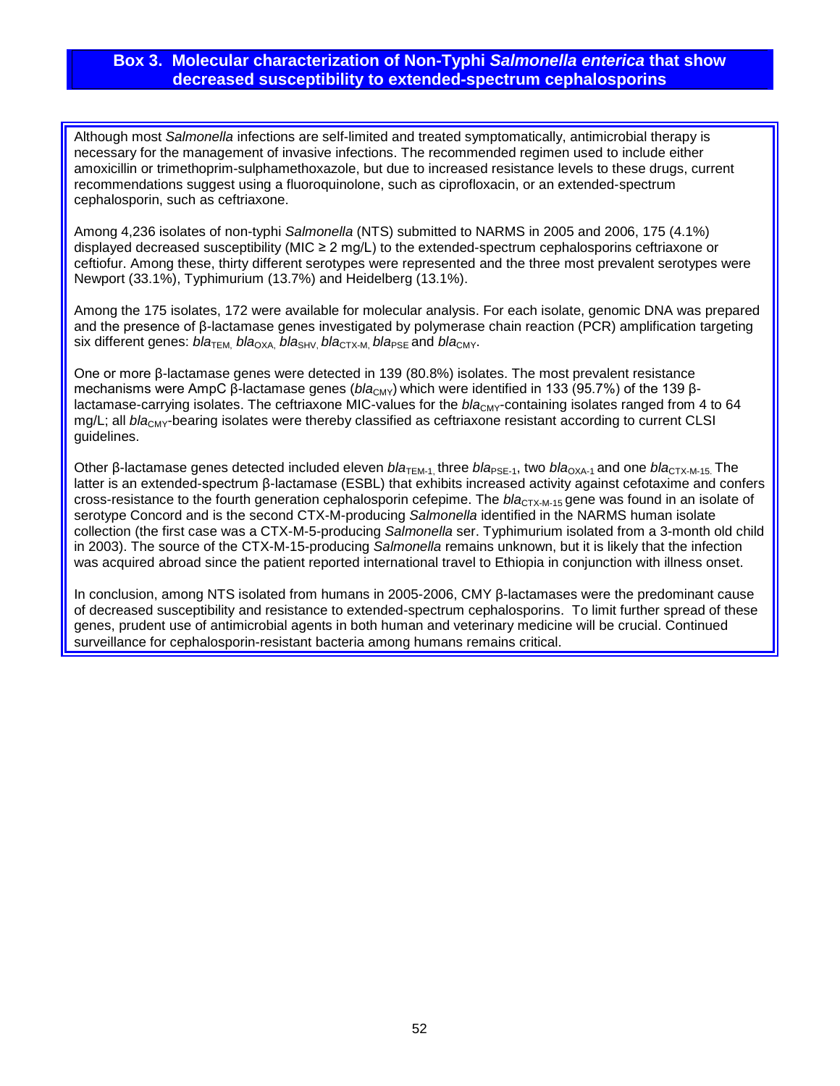# **Box 3. Molecular characterization of Non-Typhi** *Salmonella enterica* **that show decreased susceptibility to extended-spectrum cephalosporins**

Although most *Salmonella* infections are self-limited and treated symptomatically, antimicrobial therapy is necessary for the management of invasive infections. The recommended regimen used to include either amoxicillin or trimethoprim-sulphamethoxazole, but due to increased resistance levels to these drugs, current recommendations suggest using a fluoroquinolone, such as ciprofloxacin, or an extended-spectrum cephalosporin, such as ceftriaxone.

Among 4,236 isolates of non-typhi *Salmonella* (NTS) submitted to NARMS in 2005 and 2006, 175 (4.1%) displayed decreased susceptibility (MIC ≥ 2 mg/L) to the extended-spectrum cephalosporins ceftriaxone or ceftiofur. Among these, thirty different serotypes were represented and the three most prevalent serotypes were Newport (33.1%), Typhimurium (13.7%) and Heidelberg (13.1%).

Among the 175 isolates, 172 were available for molecular analysis. For each isolate, genomic DNA was prepared and the presence of β-lactamase genes investigated by polymerase chain reaction (PCR) amplification targeting six different genes:  $b/a$ <sub>TEM</sub>,  $b/a$ <sub>OXA</sub>,  $b/a$ <sub>SHV</sub>,  $b/a$ <sub>CTX-M</sub>,  $b/a$ <sub>PSF</sub> and  $b/a$ <sub>CMY</sub>.

One or more β-lactamase genes were detected in 139 (80.8%) isolates. The most prevalent resistance mechanisms were AmpC β-lactamase genes (bla<sub>CMY</sub>) which were identified in 133 (95.7%) of the 139 βlactamase-carrying isolates. The ceftriaxone MIC-values for the *bla<sub>CMY</sub>*-containing isolates ranged from 4 to 64 mg/L; all *bla<sub>CMY</sub>*-bearing isolates were thereby classified as ceftriaxone resistant according to current CLSI guidelines.

Other β-lactamase genes detected included eleven *bla<sub>TEM-1*, three *bla*<sub>PSE-1</sub>, two *bla*<sub>OXA-1</sub> and one *bla*<sub>CTX-M-15</sub>. The</sub> latter is an extended-spectrum β-lactamase (ESBL) that exhibits increased activity against cefotaxime and confers cross-resistance to the fourth generation cephalosporin cefepime. The *bla*<sub>CTX-M-15</sub> gene was found in an isolate of serotype Concord and is the second CTX-M-producing *Salmonella* identified in the NARMS human isolate collection (the first case was a CTX-M-5-producing *Salmonella* ser. Typhimurium isolated from a 3-month old child in 2003). The source of the CTX-M-15-producing *Salmonella* remains unknown, but it is likely that the infection was acquired abroad since the patient reported international travel to Ethiopia in conjunction with illness onset.

In conclusion, among NTS isolated from humans in 2005-2006, CMY β-lactamases were the predominant cause of decreased susceptibility and resistance to extended-spectrum cephalosporins. To limit further spread of these genes, prudent use of antimicrobial agents in both human and veterinary medicine will be crucial. Continued surveillance for cephalosporin-resistant bacteria among humans remains critical.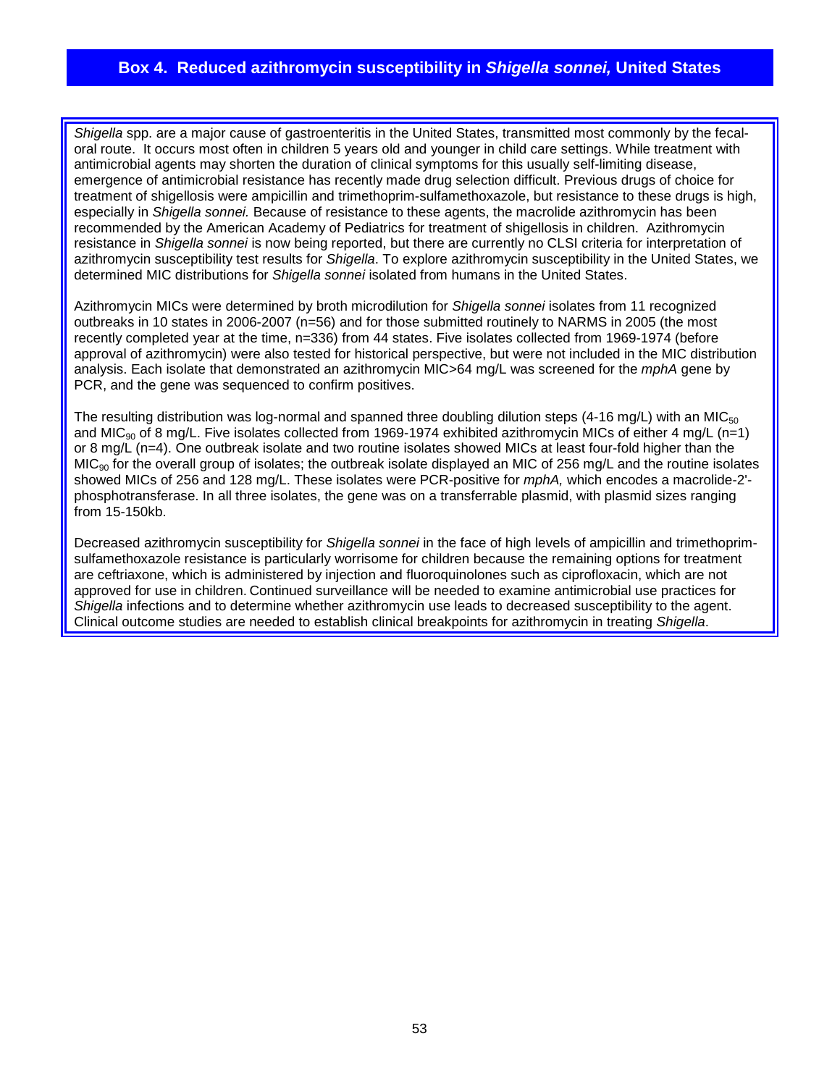# **Box 4. Reduced azithromycin susceptibility in** *Shigella sonnei,* **United States**

*Shigella* spp. are a major cause of gastroenteritis in the United States, transmitted most commonly by the fecaloral route. It occurs most often in children 5 years old and younger in child care settings. While treatment with antimicrobial agents may shorten the duration of clinical symptoms for this usually self-limiting disease, emergence of antimicrobial resistance has recently made drug selection difficult. Previous drugs of choice for treatment of shigellosis were ampicillin and trimethoprim-sulfamethoxazole, but resistance to these drugs is high, especially in *Shigella sonnei.* Because of resistance to these agents, the macrolide azithromycin has been recommended by the American Academy of Pediatrics for treatment of shigellosis in children. Azithromycin resistance in *Shigella sonnei* is now being reported, but there are currently no CLSI criteria for interpretation of azithromycin susceptibility test results for *Shigella*. To explore azithromycin susceptibility in the United States, we determined MIC distributions for *Shigella sonnei* isolated from humans in the United States.

Azithromycin MICs were determined by broth microdilution for *Shigella sonnei* isolates from 11 recognized outbreaks in 10 states in 2006-2007 (n=56) and for those submitted routinely to NARMS in 2005 (the most recently completed year at the time, n=336) from 44 states. Five isolates collected from 1969-1974 (before approval of azithromycin) were also tested for historical perspective, but were not included in the MIC distribution analysis. Each isolate that demonstrated an azithromycin MIC>64 mg/L was screened for the *mphA* gene by PCR, and the gene was sequenced to confirm positives.

The resulting distribution was log-normal and spanned three doubling dilution steps (4-16 mg/L) with an MIC $_{50}$ and MIC<sub>90</sub> of 8 mg/L. Five isolates collected from 1969-1974 exhibited azithromycin MICs of either 4 mg/L (n=1) or 8 mg/L (n=4). One outbreak isolate and two routine isolates showed MICs at least four-fold higher than the MIC<sub>90</sub> for the overall group of isolates; the outbreak isolate displayed an MIC of 256 mg/L and the routine isolates showed MICs of 256 and 128 mg/L. These isolates were PCR-positive for *mphA,* which encodes a macrolide-2' phosphotransferase. In all three isolates, the gene was on a transferrable plasmid, with plasmid sizes ranging from 15-150kb.

Decreased azithromycin susceptibility for *Shigella sonnei* in the face of high levels of ampicillin and trimethoprimsulfamethoxazole resistance is particularly worrisome for children because the remaining options for treatment are ceftriaxone, which is administered by injection and fluoroquinolones such as ciprofloxacin, which are not approved for use in children. Continued surveillance will be needed to examine antimicrobial use practices for *Shigella* infections and to determine whether azithromycin use leads to decreased susceptibility to the agent. Clinical outcome studies are needed to establish clinical breakpoints for azithromycin in treating *Shigella*.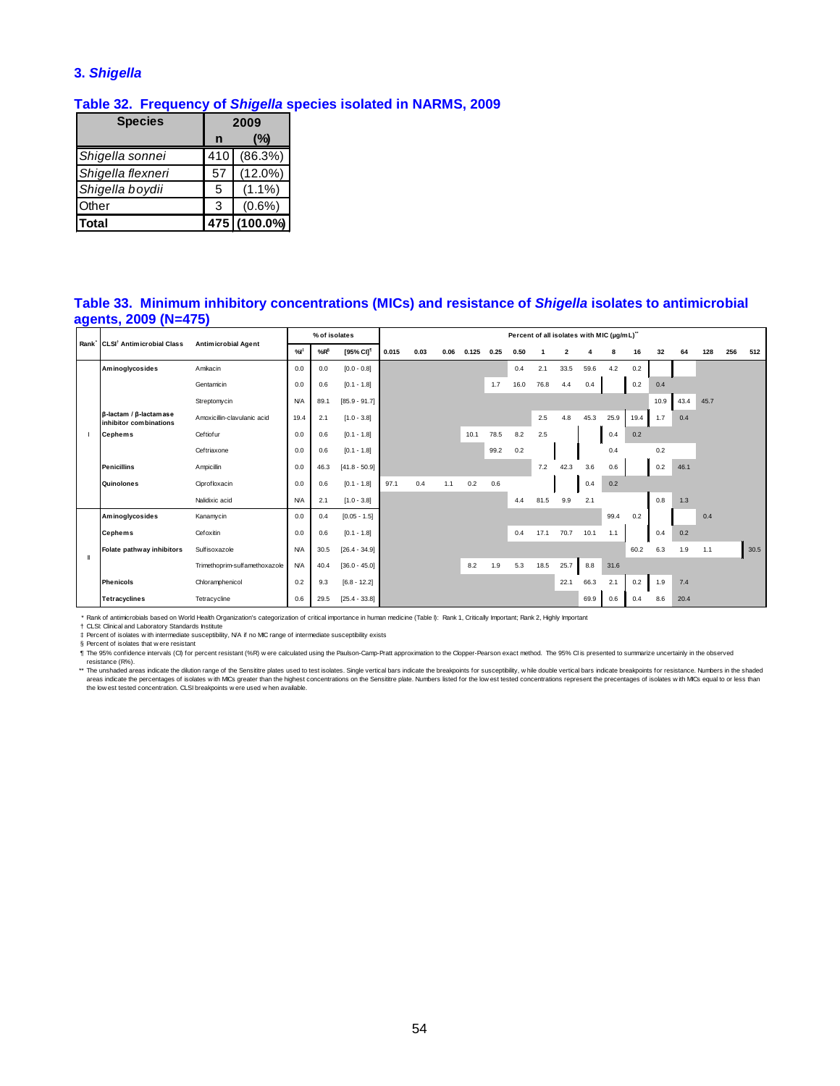# **3.** *Shigella*

## **Table 32. Frequency of** *Shigella* **species isolated in NARMS, 2009**

| <b>Species</b>    |     | 2009         |
|-------------------|-----|--------------|
|                   | n   | (%)          |
| Shigella sonnei   | 410 | (86.3%)      |
| Shigella flexneri | 57  | $(12.0\%)$   |
| Shigella boydii   | 5   | $(1.1\%)$    |
| Other             | 3   | $(0.6\%)$    |
| Total             |     | 475 (100.0%) |

#### **Table 33. Minimum inhibitory concentrations (MICs) and resistance of** *Shigella* **isolates to antimicrobial agents, 2009 (N=475)**

| Rank CLSI <sup>†</sup> Antimicrobial Class       | <b>Antimicrobial Agent</b>    |            | % of isolates   |                       |       |      |      |       |      | Percent of all isolates with MIC (µg/mL)" |      |                         |      |      |      |      |      |      |     |      |
|--------------------------------------------------|-------------------------------|------------|-----------------|-----------------------|-------|------|------|-------|------|-------------------------------------------|------|-------------------------|------|------|------|------|------|------|-----|------|
|                                                  |                               | %          | %R <sup>§</sup> | [95% CI] <sup>1</sup> | 0.015 | 0.03 | 0.06 | 0.125 | 0.25 | 0.50                                      |      | $\overline{\mathbf{2}}$ |      |      | 16   | 32   | 64   | 128  | 256 | 512  |
| Aminoglycosides                                  | Amikacin                      | 0.0        | 0.0             | $[0.0 - 0.8]$         |       |      |      |       |      | 0.4                                       | 2.1  | 33.5                    | 59.6 | 4.2  | 0.2  |      |      |      |     |      |
|                                                  | Gentamicin                    | 0.0        | 0.6             | $[0.1 - 1.8]$         |       |      |      |       | 1.7  | 16.0                                      | 76.8 | 4.4                     | 0.4  |      | 0.2  | 0.4  |      |      |     |      |
|                                                  | Streptomycin                  | <b>N/A</b> | 89.1            | $[85.9 - 91.7]$       |       |      |      |       |      |                                           |      |                         |      |      |      | 10.9 | 43.4 | 45.7 |     |      |
| β-lactam / β-lactamase<br>inhibitor combinations | Amoxicillin-clavulanic acid   | 19.4       | 2.1             | $[1.0 - 3.8]$         |       |      |      |       |      |                                           | 2.5  | 4.8                     | 45.3 | 25.9 | 19.4 | 1.7  | 0.4  |      |     |      |
| <b>Cephems</b>                                   | Ceftiof ur                    | 0.0        | 0.6             | $[0.1 - 1.8]$         |       |      |      | 10.1  | 78.5 | 8.2                                       | 2.5  |                         |      | 0.4  | 0.2  |      |      |      |     |      |
|                                                  | Ceftriaxone                   | 0.0        | 0.6             | $[0.1 - 1.8]$         |       |      |      |       | 99.2 | 0.2                                       |      |                         |      | 0.4  |      | 0.2  |      |      |     |      |
| <b>Penicillins</b>                               | Ampicillin                    | 0.0        | 46.3            | $[41.8 - 50.9]$       |       |      |      |       |      |                                           | 7.2  | 42.3                    | 3.6  | 0.6  |      | 0.2  | 46.1 |      |     |      |
| Quinolones                                       | Ciprofloxacin                 | 0.0        | 0.6             | $[0.1 - 1.8]$         | 97.1  | 0.4  | 1.1  | 0.2   | 0.6  |                                           |      |                         | 0.4  | 0.2  |      |      |      |      |     |      |
|                                                  | Nalidixic acid                | <b>N/A</b> | 2.1             | $[1.0 - 3.8]$         |       |      |      |       |      | 4.4                                       | 81.5 | 9.9                     | 2.1  |      |      | 0.8  | 1.3  |      |     |      |
| Aminoglycosides                                  | Kanamycin                     | 0.0        | 0.4             | $[0.05 - 1.5]$        |       |      |      |       |      |                                           |      |                         |      | 99.4 | 0.2  |      |      | 0.4  |     |      |
| <b>Cephems</b>                                   | Cefoxitin                     | 0.0        | 0.6             | $[0.1 - 1.8]$         |       |      |      |       |      | 0.4                                       | 17.1 | 70.7                    | 10.1 | 1.1  |      | 0.4  | 0.2  |      |     |      |
| Folate pathway inhibitors                        | Sulfisoxazole                 | <b>N/A</b> | 30.5            | $[26.4 - 34.9]$       |       |      |      |       |      |                                           |      |                         |      |      | 60.2 | 6.3  | 1.9  | 1.1  |     | 30.5 |
|                                                  | Trimethoprim-sulfamethoxazole | <b>N/A</b> | 40.4            | $[36.0 - 45.0]$       |       |      |      | 8.2   | 1.9  | 5.3                                       | 18.5 | 25.7                    | 8.8  | 31.6 |      |      |      |      |     |      |
| <b>Phenicols</b>                                 | Chloramphenicol               | 0.2        | 9.3             | $[6.8 - 12.2]$        |       |      |      |       |      |                                           |      | 22.1                    | 66.3 | 2.1  | 0.2  | 1.9  | 7.4  |      |     |      |
| <b>Tetracyclines</b>                             | Tetracycline                  | 0.6        | 29.5            | $[25.4 - 33.8]$       |       |      |      |       |      |                                           |      |                         | 69.9 | 0.6  | 0.4  | 8.6  | 20.4 |      |     |      |

\* Rank of antimicrobials based on World Health Organization's categorization of critical importance in human medicine (Table I): Rank 1, Critically Important; Rank 2, Highly Important

† CLSI: Clinical and Laboratory Standards Institute

‡ Percent of isolates w ith intermediate susceptibility, N/A if no MIC range of intermediate susceptibility exists

§ Percent of isolates that were resistant<br>¶ The 95% confidence intervals (CI) for percent resistant (%R) were calculated using the Paulson-Camp-Pratt approximation to the Clopper-Pearson exact method. The 95% CI is present

resistance (R%).<br>\*\* The ushaded areas indicate the dilution range of the Sensitire plates used to test isolates. Single vertical bars indicate the breakpoints for susceptibility, while double vertical bars indicate breakpo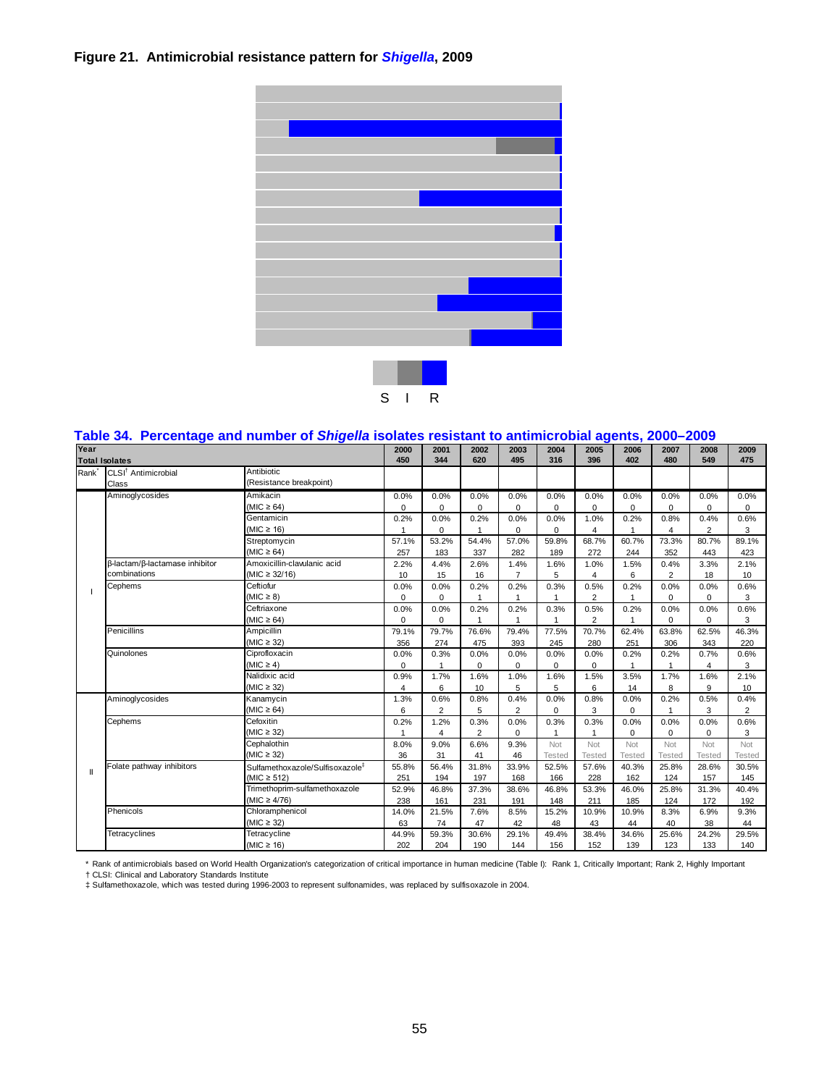# **Figure 21. Antimicrobial resistance pattern for** *Shigella***, 2009**



#### S I R

# **Table 34. Percentage and number of** *Shigella* **isolates resistant to antimicrobial agents, 2000–2009**

| Year              | <b>Total Isolates</b>                          | 2000<br>450                                                    | 2001<br>344          | 2002<br>620            | 2003<br>495            | 2004<br>316            | 2005<br>396          | 2006<br>402            | 2007<br>480          | 2008<br>549         | 2009<br>475            |                        |
|-------------------|------------------------------------------------|----------------------------------------------------------------|----------------------|------------------------|------------------------|------------------------|----------------------|------------------------|----------------------|---------------------|------------------------|------------------------|
| Rank <sup>*</sup> | CLSI <sup>†</sup> Antimicrobial<br>Class       | Antibiotic<br>(Resistance breakpoint)                          |                      |                        |                        |                        |                      |                        |                      |                     |                        |                        |
|                   | Aminoglycosides                                | Amikacin<br>$(MIC \ge 64)$                                     | 0.0%<br>$\Omega$     | 0.0%<br>$\Omega$       | 0.0%<br>$\Omega$       | 0.0%<br>$\Omega$       | 0.0%<br>0            | 0.0%<br>$\mathbf 0$    | 0.0%<br>$\Omega$     | 0.0%<br>0           | 0.0%<br>$\Omega$       | 0.0%<br>$\Omega$       |
|                   |                                                | Gentamicin<br>(MIC $\geq$ 16)                                  | 0.2%<br>1            | 0.0%<br>$\Omega$       | 0.2%                   | 0.0%<br>0              | 0.0%<br>$\mathbf 0$  | 1.0%<br>4              | 0.2%                 | 0.8%<br>4           | 0.4%<br>$\overline{2}$ | 0.6%<br>3              |
|                   |                                                | Streptomycin<br>(MIC $\geq 64$ )                               | 57.1%<br>257         | 53.2%<br>183           | 54.4%<br>337           | 57.0%<br>282           | 59.8%<br>189         | 68.7%<br>272           | 60.7%<br>244         | 73.3%<br>352        | 80.7%<br>443           | 89.1%<br>423           |
|                   | β-lactam/β-lactamase inhibitor<br>combinations | Amoxicillin-clavulanic acid<br>$(MIC \ge 32/16)$               | 2.2%<br>10           | 4.4%<br>15             | 2.6%<br>16             | 1.4%<br>$\overline{7}$ | 1.6%<br>5            | 1.0%<br>$\overline{4}$ | 1.5%<br>6            | 0.4%<br>2           | 3.3%<br>18             | 2.1%<br>10             |
|                   | Cephems                                        | Ceftiofur<br>$(MIC \geq 8)$                                    | 0.0%<br>0            | 0.0%<br>$\mathbf 0$    | 0.2%<br>1              | 0.2%                   | 0.3%<br>1            | 0.5%<br>2              | 0.2%<br>$\mathbf{1}$ | 0.0%<br>$\mathbf 0$ | 0.0%<br>0              | 0.6%<br>3              |
|                   |                                                | Ceftriaxone<br>$(MIC \ge 64)$                                  | 0.0%<br>0            | 0.0%<br>$\mathbf 0$    | 0.2%<br>1              | 0.2%                   | 0.3%<br>1            | 0.5%<br>$\overline{2}$ | 0.2%<br>$\mathbf{1}$ | 0.0%<br>$\mathbf 0$ | 0.0%<br>0              | 0.6%<br>3              |
|                   | Penicillins                                    | Ampicillin<br>$(MIC \geq 32)$                                  | 79.1%<br>356         | 79.7%<br>274           | 76.6%<br>475           | 79.4%<br>393           | 77.5%<br>245         | 70.7%<br>280           | 62.4%<br>251         | 63.8%<br>306        | 62.5%<br>343           | 46.3%<br>220           |
|                   | Quinolones                                     | 0.0%<br>$\mathbf 0$                                            | 0.3%<br>$\mathbf{1}$ | 0.0%<br>$\Omega$       | 0.0%<br>$\Omega$       | 0.0%<br>$\mathbf 0$    | 0.0%<br>$\mathbf 0$  | 0.2%                   | 0.2%<br>1            | 0.7%<br>4           | 0.6%<br>3              |                        |
|                   |                                                | Nalidixic acid<br>(MIC $\geq$ 32)                              | 0.9%<br>4            | 1.7%<br>6              | 1.6%<br>10             | 1.0%<br>5              | 1.6%<br>5            | 1.5%<br>6              | 3.5%<br>14           | 1.7%<br>8           | 1.6%<br>9              | 2.1%<br>10             |
|                   | Aminoglycosides                                | Kanamycin<br>(MIC $\geq 64$ )                                  | 1.3%<br>6            | 0.6%<br>$\overline{2}$ | 0.8%<br>5              | 0.4%<br>$\overline{2}$ | 0.0%<br>$\Omega$     | 0.8%<br>3              | 0.0%<br>0            | 0.2%<br>1           | 0.5%<br>3              | 0.4%<br>$\overline{2}$ |
|                   | Cephems                                        | Cefoxitin<br>$(MIC \geq 32)$                                   | 0.2%<br>1            | 1.2%<br>$\overline{4}$ | 0.3%<br>$\overline{2}$ | 0.0%<br>0              | 0.3%<br>1            | 0.3%<br>$\mathbf{1}$   | 0.0%<br>$\mathbf 0$  | 0.0%<br>$\mathbf 0$ | 0.0%<br>$\mathbf 0$    | 0.6%<br>3              |
|                   |                                                | Cephalothin<br>(MIC $\geq$ 32)                                 | 8.0%<br>36           | 9.0%<br>31             | 6.6%<br>41             | 9.3%<br>46             | Not<br><b>Tested</b> | Not<br>Tested          | Not<br><b>Tested</b> | Not<br>Tested       | Not<br><b>Tested</b>   | Not<br><b>Tested</b>   |
| Ш                 | Folate pathway inhibitors                      | Sulfamethoxazole/Sulfisoxazole <sup>#</sup><br>$(MIC \ge 512)$ | 55.8%<br>251         | 56.4%<br>194           | 31.8%<br>197           | 33.9%<br>168           | 52.5%<br>166         | 57.6%<br>228           | 40.3%<br>162         | 25.8%<br>124        | 28.6%<br>157           | 30.5%<br>145           |
|                   |                                                | Trimethoprim-sulfamethoxazole<br>(MIC $\geq 4/76$ )            | 52.9%<br>238         | 46.8%<br>161           | 37.3%<br>231           | 38.6%<br>191           | 46.8%<br>148         | 53.3%<br>211           | 46.0%<br>185         | 25.8%<br>124        | 31.3%<br>172           | 40.4%<br>192           |
|                   | Phenicols                                      | Chloramphenicol<br>$(MIC \geq 32)$                             | 14.0%<br>63          | 21.5%<br>74            | 7.6%<br>47             | 8.5%<br>42             | 15.2%<br>48          | 10.9%<br>43            | 10.9%<br>44          | 8.3%<br>40          | 6.9%<br>38             | 9.3%<br>44             |
|                   | Tetracyclines                                  | Tetracycline<br>$(MIC \ge 16)$                                 | 44.9%<br>202         | 59.3%<br>204           | 30.6%<br>190           | 29.1%<br>144           | 49.4%<br>156         | 38.4%<br>152           | 34.6%<br>139         | 25.6%<br>123        | 24.2%<br>133           | 29.5%<br>140           |

\* Rank of antimicrobials based on World Health Organization's categorization of critical importance in human medicine (Table I): Rank 1, Critically Important; Rank 2, Highly Important<br>† CLSI: Clinical and Laboratory Standa

‡ Sulfamethoxazole, which was tested during 1996-2003 to represent sulfonamides, was replaced by sulfisoxazole in 2004.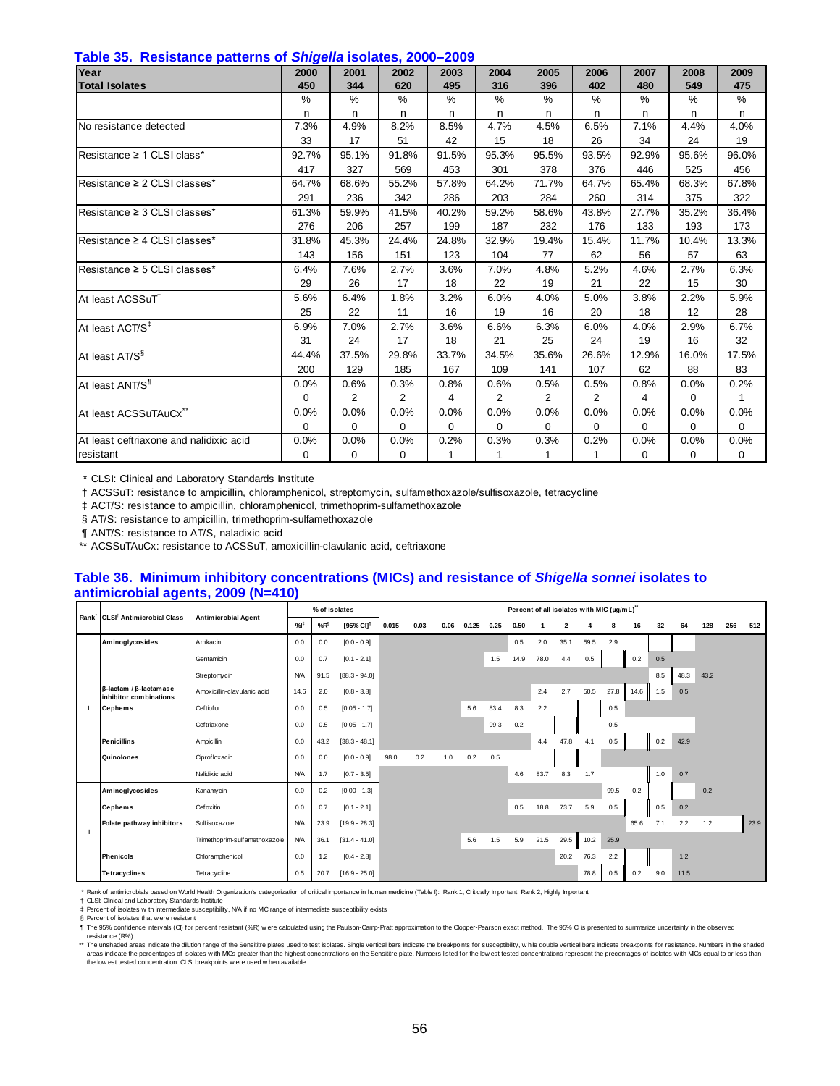| <u>sensaanise paalsine</u><br>Year      | ---- J<br>2000 | 2001           | 2002           | 2003  | 2004           | 2005           | 2006           | 2007  | 2008     | 2009         |
|-----------------------------------------|----------------|----------------|----------------|-------|----------------|----------------|----------------|-------|----------|--------------|
| <b>Total Isolates</b>                   | 450            | 344            | 620            | 495   | 316            | 396            | 402            | 480   | 549      | 475          |
|                                         | $\frac{0}{0}$  | %              | $\frac{0}{0}$  | $\%$  | %              | $\%$           | %              | $\%$  | %        | %            |
|                                         | n              | n              | n              | n     | n              | n              | n              | n     | n        | n            |
| No resistance detected                  | 7.3%           | 4.9%           | 8.2%           | 8.5%  | 4.7%           | 4.5%           | 6.5%           | 7.1%  | 4.4%     | 4.0%         |
|                                         | 33             | 17             | 51             | 42    | 15             | 18             | 26             | 34    | 24       | 19           |
| Resistance ≥ 1 CLSI class*              | 92.7%          | 95.1%          | 91.8%          | 91.5% | 95.3%          | 95.5%          | 93.5%          | 92.9% | 95.6%    | 96.0%        |
|                                         | 417            | 327            | 569            | 453   | 301            | 378            | 376            | 446   | 525      | 456          |
| Resistance ≥ 2 CLSI classes*            | 64.7%          | 68.6%          | 55.2%          | 57.8% | 64.2%          | 71.7%          | 64.7%          | 65.4% | 68.3%    | 67.8%        |
|                                         | 291            | 236            | 342            | 286   | 203            | 284            | 260            | 314   | 375      | 322          |
| Resistance ≥ 3 CLSI classes*            | 61.3%          | 59.9%          | 41.5%          | 40.2% | 59.2%          | 58.6%          | 43.8%          | 27.7% | 35.2%    | 36.4%        |
|                                         | 276            | 206            | 257            | 199   | 187            | 232            | 176            | 133   | 193      | 173          |
| Resistance ≥ 4 CLSI classes*            | 31.8%          | 45.3%          | 24.4%          | 24.8% | 32.9%          | 19.4%          | 15.4%          | 11.7% | 10.4%    | 13.3%        |
|                                         | 143            | 156            | 151            | 123   | 104            | 77             | 62             | 56    | 57       | 63           |
| Resistance ≥ 5 CLSI classes*            | 6.4%           | 7.6%           | 2.7%           | 3.6%  | 7.0%           | 4.8%           | 5.2%           | 4.6%  | 2.7%     | 6.3%         |
|                                         | 29             | 26             | 17             | 18    | 22             | 19             | 21             | 22    | 15       | 30           |
| At least ACSSuT <sup>T</sup>            | 5.6%           | 6.4%           | 1.8%           | 3.2%  | 6.0%           | 4.0%           | 5.0%           | 3.8%  | 2.2%     | 5.9%         |
|                                         | 25             | 22             | 11             | 16    | 19             | 16             | 20             | 18    | 12       | 28           |
| At least ACT/S <sup>‡</sup>             | 6.9%           | 7.0%           | 2.7%           | 3.6%  | 6.6%           | 6.3%           | 6.0%           | 4.0%  | 2.9%     | 6.7%         |
|                                         | 31             | 24             | 17             | 18    | 21             | 25             | 24             | 19    | 16       | 32           |
| At least AT/S <sup>§</sup>              | 44.4%          | 37.5%          | 29.8%          | 33.7% | 34.5%          | 35.6%          | 26.6%          | 12.9% | 16.0%    | 17.5%        |
|                                         | 200            | 129            | 185            | 167   | 109            | 141            | 107            | 62    | 88       | 83           |
| At least ANT/S                          | 0.0%           | 0.6%           | 0.3%           | 0.8%  | 0.6%           | 0.5%           | 0.5%           | 0.8%  | 0.0%     | 0.2%         |
|                                         | 0              | $\overline{2}$ | $\overline{2}$ | 4     | $\overline{2}$ | $\overline{2}$ | $\overline{2}$ | 4     | $\Omega$ | $\mathbf{1}$ |
| At least ACSSuTAuCx"                    | 0.0%           | 0.0%           | 0.0%           | 0.0%  | 0.0%           | 0.0%           | 0.0%           | 0.0%  | 0.0%     | 0.0%         |
|                                         | 0              | 0              | 0              | 0     | 0              | 0              | 0              | 0     | 0        | 0            |
| At least ceftriaxone and nalidixic acid | 0.0%           | 0.0%           | 0.0%           | 0.2%  | 0.3%           | 0.3%           | 0.2%           | 0.0%  | 0.0%     | 0.0%         |
| resistant                               | 0              | 0              | 0              | 1     | 1              | 1              | 1              | 0     | 0        | 0            |

† ACSSuT: resistance to ampicillin, chloramphenicol, streptomycin, sulfamethoxazole/sulfisoxazole, tetracycline

‡ ACT/S: resistance to ampicillin, chloramphenicol, trimethoprim-sulfamethoxazole

§ AT/S: resistance to ampicillin, trimethoprim-sulfamethoxazole

¶ ANT/S: resistance to AT/S, naladixic acid

\*\* ACSSuTAuCx: resistance to ACSSuT, amoxicillin-clavulanic acid, ceftriaxone

#### **Table 36. Minimum inhibitory concentrations (MICs) and resistance of** *Shigella sonnei* **isolates to antimicrobial agents, 2009 (N=410)**

|                   |                                                                |                               |            |      | % of isolates<br>$%R^{\S}$ |       |      |      |       |      |      |      |                | Percent of all isolates with MIC (µg/mL)" |      |      |     |      |      |     |      |
|-------------------|----------------------------------------------------------------|-------------------------------|------------|------|----------------------------|-------|------|------|-------|------|------|------|----------------|-------------------------------------------|------|------|-----|------|------|-----|------|
| Rank <sup>'</sup> | CLSI <sup>†</sup> Antimicrobial Class                          | <b>Antimicrobial Agent</b>    | %          |      | [95% CI] <sup>1</sup>      | 0.015 | 0.03 | 0.06 | 0.125 | 0.25 | 0.50 |      | $\overline{2}$ |                                           | 8    | 16   | 32  | 64   | 128  | 256 | 512  |
|                   | Aminoglycosides                                                | Amikacin                      | 0.0        | 0.0  | $[0.0 - 0.9]$              |       |      |      |       |      | 0.5  | 2.0  | 35.1           | 59.5                                      | 2.9  |      |     |      |      |     |      |
|                   |                                                                | Gentamicin                    | 0.0        | 0.7  | $[0.1 - 2.1]$              |       |      |      |       | 1.5  | 14.9 | 78.0 | 4.4            | 0.5                                       |      | 0.2  | 0.5 |      |      |     |      |
|                   |                                                                | Streptomycin                  | <b>N/A</b> | 91.5 | $[88.3 - 94.0]$            |       |      |      |       |      |      |      |                |                                           |      |      | 8.5 | 48.3 | 43.2 |     |      |
|                   | $\beta$ -lactam / $\beta$ -lactamase<br>inhibitor combinations | Amoxicillin-clavulanic acid   | 14.6       | 2.0  | $[0.8 - 3.8]$              |       |      |      |       |      |      | 2.4  | 2.7            | 50.5                                      | 27.8 | 14.6 | 1.5 | 0.5  |      |     |      |
|                   | <b>Cephems</b>                                                 | Ceftiofur                     | 0.0        | 0.5  | $[0.05 - 1.7]$             |       |      |      | 5.6   | 83.4 | 8.3  | 2.2  |                |                                           | 0.5  |      |     |      |      |     |      |
|                   |                                                                | Ceftriaxone                   | 0.0        | 0.5  | $[0.05 - 1.7]$             |       |      |      |       | 99.3 | 0.2  |      |                |                                           | 0.5  |      |     |      |      |     |      |
|                   | <b>Penicillins</b>                                             | Ampicillin                    | 0.0        | 43.2 | $[38.3 - 48.1]$            |       |      |      |       |      |      | 4.4  | 47.8           | 4.1                                       | 0.5  |      | 0.2 | 42.9 |      |     |      |
|                   | Quinolones                                                     | Ciprofloxacin                 | 0.0        | 0.0  | $[0.0 - 0.9]$              | 98.0  | 0.2  | 1.0  | 0.2   | 0.5  |      |      |                |                                           |      |      |     |      |      |     |      |
|                   |                                                                | Nalidixic acid                | <b>N/A</b> | 1.7  | $[0.7 - 3.5]$              |       |      |      |       |      | 4.6  | 83.7 | 8.3            | 1.7                                       |      |      | 1.0 | 0.7  |      |     |      |
|                   | Aminoglycosides                                                | Kanamycin                     | 0.0        | 0.2  | $[0.00 - 1.3]$             |       |      |      |       |      |      |      |                |                                           | 99.5 | 0.2  |     |      | 0.2  |     |      |
|                   | <b>Cephems</b>                                                 | Cefoxitin                     | 0.0        | 0.7  | $[0.1 - 2.1]$              |       |      |      |       |      | 0.5  | 18.8 | 73.7           | 5.9                                       | 0.5  |      | 0.5 | 0.2  |      |     |      |
| H                 | Folate pathway inhibitors                                      | Sulfisoxazole                 | <b>N/A</b> | 23.9 | $[19.9 - 28.3]$            |       |      |      |       |      |      |      |                |                                           |      | 65.6 | 7.1 | 2.2  | 1.2  |     | 23.9 |
|                   |                                                                | Trimethoprim-sulfamethoxazole | <b>N/A</b> | 36.1 | $[31.4 - 41.0]$            |       |      |      | 5.6   | 1.5  | 5.9  | 21.5 | 29.5           | 10.2                                      | 25.9 |      |     |      |      |     |      |
|                   | <b>Phenicols</b>                                               | Chloramphenicol               | 0.0        | 1.2  | $[0.4 - 2.8]$              |       |      |      |       |      |      |      | 20.2           | 76.3                                      | 2.2  |      |     | 1.2  |      |     |      |
|                   | <b>Tetracyclines</b>                                           | Tetracycline                  | 0.5        | 20.7 | $[16.9 - 25.0]$            |       |      |      |       |      |      |      |                | 78.8                                      | 0.5  | 0.2  | 9.0 | 11.5 |      |     |      |

\* Rank of antimicrobials based on World Health Organization's categorization of critical importance in human medicine (Table I): Rank 1, Critically Important; Rank 2, Highly Important

† ‡ CLSI: Clinical and Laboratory Standards Institute Percent of isolates w ith intermediate susceptibility, N/A if no MIC range of intermediate susceptibility exists

§ Percent of isolates that w ere resistant

¶ The 95% confidence intervals (CI) for percent resistant (%R) w ere calculated using the Paulson-Camp-Pratt approximation to the Clopper-Pearson exact method. The 95% CI is presented to summarize uncertainly in the observed

resistance (R%).<br>\*\* The unshaded areas indicate the dilution range of the Sensitite plates used to test isolates. Single vertical bars indicate the breakpoints for susceptibility, while double vertical bars indicate breakp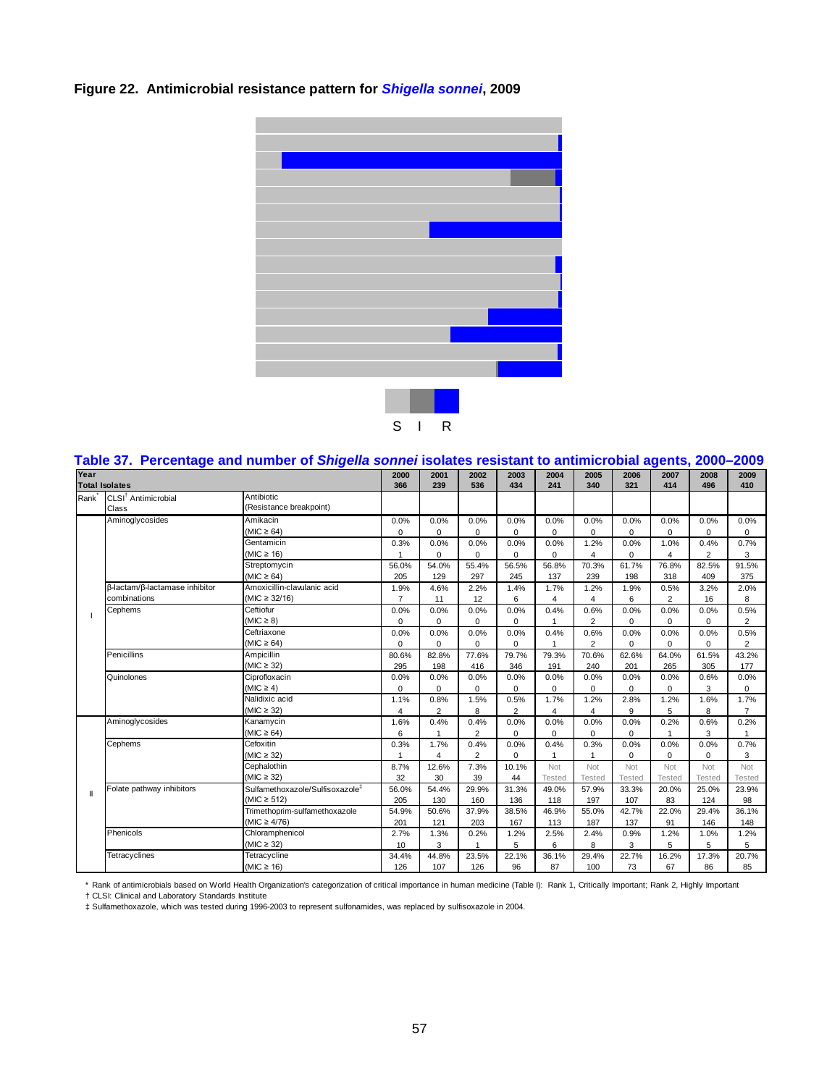# **Figure 22. Antimicrobial resistance pattern for** *Shigella sonnei***, 2009**



|              |                                                            | Table 37.  Percentage and number of S <i>higelia sonnel</i> isolates resistant to antimicrobial agents, 2000–2009 |             |                |                |                |             |                |               |                |                |                |
|--------------|------------------------------------------------------------|-------------------------------------------------------------------------------------------------------------------|-------------|----------------|----------------|----------------|-------------|----------------|---------------|----------------|----------------|----------------|
| Year         | <b>Total Isolates</b>                                      |                                                                                                                   | 2000<br>366 | 2001<br>239    | 2002<br>536    | 2003<br>434    | 2004<br>241 | 2005<br>340    | 2006<br>321   | 2007<br>414    | 2008<br>496    | 2009<br>410    |
|              |                                                            | Antibiotic                                                                                                        |             |                |                |                |             |                |               |                |                |                |
|              | Rank <sup>*</sup> CLSI <sup>†</sup> Antimicrobial<br>Class | (Resistance breakpoint)                                                                                           |             |                |                |                |             |                |               |                |                |                |
|              | Aminoglycosides                                            | Amikacin                                                                                                          | 0.0%        | 0.0%           | 0.0%           | 0.0%           | 0.0%        | 0.0%           | 0.0%          | 0.0%           | 0.0%           | 0.0%           |
|              |                                                            | $(MIC \ge 64)$                                                                                                    | 0           | 0              | 0              | 0              | 0           | 0              | 0             | 0              | 0              | 0              |
|              |                                                            | Gentamicin                                                                                                        | 0.3%        | 0.0%           | 0.0%           | 0.0%           | 0.0%        | 1.2%           | 0.0%          | 1.0%           | 0.4%           | 0.7%           |
|              |                                                            | (MIC $\geq$ 16)                                                                                                   |             | $\Omega$       | $\Omega$       | $\Omega$       | $\Omega$    | 4              | $\Omega$      | 4              | $\overline{2}$ | 3              |
|              |                                                            | Streptomycin                                                                                                      | 56.0%       | 54.0%          | 55.4%          | 56.5%          | 56.8%       | 70.3%          | 61.7%         | 76.8%          | 82.5%          | 91.5%          |
|              |                                                            | $(MIC \geq 64)$                                                                                                   | 205         | 129            | 297            | 245            | 137         | 239            | 198           | 318            | 409            | 375            |
|              | β-lactam/β-lactamase inhibitor                             | Amoxicillin-clavulanic acid                                                                                       | 1.9%        | 4.6%           | 2.2%           | 1.4%           | 1.7%        | 1.2%           | 1.9%          | 0.5%           | 3.2%           | 2.0%           |
|              | combinations                                               | $(MIC \ge 32/16)$                                                                                                 | 7           | 11             | 12             | 6              | 4           | 4              | 6             | $\overline{2}$ | 16             | 8              |
|              | Cephems                                                    | Ceftiofur                                                                                                         | 0.0%        | 0.0%           | 0.0%           | 0.0%           | 0.4%        | 0.6%           | 0.0%          | 0.0%           | 0.0%           | 0.5%           |
|              |                                                            | $(MIC \geq 8)$                                                                                                    | 0           | $\mathbf 0$    | 0              | 0              |             | $\overline{2}$ | 0             | 0              | $\mathbf 0$    | 2              |
|              |                                                            | Ceftriaxone                                                                                                       | 0.0%        | 0.0%           | 0.0%           | 0.0%           | 0.4%        | 0.6%           | 0.0%          | 0.0%           | 0.0%           | 0.5%           |
|              |                                                            | $(MIC \ge 64)$                                                                                                    | 0           | $\mathbf 0$    | 0              | 0              |             | $\overline{2}$ | 0             | 0              | $\mathbf 0$    | 2              |
|              | Penicillins                                                | Ampicillin                                                                                                        | 80.6%       | 82.8%          | 77.6%          | 79.7%          | 79.3%       | 70.6%          | 62.6%         | 64.0%          | 61.5%          | 43.2%          |
|              |                                                            | (MIC $\geq$ 32)                                                                                                   | 295         | 198            | 416            | 346            | 191         | 240            | 201           | 265            | 305            | 177            |
|              | Quinolones                                                 | Ciprofloxacin                                                                                                     | 0.0%        | 0.0%           | 0.0%           | 0.0%           | 0.0%        | 0.0%           | 0.0%          | 0.0%           | 0.6%           | 0.0%           |
|              |                                                            | $(MIC \ge 4)$                                                                                                     | 0           | $\mathbf 0$    | 0              | 0              | 0           | 0              | 0             | $\mathbf 0$    | 3              | 0              |
|              |                                                            | Nalidixic acid                                                                                                    | 1.1%        | 0.8%           | 1.5%           | 0.5%           | 1.7%        | 1.2%           | 2.8%          | 1.2%           | 1.6%           | 1.7%           |
|              |                                                            | $(MIC \geq 32)$                                                                                                   | 4           | $\overline{2}$ | 8              | $\overline{2}$ | 4           | 4              | 9             | 5              | 8              | $\overline{7}$ |
|              | Aminoglycosides                                            | Kanamycin                                                                                                         | 1.6%        | 0.4%           | 0.4%           | 0.0%           | 0.0%        | 0.0%           | 0.0%          | 0.2%           | 0.6%           | 0.2%           |
|              |                                                            | $(MIC \ge 64)$                                                                                                    | 6           |                | 2              | 0              | $\Omega$    | $\Omega$       | 0             |                | 3              |                |
|              | Cephems                                                    | Cefoxitin                                                                                                         | 0.3%        | 1.7%           | 0.4%           | 0.0%           | 0.4%        | 0.3%           | 0.0%          | 0.0%           | 0.0%           | 0.7%           |
|              |                                                            | $(MIC \geq 32)$                                                                                                   |             | 4              | $\overline{2}$ | 0              |             | 1              | $\mathbf 0$   | $\mathbf 0$    | $\mathbf 0$    | 3              |
|              |                                                            | Cephalothin                                                                                                       | 8.7%        | 12.6%          | 7.3%           | 10.1%          | Not         | Not            | Not           | Not            | Not            | Not            |
|              |                                                            | (MIC $\geq$ 32)                                                                                                   | 32          | 30             | 39             | 44             | Tested      | Tested         | <b>Tested</b> | Tested         | Tested         | Tested         |
| $\mathbf{I}$ | Folate pathway inhibitors                                  | Sulfamethoxazole/Sulfisoxazole <sup>#</sup>                                                                       | 56.0%       | 54.4%          | 29.9%          | 31.3%          | 49.0%       | 57.9%          | 33.3%         | 20.0%          | 25.0%          | 23.9%          |
|              |                                                            | (MIC $\geq$ 512)                                                                                                  | 205         | 130            | 160            | 136            | 118         | 197            | 107           | 83             | 124            | 98             |
|              |                                                            | Trimethoprim-sulfamethoxazole                                                                                     | 54.9%       | 50.6%          | 37.9%          | 38.5%          | 46.9%       | 55.0%          | 42.7%         | 22.0%          | 29.4%          | 36.1%          |
|              |                                                            | $(MIC \geq 4/76)$                                                                                                 | 201         | 121            | 203            | 167            | 113         | 187            | 137           | 91             | 146            | 148            |
|              | Phenicols                                                  | Chloramphenicol                                                                                                   | 2.7%        | 1.3%           | 0.2%           | 1.2%           | 2.5%        | 2.4%           | 0.9%          | 1.2%           | 1.0%           | 1.2%           |
|              |                                                            | $(MIC \geq 32)$                                                                                                   | 10          | 3              | $\overline{1}$ | 5              | 6           | 8              | 3             | 5              | 5              | 5              |
|              | Tetracyclines                                              | Tetracycline                                                                                                      | 34.4%       | 44.8%          | 23.5%          | 22.1%          | 36.1%       | 29.4%          | 22.7%         | 16.2%          | 17.3%          | 20.7%          |
|              |                                                            | (MIC $\geq$ 16)                                                                                                   | 126         | 107            | 126            | 96             | 87          | 100            | 73            | 67             | 86             | 85             |

|         | Table 37.  Percentage and number of <i>Shigella sonnei</i> isolates resistant to antimicrobial agents, 2000–2009 |  |  |                          |       |  |  |                                  |       |
|---------|------------------------------------------------------------------------------------------------------------------|--|--|--------------------------|-------|--|--|----------------------------------|-------|
| $V - -$ |                                                                                                                  |  |  | $\overline{\phantom{a}}$ | 0.000 |  |  | 0001   0005   0000   0007   0000 | 0.000 |

\* Rank of antimicrobials based on World Health Organization's categorization of critical importance in human medicine (Table I): Rank 1, Critically Important; Rank 2, Highly Important<br>† CLSI: Clinical and Laboratory Standa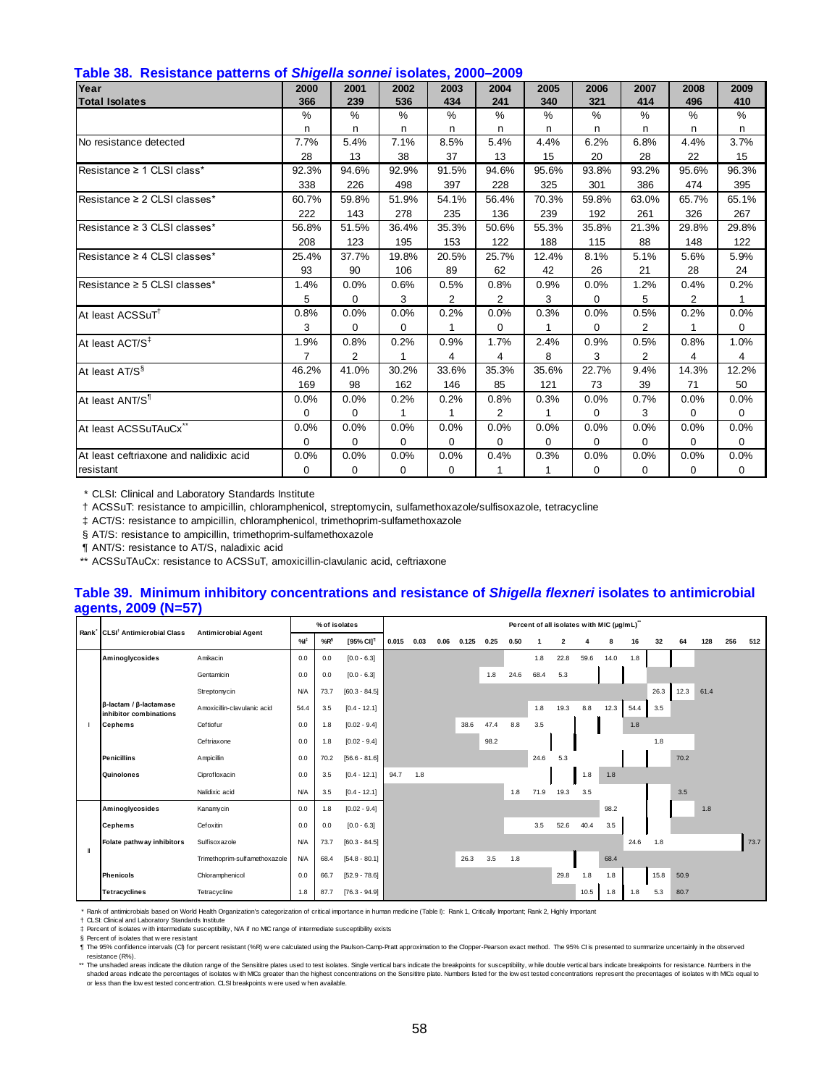| rapid con incoloration patterne or onligena conflict focultor, 2000, 2000<br>Year | 2000           | 2001           | 2002        | 2003     | 2004           | 2005  | 2006        | 2007           | 2008  | 2009     |
|-----------------------------------------------------------------------------------|----------------|----------------|-------------|----------|----------------|-------|-------------|----------------|-------|----------|
| <b>Total Isolates</b>                                                             | 366            | 239            | 536         | 434      | 241            | 340   | 321         | 414            | 496   | 410      |
|                                                                                   | %              | %              | $\%$        | %        | $\%$           | %     | $\%$        | $\%$           | $\%$  | %        |
|                                                                                   | n              | n              | n           | n        | n.             | n     | n.          | n              | n     | n        |
| No resistance detected                                                            | 7.7%           | 5.4%           | 7.1%        | 8.5%     | 5.4%           | 4.4%  | 6.2%        | 6.8%           | 4.4%  | 3.7%     |
|                                                                                   | 28             | 13             | 38          | 37       | 13             | 15    | 20          | 28             | 22    | 15       |
| Resistance ≥ 1 CLSI class*                                                        | 92.3%          | 94.6%          | 92.9%       | 91.5%    | 94.6%          | 95.6% | 93.8%       | 93.2%          | 95.6% | 96.3%    |
|                                                                                   | 338            | 226            | 498         | 397      | 228            | 325   | 301         | 386            | 474   | 395      |
| Resistance ≥ 2 CLSI classes*                                                      | 60.7%          | 59.8%          | 51.9%       | 54.1%    | 56.4%          | 70.3% | 59.8%       | 63.0%          | 65.7% | 65.1%    |
|                                                                                   | 222            | 143            | 278         | 235      | 136            | 239   | 192         | 261            | 326   | 267      |
| Resistance ≥ 3 CLSI classes*                                                      | 56.8%          | 51.5%          | 36.4%       | 35.3%    | 50.6%          | 55.3% | 35.8%       | 21.3%          | 29.8% | 29.8%    |
|                                                                                   | 208            | 123            | 195         | 153      | 122            | 188   | 115         | 88             | 148   | 122      |
| Resistance ≥ 4 CLSI classes*                                                      | 25.4%          | 37.7%          | 19.8%       | 20.5%    | 25.7%          | 12.4% | 8.1%        | 5.1%           | 5.6%  | 5.9%     |
|                                                                                   | 93             | 90             | 106         | 89       | 62             | 42    | 26          | 21             | 28    | 24       |
| Resistance ≥ 5 CLSI classes*                                                      | 1.4%           | 0.0%           | 0.6%        | 0.5%     | 0.8%           | 0.9%  | 0.0%        | 1.2%           | 0.4%  | 0.2%     |
|                                                                                   | 5              | 0              | 3           | 2        | 2              | 3     | 0           | 5              | 2     |          |
| At least ACSSuT <sup>T</sup>                                                      | 0.8%           | 0.0%           | 0.0%        | 0.2%     | 0.0%           | 0.3%  | 0.0%        | 0.5%           | 0.2%  | 0.0%     |
|                                                                                   | 3              | $\mathbf 0$    | $\mathbf 0$ | 1        | 0              | 1     | 0           | $\overline{2}$ |       | $\Omega$ |
| At least ACT/S <sup>‡</sup>                                                       | 1.9%           | 0.8%           | 0.2%        | 0.9%     | 1.7%           | 2.4%  | 0.9%        | 0.5%           | 0.8%  | 1.0%     |
|                                                                                   | $\overline{7}$ | $\overline{2}$ |             | 4        | 4              | 8     | 3           | $\overline{2}$ | 4     | 4        |
| At least AT/S <sup>§</sup>                                                        | 46.2%          | 41.0%          | 30.2%       | 33.6%    | 35.3%          | 35.6% | 22.7%       | 9.4%           | 14.3% | 12.2%    |
|                                                                                   | 169            | 98             | 162         | 146      | 85             | 121   | 73          | 39             | 71    | 50       |
| At least ANT/S <sup>1</sup>                                                       | 0.0%           | 0.0%           | 0.2%        | 0.2%     | 0.8%           | 0.3%  | 0.0%        | 0.7%           | 0.0%  | 0.0%     |
|                                                                                   | $\Omega$       | $\mathbf 0$    | 1           | 1        | $\overline{2}$ | 1     | $\mathbf 0$ | 3              | 0     | 0        |
| At least ACSSuTAuCx                                                               | 0.0%           | 0.0%           | 0.0%        | 0.0%     | 0.0%           | 0.0%  | 0.0%        | 0.0%           | 0.0%  | 0.0%     |
|                                                                                   | $\Omega$       | 0              | 0           | $\Omega$ | 0              | 0     | 0           | 0              | 0     | 0        |
| At least ceftriaxone and nalidixic acid                                           | 0.0%           | 0.0%           | 0.0%        | 0.0%     | 0.4%           | 0.3%  | 0.0%        | 0.0%           | 0.0%  | 0.0%     |
| resistant                                                                         | 0              | 0              | $\mathbf 0$ | 0        |                | 1     | 0           | 0              | 0     | 0        |

† ACSSuT: resistance to ampicillin, chloramphenicol, streptomycin, sulfamethoxazole/sulfisoxazole, tetracycline

‡ ACT/S: resistance to ampicillin, chloramphenicol, trimethoprim-sulfamethoxazole

§ AT/S: resistance to ampicillin, trimethoprim-sulfamethoxazole

¶ ANT/S: resistance to AT/S, naladixic acid

\*\* ACSSuTAuCx: resistance to ACSSuT, amoxicillin-clavulanic acid, ceftriaxone

#### **Table 39. Minimum inhibitory concentrations and resistance of** *Shigella flexneri* **isolates to antimicrobial agents, 2009 (N=57)**

|                                                                |                               |            |        | % of isolates         |       |      |      |       |      |      |      | Percent of all isolates with MIC (µg/mL)" |      |      |      |      |      |      |     |      |
|----------------------------------------------------------------|-------------------------------|------------|--------|-----------------------|-------|------|------|-------|------|------|------|-------------------------------------------|------|------|------|------|------|------|-----|------|
| Rank CLSI <sup>†</sup> Antimicrobial Class                     | <b>Antimicrobial Agent</b>    | %          | $%R^6$ | [95% CI] <sup>1</sup> | 0.015 | 0.03 | 0.06 | 0.125 | 0.25 | 0.50 | -1   | $\overline{2}$                            | 4    | 8    | 16   | 32   | 64   | 128  | 256 | 512  |
| Aminoglycosides                                                | Amikacin                      | 0.0        | 0.0    | $[0.0 - 6.3]$         |       |      |      |       |      |      | 1.8  | 22.8                                      | 59.6 | 14.0 | 1.8  |      |      |      |     |      |
|                                                                | Gentamicin                    | 0.0        | 0.0    | $[0.0 - 6.3]$         |       |      |      |       | 1.8  | 24.6 | 68.4 | 5.3                                       |      |      |      |      |      |      |     |      |
|                                                                | Streptomycin                  | N/A        | 73.7   | $[60.3 - 84.5]$       |       |      |      |       |      |      |      |                                           |      |      |      | 26.3 | 12.3 | 61.4 |     |      |
| $\beta$ -lactam / $\beta$ -lactamase<br>inhibitor combinations | Amoxicillin-clavulanic acid   | 54.4       | 3.5    | $[0.4 - 12.1]$        |       |      |      |       |      |      | 1.8  | 19.3                                      | 8.8  | 12.3 | 54.4 | 3.5  |      |      |     |      |
| <b>Cephems</b>                                                 | Ceftiofur                     | 0.0        | 1.8    | $[0.02 - 9.4]$        |       |      |      | 38.6  | 47.4 | 8.8  | 3.5  |                                           |      |      | 1.8  |      |      |      |     |      |
|                                                                | Ceftriaxone                   | 0.0        | 1.8    | $[0.02 - 9.4]$        |       |      |      |       | 98.2 |      |      |                                           |      |      |      | 1.8  |      |      |     |      |
| <b>Penicillins</b>                                             | Ampicillin                    | 0.0        | 70.2   | $[56.6 - 81.6]$       |       |      |      |       |      |      | 24.6 | 5.3                                       |      |      |      |      | 70.2 |      |     |      |
| Quinolones                                                     | Ciprofloxacin                 | 0.0        | 3.5    | $[0.4 - 12.1]$        | 94.7  | 1.8  |      |       |      |      |      |                                           | 1.8  | 1.8  |      |      |      |      |     |      |
|                                                                | Nalidixic acid                | <b>N/A</b> | 3.5    | $[0.4 - 12.1]$        |       |      |      |       |      | 1.8  | 71.9 | 19.3                                      | 3.5  |      |      |      | 3.5  |      |     |      |
| Aminoglycosides                                                | Kanamycin                     | 0.0        | 1.8    | $[0.02 - 9.4]$        |       |      |      |       |      |      |      |                                           |      | 98.2 |      |      |      | 1.8  |     |      |
| <b>Cephems</b>                                                 | Cefoxitin                     | 0.0        | 0.0    | $[0.0 - 6.3]$         |       |      |      |       |      |      | 3.5  | 52.6                                      | 40.4 | 3.5  |      |      |      |      |     |      |
| Folate pathway inhibitors                                      | Sulfisoxazole                 | N/A        | 73.7   | $[60.3 - 84.5]$       |       |      |      |       |      |      |      |                                           |      |      | 24.6 | 1.8  |      |      |     | 73.7 |
|                                                                | Trimethoprim-sulfamethoxazole | N/A        | 68.4   | $[54.8 - 80.1]$       |       |      |      | 26.3  | 3.5  | 1.8  |      |                                           |      | 68.4 |      |      |      |      |     |      |
| <b>Phenicols</b>                                               | Chloramphenicol               | 0.0        | 66.7   | $[52.9 - 78.6]$       |       |      |      |       |      |      |      | 29.8                                      | 1.8  | 1.8  |      | 15.8 | 50.9 |      |     |      |
| <b>Tetracyclines</b>                                           | Tetracycline                  | 1.8        | 87.7   | $[76.3 - 94.9]$       |       |      |      |       |      |      |      |                                           | 10.5 | 1.8  | 1.8  | 5.3  | 80.7 |      |     |      |

\* Rank of antimicrobials based on World Health Organization's categorization of critical importance in human medicine (Table I): Rank 1, Critically Important; Rank 2, Highly Important<br>† CLSt: Clinical and Laboratory Standa

‡ § ¶ Percent of isolates with intermediate susceptibility, NA if no MC range of intermediate susceptibility exists<br>Percent of isolates that were resistant<br>The 95% confidence intervals (CI) for percent resistant (%R) were calcul resistance (R%).

\*\* The unshaded areas indicate the dilution range of the Sensititre plates used to test isolates. Single vertical bars indicate the breakpoints for susceptibility, while double vertical bars indicate breakpoints for resist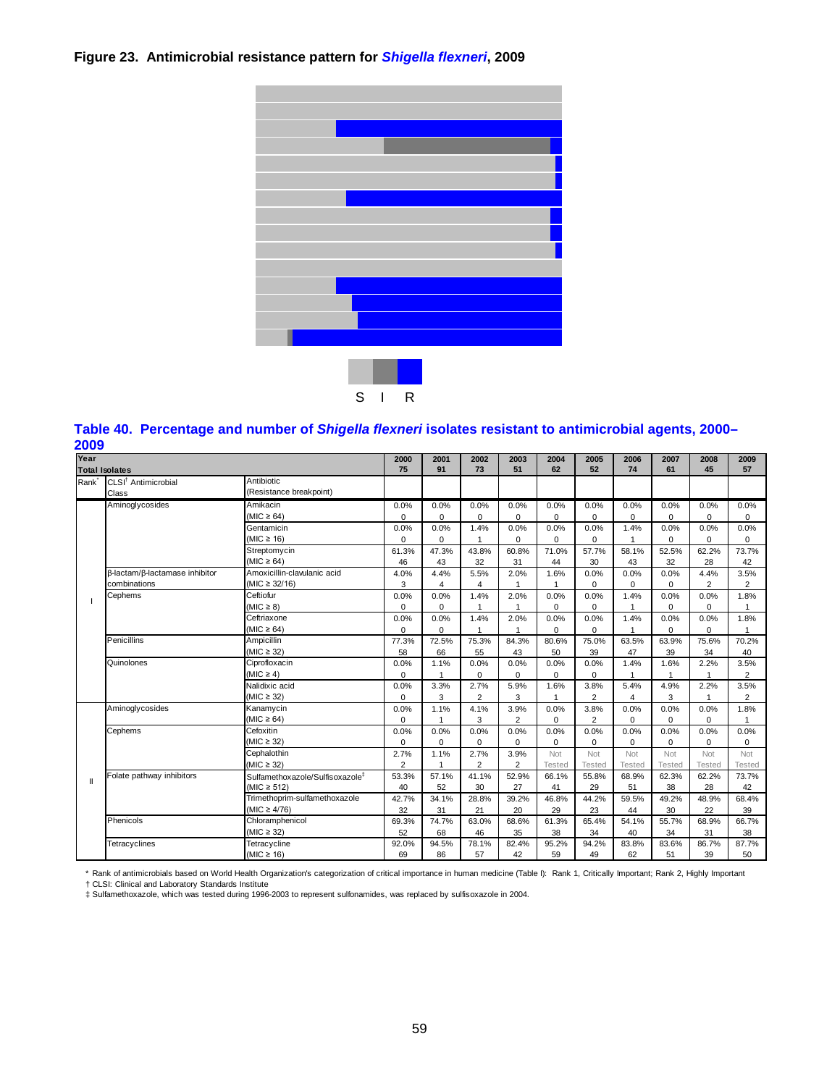# **Figure 23. Antimicrobial resistance pattern for** *Shigella flexneri***, 2009**



# **Table 40. Percentage and number of** *Shigella flexneri* **isolates resistant to antimicrobial agents, 2000–**

| 2009              |                                 |                                             |                |                |                |                |             |                |                         |               |                |                |
|-------------------|---------------------------------|---------------------------------------------|----------------|----------------|----------------|----------------|-------------|----------------|-------------------------|---------------|----------------|----------------|
| Year              |                                 |                                             | 2000           | 2001           | 2002           | 2003           | 2004        | 2005           | 2006                    | 2007          | 2008           | 2009           |
|                   | <b>Total Isolates</b>           |                                             | 75             | 91             | 73             | 51             | 62          | 52             | 74                      | 61            | 45             | 57             |
| Rank <sup>*</sup> | CLSI <sup>†</sup> Antimicrobial | Antibiotic                                  |                |                |                |                |             |                |                         |               |                |                |
|                   | Class                           | (Resistance breakpoint)                     |                |                |                |                |             |                |                         |               |                |                |
|                   | Aminoglycosides                 | Amikacin                                    | 0.0%           | 0.0%           | 0.0%           | 0.0%           | 0.0%        | 0.0%           | 0.0%                    | 0.0%          | 0.0%           | 0.0%           |
|                   |                                 | (MIC $\geq$ 64)                             | $\Omega$       | $\Omega$       | $\Omega$       | $\mathbf 0$    | $\Omega$    | $\mathbf 0$    | $\mathbf 0$             | 0             | $\Omega$       | 0              |
|                   |                                 | Gentamicin                                  | 0.0%           | 0.0%           | 1.4%           | 0.0%           | 0.0%        | 0.0%           | 1.4%                    | 0.0%          | 0.0%           | 0.0%           |
|                   |                                 | (MIC $\geq$ 16)                             | 0              | $\mathbf 0$    | $\mathbf{1}$   | $\mathbf 0$    | 0           | $\mathbf 0$    | $\overline{1}$          | 0             | $\mathbf 0$    | 0              |
|                   |                                 | Streptomycin                                | 61.3%          | 47.3%          | 43.8%          | 60.8%          | 71.0%       | 57.7%          | 58.1%                   | 52.5%         | 62.2%          | 73.7%          |
|                   |                                 | (MIC $\geq$ 64)                             | 46             | 43             | 32             | 31             | 44          | 30             | 43                      | 32            | 28             | 42             |
|                   | β-lactam/β-lactamase inhibitor  | Amoxicillin-clavulanic acid                 | 4.0%           | 4.4%           | 5.5%           | 2.0%           | 1.6%        | 0.0%           | 0.0%                    | 0.0%          | 4.4%           | 3.5%           |
|                   | combinations                    | $(MIC \ge 32/16)$                           | 3              | $\overline{4}$ | 4              |                |             | $\mathbf 0$    | $\mathbf 0$             | 0             | $\overline{2}$ | $\overline{2}$ |
|                   | Cephems                         | Ceftiofur                                   | 0.0%           | 0.0%           | 1.4%           | 2.0%           | 0.0%        | 0.0%           | 1.4%                    | 0.0%          | 0.0%           | 1.8%           |
|                   |                                 | $(MIC \geq 8)$                              | $\mathbf 0$    | $\mathbf 0$    |                |                | $\mathbf 0$ | $\mathbf 0$    | 1                       | 0             | 0              |                |
|                   |                                 | Ceftriaxone                                 | 0.0%           | 0.0%           | 1.4%           | 2.0%           | 0.0%        | 0.0%           | 1.4%                    | 0.0%          | 0.0%           | 1.8%           |
|                   |                                 | (MIC $\geq 64$ )                            | $\Omega$       | $\Omega$       | 1              |                | $\Omega$    | $\mathbf 0$    | 1                       | $\Omega$      | $\Omega$       | 1              |
|                   | Penicillins                     | Ampicillin                                  | 77.3%          | 72.5%          | 75.3%          | 84.3%          | 80.6%       | 75.0%          | 63.5%                   | 63.9%         | 75.6%          | 70.2%          |
|                   |                                 | $(MIC \geq 32)$                             | 58             | 66             | 55             | 43             | 50          | 39             | 47                      | 39            | 34             | 40             |
|                   | Quinolones                      | Ciprofloxacin                               | 0.0%           | 1.1%           | 0.0%           | 0.0%           | 0.0%        | 0.0%           | 1.4%                    | 1.6%          | 2.2%           | 3.5%           |
|                   |                                 | $(MIC \geq 4)$                              | $\Omega$       | $\mathbf{1}$   | $\Omega$       | $\Omega$       | $\Omega$    | $\mathbf 0$    | 1                       |               | $\mathbf{1}$   | $\overline{2}$ |
|                   |                                 | Nalidixic acid                              | 0.0%           | 3.3%           | 2.7%           | 5.9%           | 1.6%        | 3.8%           | 5.4%                    | 4.9%          | 2.2%           | 3.5%           |
|                   |                                 | (MIC $\geq$ 32)                             | 0              | 3              | $\overline{2}$ | 3              | 1           | $\overline{2}$ | $\overline{\mathbf{4}}$ | 3             | 1              | $\overline{2}$ |
|                   | Aminoglycosides                 | Kanamycin                                   | 0.0%           | 1.1%           | 4.1%           | 3.9%           | 0.0%        | 3.8%           | 0.0%                    | 0.0%          | 0.0%           | 1.8%           |
|                   |                                 | $(MIC \ge 64)$                              | $\Omega$       | $\mathbf{1}$   | 3              | $\overline{2}$ | $\Omega$    | $\overline{2}$ | $\Omega$                | $\Omega$      | $\Omega$       | 1              |
|                   | Cephems                         | Cefoxitin                                   | 0.0%           | 0.0%           | 0.0%           | 0.0%           | 0.0%        | 0.0%           | 0.0%                    | 0.0%          | 0.0%           | 0.0%           |
|                   |                                 | (MIC $\geq$ 32)                             | 0              | $\mathbf 0$    | $\Omega$       | $\Omega$       | $\mathbf 0$ | $\mathbf 0$    | $\mathbf 0$             | $\mathbf 0$   | 0              | 0              |
|                   |                                 | Cephalothin                                 | 2.7%           | 1.1%           | 2.7%           | 3.9%           | Not         | Not            | Not                     | Not           | Not            | Not            |
|                   |                                 | (MIC $\geq$ 32)                             | $\overline{2}$ | $\overline{1}$ | $\overline{2}$ | $\overline{2}$ | Tested      | <b>Tested</b>  | <b>Tested</b>           | <b>Tested</b> | <b>Tested</b>  | <b>Tested</b>  |
|                   | Folate pathway inhibitors       | Sulfamethoxazole/Sulfisoxazole <sup>#</sup> | 53.3%          | 57.1%          | 41.1%          | 52.9%          | 66.1%       | 55.8%          | 68.9%                   | 62.3%         | 62.2%          | 73.7%          |
|                   |                                 | (MIC $\geq$ 512)                            | 40             | 52             | 30             | 27             | 41          | 29             | 51                      | 38            | 28             | 42             |
|                   |                                 | Trimethoprim-sulfamethoxazole               | 42.7%          | 34.1%          | 28.8%          | 39.2%          | 46.8%       | 44.2%          | 59.5%                   | 49.2%         | 48.9%          | 68.4%          |
|                   |                                 | (MIC $\geq 4/76$ )                          | 32             | 31             | 21             | 20             | 29          | 23             | 44                      | 30            | 22             | 39             |
|                   | Phenicols                       | Chloramphenicol                             | 69.3%          | 74.7%          | 63.0%          | 68.6%          | 61.3%       | 65.4%          | 54.1%                   | 55.7%         | 68.9%          | 66.7%          |
|                   |                                 | $(MIC \geq 32)$                             | 52             | 68             | 46             | 35             | 38          | 34             | 40                      | 34            | 31             | 38             |
|                   | Tetracyclines                   | Tetracycline                                | 92.0%          | 94.5%          | 78.1%          | 82.4%          | 95.2%       | 94.2%          | 83.8%                   | 83.6%         | 86.7%          | 87.7%          |
|                   |                                 | (MIC $\geq$ 16)                             | 69             | 86             | 57             | 42             | 59          | 49             | 62                      | 51            | 39             | 50             |

\* Rank of antimicrobials based on World Health Organization's categorization of critical importance in human medicine (Table I): Rank 1, Critically Important; Rank 2, Highly Important

† CLSI: Clinical and Laboratory Standards Institute ‡ Sulfamethoxazole, which was tested during 1996-2003 to represent sulfonamides, was replaced by sulfisoxazole in 2004.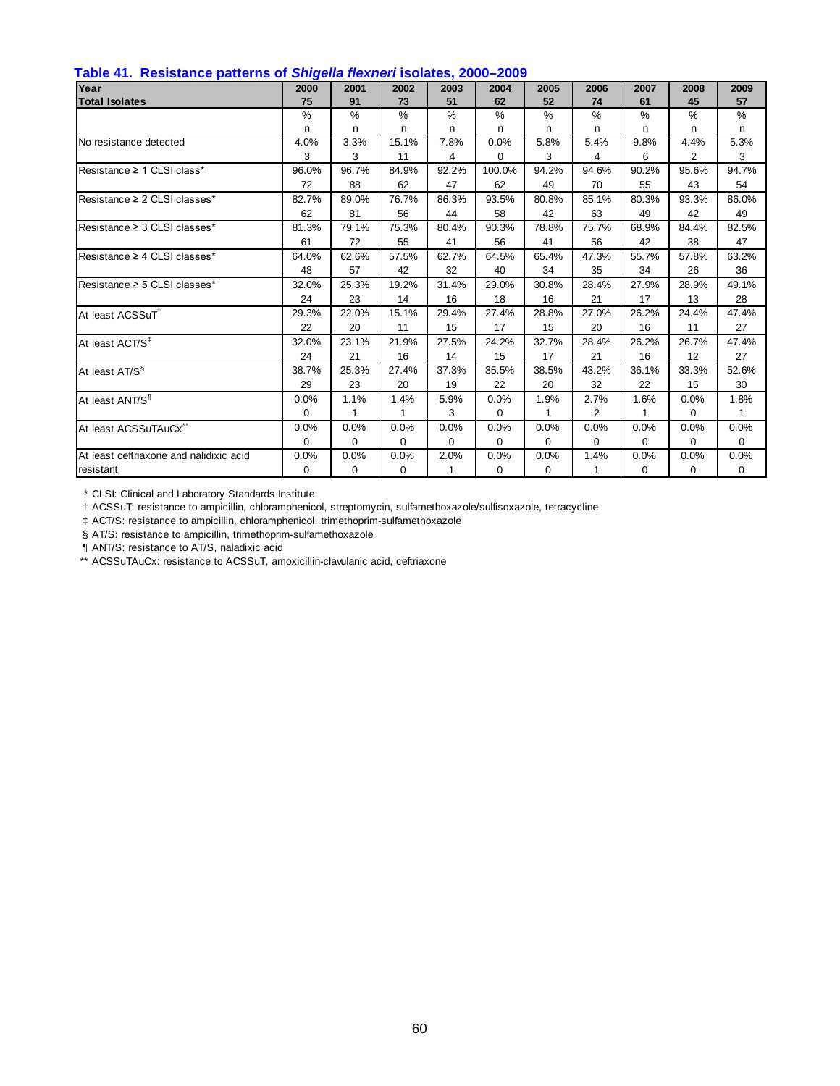| Table 41. Resistance patterns of Shigella flexneri isolates, 2000–2009 |  |  |  |  |
|------------------------------------------------------------------------|--|--|--|--|
|------------------------------------------------------------------------|--|--|--|--|

| $\frac{1}{2}$<br>Year                   | 2000          | 2001         | 2002          | 2003  | 2004   | 2005  | 2006  | 2007     | 2008     | 2009         |
|-----------------------------------------|---------------|--------------|---------------|-------|--------|-------|-------|----------|----------|--------------|
| <b>Total Isolates</b>                   | 75            | 91           | 73            | 51    | 62     | 52    | 74    | 61       | 45       | 57           |
|                                         | $\frac{0}{0}$ | %            | $\frac{0}{0}$ | $\%$  | $\%$   | %     | $\%$  | %        | $\%$     | %            |
|                                         | n             | n.           | n             | n     | n      | n     | n     | n        | n        | n            |
| No resistance detected                  | 4.0%          | 3.3%         | 15.1%         | 7.8%  | 0.0%   | 5.8%  | 5.4%  | 9.8%     | 4.4%     | 5.3%         |
|                                         | 3             | 3            | 11            | 4     | 0      | 3     | 4     | 6        | 2        | 3            |
| Resistance ≥ 1 CLSI class*              | 96.0%         | 96.7%        | 84.9%         | 92.2% | 100.0% | 94.2% | 94.6% | 90.2%    | 95.6%    | 94.7%        |
|                                         | 72            | 88           | 62            | 47    | 62     | 49    | 70    | 55       | 43       | 54           |
| Resistance ≥ 2 CLSI classes*            | 82.7%         | 89.0%        | 76.7%         | 86.3% | 93.5%  | 80.8% | 85.1% | 80.3%    | 93.3%    | 86.0%        |
|                                         | 62            | 81           | 56            | 44    | 58     | 42    | 63    | 49       | 42       | 49           |
| Resistance ≥ 3 CLSI classes*            | 81.3%         | 79.1%        | 75.3%         | 80.4% | 90.3%  | 78.8% | 75.7% | 68.9%    | 84.4%    | 82.5%        |
|                                         | 61            | 72           | 55            | 41    | 56     | 41    | 56    | 42       | 38       | 47           |
| Resistance ≥ 4 CLSI classes*            | 64.0%         | 62.6%        | 57.5%         | 62.7% | 64.5%  | 65.4% | 47.3% | 55.7%    | 57.8%    | 63.2%        |
|                                         | 48            | 57           | 42            | 32    | 40     | 34    | 35    | 34       | 26       | 36           |
| Resistance ≥ 5 CLSI classes*            | 32.0%         | 25.3%        | 19.2%         | 31.4% | 29.0%  | 30.8% | 28.4% | 27.9%    | 28.9%    | 49.1%        |
|                                         | 24            | 23           | 14            | 16    | 18     | 16    | 21    | 17       | 13       | 28           |
| At least ACSSuT <sup>1</sup>            | 29.3%         | 22.0%        | 15.1%         | 29.4% | 27.4%  | 28.8% | 27.0% | 26.2%    | 24.4%    | 47.4%        |
|                                         | 22            | 20           | 11            | 15    | 17     | 15    | 20    | 16       | 11       | 27           |
| At least ACT/S <sup>‡</sup>             | 32.0%         | 23.1%        | 21.9%         | 27.5% | 24.2%  | 32.7% | 28.4% | 26.2%    | 26.7%    | 47.4%        |
|                                         | 24            | 21           | 16            | 14    | 15     | 17    | 21    | 16       | 12       | 27           |
| At least AT/S <sup>§</sup>              | 38.7%         | 25.3%        | 27.4%         | 37.3% | 35.5%  | 38.5% | 43.2% | 36.1%    | 33.3%    | 52.6%        |
|                                         | 29            | 23           | 20            | 19    | 22     | 20    | 32    | 22       | 15       | 30           |
| At least ANT/S <sup>1</sup>             | 0.0%          | 1.1%         | 1.4%          | 5.9%  | 0.0%   | 1.9%  | 2.7%  | 1.6%     | 0.0%     | 1.8%         |
|                                         | $\Omega$      | $\mathbf{1}$ | 1             | 3     | 0      | 1     | 2     | 1        | $\Omega$ | $\mathbf{1}$ |
| At least ACSSuTAuCx <sup>®</sup>        | 0.0%          | 0.0%         | 0.0%          | 0.0%  | 0.0%   | 0.0%  | 0.0%  | 0.0%     | 0.0%     | 0.0%         |
|                                         | 0             | 0            | 0             | 0     | 0      | 0     | 0     | $\Omega$ | $\Omega$ | 0            |
| At least ceftriaxone and nalidixic acid | 0.0%          | 0.0%         | 0.0%          | 2.0%  | 0.0%   | 0.0%  | 1.4%  | 0.0%     | 0.0%     | 0.0%         |
| resistant                               | $\Omega$      | 0            | 0             |       | 0      | 0     | 1     | $\Omega$ | 0        | 0            |

† ACSSuT: resistance to ampicillin, chloramphenicol, streptomycin, sulfamethoxazole/sulfisoxazole, tetracycline

‡ ACT/S: resistance to ampicillin, chloramphenicol, trimethoprim-sulfamethoxazole

§ AT/S: resistance to ampicillin, trimethoprim-sulfamethoxazole

¶ ANT/S: resistance to AT/S, naladixic acid

\*\* ACSSuTAuCx: resistance to ACSSuT, amoxicillin-clavulanic acid, ceftriaxone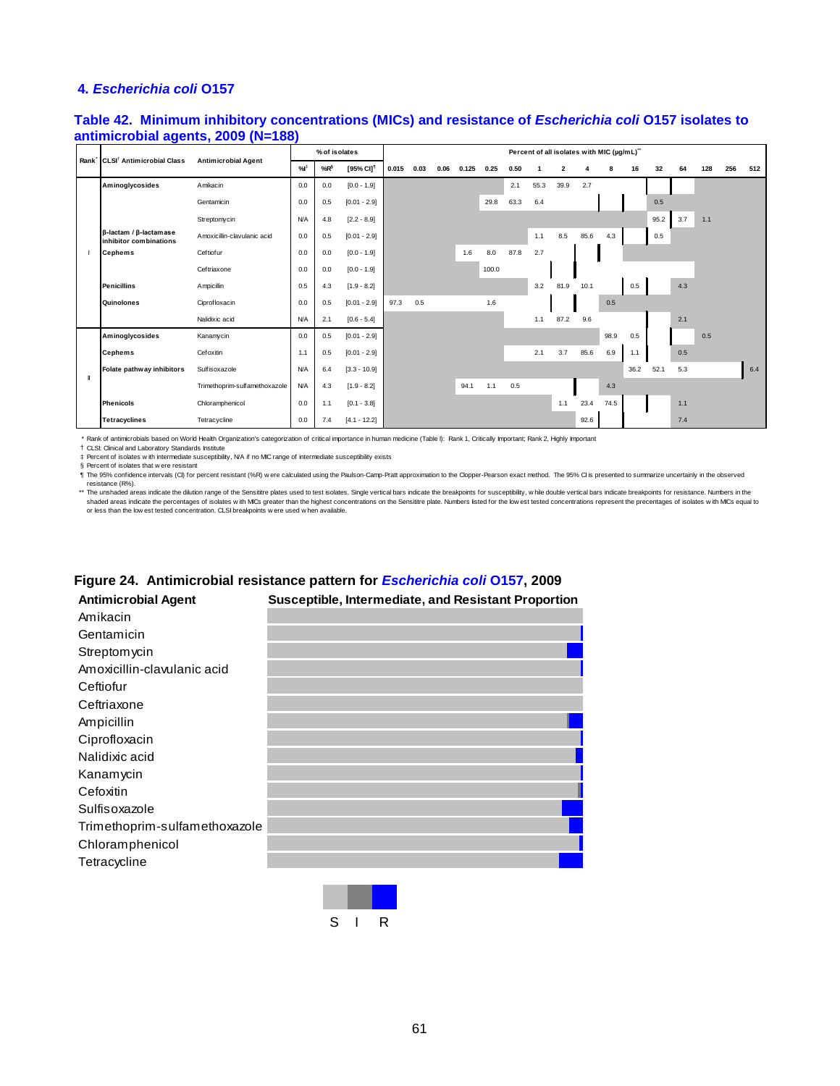#### **4***. Escherichia coli* **O157**

## **Table 42. Minimum inhibitory concentrations (MICs) and resistance of** *Escherichia coli* **O157 isolates to antimicrobial agents, 2009 (N=188)**

| Rank <sup>*</sup> CLSI <sup>†</sup> Antimicrobial Class        |                               |            | % of isolates   |                       |       |      |      |       |       |      |      | Percent of all isolates with MIC (µg/mL)" |      |      |      |      |     |     |     |     |
|----------------------------------------------------------------|-------------------------------|------------|-----------------|-----------------------|-------|------|------|-------|-------|------|------|-------------------------------------------|------|------|------|------|-----|-----|-----|-----|
|                                                                | <b>Antimicrobial Agent</b>    | %          | %R <sup>§</sup> | [95% CI] <sup>1</sup> | 0.015 | 0.03 | 0.06 | 0.125 | 0.25  | 0.50 |      | $\overline{2}$                            | 4    | 8    | 16   | 32   | 64  | 128 | 256 | 512 |
| Aminoglycosides                                                | Amikacin                      | 0.0        | 0.0             | $[0.0 - 1.9]$         |       |      |      |       |       | 2.1  | 55.3 | 39.9                                      | 2.7  |      |      |      |     |     |     |     |
|                                                                | Gentamicin                    | 0.0        | 0.5             | $[0.01 - 2.9]$        |       |      |      |       | 29.8  | 63.3 | 6.4  |                                           |      |      |      | 0.5  |     |     |     |     |
|                                                                | Streptomycin                  | <b>N/A</b> | 4.8             | $[2.2 - 8.9]$         |       |      |      |       |       |      |      |                                           |      |      |      | 95.2 | 3.7 | 1.1 |     |     |
| $\beta$ -lactam / $\beta$ -lactamase<br>inhibitor combinations | Amoxicillin-clavulanic acid   | 0.0        | 0.5             | $[0.01 - 2.9]$        |       |      |      |       |       |      | 1.1  | 8.5                                       | 85.6 | 4.3  |      | 0.5  |     |     |     |     |
| <b>Cephems</b>                                                 | Ceftiofur                     | 0.0        | 0.0             | $[0.0 - 1.9]$         |       |      |      | 1.6   | 8.0   | 87.8 | 2.7  |                                           |      |      |      |      |     |     |     |     |
|                                                                | Ceftriaxone                   | 0.0        | 0.0             | $[0.0 - 1.9]$         |       |      |      |       | 100.0 |      |      |                                           |      |      |      |      |     |     |     |     |
| <b>Penicillins</b>                                             | Ampicillin                    | 0.5        | 4.3             | $[1.9 - 8.2]$         |       |      |      |       |       |      | 3.2  | 81.9                                      | 10.1 |      | 0.5  |      | 4.3 |     |     |     |
| Quinolones                                                     | Ciprofloxacin                 | 0.0        | 0.5             | $[0.01 - 2.9]$        | 97.3  | 0.5  |      |       | 1.6   |      |      |                                           |      | 0.5  |      |      |     |     |     |     |
|                                                                | Nalidixic acid                | <b>N/A</b> | 2.1             | $[0.6 - 5.4]$         |       |      |      |       |       |      | 1.1  | 87.2                                      | 9.6  |      |      |      | 2.1 |     |     |     |
| Aminoglycosides                                                | Kanamycin                     | 0.0        | 0.5             | $[0.01 - 2.9]$        |       |      |      |       |       |      |      |                                           |      | 98.9 | 0.5  |      |     | 0.5 |     |     |
| <b>Cephems</b>                                                 | Cefoxitin                     | 1.1        | 0.5             | $[0.01 - 2.9]$        |       |      |      |       |       |      | 2.1  | 3.7                                       | 85.6 | 6.9  | 1.1  |      | 0.5 |     |     |     |
| Folate pathway inhibitors                                      | Sulfisoxazole                 | <b>N/A</b> | 6.4             | $[3.3 - 10.9]$        |       |      |      |       |       |      |      |                                           |      |      | 36.2 | 52.1 | 5.3 |     |     | 6.4 |
|                                                                | Trimethoprim-sulfamethoxazole | N/A        | 4.3             | $[1.9 - 8.2]$         |       |      |      | 94.1  | 1.1   | 0.5  |      |                                           |      | 4.3  |      |      |     |     |     |     |
| <b>Phenicols</b>                                               | Chloramphenicol               | 0.0        | 1.1             | $[0.1 - 3.8]$         |       |      |      |       |       |      |      | 1.1                                       | 23.4 | 74.5 |      |      | 1.1 |     |     |     |
| <b>Tetracyclines</b>                                           | Tetracycline                  | 0.0        | 7.4             | $[4.1 - 12.2]$        |       |      |      |       |       |      |      |                                           | 92.6 |      |      |      | 7.4 |     |     |     |

\* Rank of antimicrobials based on World Health Organization's categorization of critical importance in human medicine (Table I): Rank 1, Critically Important; Rank 2, Highly Important

† ‡ CLSI: Clinical and Laboratory Standards Institute Percent of isolates w ith intermediate susceptibility, N/A if no MIC range of intermediate susceptibility exists

§ Percent of isolates that w ere resistant

¶ The 95% confidence intervals (CI) for percent resistant (%R) w ere calculated using the Paulson-Camp-Pratt approximation to the Clopper-Pearson exact method. The 95% CI is presented to summarize uncertainly in the observed

resistance (R%).<br>\*\* The unshaded areas indicate the dilution range of the Sensitire plates used to test isolates. Single vertical bars indicate the breakpoints for susceptibility, while double vertical bars indicate breakp shaded areas indicate the percentages of isolates with MCs greater than the highest concentrations on the Sensititre plate. Numbers listed for the low est tested concentrations represent the precentages of isolates with MC

# Amikacin Gentamicin **Streptomycin** Amoxicillin-clavulanic acid Ceftiofur **Ceftriaxone** Ampicillin Ciprofloxacin Nalidixic acid Kanamycin Cefoxitin Sulfisoxazole Trimethoprim-sulfamethoxazole Chloramphenicol **Tetracycline Antimicrobial Agent Susceptible, Intermediate, and Resistant Proportion**

# **Figure 24. Antimicrobial resistance pattern for** *Escherichia coli* **O157, 2009**

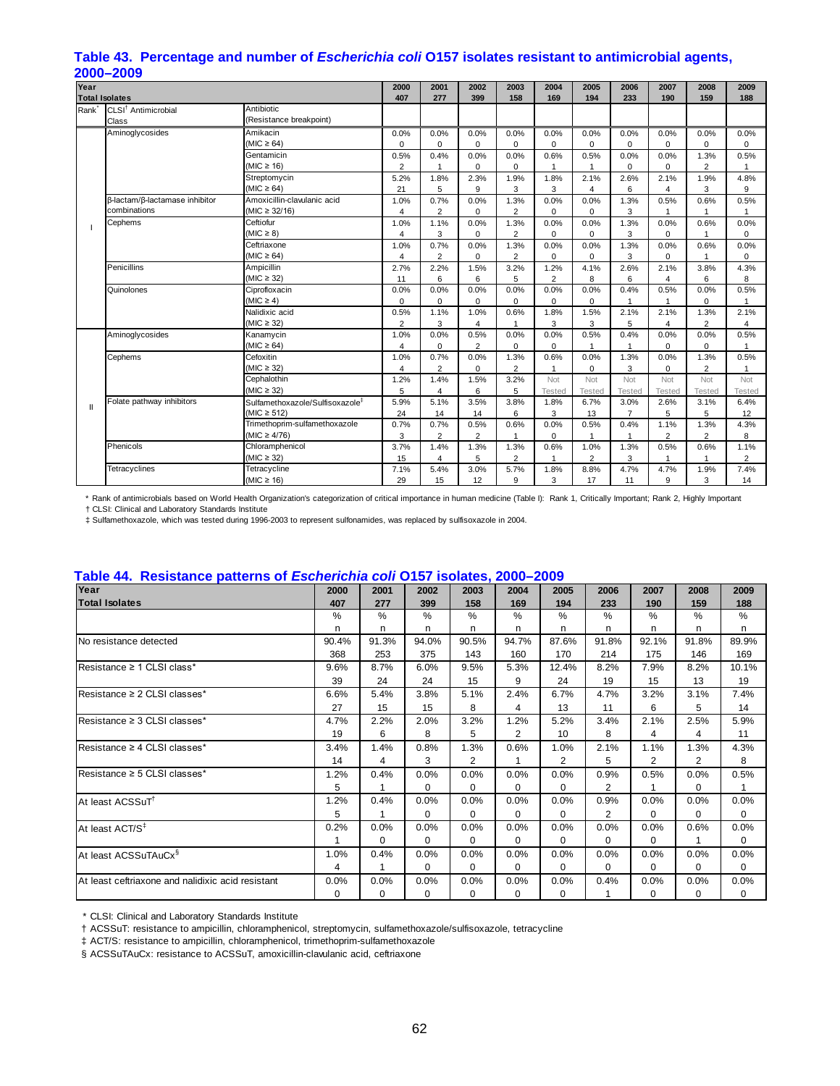# **Table 43. Percentage and number of** *Escherichia coli* **O157 isolates resistant to antimicrobial agents, 2000–2009**

| Year<br><b>Total Isolates</b> |                                 |                                             | 2000<br>407             | 2001<br>277             | 2002<br>399    | 2003<br>158    | 2004<br>169    | 2005<br>194    | 2006<br>233    | 2007<br>190             | 2008<br>159    | 2009<br>188    |
|-------------------------------|---------------------------------|---------------------------------------------|-------------------------|-------------------------|----------------|----------------|----------------|----------------|----------------|-------------------------|----------------|----------------|
| Rank <sup>*</sup>             | CLSI <sup>†</sup> Antimicrobial | Antibiotic                                  |                         |                         |                |                |                |                |                |                         |                |                |
|                               | Class                           | (Resistance breakpoint)                     |                         |                         |                |                |                |                |                |                         |                |                |
|                               | Aminoglycosides                 | Amikacin                                    | 0.0%                    | 0.0%                    | 0.0%           | 0.0%           | 0.0%           | 0.0%           | 0.0%           | 0.0%                    | 0.0%           | 0.0%           |
|                               |                                 | (MIC $\geq$ 64)                             | $\mathbf 0$             | $\mathbf 0$             | $\mathbf 0$    | $\mathbf 0$    | $\Omega$       | 0              | 0              | 0                       | 0              | 0              |
|                               |                                 | Gentamicin                                  | 0.5%                    | 0.4%                    | 0.0%           | 0.0%           | 0.6%           | 0.5%           | 0.0%           | 0.0%                    | 1.3%           | 0.5%           |
|                               |                                 | (MIC $\geq$ 16)                             | $\overline{2}$          | $\overline{1}$          | 0              | 0              | $\mathbf{1}$   | 1              | 0              | 0                       | 2              | $\mathbf{1}$   |
|                               |                                 | Streptomycin                                | 5.2%                    | 1.8%                    | 2.3%           | 1.9%           | 1.8%           | 2.1%           | 2.6%           | 2.1%                    | 1.9%           | 4.8%           |
|                               |                                 | (MIC $\geq$ 64)                             | 21                      | 5                       | 9              | 3              | 3              | 4              | 6              | 4                       | 3              | 9              |
|                               | β-lactam/β-lactamase inhibitor  | Amoxicillin-clavulanic acid                 | 1.0%                    | 0.7%                    | 0.0%           | 1.3%           | 0.0%           | 0.0%           | 1.3%           | 0.5%                    | 0.6%           | 0.5%           |
|                               | combinations                    | $(MIC \ge 32/16)$                           | 4                       | $\overline{2}$          | $\Omega$       | $\overline{2}$ | $\Omega$       | $\Omega$       | 3              | 1                       |                | $\overline{1}$ |
|                               | Cephems                         | Ceftiofur                                   | 1.0%                    | 1.1%                    | 0.0%           | 1.3%           | 0.0%           | 0.0%           | 1.3%           | 0.0%                    | 0.6%           | 0.0%           |
|                               |                                 | $(MIC \geq 8)$                              | 4                       | 3                       | 0              | $\overline{2}$ | 0              | 0              | 3              | 0                       |                | 0              |
|                               |                                 | Ceftriaxone                                 | 1.0%                    | 0.7%                    | 0.0%           | 1.3%           | 0.0%           | 0.0%           | 1.3%           | 0.0%                    | 0.6%           | 0.0%           |
|                               |                                 | (MIC $\geq$ 64)                             | 4                       | $\overline{2}$          | $\mathbf 0$    | $\overline{2}$ | $\Omega$       | $\mathbf 0$    | 3              | 0                       | $\overline{1}$ | $\mathbf 0$    |
|                               | Penicillins                     | Ampicillin                                  | 2.7%                    | 2.2%                    | 1.5%           | 3.2%           | 1.2%           | 4.1%           | 2.6%           | 2.1%                    | 3.8%           | 4.3%           |
|                               |                                 | (MIC $\geq$ 32)                             | 11                      | 6                       | 6              | 5              | $\overline{2}$ | 8              | 6              | 4                       | 6              | 8              |
|                               | Quinolones                      | Ciprofloxacin                               | 0.0%                    | 0.0%                    | 0.0%           | 0.0%           | 0.0%           | 0.0%           | 0.4%           | 0.5%                    | 0.0%           | 0.5%           |
|                               |                                 | $(MIC \geq 4)$                              | $\mathbf 0$             | $\mathbf 0$             | $\mathbf 0$    | $\Omega$       | $\Omega$       | $\Omega$       |                |                         | 0              |                |
|                               |                                 | Nalidixic acid                              | 0.5%                    | 1.1%                    | 1.0%           | 0.6%           | 1.8%           | 1.5%           | 2.1%           | 2.1%                    | 1.3%           | 2.1%           |
|                               |                                 | $(MIC \geq 32)$                             | $\overline{2}$          | 3                       | 4              | $\overline{1}$ | 3              | 3              | 5              | $\overline{\mathbf{4}}$ | $\overline{2}$ | 4              |
|                               | Aminoglycosides                 | Kanamycin                                   | 1.0%                    | 0.0%                    | 0.5%           | 0.0%           | 0.0%           | 0.5%           | 0.4%           | 0.0%                    | 0.0%           | 0.5%           |
|                               |                                 | (MIC $\geq 64$ )                            | $\overline{\mathbf{4}}$ | $\Omega$                | $\overline{2}$ | $\Omega$       | $\Omega$       | $\overline{1}$ | 1              | 0                       | $\Omega$       | 1              |
|                               | Cephems                         | Cefoxitin                                   | 1.0%                    | 0.7%                    | 0.0%           | 1.3%           | 0.6%           | 0.0%           | 1.3%           | 0.0%                    | 1.3%           | 0.5%           |
|                               |                                 | $(MIC \geq 32)$                             | 4                       | $\overline{2}$          | $\mathbf 0$    | $\overline{2}$ | 1              | $\mathbf 0$    | 3              | 0                       | $\overline{2}$ | $\overline{1}$ |
|                               |                                 | Cephalothin                                 | 1.2%                    | 1.4%                    | 1.5%           | 3.2%           | Not            | Not            | Not            | Not                     | Not            | Not            |
|                               |                                 | $(MIC \geq 32)$                             | 5                       | 4                       | 6              | 5              | Tested         | Tested         | Tested         | Tested                  | Tested         | Tested         |
| $\mathbf{I}$                  | Folate pathway inhibitors       | Sulfamethoxazole/Sulfisoxazole <sup>#</sup> | 5.9%                    | 5.1%                    | 3.5%           | 3.8%           | 1.8%           | 6.7%           | 3.0%           | 2.6%                    | 3.1%           | 6.4%           |
|                               |                                 | (MIC $\geq$ 512)                            | 24                      | 14                      | 14             | 6              | 3              | 13             | $\overline{7}$ | 5                       | 5              | 12             |
|                               |                                 | Trimethoprim-sulfamethoxazole               | 0.7%                    | 0.7%                    | 0.5%           | 0.6%           | 0.0%           | 0.5%           | 0.4%           | 1.1%                    | 1.3%           | 4.3%           |
|                               |                                 | (MIC $\geq 4/76$ )                          | 3                       | $\overline{2}$          | $\overline{2}$ | $\mathbf{1}$   | 0              | $\mathbf{1}$   | 1              | $\overline{2}$          | $\overline{2}$ | 8              |
|                               | Phenicols                       | Chloramphenicol                             | 3.7%                    | 1.4%                    | 1.3%           | 1.3%           | 0.6%           | 1.0%           | 1.3%           | 0.5%                    | 0.6%           | 1.1%           |
|                               |                                 | $(MIC \geq 32)$                             | 15                      | $\overline{\mathbf{4}}$ | 5              | $\overline{2}$ | $\overline{1}$ | $\overline{2}$ | 3              | $\mathbf 1$             | 1              | 2              |
|                               | Tetracyclines                   | Tetracycline                                | 7.1%                    | 5.4%                    | 3.0%           | 5.7%           | 1.8%           | 8.8%           | 4.7%           | 4.7%                    | 1.9%           | 7.4%           |
|                               |                                 | (MIC $\geq$ 16)                             | 29                      | 15                      | 12             | 9              | 3              | 17             | 11             | 9                       | 3              | 14             |

\* Rank of antimicrobials based on World Health Organization's categorization of critical importance in human medicine (Table I): Rank 1, Critically Important; Rank 2, Highly Important

† CLSI: Clinical and Laboratory Standards Institute ‡ Sulfamethoxazole, which was tested during 1996-2003 to represent sulfonamides, was replaced by sulfisoxazole in 2004.

#### **Table 44. Resistance patterns of** *Escherichia coli* **O157 isolates, 2000–2009**

| Year                                              |       |          |       |                |          |          |               |          |          |          |
|---------------------------------------------------|-------|----------|-------|----------------|----------|----------|---------------|----------|----------|----------|
|                                                   | 2000  | 2001     | 2002  | 2003           | 2004     | 2005     | 2006          | 2007     | 2008     | 2009     |
| <b>Total Isolates</b>                             | 407   | 277      | 399   | 158            | 169      | 194      | 233           | 190      | 159      | 188      |
|                                                   | %     | %        | $\%$  | %              | %        | %        | $\%$          | $\%$     | $\%$     | %        |
|                                                   | n     | n        | n     | n              | n        | n        | n             | n        | n        | n        |
| No resistance detected                            | 90.4% | 91.3%    | 94.0% | 90.5%          | 94.7%    | 87.6%    | 91.8%         | 92.1%    | 91.8%    | 89.9%    |
|                                                   | 368   | 253      | 375   | 143            | 160      | 170      | 214           | 175      | 146      | 169      |
| Resistance ≥ 1 CLSI class*                        | 9.6%  | 8.7%     | 6.0%  | 9.5%           | 5.3%     | 12.4%    | 8.2%          | 7.9%     | 8.2%     | 10.1%    |
|                                                   | 39    | 24       | 24    | 15             | 9        | 24       | 19            | 15       | 13       | 19       |
| Resistance ≥ 2 CLSI classes*                      | 6.6%  | 5.4%     | 3.8%  | 5.1%           | 2.4%     | 6.7%     | 4.7%          | 3.2%     | 3.1%     | 7.4%     |
|                                                   | 27    | 15       | 15    | 8              | 4        | 13       | 11            | 6        | 5        | 14       |
| Resistance ≥ 3 CLSI classes*                      | 4.7%  | 2.2%     | 2.0%  | 3.2%           | 1.2%     | 5.2%     | 3.4%          | 2.1%     | 2.5%     | 5.9%     |
|                                                   | 19    | 6        | 8     | 5              | 2        | 10       | 8             | 4        | 4        | 11       |
| Resistance ≥ 4 CLSI classes*                      | 3.4%  | 1.4%     | 0.8%  | 1.3%           | 0.6%     | 1.0%     | 2.1%          | 1.1%     | 1.3%     | 4.3%     |
|                                                   | 14    | 4        | 3     | $\overline{2}$ | 1        | 2        | 5             | 2        | 2        | 8        |
| Resistance ≥ 5 CLSI classes*                      | 1.2%  | 0.4%     | 0.0%  | 0.0%           | 0.0%     | 0.0%     | 0.9%          | 0.5%     | 0.0%     | 0.5%     |
|                                                   | 5     |          | 0     | $\Omega$       | $\Omega$ | $\Omega$ | 2             |          | $\Omega$ | 1        |
| At least ACSSuT <sup>†</sup>                      | 1.2%  | 0.4%     | 0.0%  | 0.0%           | 0.0%     | 0.0%     | 0.9%          | 0.0%     | 0.0%     | 0.0%     |
|                                                   | 5     |          | 0     | 0              | 0        | $\Omega$ | $\mathcal{P}$ | 0        | $\Omega$ | 0        |
| At least ACT/S <sup>‡</sup>                       | 0.2%  | 0.0%     | 0.0%  | 0.0%           | 0.0%     | 0.0%     | 0.0%          | 0.0%     | 0.6%     | 0.0%     |
|                                                   |       | $\Omega$ | 0     | 0              | 0        | $\Omega$ | $\Omega$      | 0        |          | 0        |
| At least ACSSuTAuCx <sup>§</sup>                  | 1.0%  | 0.4%     | 0.0%  | 0.0%           | 0.0%     | 0.0%     | 0.0%          | 0.0%     | 0.0%     | 0.0%     |
|                                                   | 4     |          | 0     | 0              | 0        | $\Omega$ | $\Omega$      | $\Omega$ | $\Omega$ | $\Omega$ |
| At least ceftriaxone and nalidixic acid resistant | 0.0%  | 0.0%     | 0.0%  | 0.0%           | $0.0\%$  | 0.0%     | 0.4%          | 0.0%     | 0.0%     | 0.0%     |
|                                                   | 0     | 0        | 0     | $\Omega$       | 0        | 0        |               | 0        | $\Omega$ | 0        |

\* CLSI: Clinical and Laboratory Standards Institute

† ACSSuT: resistance to ampicillin, chloramphenicol, streptomycin, sulfamethoxazole/sulfisoxazole, tetracycline

‡ ACT/S: resistance to ampicillin, chloramphenicol, trimethoprim-sulfamethoxazole

§ ACSSuTAuCx: resistance to ACSSuT, amoxicillin-clavulanic acid, ceftriaxone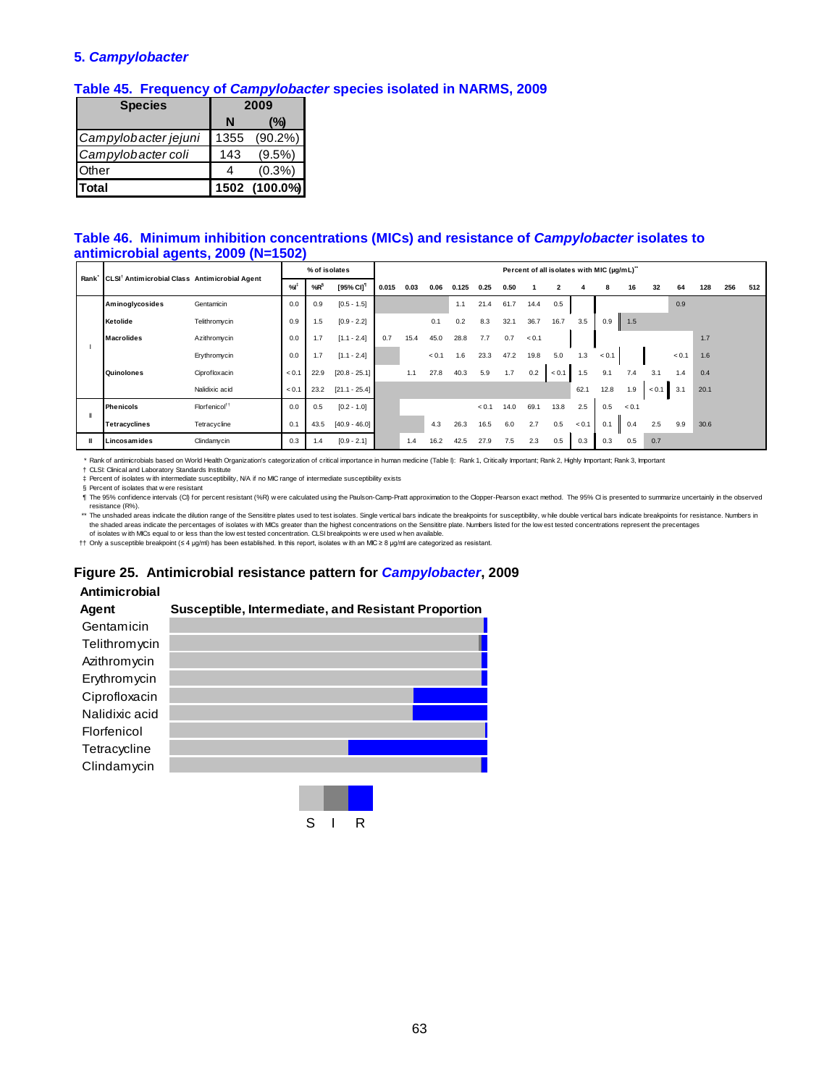#### **5.** *Campylobacter*

#### **Table 45. Frequency of** *Campylobacter* **species isolated in NARMS, 2009**

| <b>Species</b>       |      | 2009          |
|----------------------|------|---------------|
|                      | N    | (%)           |
| Campylobacter jejuni | 1355 | $(90.2\%)$    |
| Campylobacter coli   | 143  | $(9.5\%)$     |
| Other                | 4    | $(0.3\%)$     |
| Total                |      | 1502 (100.0%) |

#### **Table 46. Minimum inhibition concentrations (MICs) and resistance of** *Campylobacter* **isolates to antimicrobial agents, 2009 (N=1502)**

| CLSI <sup>†</sup> Antimicrobial Class Antimicrobial Agent<br>Rank <sup>-</sup> |                           | % of isolates |        |                       |       |      |       |       |       |      | Percent of all isolates with MIC (µg/mL)" |              |          |       |       |       |       |      |     |     |
|--------------------------------------------------------------------------------|---------------------------|---------------|--------|-----------------------|-------|------|-------|-------|-------|------|-------------------------------------------|--------------|----------|-------|-------|-------|-------|------|-----|-----|
|                                                                                |                           | %             | $%R^6$ | [95% CI] <sup>1</sup> | 0.015 | 0.03 | 0.06  | 0.125 | 0.25  | 0.50 |                                           | $\mathbf{2}$ |          | 8     | 16    | 32    | 64    | 128  | 256 | 512 |
| <b>Aminoglycosides</b>                                                         | Gentamicin                | 0.0           | 0.9    | $[0.5 - 1.5]$         |       |      |       | 1.1   | 21.4  | 61.7 | 14.4                                      | 0.5          |          |       |       |       | 0.9   |      |     |     |
| Ketolide                                                                       | Telithromycin             | 0.9           | 1.5    | $[0.9 - 2.2]$         |       |      | 0.1   | 0.2   | 8.3   | 32.1 | 36.7                                      | 16.7         | 3.5      | 0.9   | 1.5   |       |       |      |     |     |
| <b>Macrolides</b>                                                              | Azithromycin              | 0.0           | 1.7    | $[1.1 - 2.4]$         | 0.7   | 15.4 | 45.0  | 28.8  | 7.7   | 0.7  | < 0.1                                     |              |          |       |       |       |       | 1.7  |     |     |
|                                                                                | Erythromycin              | 0.0           | 1.7    | $[1.1 - 2.4]$         |       |      | < 0.1 | 1.6   | 23.3  | 47.2 | 19.8                                      | 5.0          | 1.3      | < 0.1 |       |       | < 0.1 | 1.6  |     |     |
| Quinolones                                                                     | Ciprofloxacin             | < 0.1         | 22.9   | $[20.8 - 25.1]$       |       | 1.1  | 27.8  | 40.3  | 5.9   | 1.7  | 0.2                                       | < 0.1        | 1.5<br>Ш | 9.1   | 7.4   | 3.1   | 1.4   | 0.4  |     |     |
|                                                                                | Nalidixic acid            | < 0.1         | 23.2   | $[21.1 - 25.4]$       |       |      |       |       |       |      |                                           |              | 62.1     | 12.8  | 1.9   | < 0.1 | 3.1   | 20.1 |     |     |
| <b>Phenicols</b>                                                               | Florfenicol <sup>11</sup> | 0.0           | 0.5    | $[0.2 - 1.0]$         |       |      |       |       | < 0.1 | 14.0 | 69.1                                      | 13.8         | 2.5      | 0.5   | < 0.1 |       |       |      |     |     |
| <b>Tetracyclines</b>                                                           | Tetracycline              | 0.1           | 43.5   | $[40.9 - 46.0]$       |       |      | 4.3   | 26.3  | 16.5  | 6.0  | 2.7                                       | 0.5          | < 0.1    | 0.1   | 0.4   | 2.5   | 9.9   | 30.6 |     |     |
| Lincosamides                                                                   | Clindamycin               | 0.3           | 1.4    | $[0.9 - 2.1]$         |       | 1.4  | 16.2  | 42.5  | 27.9  | 7.5  | 2.3                                       | 0.5          | 0.3      | 0.3   | 0.5   | 0.7   |       |      |     |     |

\* Rank of antimicrobials based on World Health Organization's categorization of critical importance in human medicine (Table I): Rank 1, Critically Important; Rank 2, Highly Important; Rank 3, Important

† ‡ CLSI: Clinical and Laboratory Standards Institute Percent of isolates w ith intermediate susceptibility, N/A if no MIC range of intermediate susceptibility exists

§ Percent of isolates that w ere resistant

¶ The 95% confidence intervals (CI) for percent resistant (%R) w ere calculated using the Paulson-Camp-Pratt approximation to the Clopper-Pearson exact method. The 95% CI is presented to summarize uncertainly in the observed resistance (R%).

\*\* The unshaded areas indicate the dilution range of the Sensititre plates used to test isolates. Single vertical bars indicate the breakpoints for susceptibility, w hile double vertical bars indicate breakpoints for resis the shaded areas indicate the percentages of isolates w ith MICs greater than the highest concentrations on the Sensititre plate. Numbers listed for the low est tested concentrations represent the precentages of isolates w ith MICs equal to or less than the low est tested concentration. CLSI breakpoints w ere used w hen available.

†† Only a susceptible breakpoint (≤ 4 μg/ml) has been established. In this report, isolates w ith an MIC ≥ 8 μg/ml are categorized as resistant.

#### **Figure 25. Antimicrobial resistance pattern for** *Campylobacter***, 2009**

#### **Antimicrobial**



S I R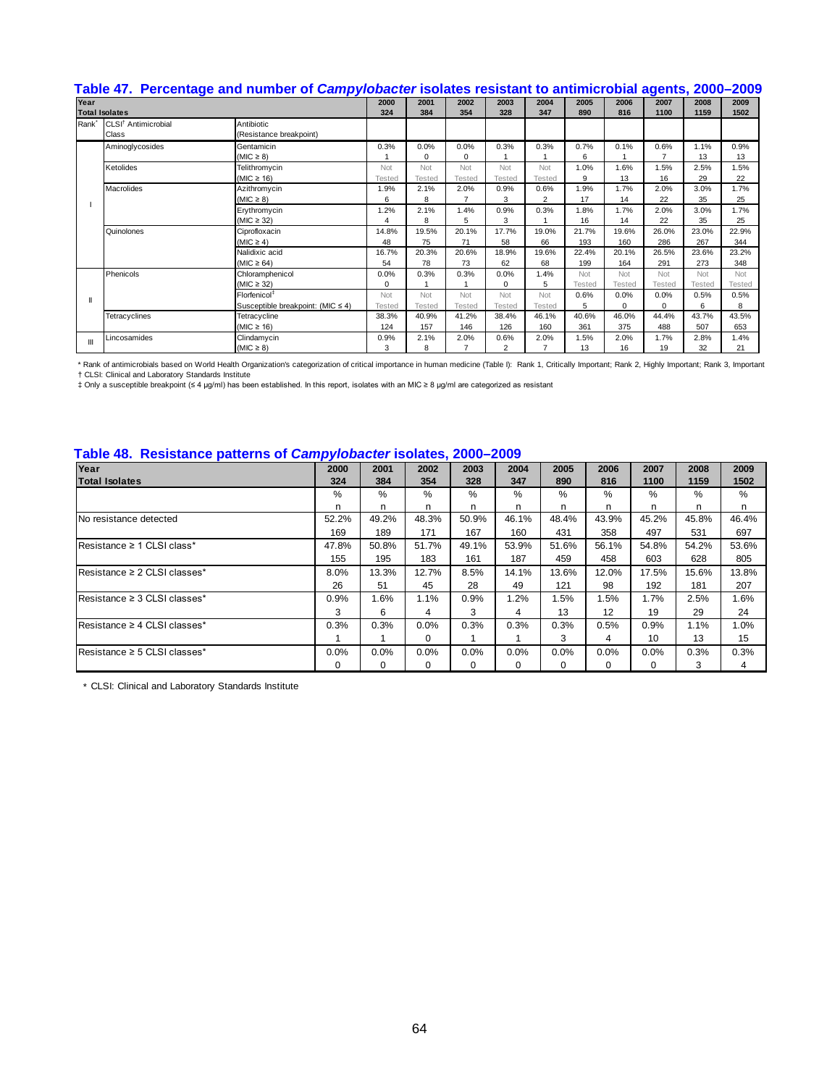# **Table 47. Percentage and number of** *Campylobacter* **isolates resistant to antimicrobial agents, 2000–2009**

| Year              |                                 | 2000                              | 2001   | 2002        | 2003           | 2004     | 2005           | 2006          | 2007   | 2008           | 2009          |        |
|-------------------|---------------------------------|-----------------------------------|--------|-------------|----------------|----------|----------------|---------------|--------|----------------|---------------|--------|
|                   | <b>Total Isolates</b>           |                                   | 324    | 384         | 354            | 328      | 347            | 890           | 816    | 1100           | 1159          | 1502   |
| Rank <sup>*</sup> | CLSI <sup>†</sup> Antimicrobial | Antibiotic                        |        |             |                |          |                |               |        |                |               |        |
|                   | Class                           | (Resistance breakpoint)           |        |             |                |          |                |               |        |                |               |        |
|                   | Aminoglycosides                 | Gentamicin                        | 0.3%   | 0.0%        | 0.0%           | 0.3%     | 0.3%           | 0.7%          | 0.1%   | 0.6%           | 1.1%          | 0.9%   |
|                   |                                 | $(MIC \geq 8)$                    |        | $\mathbf 0$ | $\Omega$       |          |                | 6             |        | $\overline{ }$ | 13            | 13     |
|                   | Ketolides                       | Telithromycin                     | Not    | Not         | Not            | Not      | Not            | 1.0%          | 1.6%   | 1.5%           | 2.5%          | 1.5%   |
|                   |                                 | (MIC $\geq$ 16)                   | Tested | Tested      | <b>Tested</b>  | Tested   | <b>Tested</b>  | 9             | 13     | 16             | 29            | 22     |
|                   | Macrolides                      | Azithromycin                      | 1.9%   | 2.1%        | 2.0%           | 0.9%     | 0.6%           | 1.9%          | 1.7%   | 2.0%           | 3.0%          | 1.7%   |
|                   |                                 | $(MIC \geq 8)$                    | 6      | 8           | $\overline{7}$ | 3        | $\overline{2}$ | 17            | 14     | 22             | 35            | 25     |
|                   |                                 | Erythromycin                      | 1.2%   | 2.1%        | 1.4%           | 0.9%     | 0.3%           | 1.8%          | 1.7%   | 2.0%           | 3.0%          | 1.7%   |
|                   |                                 | (MIC $\geq$ 32)                   | 4      | 8           | 5              | 3        |                | 16            | 14     | 22             | 35            | 25     |
|                   | Quinolones                      | Ciprofloxacin                     | 14.8%  | 19.5%       | 20.1%          | 17.7%    | 19.0%          | 21.7%         | 19.6%  | 26.0%          | 23.0%         | 22.9%  |
|                   |                                 | $(MIC \ge 4)$                     | 48     | 75          | 71             | 58       | 66             | 193           | 160    | 286            | 267           | 344    |
|                   |                                 | Nalidixic acid                    | 16.7%  | 20.3%       | 20.6%          | 18.9%    | 19.6%          | 22.4%         | 20.1%  | 26.5%          | 23.6%         | 23.2%  |
|                   |                                 | (MIC $\geq$ 64)                   | 54     | 78          | 73             | 62       | 68             | 199           | 164    | 291            | 273           | 348    |
|                   | Phenicols                       | Chloramphenicol                   | 0.0%   | 0.3%        | 0.3%           | 0.0%     | 1.4%           | Not           | Not    | Not            | Not           | Not    |
|                   |                                 | $(MIC \geq 32)$                   | 0      |             |                | $\Omega$ | 5              | <b>Tested</b> | Tested | <b>Tested</b>  | <b>Tested</b> | Tested |
|                   |                                 | Florfenicol <sup>‡</sup>          | Not    | Not         | Not            | Not      | Not            | 0.6%          | 0.0%   | 0.0%           | 0.5%          | 0.5%   |
|                   |                                 | Susceptible breakpoint: (MIC ≤ 4) | Tested | Tested      | <b>Tested</b>  | Tested   | Tested         | 5             | 0      | $\Omega$       | 6             | 8      |
|                   | Tetracyclines                   | Tetracycline                      | 38.3%  | 40.9%       | 41.2%          | 38.4%    | 46.1%          | 40.6%         | 46.0%  | 44.4%          | 43.7%         | 43.5%  |
|                   |                                 | (MIC $\geq$ 16)                   | 124    | 157         | 146            | 126      | 160            | 361           | 375    | 488            | 507           | 653    |
| Ш                 | Lincosamides                    | Clindamycin                       | 0.9%   | 2.1%        | 2.0%           | 0.6%     | 2.0%           | 1.5%          | 2.0%   | 1.7%           | 2.8%          | 1.4%   |
|                   |                                 | (MIC $\geq$ 8)                    | 3      | 8           | $\overline{7}$ | 2        |                | 13            | 16     | 19             | 32            | 21     |

\* Rank of antimicrobials based on World Health Organization's categorization of critical importance in human medicine (Table I): Rank 1, Critically Important; Rank 2, Highly Important; Rank 3, Important<br>† CNIv Gimcal and

#### **Table 48. Resistance patterns of** *Campylobacter* **isolates, 2000–2009**

| Year                         | . .<br>2000 | 2001     | 2002  | 2003  | 2004     | 2005     | 2006     | 2007     | 2008  | 2009  |
|------------------------------|-------------|----------|-------|-------|----------|----------|----------|----------|-------|-------|
| <b>Total Isolates</b>        | 324         | 384      | 354   | 328   | 347      | 890      | 816      | 1100     | 1159  | 1502  |
|                              | %           | %        | %     | %     | %        | %        | %        | %        | %     | %     |
|                              | n           | n        | n     | n     | n        | n        | n        | n        | n     | n.    |
| No resistance detected       | 52.2%       | 49.2%    | 48.3% | 50.9% | 46.1%    | 48.4%    | 43.9%    | 45.2%    | 45.8% | 46.4% |
|                              | 169         | 189      | 171   | 167   | 160      | 431      | 358      | 497      | 531   | 697   |
| Resistance ≥ 1 CLSI class*   | 47.8%       | 50.8%    | 51.7% | 49.1% | 53.9%    | 51.6%    | 56.1%    | 54.8%    | 54.2% | 53.6% |
|                              | 155         | 195      | 183   | 161   | 187      | 459      | 458      | 603      | 628   | 805   |
| Resistance ≥ 2 CLSI classes* | 8.0%        | 13.3%    | 12.7% | 8.5%  | 14.1%    | 13.6%    | 12.0%    | 17.5%    | 15.6% | 13.8% |
|                              | 26          | 51       | 45    | 28    | 49       | 121      | 98       | 192      | 181   | 207   |
| Resistance ≥ 3 CLSI classes* | 0.9%        | 1.6%     | 1.1%  | 0.9%  | 1.2%     | 1.5%     | 1.5%     | 1.7%     | 2.5%  | 1.6%  |
|                              | 3           | 6        | 4     | 3     | 4        | 13       | 12       | 19       | 29    | 24    |
| Resistance ≥ 4 CLSI classes* | 0.3%        | 0.3%     | 0.0%  | 0.3%  | 0.3%     | 0.3%     | 0.5%     | 0.9%     | 1.1%  | 1.0%  |
|                              |             |          | 0     |       |          | 3        | 4        | 10       | 13    | 15    |
| Resistance ≥ 5 CLSI classes* | 0.0%        | 0.0%     | 0.0%  | 0.0%  | 0.0%     | 0.0%     | 0.0%     | 0.0%     | 0.3%  | 0.3%  |
|                              | 0           | $\Omega$ | 0     | 0     | $\Omega$ | $\Omega$ | $\Omega$ | $\Omega$ | 3     | 4     |

\* CLSI: Clinical and Laboratory Standards Institute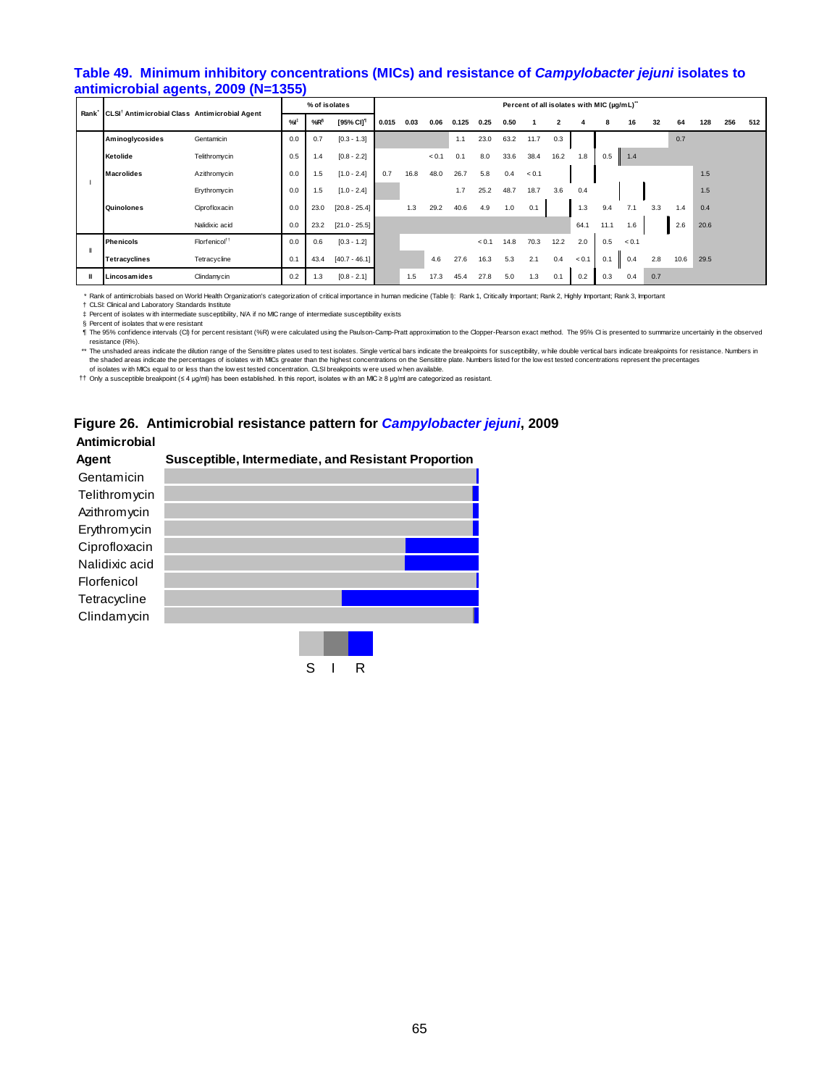#### **Table 49. Minimum inhibitory concentrations (MICs) and resistance of** *Campylobacter jejuni* **isolates to antimicrobial agents, 2009 (N=1355)**

|   | CLSI <sup>†</sup> Antimicrobial Class Antimicrobial Agent<br>Rank |                           | % of isolates |        |                       |       |      |       |       |       |      |       | Percent of all isolates with MIC (µg/mL)" |       |      |       |     |      |      |     |     |
|---|-------------------------------------------------------------------|---------------------------|---------------|--------|-----------------------|-------|------|-------|-------|-------|------|-------|-------------------------------------------|-------|------|-------|-----|------|------|-----|-----|
|   |                                                                   |                           | %             | $%R^5$ | [95% CI] <sup>1</sup> | 0.015 | 0.03 | 0.06  | 0.125 | 0.25  | 0.50 |       | 2                                         |       | 8    | 16    | 32  | 64   | 128  | 256 | 512 |
|   | <b>Aminoglycosides</b>                                            | Gentamicin                | 0.0           | 0.7    | $[0.3 - 1.3]$         |       |      |       | 1.1   | 23.0  | 63.2 | 11.7  | 0.3                                       |       |      |       |     | 0.7  |      |     |     |
|   | Ketolide                                                          | Telithromycin             | 0.5           | 1.4    | $[0.8 - 2.2]$         |       |      | < 0.1 | 0.1   | 8.0   | 33.6 | 38.4  | 16.2                                      | 1.8   | 0.5  | 1.4   |     |      |      |     |     |
|   | <b>Macrolides</b>                                                 | Azithromycin              | 0.0           | 1.5    | $[1.0 - 2.4]$         | 0.7   | 16.8 | 48.0  | 26.7  | 5.8   | 0.4  | < 0.1 |                                           |       |      |       |     |      | 1.5  |     |     |
|   |                                                                   | Erythromycin              | 0.0           | 1.5    | $[1.0 - 2.4]$         |       |      |       | 1.7   | 25.2  | 48.7 | 18.7  | 3.6                                       | 0.4   |      |       |     |      | 1.5  |     |     |
|   | Quinolones                                                        | Ciprofloxacin             | 0.0           | 23.0   | $[20.8 - 25.4]$       |       | 1.3  | 29.2  | 40.6  | 4.9   | 1.0  | 0.1   |                                           | 1.3   | 9.4  | 7.1   | 3.3 | 1.4  | 0.4  |     |     |
|   |                                                                   | Nalidixic acid            | 0.0           | 23.2   | $[21.0 - 25.5]$       |       |      |       |       |       |      |       |                                           | 64.1  | 11.1 | 1.6   |     | 2.6  | 20.6 |     |     |
|   | <b>Phenicols</b>                                                  | Florfenicol <sup>11</sup> | 0.0           | 0.6    | $[0.3 - 1.2]$         |       |      |       |       | < 0.1 | 14.8 | 70.3  | 12.2                                      | 2.0   | 0.5  | < 0.1 |     |      |      |     |     |
|   | <b>Tetracyclines</b>                                              | Tetracycline              | 0.1           | 43.4   | $[40.7 - 46.1]$       |       |      | 4.6   | 27.6  | 16.3  | 5.3  | 2.1   | 0.4                                       | < 0.1 | 0.1  | 0.4   | 2.8 | 10.6 | 29.5 |     |     |
| Ш | Lincosamides                                                      | Clindamycin               | 0.2           | 1.3    | $[0.8 - 2.1]$         |       | 1.5  | 17.3  | 45.4  | 27.8  | 5.0  | 1.3   | 0.1                                       | 0.2   | 0.3  | 0.4   | 0.7 |      |      |     |     |

\* Rank of antimicrobials based on World Health Organization's categorization of critical importance in human medicine (Table I): Rank 1, Critically Important; Rank 2, Highly Important; Rank 3, Important

† CLSI: Clinical and Laboratory Standards Institute

‡ Percent of isolates w ith intermediate susceptibility, N/A if no MIC range of intermediate susceptibility exists

§ Percent of isolates that w ere resistant ¶ The 95% confidence intervals (CI) for percent resistant (%R) w ere calculated using the Paulson-Camp-Pratt approximation to the Clopper-Pearson exact method. The 95% CI is presented to summarize uncertainly in the observed resistance (R%).

\*\* The unshaded areas indicate the dilution range of the Sensititre plates used to test isolates. Single vertical bars indicate the breakpoints for susceptibility, while double vertical bars indicate breakpoints for resist

†† Only a susceptible breakpoint (≤ 4 μg/ml) has been established. In this report, isolates w ith an MIC ≥ 8 μg/ml are categorized as resistant. of isolates w ith MICs equal to or less than the low est tested concentration. CLSI breakpoints w ere used w hen available.

# **Figure 26. Antimicrobial resistance pattern for** *Campylobacter jejuni***, 2009**

#### **Antimicrobial**

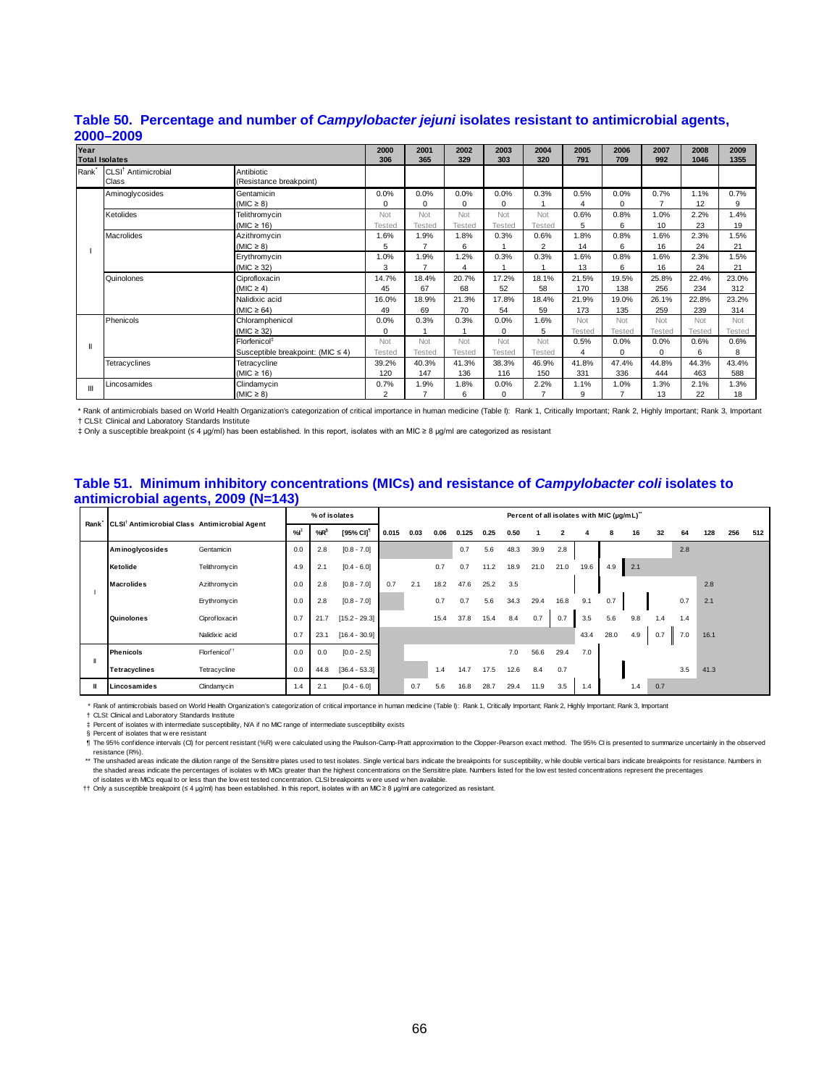| Year              |                                 | 2000                              | 2001           | 2002           | 2003     | 2004     | 2005           | 2006   | 2007          | 2008           | 2009          |        |
|-------------------|---------------------------------|-----------------------------------|----------------|----------------|----------|----------|----------------|--------|---------------|----------------|---------------|--------|
|                   | <b>Total Isolates</b>           |                                   | 306            | 365            | 329      | 303      | 320            | 791    | 709           | 992            | 1046          | 1355   |
| Rank <sup>*</sup> | CLSI <sup>†</sup> Antimicrobial | Antibiotic                        |                |                |          |          |                |        |               |                |               |        |
|                   | Class                           | (Resistance breakpoint)           |                |                |          |          |                |        |               |                |               |        |
|                   | Aminoglycosides                 | Gentamicin                        | 0.0%           | 0.0%           | 0.0%     | 0.0%     | 0.3%           | 0.5%   | 0.0%          | 0.7%           | 1.1%          | 0.7%   |
|                   |                                 | (MIC $\geq$ 8)                    | 0              | 0              | $\Omega$ | 0        |                |        | 0             | $\overline{ }$ | 12            | 9      |
|                   | Ketolides                       | Telithromycin                     | Not            | Not            | Not      | Not      | Not            | 0.6%   | 0.8%          | 1.0%           | 2.2%          | 1.4%   |
|                   |                                 | (MIC $\geq$ 16)                   | Tested         | Tested         | Tested   | Tested   | Tested         | 5      | 6             | 10             | 23            | 19     |
|                   | <b>Macrolides</b>               | Azithromycin                      | 1.6%           | 1.9%           | 1.8%     | 0.3%     | 0.6%           | 1.8%   | 0.8%          | 1.6%           | 2.3%          | 1.5%   |
|                   |                                 | (MIC $\geq$ 8)                    | 5              | $\overline{ }$ | 6        |          | $\overline{2}$ | 14     | 6             | 16             | 24            | 21     |
|                   |                                 | Erythromycin                      | 1.0%           | 1.9%           | 1.2%     | 0.3%     | 0.3%           | 1.6%   | 0.8%          | 1.6%           | 2.3%          | 1.5%   |
|                   |                                 | (MIC $\geq$ 32)                   | 3              | $\overline{ }$ | 4        |          |                | 13     | 6             | 16             | 24            | 21     |
|                   | Quinolones                      | Ciprofloxacin                     | 14.7%          | 18.4%          | 20.7%    | 17.2%    | 18.1%          | 21.5%  | 19.5%         | 25.8%          | 22.4%         | 23.0%  |
|                   |                                 | (MIC $\geq$ 4)                    | 45             | 67             | 68       | 52       | 58             | 170    | 138           | 256            | 234           | 312    |
|                   |                                 | Nalidixic acid                    | 16.0%          | 18.9%          | 21.3%    | 17.8%    | 18.4%          | 21.9%  | 19.0%         | 26.1%          | 22.8%         | 23.2%  |
|                   |                                 | (MIC $\geq$ 64)                   | 49             | 69             | 70       | 54       | 59             | 173    | 135           | 259            | 239           | 314    |
|                   | Phenicols                       | Chloramphenicol                   | 0.0%           | 0.3%           | 0.3%     | 0.0%     | 1.6%           | Not    | Not           | Not            | Not           | Not    |
|                   |                                 | (MIC $\geq$ 32)                   | 0              |                |          | 0        | 5              | Tested | <b>Tested</b> | Tested         | <b>Tested</b> | Tested |
| Ш                 |                                 | Florfenicol <sup>‡</sup>          | Not            | Not            | Not      | Not      | Not            | 0.5%   | 0.0%          | 0.0%           | 0.6%          | 0.6%   |
|                   |                                 | Susceptible breakpoint: (MIC ≤ 4) | Tested         | Tested         | Tested   | Tested   | Tested         | 4      | $\Omega$      | $\Omega$       | 6             | 8      |
|                   | Tetracyclines                   | Tetracycline                      | 39.2%          | 40.3%          | 41.3%    | 38.3%    | 46.9%          | 41.8%  | 47.4%         | 44.8%          | 44.3%         | 43.4%  |
|                   |                                 | (MIC $\geq$ 16)                   | 120            | 147            | 136      | 116      | 150            | 331    | 336           | 444            | 463           | 588    |
| Ш                 | Lincosamides                    | Clindamycin                       | 0.7%           | 1.9%           | 1.8%     | 0.0%     | 2.2%           | 1.1%   | 1.0%          | 1.3%           | 2.1%          | 1.3%   |
|                   |                                 | (MIC $\geq$ 8)                    | $\overline{2}$ | 7              | 6        | $\Omega$ |                | 9      | 7             | 13             | 22            | 18     |

#### **Table 50. Percentage and number of** *Campylobacter jejuni* **isolates resistant to antimicrobial agents, 2000–2009**

\* Rank of antimicrobials based on World Health Organization's categorization of critical importance in human medicine (Table I): Rank 1, Critically Important; Rank 2, Highly Important; Rank 3, Important † CLSI: Clinical and Laboratory Standards Institute

‡ Only a susceptible breakpoint (≤ 4 μg/ml) has been established. In this report, isolates with an MIC ≥ 8 μg/ml are categorized as resistant

#### **Table 51. Minimum inhibitory concentrations (MICs) and resistance of** *Campylobacter coli* **isolates to antimicrobial agents, 2009 (N=143)**

|      | CLSI <sup>†</sup> Antimicrobial Class Antimicrobial Agent |                           |     | % of isolates |                       |       |      |      |       |      |      |      | Percent of all isolates with MIC (µg/mL)" |      |      |     |     |     |      |     |     |
|------|-----------------------------------------------------------|---------------------------|-----|---------------|-----------------------|-------|------|------|-------|------|------|------|-------------------------------------------|------|------|-----|-----|-----|------|-----|-----|
| Rank |                                                           |                           | %   | $%R^6$        | [95% CI] <sup>1</sup> | 0.015 | 0.03 | 0.06 | 0.125 | 0.25 | 0.50 |      | 2                                         |      | 8    | 16  | 32  | 64  | 128  | 256 | 512 |
|      | Aminoglycosides                                           | Gentamicin                | 0.0 | 2.8           | $[0.8 - 7.0]$         |       |      |      | 0.7   | 5.6  | 48.3 | 39.9 | 2.8                                       |      |      |     |     | 2.8 |      |     |     |
|      | Ketolide                                                  | Telithromycin             | 4.9 | 2.1           | $[0.4 - 6.0]$         |       |      | 0.7  | 0.7   | 11.2 | 18.9 | 21.0 | 21.0                                      | 19.6 | 4.9  | 2.1 |     |     |      |     |     |
|      | <b>Macrolides</b>                                         | Azithromycin              | 0.0 | 2.8           | $[0.8 - 7.0]$         | 0.7   | 2.1  | 18.2 | 47.6  | 25.2 | 3.5  |      |                                           |      |      |     |     |     | 2.8  |     |     |
|      |                                                           | Erythromycin              | 0.0 | 2.8           | $[0.8 - 7.0]$         |       |      | 0.7  | 0.7   | 5.6  | 34.3 | 29.4 | 16.8                                      | 9.1  | 0.7  |     |     | 0.7 | 2.1  |     |     |
|      | Quinolones                                                | Ciprofloxacin             | 0.7 | 21.7          | $[15.2 - 29.3]$       |       |      | 15.4 | 37.8  | 15.4 | 8.4  | 0.7  | 0.7                                       | 3.5  | 5.6  | 9.8 | 1.4 | 1.4 |      |     |     |
|      |                                                           | Nalidixic acid            | 0.7 | 23.1          | $[16.4 - 30.9]$       |       |      |      |       |      |      |      |                                           | 43.4 | 28.0 | 4.9 | 0.7 | 7.0 | 16.1 |     |     |
|      | <b>Phenicols</b>                                          | Florfenicol <sup>11</sup> | 0.0 | 0.0           | $[0.0 - 2.5]$         |       |      |      |       |      | 7.0  | 56.6 | 29.4                                      | 7.0  |      |     |     |     |      |     |     |
|      | <b>Tetracyclines</b>                                      | Tetracycline              | 0.0 | 44.8          | $[36.4 - 53.3]$       |       |      | 1.4  | 14.7  | 17.5 | 12.6 | 8.4  | 0.7                                       |      |      |     |     | 3.5 | 41.3 |     |     |
|      | Lincosamides                                              | Clindamycin               | 1.4 | 2.1           | $[0.4 - 6.0]$         |       | 0.7  | 5.6  | 16.8  | 28.7 | 29.4 | 11.9 | 3.5                                       | 1.4  |      | 1.4 | 0.7 |     |      |     |     |

\* Rank of antimicrobials based on World Health Organization's categorization of critical importance in human medicine (Table I): Rank 1, Critically Important; Rank 2, Highly Important; Rank 3, Important

† ‡ CLSI: Clinical and Laboratory Standards Institute Percent of isolates w ith intermediate susceptibility, N/A if no MIC range of intermediate susceptibility exists

§ Percent of isolates that w ere resistant

¶ The 95% confidence intervals (CI) for percent resistant (%R) w ere calculated using the Paulson-Camp-Pratt approximation to the Clopper-Pearson exact method. The 95% CI is presented to summarize uncertainly in the observed

resistance (R%).<br>\*\* The unshaded areas indicate the dilution range of the Sensittre plates used to test isolates. Single vertical bars indicate the breakpoints for susceptibility, while double vertical bars indicate breakp

†† Only a susceptible breakpoint (≤ 4 μg/ml) has been established. In this report, isolates w ith an MIC ≥ 8 μg/ml are categorized as resistant.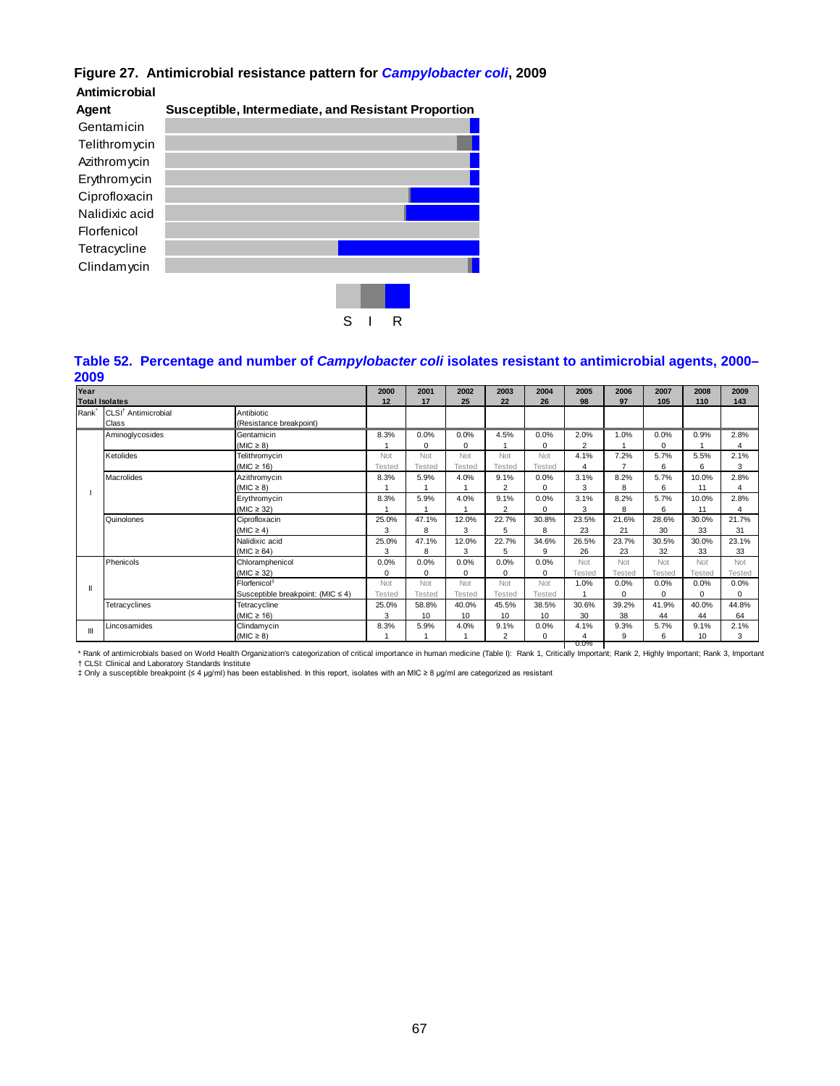# **Figure 27. Antimicrobial resistance pattern for** *Campylobacter coli***, 2009**

**Antimicrobial**



#### **Table 52. Percentage and number of** *Campylobacter coli* **isolates resistant to antimicrobial agents, 2000– 2009**

| Year              | <b>Total Isolates</b>                    |                                       | 2000<br>12 | 2001<br>17  | 2002<br>25    | 2003<br>22     | 2004<br>26    | 2005<br>98     | 2006<br>97 | 2007<br>105 | 2008<br>110 | 2009<br>143 |
|-------------------|------------------------------------------|---------------------------------------|------------|-------------|---------------|----------------|---------------|----------------|------------|-------------|-------------|-------------|
| Rank <sup>*</sup> | CLSI <sup>†</sup> Antimicrobial<br>Class | Antibiotic<br>(Resistance breakpoint) |            |             |               |                |               |                |            |             |             |             |
|                   | Aminoglycosides                          | Gentamicin                            | 8.3%       | 0.0%        | 0.0%          | 4.5%           | 0.0%          | 2.0%           | 1.0%       | 0.0%        | 0.9%        | 2.8%        |
|                   |                                          | (MIC $\geq$ 8)                        |            | $\Omega$    | 0             |                | $\Omega$      | $\overline{2}$ |            | 0           |             | 4           |
|                   | Ketolides                                | Telithromycin                         | Not        | Not         | Not           | Not            | Not           | 4.1%           | 7.2%       | 5.7%        | 5.5%        | 2.1%        |
|                   |                                          | (MIC $\geq$ 16)                       | Tested     | Tested      | Tested        | Testec         | <b>Tested</b> |                |            | 6           | 6           | 3           |
|                   | Macrolides                               | Azithromycin                          | 8.3%       | 5.9%        | 4.0%          | 9.1%           | 0.0%          | 3.1%           | 8.2%       | 5.7%        | 10.0%       | 2.8%        |
|                   |                                          | (MIC $\geq$ 8)                        |            |             |               | $\overline{2}$ | $\Omega$      | 3              | 8          | 6           | 11          | 4           |
|                   |                                          | Erythromycin                          | 8.3%       | 5.9%        | 4.0%          | 9.1%           | 0.0%          | 3.1%           | 8.2%       | 5.7%        | 10.0%       | 2.8%        |
|                   |                                          | (MIC $\geq$ 32)                       |            |             |               | $\overline{2}$ | $\Omega$      | 3              | 8          | 6           | 11          | 4           |
|                   | Quinolones                               | Ciprofloxacin                         | 25.0%      | 47.1%       | 12.0%         | 22.7%          | 30.8%         | 23.5%          | 21.6%      | 28.6%       | 30.0%       | 21.7%       |
|                   |                                          | $(MIC \ge 4)$                         | 3          | 8           | 3             | 5              | 8             | 23             | 21         | 30          | 33          | 31          |
|                   |                                          | Nalidixic acid                        | 25.0%      | 47.1%       | 12.0%         | 22.7%          | 34.6%         | 26.5%          | 23.7%      | 30.5%       | 30.0%       | 23.1%       |
|                   |                                          | (MIC $\geq 64$ )                      | 3          | 8           | 3             | 5              | 9             | 26             | 23         | 32          | 33          | 33          |
|                   | Phenicols                                | Chloramphenicol                       | 0.0%       | 0.0%        | 0.0%          | 0.0%           | 0.0%          | Not            | Not        | Not         | Not         | Not         |
|                   |                                          | (MIC $\geq$ 32)                       | $\Omega$   | $\mathbf 0$ | 0             | $\Omega$       | $\Omega$      | Tested         | Tested     | Tested      | Tested      | Tested      |
| Ш                 |                                          | Florfenicol <sup>‡</sup>              | Not        | Not         | Not           | Not            | Not           | 1.0%           | 0.0%       | 0.0%        | 0.0%        | 0.0%        |
|                   |                                          | Susceptible breakpoint: (MIC ≤ 4)     | Tested     | Tested      | <b>Tested</b> | Tested         | Tested        |                | $\Omega$   | 0           | $\Omega$    | $\Omega$    |
|                   | Tetracyclines                            | Tetracycline                          | 25.0%      | 58.8%       | 40.0%         | 45.5%          | 38.5%         | 30.6%          | 39.2%      | 41.9%       | 40.0%       | 44.8%       |
|                   |                                          | (MIC $\geq$ 16)                       | 3          | 10          | 10            | 10             | 10            | 30             | 38         | 44          | 44          | 64          |
| Ш                 | Lincosamides                             | Clindamycin                           | 8.3%       | 5.9%        | 4.0%          | 9.1%           | 0.0%          | 4.1%           | 9.3%       | 5.7%        | 9.1%        | 2.1%        |
|                   |                                          | (MIC $\geq$ 8)                        |            |             |               | $\overline{2}$ | 0             | 0.0%           | 9          | 6           | 10          | 3           |

† CLSI: Clinical and Laboratory Standards Institute<br>‡ Only a susceptible breakpoint (≤ 4 μg/ml) has been established. In this report, isolates with an MIC ≥ 8 μg/ml are categorized as resistant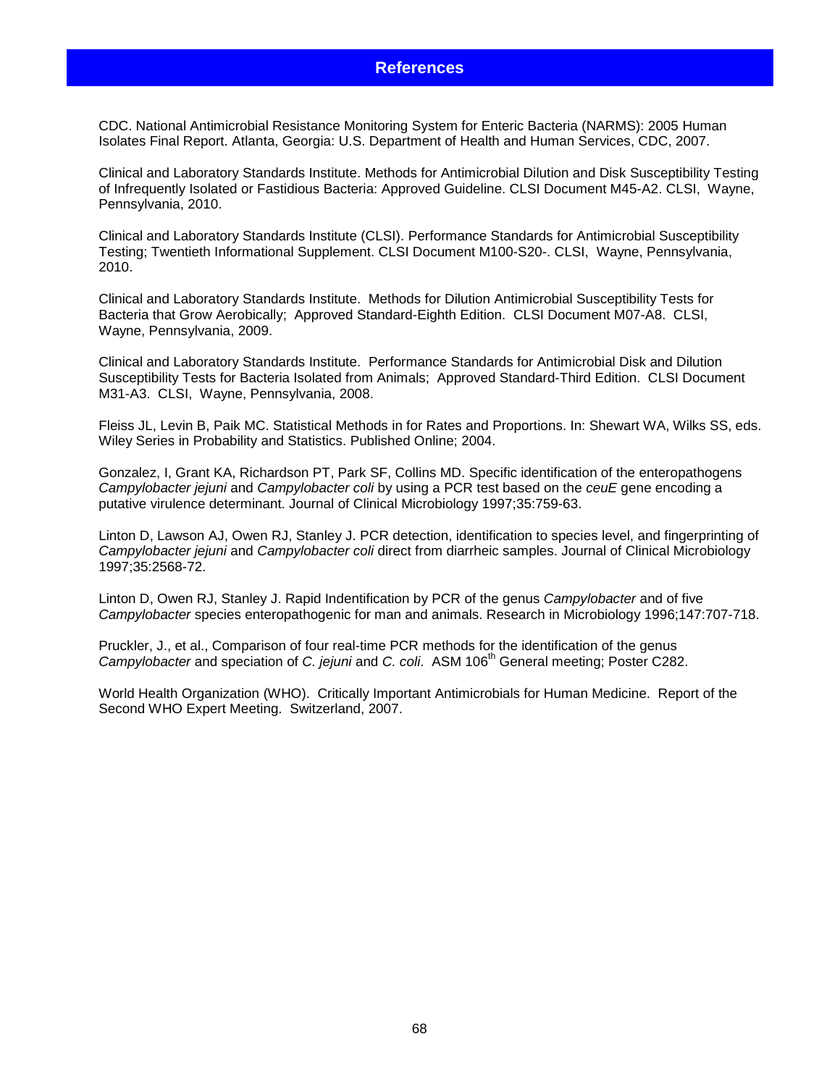# **References**

CDC. National Antimicrobial Resistance Monitoring System for Enteric Bacteria (NARMS): 2005 Human Isolates Final Report. Atlanta, Georgia: U.S. Department of Health and Human Services, CDC, 2007.

Clinical and Laboratory Standards Institute. Methods for Antimicrobial Dilution and Disk Susceptibility Testing of Infrequently Isolated or Fastidious Bacteria: Approved Guideline. CLSI Document M45-A2. CLSI, Wayne, Pennsylvania, 2010.

Clinical and Laboratory Standards Institute (CLSI). Performance Standards for Antimicrobial Susceptibility Testing; Twentieth Informational Supplement. CLSI Document M100-S20-. CLSI, Wayne, Pennsylvania, 2010.

Clinical and Laboratory Standards Institute. Methods for Dilution Antimicrobial Susceptibility Tests for Bacteria that Grow Aerobically; Approved Standard-Eighth Edition. CLSI Document M07-A8. CLSI, Wayne, Pennsylvania, 2009.

Clinical and Laboratory Standards Institute. Performance Standards for Antimicrobial Disk and Dilution Susceptibility Tests for Bacteria Isolated from Animals; Approved Standard-Third Edition. CLSI Document M31-A3. CLSI, Wayne, Pennsylvania, 2008.

Fleiss JL, Levin B, Paik MC. Statistical Methods in for Rates and Proportions. In: Shewart WA, Wilks SS, eds. Wiley Series in Probability and Statistics. Published Online; 2004.

Gonzalez, I, Grant KA, Richardson PT, Park SF, Collins MD. Specific identification of the enteropathogens *Campylobacter jejuni* and *Campylobacter coli* by using a PCR test based on the *ceuE* gene encoding a putative virulence determinant. Journal of Clinical Microbiology 1997;35:759-63.

Linton D, Lawson AJ, Owen RJ, Stanley J. PCR detection, identification to species level, and fingerprinting of *Campylobacter jejuni* and *Campylobacter coli* direct from diarrheic samples. Journal of Clinical Microbiology 1997;35:2568-72.

Linton D, Owen RJ, Stanley J. Rapid Indentification by PCR of the genus *Campylobacter* and of five *Campylobacter* species enteropathogenic for man and animals. Research in Microbiology 1996;147:707-718.

Pruckler, J., et al., Comparison of four real-time PCR methods for the identification of the genus *Campylobacter* and speciation of *C. jejuni* and *C. coli.* ASM 106<sup>th</sup> General meeting; Poster C282.

World Health Organization (WHO). Critically Important Antimicrobials for Human Medicine. Report of the Second WHO Expert Meeting. Switzerland, 2007.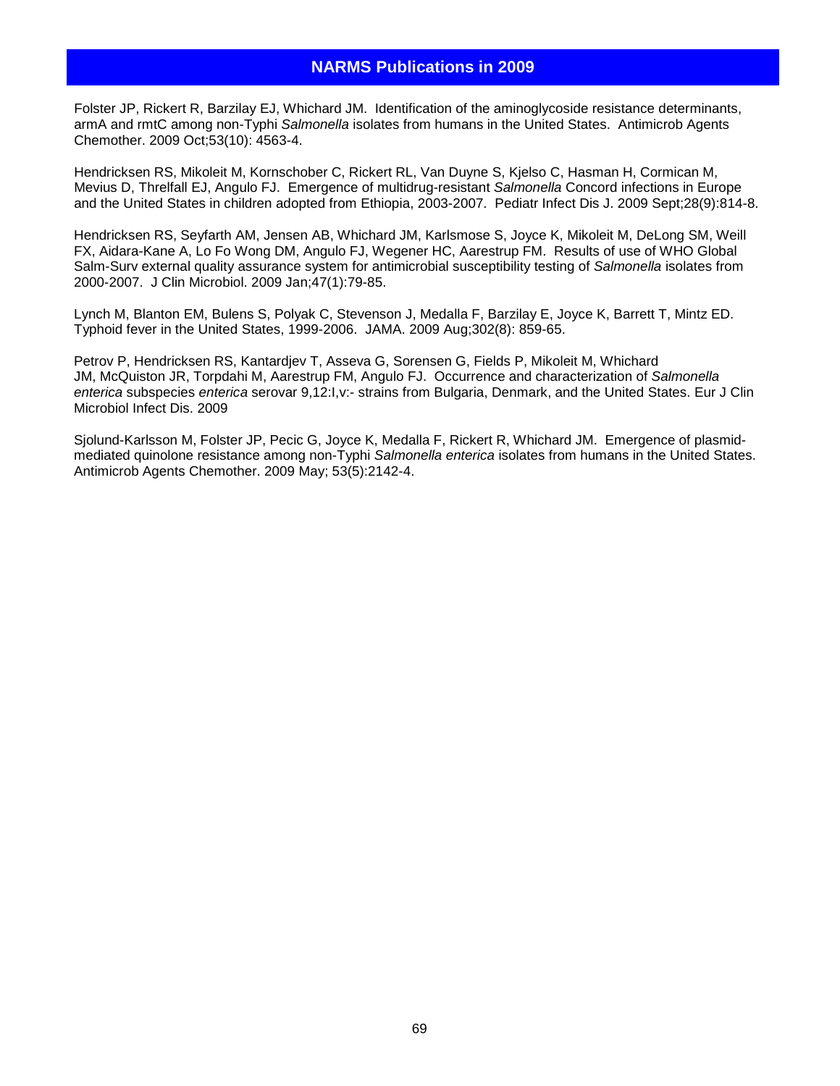# **NARMS Publications in 2009**

Folster JP, Rickert R, Barzilay EJ, Whichard JM. Identification of the aminoglycoside resistance determinants, armA and rmtC among non-Typhi *Salmonella* isolates from humans in the United States. Antimicrob Agents Chemother. 2009 Oct;53(10): 4563-4.

Hendricksen RS, Mikoleit M, Kornschober C, Rickert RL, Van Duyne S, Kjelso C, Hasman H, Cormican M, Mevius D, Threlfall EJ, Angulo FJ. Emergence of multidrug-resistant *Salmonella* Concord infections in Europe and the United States in children adopted from Ethiopia, 2003-2007. Pediatr Infect Dis J. 2009 Sept;28(9):814-8.

Hendricksen RS, Seyfarth AM, Jensen AB, Whichard JM, Karlsmose S, Joyce K, Mikoleit M, DeLong SM, Weill FX, Aidara-Kane A, Lo Fo Wong DM, Angulo FJ, Wegener HC, Aarestrup FM. Results of use of WHO Global Salm-Surv external quality assurance system for antimicrobial susceptibility testing of *Salmonella* isolates from 2000-2007. J Clin Microbiol. 2009 Jan;47(1):79-85.

Lynch M, Blanton EM, Bulens S, Polyak C, Stevenson J, Medalla F, Barzilay E, Joyce K, Barrett T, Mintz ED. Typhoid fever in the United States, 1999-2006. JAMA. 2009 Aug;302(8): 859-65.

Petrov P, Hendricksen RS, Kantardjev T, Asseva G, Sorensen G, Fields P, Mikoleit M, Whichard JM, McQuiston JR, Torpdahi M, Aarestrup FM, Angulo FJ. Occurrence and characterization of *Salmonella enterica* subspecies *enterica* serovar 9,12:I,v:- strains from Bulgaria, Denmark, and the United States. Eur J Clin Microbiol Infect Dis. 2009

Sjolund-Karlsson M, Folster JP, Pecic G, Joyce K, Medalla F, Rickert R, Whichard JM. Emergence of plasmidmediated quinolone resistance among non-Typhi *Salmonella enterica* isolates from humans in the United States. Antimicrob Agents Chemother. 2009 May; 53(5):2142-4.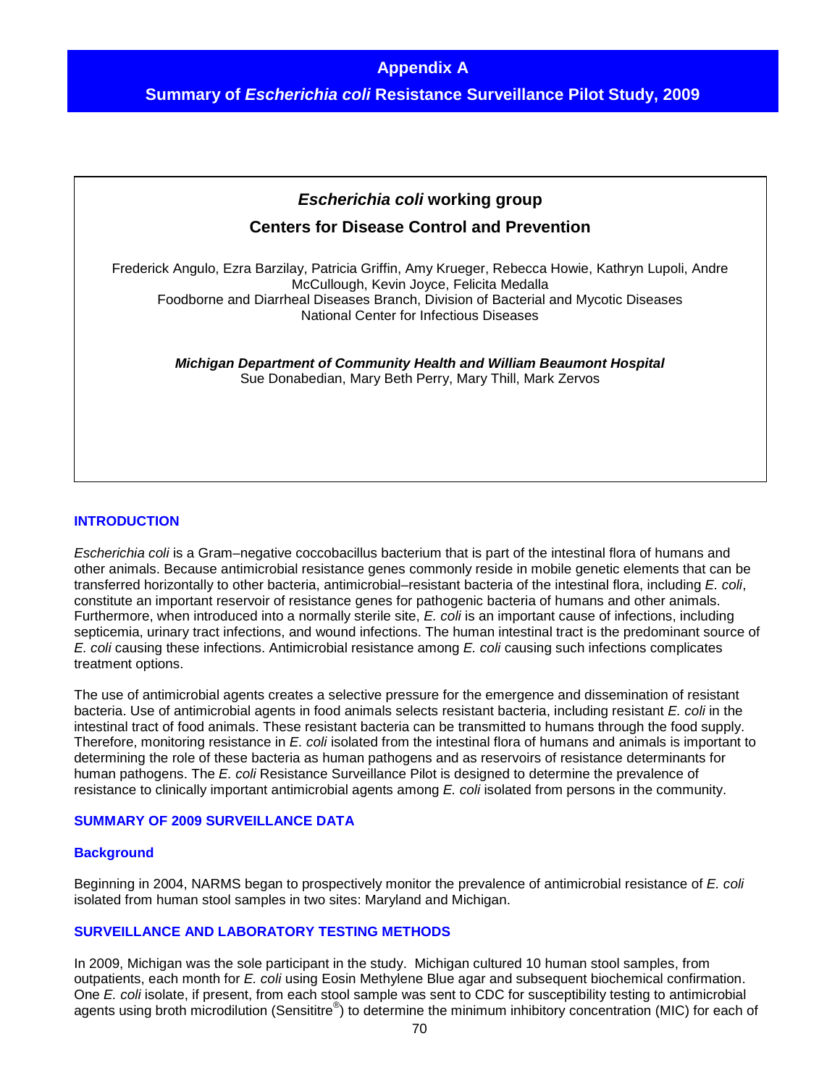# **Appendix A**

**Summary of** *Escherichia coli* **Resistance Surveillance Pilot Study, 2009** 



## **INTRODUCTION**

*Escherichia coli* is a Gram–negative coccobacillus bacterium that is part of the intestinal flora of humans and other animals. Because antimicrobial resistance genes commonly reside in mobile genetic elements that can be transferred horizontally to other bacteria, antimicrobial–resistant bacteria of the intestinal flora, including *E. coli*, constitute an important reservoir of resistance genes for pathogenic bacteria of humans and other animals. Furthermore, when introduced into a normally sterile site, *E. coli* is an important cause of infections, including septicemia, urinary tract infections, and wound infections. The human intestinal tract is the predominant source of *E. coli* causing these infections. Antimicrobial resistance among *E. coli* causing such infections complicates treatment options.

The use of antimicrobial agents creates a selective pressure for the emergence and dissemination of resistant bacteria. Use of antimicrobial agents in food animals selects resistant bacteria, including resistant *E. coli* in the intestinal tract of food animals. These resistant bacteria can be transmitted to humans through the food supply. Therefore, monitoring resistance in *E. coli* isolated from the intestinal flora of humans and animals is important to determining the role of these bacteria as human pathogens and as reservoirs of resistance determinants for human pathogens. The *E. coli* Resistance Surveillance Pilot is designed to determine the prevalence of resistance to clinically important antimicrobial agents among *E. coli* isolated from persons in the community.

## **SUMMARY OF 2009 SURVEILLANCE DATA**

## **Background**

Beginning in 2004, NARMS began to prospectively monitor the prevalence of antimicrobial resistance of *E. coli* isolated from human stool samples in two sites: Maryland and Michigan.

## **SURVEILLANCE AND LABORATORY TESTING METHODS**

In 2009, Michigan was the sole participant in the study. Michigan cultured 10 human stool samples, from outpatients, each month for *E. coli* using Eosin Methylene Blue agar and subsequent biochemical confirmation. One *E. coli* isolate, if present, from each stool sample was sent to CDC for susceptibility testing to antimicrobial agents using broth microdilution (Sensititre®) to determine the minimum inhibitory concentration (MIC) for each of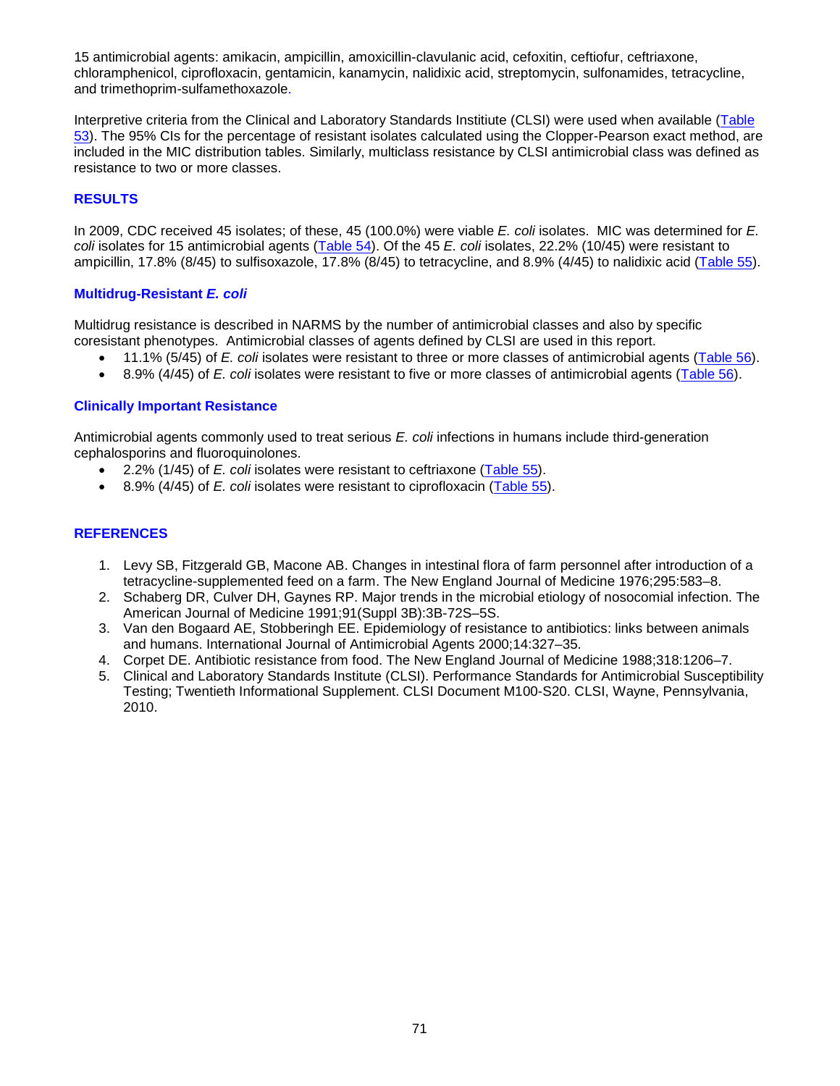15 antimicrobial agents: amikacin, ampicillin, amoxicillin-clavulanic acid, cefoxitin, ceftiofur, ceftriaxone, chloramphenicol, ciprofloxacin, gentamicin, kanamycin, nalidixic acid, streptomycin, sulfonamides, tetracycline, and trimethoprim-sulfamethoxazole.

Interpretive criteria from the Clinical and Laboratory Standards Institiute (CLSI) were used when available (Table [53\)](#page-70-0). The 95% CIs for the percentage of resistant isolates calculated using the Clopper-Pearson exact method, are included in the MIC distribution tables. Similarly, multiclass resistance by CLSI antimicrobial class was defined as resistance to two or more classes.

# **RESULTS**

In 2009, CDC received 45 isolates; of these, 45 (100.0%) were viable *E. coli* isolates. MIC was determined for *E. coli* isolates for 15 antimicrobial agents (Table 54). Of the 45 *E. coli* isolates, 22.2% (10/45) were resistant to ampicillin, 17.8% (8/45) to sulfisoxazole, 17.8% (8/45) to tetracycline, and 8.9% (4/45) to nalidixic acid [\(Table 55\)](#page-72-0).

# **Multidrug-Resistant** *E. coli*

Multidrug resistance is described in NARMS by the number of antimicrobial classes and also by specific coresistant phenotypes. Antimicrobial classes of agents defined by CLSI are used in this report.

- 11.1% (5/45) of *E. coli* isolates were resistant to three or more classes of antimicrobial agents [\(Table 56\)](#page-72-0).
- 8.9% (4/45) of *E. coli* isolates were resistant to five or more classes of antimicrobial agents [\(Table 56\)](#page-72-0).

## **Clinically Important Resistance**

Antimicrobial agents commonly used to treat serious *E. coli* infections in humans include third-generation cephalosporins and fluoroquinolones.

- 2.2% (1/45) of *E. coli* isolates were resistant to ceftriaxone [\(Table 55\)](#page-72-0).
- 8.9% (4/45) of *E. coli* isolates were resistant to ciprofloxacin [\(Table 55\)](#page-72-0).

# **REFERENCES**

- 1. Levy SB, Fitzgerald GB, Macone AB. Changes in intestinal flora of farm personnel after introduction of a tetracycline-supplemented feed on a farm. The New England Journal of Medicine 1976;295:583–8.
- 2. Schaberg DR, Culver DH, Gaynes RP. Major trends in the microbial etiology of nosocomial infection. The American Journal of Medicine 1991;91(Suppl 3B):3B-72S–5S.
- 3. Van den Bogaard AE, Stobberingh EE. Epidemiology of resistance to antibiotics: links between animals and humans. International Journal of Antimicrobial Agents 2000;14:327–35.
- 4. Corpet DE. Antibiotic resistance from food. The New England Journal of Medicine 1988;318:1206–7.
- <span id="page-70-0"></span>5. Clinical and Laboratory Standards Institute (CLSI). Performance Standards for Antimicrobial Susceptibility Testing; Twentieth Informational Supplement. CLSI Document M100-S20. CLSI, Wayne, Pennsylvania, 2010.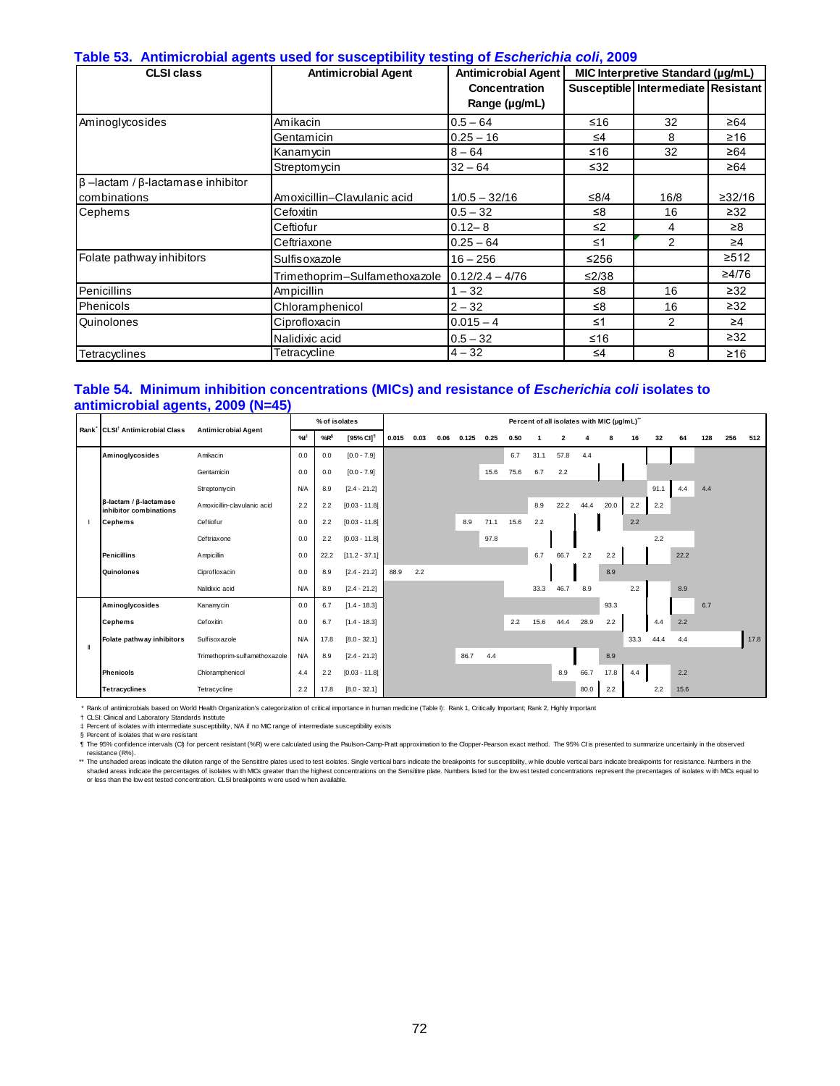#### **Table 53. Antimicrobial agents used for susceptibility testing of** *Escherichia coli***, 2009**

| <b>CLSI class</b>                              | <b>Antimicrobial Agent</b>    | Antimicrobial Agent  |          | MIC Interpretive Standard (µg/mL)  |           |
|------------------------------------------------|-------------------------------|----------------------|----------|------------------------------------|-----------|
|                                                |                               | <b>Concentration</b> |          | Susceptible Intermediate Resistant |           |
|                                                |                               | Range (µg/mL)        |          |                                    |           |
| Aminoglycosides                                | Amikacin                      | $0.5 - 64$           | ≤16      | 32                                 | ≥64       |
|                                                | Gentamicin                    | $0.25 - 16$          | $\leq 4$ | 8                                  | ≥16       |
|                                                | Kanamycin                     | $8 - 64$             | $≤16$    | 32                                 | ≥64       |
|                                                | Streptom ycin                 | $32 - 64$            | ≤32      |                                    | ≥64       |
| $\beta$ -lactam / $\beta$ -lactamase inhibitor |                               |                      |          |                                    |           |
| combinations                                   | Amoxicillin-Clavulanic acid   | $1/0.5 - 32/16$      | ≤ $8/4$  | 16/8                               | ≥32/16    |
| Cephems                                        | Cefoxitin                     | $0.5 - 32$           | ≤8       | 16                                 | $\geq$ 32 |
|                                                | Ceftiofur                     | $0.12 - 8$           | $\leq$ 2 | 4                                  | ≥8        |
|                                                | Ceftriaxone                   | $0.25 - 64$          | $\leq$ 1 | 2                                  | $\geq 4$  |
| Folate pathway inhibitors                      | Sulfisoxazole                 | $16 - 256$           | $≤256$   |                                    | ≥512      |
|                                                | Trimethoprim-Sulfamethoxazole | $0.12/2.4 - 4/76$    | ≤2/38    |                                    | ≥4/76     |
| Penicillins                                    | Ampicillin                    | $1 - 32$             | ≤8       | 16                                 | $\geq$ 32 |
| Phenicols                                      | Chloramphenicol               | $2 - 32$             | ≤8       | 16                                 | $\geq$ 32 |
| Quinolones                                     | Ciprofloxacin                 | $0.015 - 4$          | $\leq 1$ | 2                                  | $\geq 4$  |
|                                                | Nalidixic acid                | $0.5 - 32$           | $≤16$    |                                    | $\geq$ 32 |
| Tetracyclines                                  | Tetracycline                  | $4 - 32$             | ≤4       | 8                                  | $≥16$     |

#### **Table 54. Minimum inhibition concentrations (MICs) and resistance of** *Escherichia coli* **isolates to antimicrobial agents, 2009 (N=45)**

| Rank <sup>*</sup> | CLSI <sup>†</sup> Antimicrobial Class                          | <b>Antimicrobial Agent</b>    |            | % of isolates   |                       |       |      |      |       |      |      |      |                |      | Percent of all isolates with MIC (µg/mL)" |      |      |      |     |     |      |
|-------------------|----------------------------------------------------------------|-------------------------------|------------|-----------------|-----------------------|-------|------|------|-------|------|------|------|----------------|------|-------------------------------------------|------|------|------|-----|-----|------|
|                   |                                                                |                               | %          | %R <sup>§</sup> | [95% CI] <sup>1</sup> | 0.015 | 0.03 | 0.06 | 0.125 | 0.25 | 0.50 |      | $\overline{2}$ |      | 8                                         | 16   | 32   | 64   | 128 | 256 | 512  |
|                   | Aminoglycosides                                                | Amikacin                      | 0.0        | 0.0             | $[0.0 - 7.9]$         |       |      |      |       |      | 6.7  | 31.1 | 57.8           | 4.4  |                                           |      |      |      |     |     |      |
|                   |                                                                | Gentamicin                    | 0.0        | 0.0             | $[0.0 - 7.9]$         |       |      |      |       | 15.6 | 75.6 | 6.7  | 2.2            |      |                                           |      |      |      |     |     |      |
|                   |                                                                | Streptomycin                  | N/A        | 8.9             | $[2.4 - 21.2]$        |       |      |      |       |      |      |      |                |      |                                           |      | 91.1 | 4.4  | 4.4 |     |      |
|                   | $\beta$ -lactam / $\beta$ -lactamase<br>inhibitor combinations | Amoxicillin-clavulanic acid   | 2.2        | 2.2             | $[0.03 - 11.8]$       |       |      |      |       |      |      | 8.9  | 22.2           | 44.4 | 20.0                                      | 2.2  | 2.2  |      |     |     |      |
|                   | <b>Cephems</b>                                                 | Ceftiofur                     | 0.0        | 2.2             | $[0.03 - 11.8]$       |       |      |      | 8.9   | 71.1 | 15.6 | 2.2  |                |      |                                           | 2.2  |      |      |     |     |      |
|                   |                                                                | Ceftriaxone                   | 0.0        | 2.2             | $[0.03 - 11.8]$       |       |      |      |       | 97.8 |      |      |                |      |                                           |      | 2.2  |      |     |     |      |
|                   | <b>Penicillins</b>                                             | Ampicillin                    | 0.0        | 22.2            | $[11.2 - 37.1]$       |       |      |      |       |      |      | 6.7  | 66.7           | 2.2  | 2.2                                       |      |      | 22.2 |     |     |      |
|                   | Quinolones                                                     | Ciprofloxacin                 | 0.0        | 8.9             | $[2.4 - 21.2]$        | 88.9  | 2.2  |      |       |      |      |      |                |      | 8.9                                       |      |      |      |     |     |      |
|                   |                                                                | Nalidixic acid                | <b>N/A</b> | 8.9             | $[2.4 - 21.2]$        |       |      |      |       |      |      | 33.3 | 46.7           | 8.9  |                                           | 2.2  |      | 8.9  |     |     |      |
|                   | Aminoglycosides                                                | Kanamycin                     | 0.0        | 6.7             | $[1.4 - 18.3]$        |       |      |      |       |      |      |      |                |      | 93.3                                      |      |      |      | 6.7 |     |      |
|                   | <b>Cephems</b>                                                 | Cefoxitin                     | 0.0        | 6.7             | $[1.4 - 18.3]$        |       |      |      |       |      | 2.2  | 15.6 | 44.4           | 28.9 | 2.2                                       |      | 4.4  | 2.2  |     |     |      |
|                   | Folate pathway inhibitors                                      | Sulfisoxazole                 | <b>N/A</b> | 17.8            | $[8.0 - 32.1]$        |       |      |      |       |      |      |      |                |      |                                           | 33.3 | 44.4 | 4.4  |     |     | 17.8 |
| Л                 |                                                                | Trimethoprim-sulfamethoxazole | N/A        | 8.9             | $[2.4 - 21.2]$        |       |      |      | 86.7  | 4.4  |      |      |                |      | 8.9                                       |      |      |      |     |     |      |
|                   | <b>Phenicols</b>                                               | Chloramphenicol               | 4.4        | 2.2             | $[0.03 - 11.8]$       |       |      |      |       |      |      |      | 8.9            | 66.7 | 17.8                                      | 4.4  |      | 2.2  |     |     |      |
|                   | <b>Tetracyclines</b>                                           | Tetracycline                  | 2.2        | 17.8            | $[8.0 - 32.1]$        |       |      |      |       |      |      |      |                | 80.0 | 2.2                                       |      | 2.2  | 15.6 |     |     |      |

\* Rank of antimicrobials based on World Health Organization's categorization of critical importance in human medicine (Table I): Rank 1, Critically Important; Rank 2, Highly Important

† CLSI: Clinical and Laboratory Standards Institute

‡ § Percent of isolates w ith intermediate susceptibility, N/A if no MIC range of intermediate susceptibility exists Percent of isolates that w ere resistant

¶ The 95% confidence intervals (CI) for percent resistant (%R) w ere calculated using the Paulson-Camp-Pratt approximation to the Clopper-Pearson exact method. The 95% CI is presented to summarize uncertainly in the observed

resistance (R%).<br>\*\* The unshaded areas indicate the dilution range of the Sensititre plates used to test isolates. Single vertical bars indicate the breakpoints for susceptibility, while double vertical bars indicate break shaded areas indicate the percentages of isolates with MCs greater than the highest concentrations on the Sensititre plate. Numbers listed for the low est tested concentrations represent the precentages of isolates with MC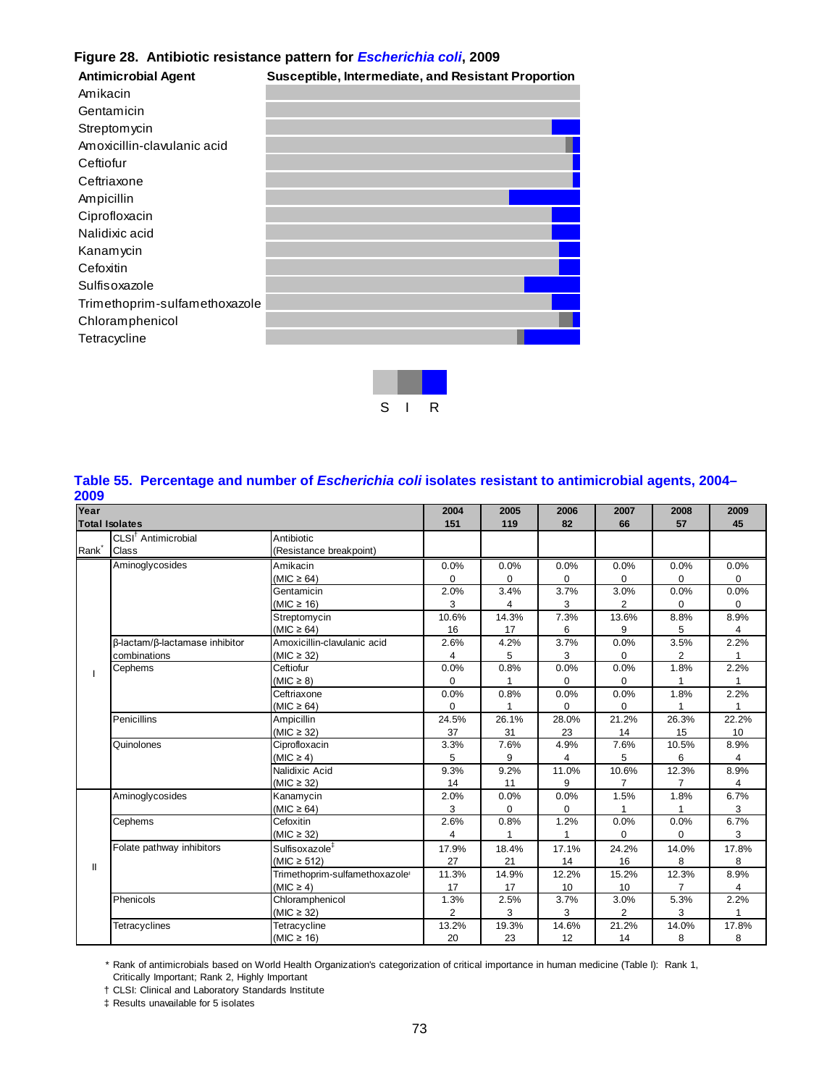## **Figure 28. Antibiotic resistance pattern for** *Escherichia coli***, 2009**

| <b>Antimicrobial Agent</b>    | Susceptible, Intermediate, and Resistant Proportion |  |
|-------------------------------|-----------------------------------------------------|--|
| Amikacin                      |                                                     |  |
| Gentamicin                    |                                                     |  |
| Streptomycin                  |                                                     |  |
| Amoxicillin-clavulanic acid   |                                                     |  |
| Ceftiofur                     |                                                     |  |
| Ceftriaxone                   |                                                     |  |
| Ampicillin                    |                                                     |  |
| Ciprofloxacin                 |                                                     |  |
| Nalidixic acid                |                                                     |  |
| Kanamycin                     |                                                     |  |
| Cefoxitin                     |                                                     |  |
| Sulfisoxazole                 |                                                     |  |
| Trimethoprim-sulfamethoxazole |                                                     |  |
| Chloramphenicol               |                                                     |  |
| Tetracycline                  |                                                     |  |
|                               |                                                     |  |
|                               |                                                     |  |



## **Table 55. Percentage and number of** *Escherichia coli* **isolates resistant to antimicrobial agents, 2004– 2009**

| Year                                            |                                 |                                            | 2004           | 2005     | 2006        | 2007           | 2008           | 2009         |
|-------------------------------------------------|---------------------------------|--------------------------------------------|----------------|----------|-------------|----------------|----------------|--------------|
|                                                 |                                 |                                            | 151            | 119      | 82          | 66             | 57             | 45           |
|                                                 | CLSI <sup>†</sup> Antimicrobial | Antibiotic                                 |                |          |             |                |                |              |
|                                                 | Class                           | (Resistance breakpoint)                    |                |          |             |                |                |              |
|                                                 | Aminoglycosides                 | Amikacin                                   | 0.0%           | 0.0%     | 0.0%        | 0.0%           | 0.0%           | 0.0%         |
|                                                 |                                 | (MIC $\geq 64$ )                           | $\Omega$       | 0        | $\mathbf 0$ | 0              | $\mathbf 0$    | 0            |
| <b>Total Isolates</b><br>Rank <sup>-</sup><br>Ш |                                 | Gentamicin                                 | 2.0%           | 3.4%     | 3.7%        | 3.0%           | 0.0%           | 0.0%         |
|                                                 |                                 | $(MIC \ge 16)$                             | 3              | 4        | 3           | $\overline{2}$ | 0              | $\Omega$     |
|                                                 |                                 | Streptomycin                               | 10.6%          | 14.3%    | 7.3%        | 13.6%          | 8.8%           | 8.9%         |
|                                                 |                                 | (MIC $\geq 64$ )                           | 16             | 17       | 6           | 9              | 5              | 4            |
|                                                 | β-lactam/β-lactamase inhibitor  | Amoxicillin-clavulanic acid                | 2.6%           | 4.2%     | 3.7%        | 0.0%           | 3.5%           | 2.2%         |
|                                                 | combinations                    | (MIC $\geq$ 32)                            | 4              | 5        | 3           | 0              | 2              | 1            |
|                                                 | Cephems                         | Ceftiofur                                  | 0.0%           | 0.8%     | 0.0%        | 0.0%           | 1.8%           | 2.2%         |
|                                                 |                                 | (MIC $\geq$ 8)                             | 0              |          | 0           | $\mathbf 0$    | 1              | 1            |
|                                                 |                                 | Ceftriaxone                                | 0.0%           | 0.8%     | 0.0%        | 0.0%           | 1.8%           | 2.2%         |
|                                                 |                                 | (MIC $\geq$ 64)                            | 0              | 1        | 0           | $\mathbf 0$    | 1              | $\mathbf{1}$ |
|                                                 | Penicillins                     | Ampicillin                                 | 24.5%          | 26.1%    | 28.0%       | 21.2%          | 26.3%          | 22.2%        |
|                                                 |                                 | (MIC $\geq$ 32)                            | 37             | 31       | 23          | 14             | 15             | 10           |
|                                                 | Quinolones                      | Ciprofloxacin                              | 3.3%           | 7.6%     | 4.9%        | 7.6%           | 10.5%          | 8.9%         |
|                                                 |                                 | $(MIC \ge 4)$                              | 5              | 9        | 4           | 5              | 6              | 4            |
|                                                 |                                 | Nalidixic Acid                             | 9.3%           | 9.2%     | 11.0%       | 10.6%          | 12.3%          | 8.9%         |
|                                                 |                                 | (MIC $\geq$ 32)                            | 14             | 11       | 9           | 7              | 7              | 4            |
|                                                 | Aminoglycosides                 | Kanamycin                                  | 2.0%           | 0.0%     | 0.0%        | 1.5%           | 1.8%           | 6.7%         |
|                                                 |                                 | (MIC $\geq 64$ )                           | 3              | $\Omega$ | 0           | 1              |                | 3            |
|                                                 | Cephems                         | Cefoxitin                                  | 2.6%           | 0.8%     | 1.2%        | 0.0%           | 0.0%           | 6.7%         |
|                                                 |                                 | (MIC $\geq$ 32)                            | 4              |          | 1           | $\mathbf 0$    | $\mathbf 0$    | 3            |
|                                                 | Folate pathway inhibitors       | Sulfisoxazole <sup>#</sup>                 | 17.9%          | 18.4%    | 17.1%       | 24.2%          | 14.0%          | 17.8%        |
|                                                 |                                 | (MIC $\geq$ 512)                           | 27             | 21       | 14          | 16             | 8              | 8            |
|                                                 |                                 | Trimethoprim-sulfamethoxazole <sup>®</sup> | 11.3%          | 14.9%    | 12.2%       | 15.2%          | 12.3%          | 8.9%         |
|                                                 |                                 | $(MIC \ge 4)$                              | 17             | 17       | 10          | 10             | $\overline{7}$ | 4            |
|                                                 | Phenicols                       | Chloramphenicol                            | 1.3%           | 2.5%     | 3.7%        | 3.0%           | 5.3%           | 2.2%         |
|                                                 |                                 | (MIC $\geq$ 32)                            | $\overline{2}$ | 3        | 3           | $\overline{2}$ | 3              | $\mathbf{1}$ |
|                                                 | Tetracyclines                   | Tetracycline                               | 13.2%          | 19.3%    | 14.6%       | 21.2%          | 14.0%          | 17.8%        |
|                                                 |                                 | (MIC $\geq$ 16)                            | 20             | 23       | 12          | 14             | 8              | 8            |

\* Rank of antimicrobials based on World Health Organization's categorization of critical importance in human medicine (Table I): Rank 1, Critically Important; Rank 2, Highly Important

† CLSI: Clinical and Laboratory Standards Institute

‡ Results unavailable for 5 isolates